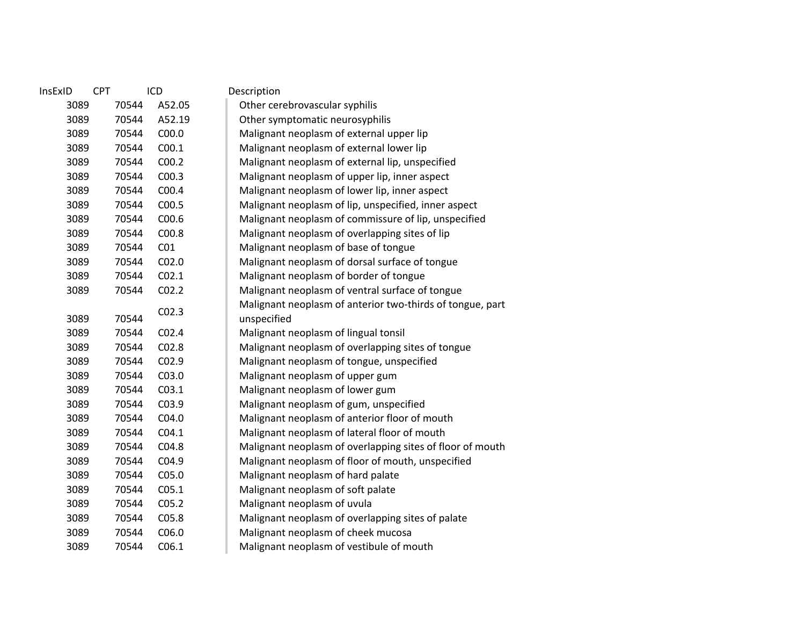| InsExID | <b>CPT</b> | ICD               | Description                                               |
|---------|------------|-------------------|-----------------------------------------------------------|
| 3089    | 70544      | A52.05            | Other cerebrovascular syphilis                            |
| 3089    | 70544      | A52.19            | Other symptomatic neurosyphilis                           |
| 3089    | 70544      | C <sub>00.0</sub> | Malignant neoplasm of external upper lip                  |
| 3089    | 70544      | C <sub>00.1</sub> | Malignant neoplasm of external lower lip                  |
| 3089    | 70544      | C <sub>00.2</sub> | Malignant neoplasm of external lip, unspecified           |
| 3089    | 70544      | CO <sub>0.3</sub> | Malignant neoplasm of upper lip, inner aspect             |
| 3089    | 70544      | C <sub>00.4</sub> | Malignant neoplasm of lower lip, inner aspect             |
| 3089    | 70544      | C00.5             | Malignant neoplasm of lip, unspecified, inner aspect      |
| 3089    | 70544      | C <sub>00.6</sub> | Malignant neoplasm of commissure of lip, unspecified      |
| 3089    | 70544      | C00.8             | Malignant neoplasm of overlapping sites of lip            |
| 3089    | 70544      | CO <sub>1</sub>   | Malignant neoplasm of base of tongue                      |
| 3089    | 70544      | CO <sub>2.0</sub> | Malignant neoplasm of dorsal surface of tongue            |
| 3089    | 70544      | CO <sub>2.1</sub> | Malignant neoplasm of border of tongue                    |
| 3089    | 70544      | CO <sub>2.2</sub> | Malignant neoplasm of ventral surface of tongue           |
|         |            |                   | Malignant neoplasm of anterior two-thirds of tongue, part |
| 3089    | 70544      | CO <sub>2.3</sub> | unspecified                                               |
| 3089    | 70544      | CO <sub>2.4</sub> | Malignant neoplasm of lingual tonsil                      |
| 3089    | 70544      | C02.8             | Malignant neoplasm of overlapping sites of tongue         |
| 3089    | 70544      | C <sub>02.9</sub> | Malignant neoplasm of tongue, unspecified                 |
| 3089    | 70544      | C03.0             | Malignant neoplasm of upper gum                           |
| 3089    | 70544      | CO <sub>3.1</sub> | Malignant neoplasm of lower gum                           |
| 3089    | 70544      | C03.9             | Malignant neoplasm of gum, unspecified                    |
| 3089    | 70544      | CO <sub>4.0</sub> | Malignant neoplasm of anterior floor of mouth             |
| 3089    | 70544      | CO4.1             | Malignant neoplasm of lateral floor of mouth              |
| 3089    | 70544      | C04.8             | Malignant neoplasm of overlapping sites of floor of mouth |
| 3089    | 70544      | C04.9             | Malignant neoplasm of floor of mouth, unspecified         |
| 3089    | 70544      | C05.0             | Malignant neoplasm of hard palate                         |
| 3089    | 70544      | C <sub>05.1</sub> | Malignant neoplasm of soft palate                         |
| 3089    | 70544      | CO <sub>5.2</sub> | Malignant neoplasm of uvula                               |
| 3089    | 70544      | C05.8             | Malignant neoplasm of overlapping sites of palate         |
| 3089    | 70544      | C06.0             | Malignant neoplasm of cheek mucosa                        |
| 3089    | 70544      | C <sub>06.1</sub> | Malignant neoplasm of vestibule of mouth                  |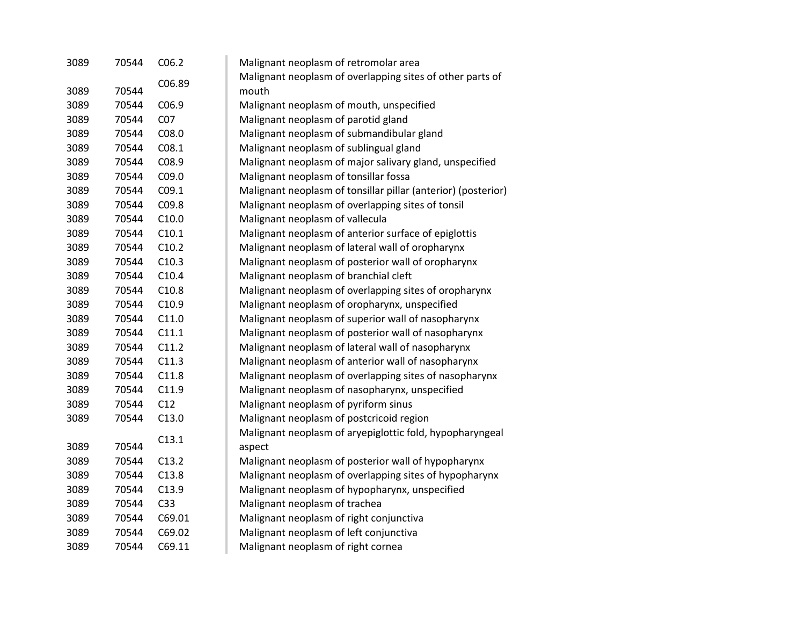| 3089 | 70544 | C <sub>06.2</sub> | Malignant neoplasm of retromolar area                         |
|------|-------|-------------------|---------------------------------------------------------------|
|      |       | C06.89            | Malignant neoplasm of overlapping sites of other parts of     |
| 3089 | 70544 |                   | mouth                                                         |
| 3089 | 70544 | C06.9             | Malignant neoplasm of mouth, unspecified                      |
| 3089 | 70544 | CO <sub>7</sub>   | Malignant neoplasm of parotid gland                           |
| 3089 | 70544 | C08.0             | Malignant neoplasm of submandibular gland                     |
| 3089 | 70544 | CO8.1             | Malignant neoplasm of sublingual gland                        |
| 3089 | 70544 | C08.9             | Malignant neoplasm of major salivary gland, unspecified       |
| 3089 | 70544 | C09.0             | Malignant neoplasm of tonsillar fossa                         |
| 3089 | 70544 | C <sub>09.1</sub> | Malignant neoplasm of tonsillar pillar (anterior) (posterior) |
| 3089 | 70544 | C09.8             | Malignant neoplasm of overlapping sites of tonsil             |
| 3089 | 70544 | C10.0             | Malignant neoplasm of vallecula                               |
| 3089 | 70544 | C10.1             | Malignant neoplasm of anterior surface of epiglottis          |
| 3089 | 70544 | C10.2             | Malignant neoplasm of lateral wall of oropharynx              |
| 3089 | 70544 | C10.3             | Malignant neoplasm of posterior wall of oropharynx            |
| 3089 | 70544 | C10.4             | Malignant neoplasm of branchial cleft                         |
| 3089 | 70544 | C10.8             | Malignant neoplasm of overlapping sites of oropharynx         |
| 3089 | 70544 | C10.9             | Malignant neoplasm of oropharynx, unspecified                 |
| 3089 | 70544 | C11.0             | Malignant neoplasm of superior wall of nasopharynx            |
| 3089 | 70544 | C11.1             | Malignant neoplasm of posterior wall of nasopharynx           |
| 3089 | 70544 | C11.2             | Malignant neoplasm of lateral wall of nasopharynx             |
| 3089 | 70544 | C11.3             | Malignant neoplasm of anterior wall of nasopharynx            |
| 3089 | 70544 | C11.8             | Malignant neoplasm of overlapping sites of nasopharynx        |
| 3089 | 70544 | C11.9             | Malignant neoplasm of nasopharynx, unspecified                |
| 3089 | 70544 | C12               | Malignant neoplasm of pyriform sinus                          |
| 3089 | 70544 | C13.0             | Malignant neoplasm of postcricoid region                      |
|      |       |                   | Malignant neoplasm of aryepiglottic fold, hypopharyngeal      |
| 3089 | 70544 | C13.1             | aspect                                                        |
| 3089 | 70544 | C13.2             | Malignant neoplasm of posterior wall of hypopharynx           |
| 3089 | 70544 | C13.8             | Malignant neoplasm of overlapping sites of hypopharynx        |
| 3089 | 70544 | C13.9             | Malignant neoplasm of hypopharynx, unspecified                |
| 3089 | 70544 | C <sub>33</sub>   | Malignant neoplasm of trachea                                 |
| 3089 | 70544 | C69.01            | Malignant neoplasm of right conjunctiva                       |
| 3089 | 70544 | C69.02            | Malignant neoplasm of left conjunctiva                        |
| 3089 | 70544 | C69.11            | Malignant neoplasm of right cornea                            |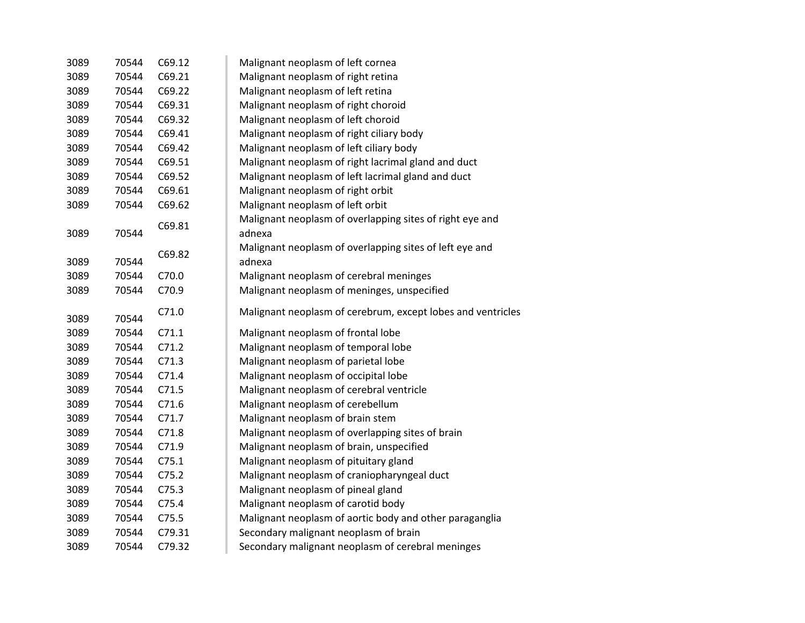| 3089 | 70544 | C69.12 | Malignant neoplasm of left cornea                           |
|------|-------|--------|-------------------------------------------------------------|
| 3089 | 70544 | C69.21 | Malignant neoplasm of right retina                          |
| 3089 | 70544 | C69.22 | Malignant neoplasm of left retina                           |
| 3089 | 70544 | C69.31 | Malignant neoplasm of right choroid                         |
| 3089 | 70544 | C69.32 | Malignant neoplasm of left choroid                          |
| 3089 | 70544 | C69.41 | Malignant neoplasm of right ciliary body                    |
| 3089 | 70544 | C69.42 | Malignant neoplasm of left ciliary body                     |
| 3089 | 70544 | C69.51 | Malignant neoplasm of right lacrimal gland and duct         |
| 3089 | 70544 | C69.52 | Malignant neoplasm of left lacrimal gland and duct          |
| 3089 | 70544 | C69.61 | Malignant neoplasm of right orbit                           |
| 3089 | 70544 | C69.62 | Malignant neoplasm of left orbit                            |
|      |       | C69.81 | Malignant neoplasm of overlapping sites of right eye and    |
| 3089 | 70544 |        | adnexa                                                      |
|      |       | C69.82 | Malignant neoplasm of overlapping sites of left eye and     |
| 3089 | 70544 |        | adnexa                                                      |
| 3089 | 70544 | C70.0  | Malignant neoplasm of cerebral meninges                     |
| 3089 | 70544 | C70.9  | Malignant neoplasm of meninges, unspecified                 |
|      |       |        |                                                             |
|      |       |        |                                                             |
| 3089 | 70544 | C71.0  | Malignant neoplasm of cerebrum, except lobes and ventricles |
| 3089 | 70544 | C71.1  | Malignant neoplasm of frontal lobe                          |
| 3089 | 70544 | C71.2  | Malignant neoplasm of temporal lobe                         |
| 3089 | 70544 | C71.3  | Malignant neoplasm of parietal lobe                         |
| 3089 | 70544 | C71.4  | Malignant neoplasm of occipital lobe                        |
| 3089 | 70544 | C71.5  | Malignant neoplasm of cerebral ventricle                    |
| 3089 | 70544 | C71.6  | Malignant neoplasm of cerebellum                            |
| 3089 | 70544 | C71.7  | Malignant neoplasm of brain stem                            |
| 3089 | 70544 | C71.8  | Malignant neoplasm of overlapping sites of brain            |
| 3089 | 70544 | C71.9  | Malignant neoplasm of brain, unspecified                    |
| 3089 | 70544 | C75.1  | Malignant neoplasm of pituitary gland                       |
| 3089 | 70544 | C75.2  | Malignant neoplasm of craniopharyngeal duct                 |
| 3089 | 70544 | C75.3  | Malignant neoplasm of pineal gland                          |
| 3089 | 70544 | C75.4  | Malignant neoplasm of carotid body                          |
| 3089 | 70544 | C75.5  | Malignant neoplasm of aortic body and other paraganglia     |
| 3089 | 70544 | C79.31 | Secondary malignant neoplasm of brain                       |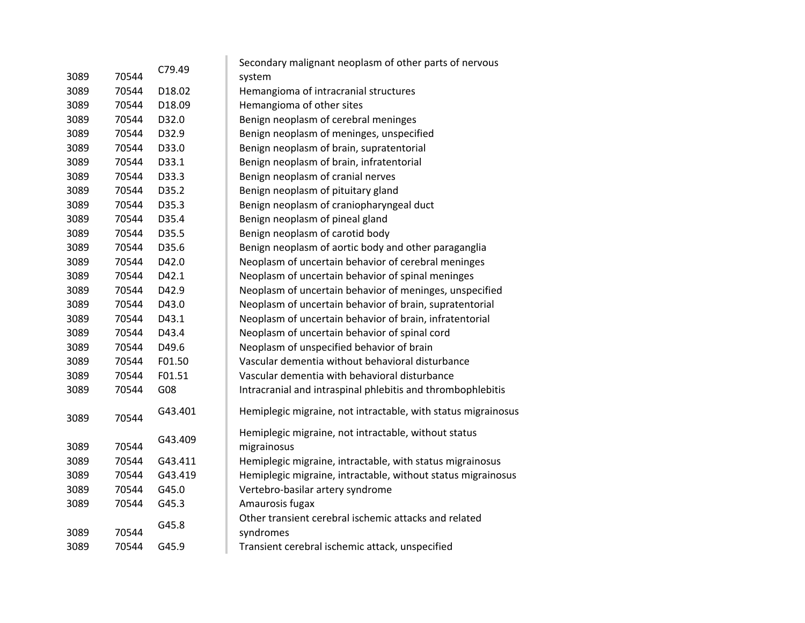|      |       |         | Secondary malignant neoplasm of other parts of nervous              |
|------|-------|---------|---------------------------------------------------------------------|
| 3089 | 70544 | C79.49  | system                                                              |
| 3089 | 70544 | D18.02  | Hemangioma of intracranial structures                               |
| 3089 | 70544 | D18.09  | Hemangioma of other sites                                           |
| 3089 | 70544 | D32.0   | Benign neoplasm of cerebral meninges                                |
| 3089 | 70544 | D32.9   | Benign neoplasm of meninges, unspecified                            |
| 3089 | 70544 | D33.0   | Benign neoplasm of brain, supratentorial                            |
| 3089 | 70544 | D33.1   | Benign neoplasm of brain, infratentorial                            |
| 3089 | 70544 | D33.3   | Benign neoplasm of cranial nerves                                   |
| 3089 | 70544 | D35.2   | Benign neoplasm of pituitary gland                                  |
| 3089 | 70544 | D35.3   | Benign neoplasm of craniopharyngeal duct                            |
| 3089 | 70544 | D35.4   | Benign neoplasm of pineal gland                                     |
| 3089 | 70544 | D35.5   | Benign neoplasm of carotid body                                     |
| 3089 | 70544 | D35.6   | Benign neoplasm of aortic body and other paraganglia                |
| 3089 | 70544 | D42.0   | Neoplasm of uncertain behavior of cerebral meninges                 |
| 3089 | 70544 | D42.1   | Neoplasm of uncertain behavior of spinal meninges                   |
| 3089 | 70544 | D42.9   | Neoplasm of uncertain behavior of meninges, unspecified             |
| 3089 | 70544 | D43.0   | Neoplasm of uncertain behavior of brain, supratentorial             |
| 3089 | 70544 | D43.1   | Neoplasm of uncertain behavior of brain, infratentorial             |
| 3089 | 70544 | D43.4   | Neoplasm of uncertain behavior of spinal cord                       |
| 3089 | 70544 | D49.6   | Neoplasm of unspecified behavior of brain                           |
| 3089 | 70544 | F01.50  | Vascular dementia without behavioral disturbance                    |
| 3089 | 70544 | F01.51  | Vascular dementia with behavioral disturbance                       |
| 3089 | 70544 | G08     | Intracranial and intraspinal phlebitis and thrombophlebitis         |
| 3089 | 70544 | G43.401 | Hemiplegic migraine, not intractable, with status migrainosus       |
| 3089 | 70544 | G43.409 | Hemiplegic migraine, not intractable, without status<br>migrainosus |
| 3089 | 70544 | G43.411 | Hemiplegic migraine, intractable, with status migrainosus           |
| 3089 | 70544 | G43.419 | Hemiplegic migraine, intractable, without status migrainosus        |
| 3089 | 70544 | G45.0   | Vertebro-basilar artery syndrome                                    |
| 3089 | 70544 | G45.3   | Amaurosis fugax                                                     |
|      |       |         | Other transient cerebral ischemic attacks and related               |
| 3089 | 70544 | G45.8   | syndromes                                                           |
| 3089 | 70544 | G45.9   | Transient cerebral ischemic attack, unspecified                     |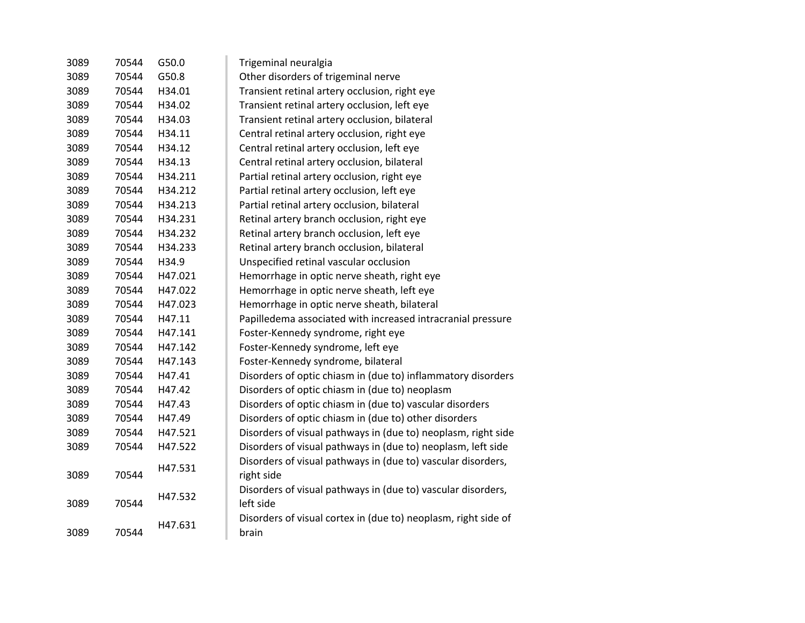| 3089 | 70544 | G50.0   | Trigeminal neuralgia                                           |
|------|-------|---------|----------------------------------------------------------------|
| 3089 | 70544 | G50.8   | Other disorders of trigeminal nerve                            |
| 3089 | 70544 | H34.01  | Transient retinal artery occlusion, right eye                  |
| 3089 | 70544 | H34.02  | Transient retinal artery occlusion, left eye                   |
| 3089 | 70544 | H34.03  | Transient retinal artery occlusion, bilateral                  |
| 3089 | 70544 | H34.11  | Central retinal artery occlusion, right eye                    |
| 3089 | 70544 | H34.12  | Central retinal artery occlusion, left eye                     |
| 3089 | 70544 | H34.13  |                                                                |
| 3089 | 70544 | H34.211 | Central retinal artery occlusion, bilateral                    |
|      |       |         | Partial retinal artery occlusion, right eye                    |
| 3089 | 70544 | H34.212 | Partial retinal artery occlusion, left eye                     |
| 3089 | 70544 | H34.213 | Partial retinal artery occlusion, bilateral                    |
| 3089 | 70544 | H34.231 | Retinal artery branch occlusion, right eye                     |
| 3089 | 70544 | H34.232 | Retinal artery branch occlusion, left eye                      |
| 3089 | 70544 | H34.233 | Retinal artery branch occlusion, bilateral                     |
| 3089 | 70544 | H34.9   | Unspecified retinal vascular occlusion                         |
| 3089 | 70544 | H47.021 | Hemorrhage in optic nerve sheath, right eye                    |
| 3089 | 70544 | H47.022 | Hemorrhage in optic nerve sheath, left eye                     |
| 3089 | 70544 | H47.023 | Hemorrhage in optic nerve sheath, bilateral                    |
| 3089 | 70544 | H47.11  | Papilledema associated with increased intracranial pressure    |
| 3089 | 70544 | H47.141 | Foster-Kennedy syndrome, right eye                             |
| 3089 | 70544 | H47.142 | Foster-Kennedy syndrome, left eye                              |
| 3089 | 70544 | H47.143 | Foster-Kennedy syndrome, bilateral                             |
| 3089 | 70544 | H47.41  | Disorders of optic chiasm in (due to) inflammatory disorders   |
| 3089 | 70544 | H47.42  | Disorders of optic chiasm in (due to) neoplasm                 |
| 3089 | 70544 | H47.43  | Disorders of optic chiasm in (due to) vascular disorders       |
| 3089 | 70544 | H47.49  | Disorders of optic chiasm in (due to) other disorders          |
| 3089 | 70544 | H47.521 | Disorders of visual pathways in (due to) neoplasm, right side  |
| 3089 | 70544 | H47.522 | Disorders of visual pathways in (due to) neoplasm, left side   |
|      |       | H47.531 | Disorders of visual pathways in (due to) vascular disorders,   |
| 3089 | 70544 |         | right side                                                     |
|      |       | H47.532 | Disorders of visual pathways in (due to) vascular disorders,   |
| 3089 | 70544 |         | left side                                                      |
|      |       | H47.631 | Disorders of visual cortex in (due to) neoplasm, right side of |
| 3089 | 70544 |         | brain                                                          |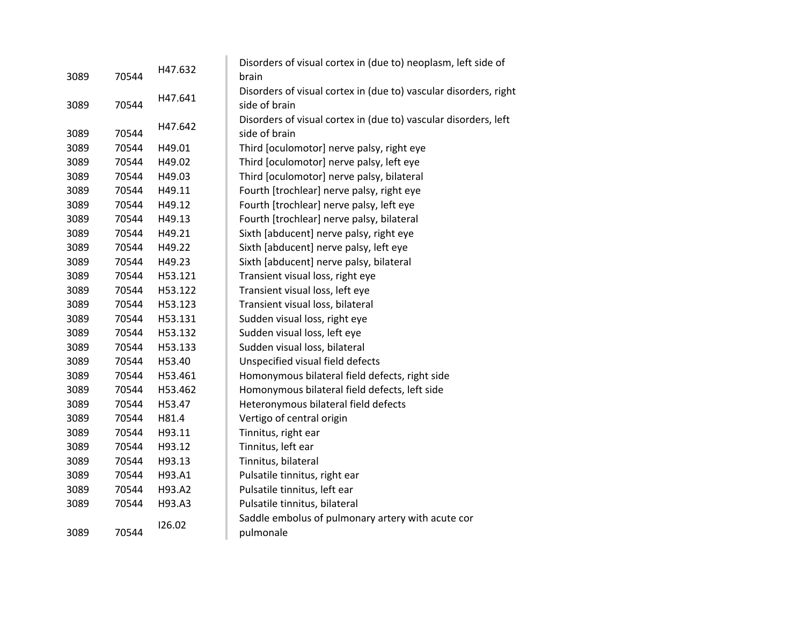| 3089 | 70544 | H47.632 | Disorders of visual cortex in (due to) neoplasm, left side of<br>brain |
|------|-------|---------|------------------------------------------------------------------------|
|      |       |         | Disorders of visual cortex in (due to) vascular disorders, right       |
| 3089 | 70544 | H47.641 | side of brain                                                          |
|      |       |         | Disorders of visual cortex in (due to) vascular disorders, left        |
| 3089 | 70544 | H47.642 | side of brain                                                          |
| 3089 | 70544 | H49.01  | Third [oculomotor] nerve palsy, right eye                              |
| 3089 | 70544 | H49.02  | Third [oculomotor] nerve palsy, left eye                               |
| 3089 | 70544 | H49.03  | Third [oculomotor] nerve palsy, bilateral                              |
| 3089 | 70544 | H49.11  | Fourth [trochlear] nerve palsy, right eye                              |
| 3089 | 70544 | H49.12  | Fourth [trochlear] nerve palsy, left eye                               |
| 3089 | 70544 | H49.13  | Fourth [trochlear] nerve palsy, bilateral                              |
| 3089 | 70544 | H49.21  | Sixth [abducent] nerve palsy, right eye                                |
| 3089 | 70544 | H49.22  | Sixth [abducent] nerve palsy, left eye                                 |
| 3089 | 70544 | H49.23  | Sixth [abducent] nerve palsy, bilateral                                |
| 3089 | 70544 | H53.121 | Transient visual loss, right eye                                       |
| 3089 | 70544 | H53.122 | Transient visual loss, left eye                                        |
| 3089 | 70544 | H53.123 | Transient visual loss, bilateral                                       |
| 3089 | 70544 | H53.131 | Sudden visual loss, right eye                                          |
| 3089 | 70544 | H53.132 | Sudden visual loss, left eye                                           |
| 3089 | 70544 | H53.133 | Sudden visual loss, bilateral                                          |
| 3089 | 70544 | H53.40  | Unspecified visual field defects                                       |
| 3089 | 70544 | H53.461 | Homonymous bilateral field defects, right side                         |
| 3089 | 70544 | H53.462 | Homonymous bilateral field defects, left side                          |
| 3089 | 70544 | H53.47  | Heteronymous bilateral field defects                                   |
| 3089 | 70544 | H81.4   | Vertigo of central origin                                              |
| 3089 | 70544 | H93.11  | Tinnitus, right ear                                                    |
| 3089 | 70544 | H93.12  | Tinnitus, left ear                                                     |
| 3089 | 70544 | H93.13  | Tinnitus, bilateral                                                    |
| 3089 | 70544 | H93.A1  | Pulsatile tinnitus, right ear                                          |
| 3089 | 70544 | H93.A2  | Pulsatile tinnitus, left ear                                           |
| 3089 | 70544 | H93.A3  | Pulsatile tinnitus, bilateral                                          |
|      |       | 126.02  | Saddle embolus of pulmonary artery with acute cor                      |
| 3089 | 70544 |         | pulmonale                                                              |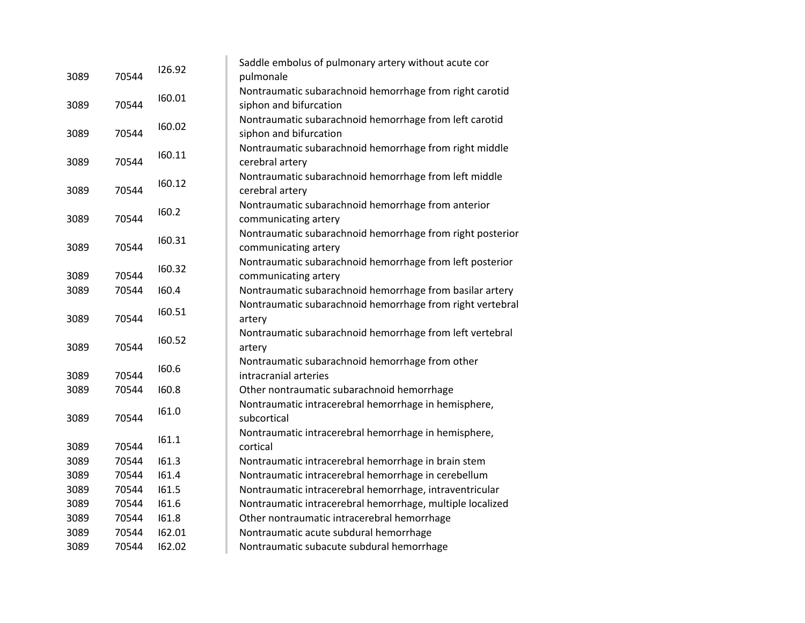| 3089 | 70544 | 126.92 | Saddle embolus of pulmonary artery without acute cor<br>pulmonale                 |
|------|-------|--------|-----------------------------------------------------------------------------------|
| 3089 | 70544 | 160.01 | Nontraumatic subarachnoid hemorrhage from right carotid<br>siphon and bifurcation |
| 3089 | 70544 | 160.02 | Nontraumatic subarachnoid hemorrhage from left carotid<br>siphon and bifurcation  |
| 3089 | 70544 | 160.11 | Nontraumatic subarachnoid hemorrhage from right middle<br>cerebral artery         |
| 3089 | 70544 | 160.12 | Nontraumatic subarachnoid hemorrhage from left middle<br>cerebral artery          |
| 3089 | 70544 | 160.2  | Nontraumatic subarachnoid hemorrhage from anterior<br>communicating artery        |
| 3089 | 70544 | 160.31 | Nontraumatic subarachnoid hemorrhage from right posterior<br>communicating artery |
| 3089 | 70544 | 160.32 | Nontraumatic subarachnoid hemorrhage from left posterior<br>communicating artery  |
| 3089 | 70544 | 160.4  | Nontraumatic subarachnoid hemorrhage from basilar artery                          |
| 3089 | 70544 | 160.51 | Nontraumatic subarachnoid hemorrhage from right vertebral<br>artery               |
| 3089 | 70544 | 160.52 | Nontraumatic subarachnoid hemorrhage from left vertebral<br>artery                |
| 3089 | 70544 | 160.6  | Nontraumatic subarachnoid hemorrhage from other<br>intracranial arteries          |
| 3089 | 70544 | 160.8  | Other nontraumatic subarachnoid hemorrhage                                        |
| 3089 | 70544 | 161.0  | Nontraumatic intracerebral hemorrhage in hemisphere,<br>subcortical               |
| 3089 | 70544 | 161.1  | Nontraumatic intracerebral hemorrhage in hemisphere,<br>cortical                  |
| 3089 | 70544 | 161.3  | Nontraumatic intracerebral hemorrhage in brain stem                               |
| 3089 | 70544 | 161.4  | Nontraumatic intracerebral hemorrhage in cerebellum                               |
| 3089 | 70544 | 161.5  | Nontraumatic intracerebral hemorrhage, intraventricular                           |
| 3089 | 70544 | 161.6  | Nontraumatic intracerebral hemorrhage, multiple localized                         |
| 3089 | 70544 | 161.8  | Other nontraumatic intracerebral hemorrhage                                       |
| 3089 | 70544 | 162.01 | Nontraumatic acute subdural hemorrhage                                            |
| 3089 | 70544 | 162.02 | Nontraumatic subacute subdural hemorrhage                                         |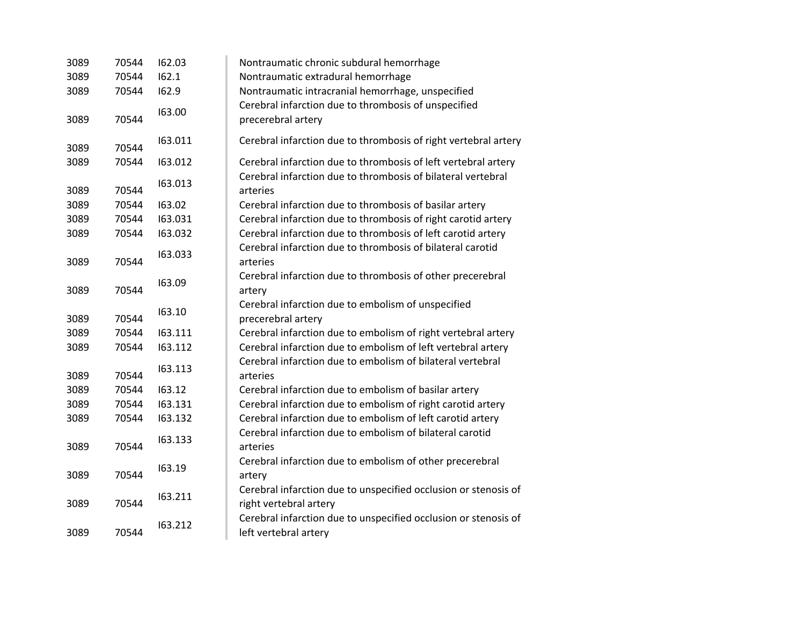| 3089 | 70544 | 162.03  | Nontraumatic chronic subdural hemorrhage                                 |
|------|-------|---------|--------------------------------------------------------------------------|
| 3089 | 70544 | 162.1   | Nontraumatic extradural hemorrhage                                       |
| 3089 | 70544 | 162.9   | Nontraumatic intracranial hemorrhage, unspecified                        |
|      |       |         | Cerebral infarction due to thrombosis of unspecified                     |
| 3089 | 70544 | 163.00  | precerebral artery                                                       |
| 3089 | 70544 | 163.011 | Cerebral infarction due to thrombosis of right vertebral artery          |
| 3089 | 70544 | 163.012 | Cerebral infarction due to thrombosis of left vertebral artery           |
| 3089 | 70544 | 163.013 | Cerebral infarction due to thrombosis of bilateral vertebral<br>arteries |
| 3089 | 70544 | 163.02  | Cerebral infarction due to thrombosis of basilar artery                  |
| 3089 | 70544 | 163.031 | Cerebral infarction due to thrombosis of right carotid artery            |
| 3089 | 70544 | 163.032 | Cerebral infarction due to thrombosis of left carotid artery             |
|      |       |         | Cerebral infarction due to thrombosis of bilateral carotid               |
| 3089 | 70544 | 163.033 | arteries                                                                 |
|      |       | 163.09  | Cerebral infarction due to thrombosis of other precerebral               |
| 3089 | 70544 |         | artery                                                                   |
|      |       | 163.10  | Cerebral infarction due to embolism of unspecified                       |
| 3089 | 70544 |         | precerebral artery                                                       |
| 3089 | 70544 | 163.111 | Cerebral infarction due to embolism of right vertebral artery            |
| 3089 | 70544 | 163.112 | Cerebral infarction due to embolism of left vertebral artery             |
|      |       | 163.113 | Cerebral infarction due to embolism of bilateral vertebral               |
| 3089 | 70544 |         | arteries                                                                 |
| 3089 | 70544 | 163.12  | Cerebral infarction due to embolism of basilar artery                    |
| 3089 | 70544 | 163.131 | Cerebral infarction due to embolism of right carotid artery              |
| 3089 | 70544 | 163.132 | Cerebral infarction due to embolism of left carotid artery               |
|      |       | 163.133 | Cerebral infarction due to embolism of bilateral carotid                 |
| 3089 | 70544 |         | arteries                                                                 |
|      |       | 163.19  | Cerebral infarction due to embolism of other precerebral                 |
| 3089 | 70544 |         | artery                                                                   |
|      |       | 163.211 | Cerebral infarction due to unspecified occlusion or stenosis of          |
| 3089 | 70544 |         | right vertebral artery                                                   |
|      |       | 163.212 | Cerebral infarction due to unspecified occlusion or stenosis of          |
| 3089 | 70544 |         | left vertebral artery                                                    |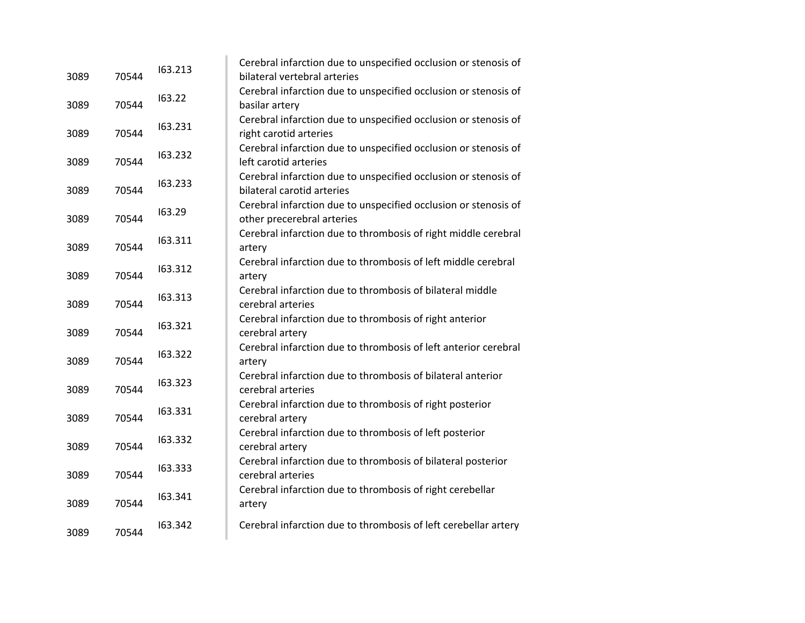| Cerebral infarction due to unspecified occlusion or stenosis of<br>163.22<br>70544<br>3089<br>basilar artery<br>Cerebral infarction due to unspecified occlusion or stenosis of<br>163.231<br>70544<br>3089<br>right carotid arteries<br>Cerebral infarction due to unspecified occlusion or stenosis of<br>163.232<br>70544<br>3089<br>left carotid arteries<br>Cerebral infarction due to unspecified occlusion or stenosis of<br>163.233<br>70544<br>bilateral carotid arteries<br>3089<br>Cerebral infarction due to unspecified occlusion or stenosis of<br>163.29<br>70544<br>3089<br>other precerebral arteries<br>Cerebral infarction due to thrombosis of right middle cerebral<br>163.311<br>3089<br>70544<br>artery<br>Cerebral infarction due to thrombosis of left middle cerebral<br>163.312<br>70544<br>3089<br>artery<br>Cerebral infarction due to thrombosis of bilateral middle<br>163.313<br>70544<br>3089<br>cerebral arteries<br>Cerebral infarction due to thrombosis of right anterior<br>163.321<br>70544<br>3089<br>cerebral artery<br>Cerebral infarction due to thrombosis of left anterior cerebral<br>163.322<br>70544<br>3089<br>artery<br>Cerebral infarction due to thrombosis of bilateral anterior<br>163.323<br>3089<br>70544<br>cerebral arteries<br>Cerebral infarction due to thrombosis of right posterior<br>163.331<br>70544<br>3089<br>cerebral artery<br>Cerebral infarction due to thrombosis of left posterior<br>163.332<br>70544<br>3089<br>cerebral artery<br>Cerebral infarction due to thrombosis of bilateral posterior<br>163.333<br>3089<br>70544<br>cerebral arteries<br>Cerebral infarction due to thrombosis of right cerebellar<br>163.341<br>70544<br>3089<br>artery<br>163.342<br>Cerebral infarction due to thrombosis of left cerebellar artery<br>70544<br>3089 | 3089 | 70544 | 163.213 | Cerebral infarction due to unspecified occlusion or stenosis of<br>bilateral vertebral arteries |
|--------------------------------------------------------------------------------------------------------------------------------------------------------------------------------------------------------------------------------------------------------------------------------------------------------------------------------------------------------------------------------------------------------------------------------------------------------------------------------------------------------------------------------------------------------------------------------------------------------------------------------------------------------------------------------------------------------------------------------------------------------------------------------------------------------------------------------------------------------------------------------------------------------------------------------------------------------------------------------------------------------------------------------------------------------------------------------------------------------------------------------------------------------------------------------------------------------------------------------------------------------------------------------------------------------------------------------------------------------------------------------------------------------------------------------------------------------------------------------------------------------------------------------------------------------------------------------------------------------------------------------------------------------------------------------------------------------------------------------------------------------------------------------------------------------------------------------|------|-------|---------|-------------------------------------------------------------------------------------------------|
|                                                                                                                                                                                                                                                                                                                                                                                                                                                                                                                                                                                                                                                                                                                                                                                                                                                                                                                                                                                                                                                                                                                                                                                                                                                                                                                                                                                                                                                                                                                                                                                                                                                                                                                                                                                                                                |      |       |         |                                                                                                 |
|                                                                                                                                                                                                                                                                                                                                                                                                                                                                                                                                                                                                                                                                                                                                                                                                                                                                                                                                                                                                                                                                                                                                                                                                                                                                                                                                                                                                                                                                                                                                                                                                                                                                                                                                                                                                                                |      |       |         |                                                                                                 |
|                                                                                                                                                                                                                                                                                                                                                                                                                                                                                                                                                                                                                                                                                                                                                                                                                                                                                                                                                                                                                                                                                                                                                                                                                                                                                                                                                                                                                                                                                                                                                                                                                                                                                                                                                                                                                                |      |       |         |                                                                                                 |
|                                                                                                                                                                                                                                                                                                                                                                                                                                                                                                                                                                                                                                                                                                                                                                                                                                                                                                                                                                                                                                                                                                                                                                                                                                                                                                                                                                                                                                                                                                                                                                                                                                                                                                                                                                                                                                |      |       |         |                                                                                                 |
|                                                                                                                                                                                                                                                                                                                                                                                                                                                                                                                                                                                                                                                                                                                                                                                                                                                                                                                                                                                                                                                                                                                                                                                                                                                                                                                                                                                                                                                                                                                                                                                                                                                                                                                                                                                                                                |      |       |         |                                                                                                 |
|                                                                                                                                                                                                                                                                                                                                                                                                                                                                                                                                                                                                                                                                                                                                                                                                                                                                                                                                                                                                                                                                                                                                                                                                                                                                                                                                                                                                                                                                                                                                                                                                                                                                                                                                                                                                                                |      |       |         |                                                                                                 |
|                                                                                                                                                                                                                                                                                                                                                                                                                                                                                                                                                                                                                                                                                                                                                                                                                                                                                                                                                                                                                                                                                                                                                                                                                                                                                                                                                                                                                                                                                                                                                                                                                                                                                                                                                                                                                                |      |       |         |                                                                                                 |
|                                                                                                                                                                                                                                                                                                                                                                                                                                                                                                                                                                                                                                                                                                                                                                                                                                                                                                                                                                                                                                                                                                                                                                                                                                                                                                                                                                                                                                                                                                                                                                                                                                                                                                                                                                                                                                |      |       |         |                                                                                                 |
|                                                                                                                                                                                                                                                                                                                                                                                                                                                                                                                                                                                                                                                                                                                                                                                                                                                                                                                                                                                                                                                                                                                                                                                                                                                                                                                                                                                                                                                                                                                                                                                                                                                                                                                                                                                                                                |      |       |         |                                                                                                 |
|                                                                                                                                                                                                                                                                                                                                                                                                                                                                                                                                                                                                                                                                                                                                                                                                                                                                                                                                                                                                                                                                                                                                                                                                                                                                                                                                                                                                                                                                                                                                                                                                                                                                                                                                                                                                                                |      |       |         |                                                                                                 |
|                                                                                                                                                                                                                                                                                                                                                                                                                                                                                                                                                                                                                                                                                                                                                                                                                                                                                                                                                                                                                                                                                                                                                                                                                                                                                                                                                                                                                                                                                                                                                                                                                                                                                                                                                                                                                                |      |       |         |                                                                                                 |
|                                                                                                                                                                                                                                                                                                                                                                                                                                                                                                                                                                                                                                                                                                                                                                                                                                                                                                                                                                                                                                                                                                                                                                                                                                                                                                                                                                                                                                                                                                                                                                                                                                                                                                                                                                                                                                |      |       |         |                                                                                                 |
|                                                                                                                                                                                                                                                                                                                                                                                                                                                                                                                                                                                                                                                                                                                                                                                                                                                                                                                                                                                                                                                                                                                                                                                                                                                                                                                                                                                                                                                                                                                                                                                                                                                                                                                                                                                                                                |      |       |         |                                                                                                 |
|                                                                                                                                                                                                                                                                                                                                                                                                                                                                                                                                                                                                                                                                                                                                                                                                                                                                                                                                                                                                                                                                                                                                                                                                                                                                                                                                                                                                                                                                                                                                                                                                                                                                                                                                                                                                                                |      |       |         |                                                                                                 |
|                                                                                                                                                                                                                                                                                                                                                                                                                                                                                                                                                                                                                                                                                                                                                                                                                                                                                                                                                                                                                                                                                                                                                                                                                                                                                                                                                                                                                                                                                                                                                                                                                                                                                                                                                                                                                                |      |       |         |                                                                                                 |
|                                                                                                                                                                                                                                                                                                                                                                                                                                                                                                                                                                                                                                                                                                                                                                                                                                                                                                                                                                                                                                                                                                                                                                                                                                                                                                                                                                                                                                                                                                                                                                                                                                                                                                                                                                                                                                |      |       |         |                                                                                                 |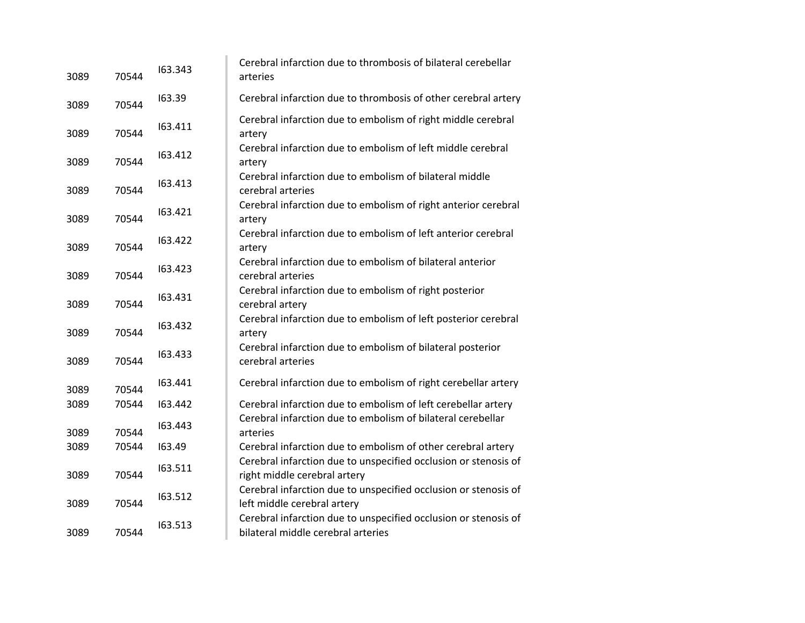| 3089 | 70544 | 163.343 | Cerebral infarction due to thrombosis of bilateral cerebellar<br>arteries                             |
|------|-------|---------|-------------------------------------------------------------------------------------------------------|
| 3089 | 70544 | 163.39  | Cerebral infarction due to thrombosis of other cerebral artery                                        |
| 3089 | 70544 | 163.411 | Cerebral infarction due to embolism of right middle cerebral<br>artery                                |
| 3089 | 70544 | 163.412 | Cerebral infarction due to embolism of left middle cerebral<br>artery                                 |
| 3089 | 70544 | 163.413 | Cerebral infarction due to embolism of bilateral middle<br>cerebral arteries                          |
| 3089 | 70544 | 163.421 | Cerebral infarction due to embolism of right anterior cerebral<br>artery                              |
| 3089 | 70544 | 163.422 | Cerebral infarction due to embolism of left anterior cerebral<br>artery                               |
| 3089 | 70544 | 163.423 | Cerebral infarction due to embolism of bilateral anterior<br>cerebral arteries                        |
| 3089 | 70544 | 163.431 | Cerebral infarction due to embolism of right posterior<br>cerebral artery                             |
| 3089 | 70544 | 163.432 | Cerebral infarction due to embolism of left posterior cerebral<br>artery                              |
| 3089 | 70544 | 163.433 | Cerebral infarction due to embolism of bilateral posterior<br>cerebral arteries                       |
| 3089 | 70544 | 163.441 | Cerebral infarction due to embolism of right cerebellar artery                                        |
| 3089 | 70544 | 163.442 | Cerebral infarction due to embolism of left cerebellar artery                                         |
| 3089 | 70544 | 163.443 | Cerebral infarction due to embolism of bilateral cerebellar<br>arteries                               |
| 3089 | 70544 | 163.49  | Cerebral infarction due to embolism of other cerebral artery                                          |
| 3089 | 70544 | 163.511 | Cerebral infarction due to unspecified occlusion or stenosis of<br>right middle cerebral artery       |
| 3089 | 70544 | 163.512 | Cerebral infarction due to unspecified occlusion or stenosis of<br>left middle cerebral artery        |
| 3089 | 70544 | 163.513 | Cerebral infarction due to unspecified occlusion or stenosis of<br>bilateral middle cerebral arteries |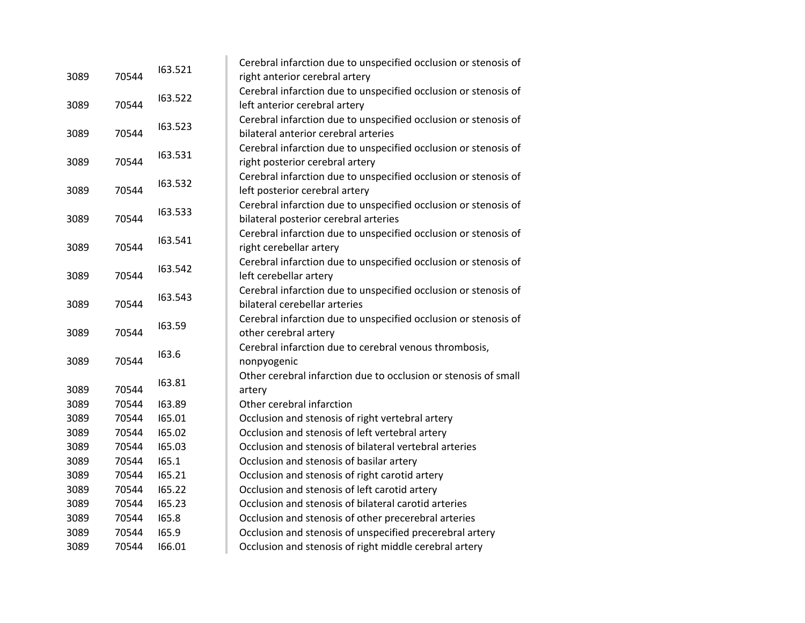|      |       | 163.521 | Cerebral infarction due to unspecified occlusion or stenosis of |
|------|-------|---------|-----------------------------------------------------------------|
| 3089 | 70544 |         | right anterior cerebral artery                                  |
|      |       | 163.522 | Cerebral infarction due to unspecified occlusion or stenosis of |
| 3089 | 70544 |         | left anterior cerebral artery                                   |
|      |       | 163.523 | Cerebral infarction due to unspecified occlusion or stenosis of |
| 3089 | 70544 |         | bilateral anterior cerebral arteries                            |
|      |       | 163.531 | Cerebral infarction due to unspecified occlusion or stenosis of |
| 3089 | 70544 |         | right posterior cerebral artery                                 |
|      |       | 163.532 | Cerebral infarction due to unspecified occlusion or stenosis of |
| 3089 | 70544 |         | left posterior cerebral artery                                  |
|      |       | 163.533 | Cerebral infarction due to unspecified occlusion or stenosis of |
| 3089 | 70544 |         | bilateral posterior cerebral arteries                           |
|      |       |         | Cerebral infarction due to unspecified occlusion or stenosis of |
| 3089 | 70544 | 163.541 | right cerebellar artery                                         |
|      |       |         | Cerebral infarction due to unspecified occlusion or stenosis of |
| 3089 | 70544 | 163.542 | left cerebellar artery                                          |
|      |       |         | Cerebral infarction due to unspecified occlusion or stenosis of |
| 3089 | 70544 | 163.543 | bilateral cerebellar arteries                                   |
|      |       | 163.59  | Cerebral infarction due to unspecified occlusion or stenosis of |
| 3089 | 70544 |         | other cerebral artery                                           |
|      |       | 163.6   | Cerebral infarction due to cerebral venous thrombosis,          |
| 3089 | 70544 |         | nonpyogenic                                                     |
|      |       | 163.81  | Other cerebral infarction due to occlusion or stenosis of small |
| 3089 | 70544 |         | artery                                                          |
| 3089 | 70544 | 163.89  | Other cerebral infarction                                       |
| 3089 | 70544 | 165.01  | Occlusion and stenosis of right vertebral artery                |
| 3089 | 70544 | 165.02  | Occlusion and stenosis of left vertebral artery                 |
| 3089 | 70544 | 165.03  | Occlusion and stenosis of bilateral vertebral arteries          |
| 3089 | 70544 | 165.1   | Occlusion and stenosis of basilar artery                        |
| 3089 | 70544 | 165.21  | Occlusion and stenosis of right carotid artery                  |
| 3089 | 70544 | 165.22  | Occlusion and stenosis of left carotid artery                   |
| 3089 | 70544 | 165.23  | Occlusion and stenosis of bilateral carotid arteries            |
| 3089 | 70544 | 165.8   | Occlusion and stenosis of other precerebral arteries            |
| 3089 | 70544 | 165.9   | Occlusion and stenosis of unspecified precerebral artery        |
| 3089 | 70544 | 166.01  | Occlusion and stenosis of right middle cerebral artery          |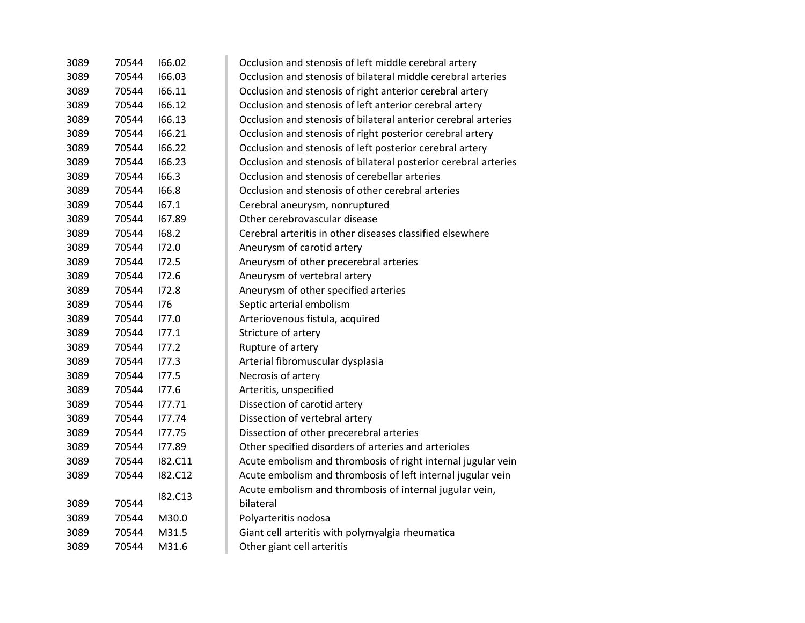| 3089 | 70544 | 166.02         | Occlusion and stenosis of left middle cerebral artery           |
|------|-------|----------------|-----------------------------------------------------------------|
| 3089 | 70544 | 166.03         | Occlusion and stenosis of bilateral middle cerebral arteries    |
| 3089 | 70544 | 166.11         | Occlusion and stenosis of right anterior cerebral artery        |
| 3089 | 70544 | 166.12         | Occlusion and stenosis of left anterior cerebral artery         |
| 3089 | 70544 | 166.13         | Occlusion and stenosis of bilateral anterior cerebral arteries  |
| 3089 | 70544 | 166.21         | Occlusion and stenosis of right posterior cerebral artery       |
| 3089 | 70544 | 166.22         | Occlusion and stenosis of left posterior cerebral artery        |
| 3089 | 70544 | 166.23         | Occlusion and stenosis of bilateral posterior cerebral arteries |
| 3089 | 70544 | 166.3          | Occlusion and stenosis of cerebellar arteries                   |
| 3089 | 70544 | 166.8          | Occlusion and stenosis of other cerebral arteries               |
| 3089 | 70544 | 167.1          | Cerebral aneurysm, nonruptured                                  |
| 3089 | 70544 | 167.89         | Other cerebrovascular disease                                   |
| 3089 | 70544 | 168.2          | Cerebral arteritis in other diseases classified elsewhere       |
| 3089 | 70544 | 172.0          | Aneurysm of carotid artery                                      |
| 3089 | 70544 | 172.5          | Aneurysm of other precerebral arteries                          |
| 3089 | 70544 | 172.6          | Aneurysm of vertebral artery                                    |
| 3089 | 70544 | 172.8          | Aneurysm of other specified arteries                            |
| 3089 | 70544 | 176            | Septic arterial embolism                                        |
| 3089 | 70544 | 177.0          | Arteriovenous fistula, acquired                                 |
| 3089 | 70544 | 177.1          | Stricture of artery                                             |
| 3089 | 70544 | 177.2          | Rupture of artery                                               |
| 3089 | 70544 | 177.3          | Arterial fibromuscular dysplasia                                |
| 3089 | 70544 | 177.5          | Necrosis of artery                                              |
| 3089 | 70544 | 177.6          | Arteritis, unspecified                                          |
| 3089 | 70544 | 177.71         | Dissection of carotid artery                                    |
| 3089 | 70544 | 177.74         | Dissection of vertebral artery                                  |
| 3089 | 70544 | 177.75         | Dissection of other precerebral arteries                        |
| 3089 | 70544 | 177.89         | Other specified disorders of arteries and arterioles            |
| 3089 | 70544 | I82.C11        | Acute embolism and thrombosis of right internal jugular vein    |
| 3089 | 70544 | <b>182.C12</b> | Acute embolism and thrombosis of left internal jugular vein     |
|      |       | I82.C13        | Acute embolism and thrombosis of internal jugular vein,         |
| 3089 | 70544 |                | bilateral                                                       |
| 3089 | 70544 | M30.0          | Polyarteritis nodosa                                            |
| 3089 | 70544 | M31.5          | Giant cell arteritis with polymyalgia rheumatica                |
| 3089 | 70544 | M31.6          | Other giant cell arteritis                                      |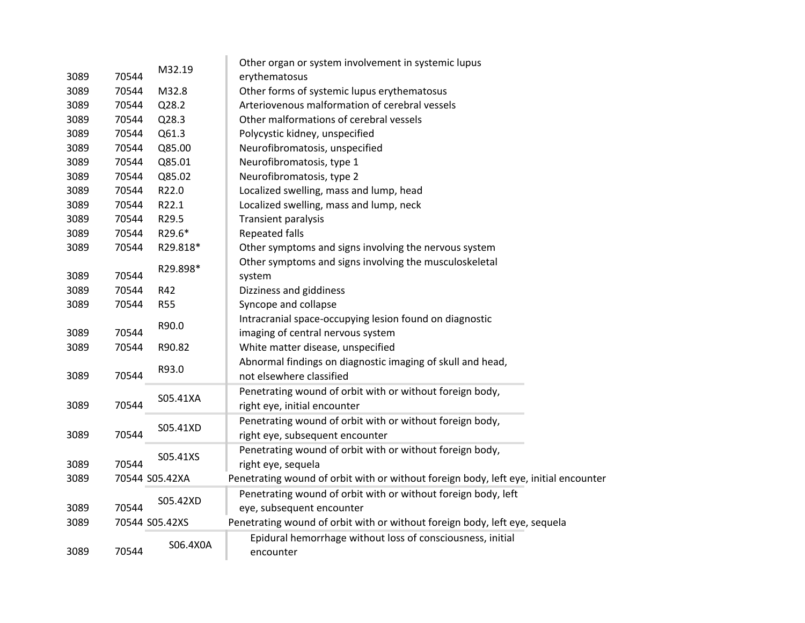|      |                   |                | Other organ or system involvement in systemic lupus                                  |
|------|-------------------|----------------|--------------------------------------------------------------------------------------|
| 3089 | 70544             | M32.19         | erythematosus                                                                        |
| 3089 | 70544             | M32.8          | Other forms of systemic lupus erythematosus                                          |
| 3089 | 70544             | Q28.2          | Arteriovenous malformation of cerebral vessels                                       |
| 3089 | 70544             | Q28.3          | Other malformations of cerebral vessels                                              |
| 3089 | 70544             | Q61.3          | Polycystic kidney, unspecified                                                       |
| 3089 | 70544             | Q85.00         | Neurofibromatosis, unspecified                                                       |
| 3089 | 70544             | Q85.01         | Neurofibromatosis, type 1                                                            |
| 3089 | 70544             | Q85.02         | Neurofibromatosis, type 2                                                            |
| 3089 | 70544             | R22.0          | Localized swelling, mass and lump, head                                              |
| 3089 | 70544             | R22.1          | Localized swelling, mass and lump, neck                                              |
| 3089 | 70544             | R29.5          | Transient paralysis                                                                  |
| 3089 | 70544             | R29.6*         | <b>Repeated falls</b>                                                                |
| 3089 | 70544             | R29.818*       | Other symptoms and signs involving the nervous system                                |
|      |                   | R29.898*       | Other symptoms and signs involving the musculoskeletal                               |
| 3089 | 70544             |                | system                                                                               |
| 3089 | 70544             | R42            | Dizziness and giddiness                                                              |
| 3089 | 70544             | <b>R55</b>     | Syncope and collapse                                                                 |
|      |                   | R90.0          | Intracranial space-occupying lesion found on diagnostic                              |
| 3089 | 70544             |                | imaging of central nervous system                                                    |
| 3089 | 70544             | R90.82         | White matter disease, unspecified                                                    |
|      |                   | R93.0          | Abnormal findings on diagnostic imaging of skull and head,                           |
| 3089 | 70544             |                | not elsewhere classified                                                             |
|      |                   | S05.41XA       | Penetrating wound of orbit with or without foreign body,                             |
| 3089 | 70544             |                | right eye, initial encounter                                                         |
|      |                   | S05.41XD       | Penetrating wound of orbit with or without foreign body,                             |
| 3089 | 70544             |                | right eye, subsequent encounter                                                      |
|      |                   | S05.41XS       | Penetrating wound of orbit with or without foreign body,                             |
| 3089 | 70544             |                | right eye, sequela                                                                   |
| 3089 |                   | 70544 S05.42XA | Penetrating wound of orbit with or without foreign body, left eye, initial encounter |
|      |                   |                | Penetrating wound of orbit with or without foreign body, left                        |
| 3089 | S05.42XD<br>70544 |                | eye, subsequent encounter                                                            |
| 3089 |                   | 70544 S05.42XS | Penetrating wound of orbit with or without foreign body, left eye, sequela           |
|      |                   |                | Epidural hemorrhage without loss of consciousness, initial                           |
| 3089 | 70544             | S06.4X0A       | encounter                                                                            |
|      |                   |                |                                                                                      |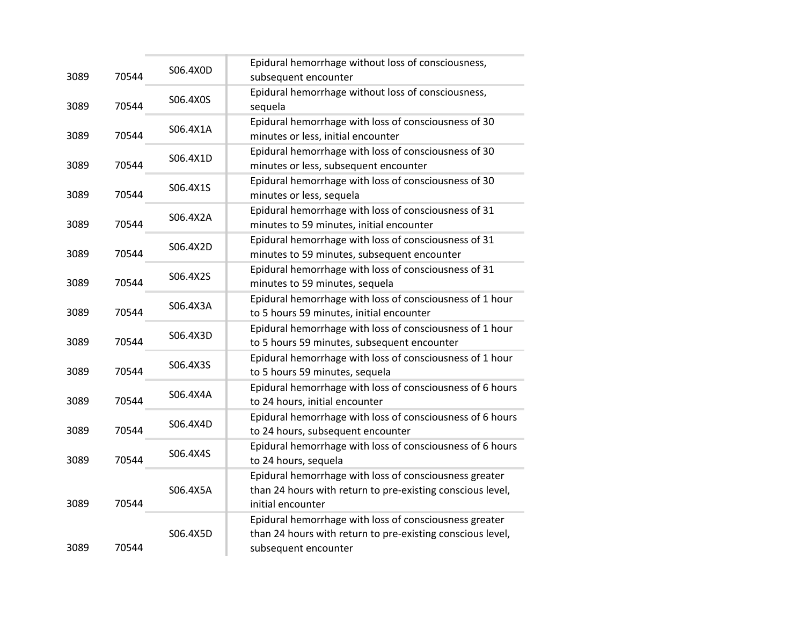| 3089 | 70544 | S06.4X0D | Epidural hemorrhage without loss of consciousness,<br>subsequent encounter                                                                   |
|------|-------|----------|----------------------------------------------------------------------------------------------------------------------------------------------|
| 3089 | 70544 | S06.4X0S | Epidural hemorrhage without loss of consciousness,<br>sequela                                                                                |
| 3089 | 70544 | S06.4X1A | Epidural hemorrhage with loss of consciousness of 30<br>minutes or less, initial encounter                                                   |
| 3089 | 70544 | S06.4X1D | Epidural hemorrhage with loss of consciousness of 30<br>minutes or less, subsequent encounter                                                |
| 3089 | 70544 | S06.4X1S | Epidural hemorrhage with loss of consciousness of 30<br>minutes or less, sequela                                                             |
| 3089 | 70544 | S06.4X2A | Epidural hemorrhage with loss of consciousness of 31<br>minutes to 59 minutes, initial encounter                                             |
| 3089 | 70544 | S06.4X2D | Epidural hemorrhage with loss of consciousness of 31<br>minutes to 59 minutes, subsequent encounter                                          |
| 3089 | 70544 | S06.4X2S | Epidural hemorrhage with loss of consciousness of 31<br>minutes to 59 minutes, sequela                                                       |
| 3089 | 70544 | S06.4X3A | Epidural hemorrhage with loss of consciousness of 1 hour<br>to 5 hours 59 minutes, initial encounter                                         |
| 3089 | 70544 | S06.4X3D | Epidural hemorrhage with loss of consciousness of 1 hour<br>to 5 hours 59 minutes, subsequent encounter                                      |
| 3089 | 70544 | S06.4X3S | Epidural hemorrhage with loss of consciousness of 1 hour<br>to 5 hours 59 minutes, sequela                                                   |
| 3089 | 70544 | S06.4X4A | Epidural hemorrhage with loss of consciousness of 6 hours<br>to 24 hours, initial encounter                                                  |
| 3089 | 70544 | S06.4X4D | Epidural hemorrhage with loss of consciousness of 6 hours<br>to 24 hours, subsequent encounter                                               |
| 3089 | 70544 | S06.4X4S | Epidural hemorrhage with loss of consciousness of 6 hours<br>to 24 hours, sequela                                                            |
| 3089 | 70544 | S06.4X5A | Epidural hemorrhage with loss of consciousness greater<br>than 24 hours with return to pre-existing conscious level,<br>initial encounter    |
| 3089 | 70544 | S06.4X5D | Epidural hemorrhage with loss of consciousness greater<br>than 24 hours with return to pre-existing conscious level,<br>subsequent encounter |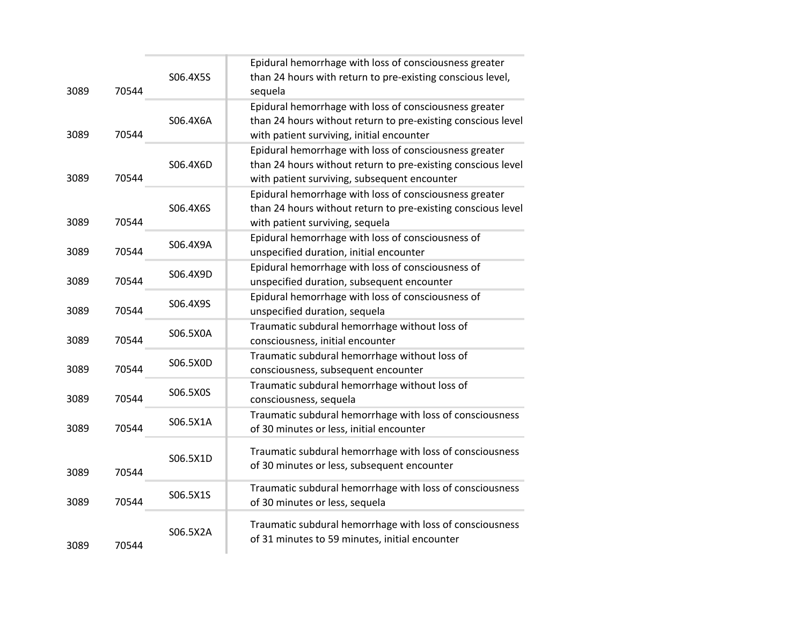| 3089 | 70544 | S06.4X5S | Epidural hemorrhage with loss of consciousness greater<br>than 24 hours with return to pre-existing conscious level,<br>sequela                                        |
|------|-------|----------|------------------------------------------------------------------------------------------------------------------------------------------------------------------------|
| 3089 | 70544 | S06.4X6A | Epidural hemorrhage with loss of consciousness greater<br>than 24 hours without return to pre-existing conscious level<br>with patient surviving, initial encounter    |
| 3089 | 70544 | S06.4X6D | Epidural hemorrhage with loss of consciousness greater<br>than 24 hours without return to pre-existing conscious level<br>with patient surviving, subsequent encounter |
| 3089 | 70544 | S06.4X6S | Epidural hemorrhage with loss of consciousness greater<br>than 24 hours without return to pre-existing conscious level<br>with patient surviving, sequela              |
| 3089 | 70544 | S06.4X9A | Epidural hemorrhage with loss of consciousness of<br>unspecified duration, initial encounter                                                                           |
| 3089 | 70544 | S06.4X9D | Epidural hemorrhage with loss of consciousness of<br>unspecified duration, subsequent encounter                                                                        |
| 3089 | 70544 | S06.4X9S | Epidural hemorrhage with loss of consciousness of<br>unspecified duration, sequela                                                                                     |
| 3089 | 70544 | S06.5X0A | Traumatic subdural hemorrhage without loss of<br>consciousness, initial encounter                                                                                      |
| 3089 | 70544 | S06.5X0D | Traumatic subdural hemorrhage without loss of<br>consciousness, subsequent encounter                                                                                   |
| 3089 | 70544 | S06.5X0S | Traumatic subdural hemorrhage without loss of<br>consciousness, sequela                                                                                                |
| 3089 | 70544 | S06.5X1A | Traumatic subdural hemorrhage with loss of consciousness<br>of 30 minutes or less, initial encounter                                                                   |
| 3089 | 70544 | S06.5X1D | Traumatic subdural hemorrhage with loss of consciousness<br>of 30 minutes or less, subsequent encounter                                                                |
| 3089 | 70544 | S06.5X1S | Traumatic subdural hemorrhage with loss of consciousness<br>of 30 minutes or less, sequela                                                                             |
| 3089 | 70544 | S06.5X2A | Traumatic subdural hemorrhage with loss of consciousness<br>of 31 minutes to 59 minutes, initial encounter                                                             |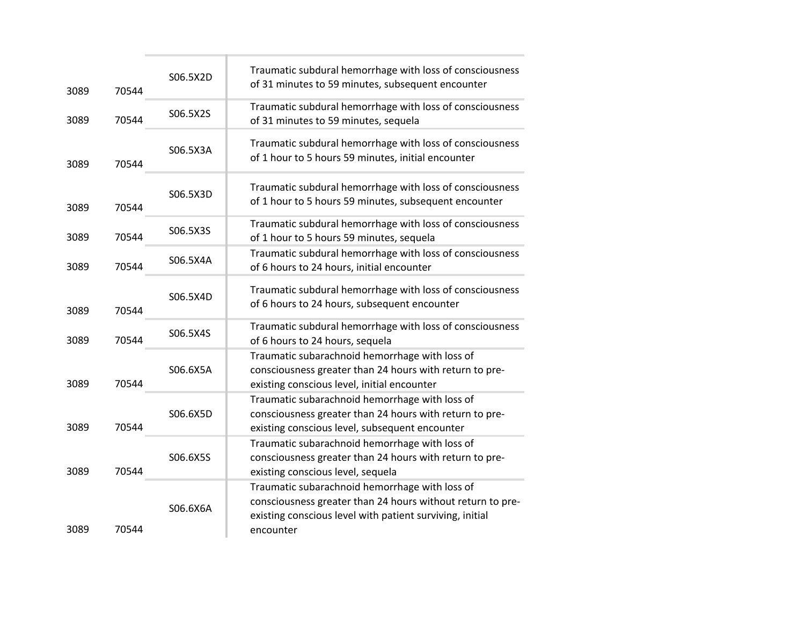| 3089 | 70544 | S06.5X2D | Traumatic subdural hemorrhage with loss of consciousness<br>of 31 minutes to 59 minutes, subsequent encounter                                                                         |
|------|-------|----------|---------------------------------------------------------------------------------------------------------------------------------------------------------------------------------------|
| 3089 | 70544 | S06.5X2S | Traumatic subdural hemorrhage with loss of consciousness<br>of 31 minutes to 59 minutes, sequela                                                                                      |
| 3089 | 70544 | S06.5X3A | Traumatic subdural hemorrhage with loss of consciousness<br>of 1 hour to 5 hours 59 minutes, initial encounter                                                                        |
| 3089 | 70544 | S06.5X3D | Traumatic subdural hemorrhage with loss of consciousness<br>of 1 hour to 5 hours 59 minutes, subsequent encounter                                                                     |
| 3089 | 70544 | S06.5X3S | Traumatic subdural hemorrhage with loss of consciousness<br>of 1 hour to 5 hours 59 minutes, sequela                                                                                  |
| 3089 | 70544 | S06.5X4A | Traumatic subdural hemorrhage with loss of consciousness<br>of 6 hours to 24 hours, initial encounter                                                                                 |
| 3089 | 70544 | S06.5X4D | Traumatic subdural hemorrhage with loss of consciousness<br>of 6 hours to 24 hours, subsequent encounter                                                                              |
| 3089 | 70544 | S06.5X4S | Traumatic subdural hemorrhage with loss of consciousness<br>of 6 hours to 24 hours, sequela                                                                                           |
| 3089 | 70544 | S06.6X5A | Traumatic subarachnoid hemorrhage with loss of<br>consciousness greater than 24 hours with return to pre-<br>existing conscious level, initial encounter                              |
| 3089 | 70544 | S06.6X5D | Traumatic subarachnoid hemorrhage with loss of<br>consciousness greater than 24 hours with return to pre-<br>existing conscious level, subsequent encounter                           |
| 3089 | 70544 | S06.6X5S | Traumatic subarachnoid hemorrhage with loss of<br>consciousness greater than 24 hours with return to pre-<br>existing conscious level, sequela                                        |
| 3089 | 70544 | S06.6X6A | Traumatic subarachnoid hemorrhage with loss of<br>consciousness greater than 24 hours without return to pre-<br>existing conscious level with patient surviving, initial<br>encounter |
|      |       |          |                                                                                                                                                                                       |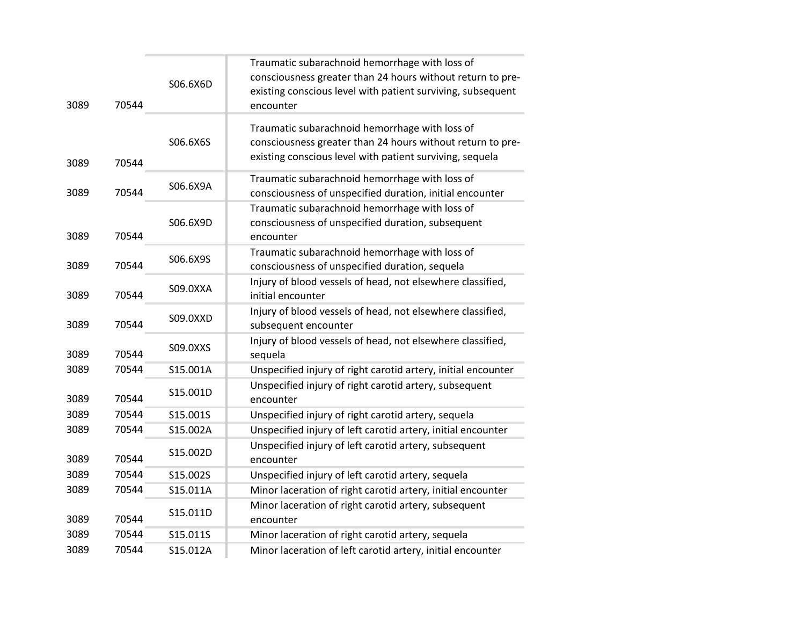| 3089 | 70544 | S06.6X6D | Traumatic subarachnoid hemorrhage with loss of<br>consciousness greater than 24 hours without return to pre-<br>existing conscious level with patient surviving, subsequent<br>encounter |
|------|-------|----------|------------------------------------------------------------------------------------------------------------------------------------------------------------------------------------------|
| 3089 | 70544 | S06.6X6S | Traumatic subarachnoid hemorrhage with loss of<br>consciousness greater than 24 hours without return to pre-<br>existing conscious level with patient surviving, sequela                 |
| 3089 | 70544 | S06.6X9A | Traumatic subarachnoid hemorrhage with loss of<br>consciousness of unspecified duration, initial encounter                                                                               |
| 3089 | 70544 | S06.6X9D | Traumatic subarachnoid hemorrhage with loss of<br>consciousness of unspecified duration, subsequent<br>encounter                                                                         |
| 3089 | 70544 | S06.6X9S | Traumatic subarachnoid hemorrhage with loss of<br>consciousness of unspecified duration, sequela                                                                                         |
| 3089 | 70544 | S09.0XXA | Injury of blood vessels of head, not elsewhere classified,<br>initial encounter                                                                                                          |
| 3089 | 70544 | S09.0XXD | Injury of blood vessels of head, not elsewhere classified,<br>subsequent encounter                                                                                                       |
| 3089 | 70544 | S09.0XXS | Injury of blood vessels of head, not elsewhere classified,<br>sequela                                                                                                                    |
| 3089 | 70544 | S15.001A | Unspecified injury of right carotid artery, initial encounter                                                                                                                            |
| 3089 | 70544 | S15.001D | Unspecified injury of right carotid artery, subsequent<br>encounter                                                                                                                      |
| 3089 | 70544 | S15.001S | Unspecified injury of right carotid artery, sequela                                                                                                                                      |
| 3089 | 70544 | S15.002A | Unspecified injury of left carotid artery, initial encounter                                                                                                                             |
| 3089 | 70544 | S15.002D | Unspecified injury of left carotid artery, subsequent<br>encounter                                                                                                                       |
| 3089 | 70544 | S15.002S | Unspecified injury of left carotid artery, sequela                                                                                                                                       |
| 3089 | 70544 | S15.011A | Minor laceration of right carotid artery, initial encounter                                                                                                                              |
| 3089 | 70544 | S15.011D | Minor laceration of right carotid artery, subsequent<br>encounter                                                                                                                        |
| 3089 | 70544 | S15.011S | Minor laceration of right carotid artery, sequela                                                                                                                                        |
| 3089 | 70544 | S15.012A | Minor laceration of left carotid artery, initial encounter                                                                                                                               |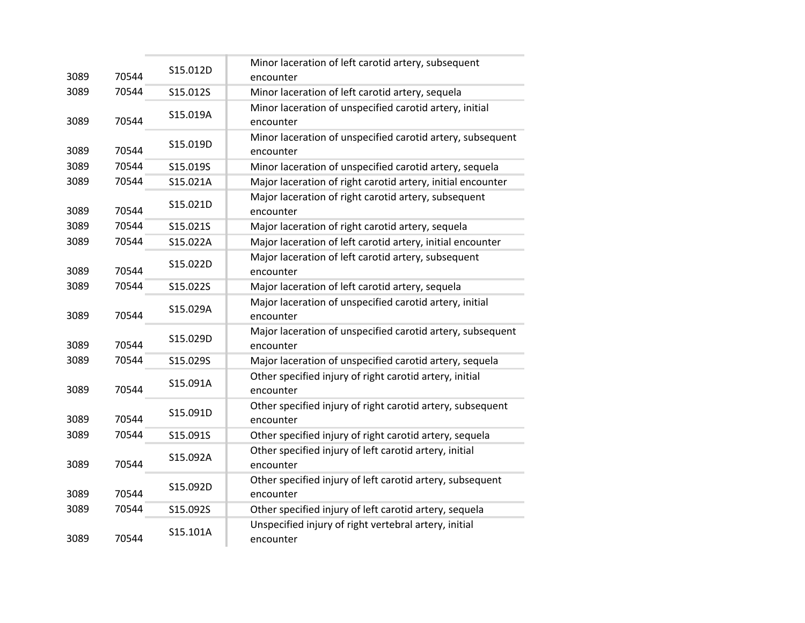| 3089 | 70544 | S15.012D | Minor laceration of left carotid artery, subsequent                     |
|------|-------|----------|-------------------------------------------------------------------------|
| 3089 | 70544 | S15.012S | encounter<br>Minor laceration of left carotid artery, sequela           |
|      |       | S15.019A | Minor laceration of unspecified carotid artery, initial                 |
| 3089 | 70544 |          | encounter                                                               |
| 3089 | 70544 | S15.019D | Minor laceration of unspecified carotid artery, subsequent<br>encounter |
| 3089 | 70544 | S15.019S | Minor laceration of unspecified carotid artery, sequela                 |
| 3089 | 70544 | S15.021A | Major laceration of right carotid artery, initial encounter             |
| 3089 | 70544 | S15.021D | Major laceration of right carotid artery, subsequent<br>encounter       |
| 3089 | 70544 | S15.021S | Major laceration of right carotid artery, sequela                       |
| 3089 | 70544 | S15.022A | Major laceration of left carotid artery, initial encounter              |
| 3089 | 70544 | S15.022D | Major laceration of left carotid artery, subsequent<br>encounter        |
| 3089 | 70544 | S15.022S | Major laceration of left carotid artery, sequela                        |
| 3089 | 70544 | S15.029A | Major laceration of unspecified carotid artery, initial<br>encounter    |
| 3089 | 70544 | S15.029D | Major laceration of unspecified carotid artery, subsequent<br>encounter |
| 3089 | 70544 | S15.029S | Major laceration of unspecified carotid artery, sequela                 |
| 3089 | 70544 | S15.091A | Other specified injury of right carotid artery, initial<br>encounter    |
| 3089 | 70544 | S15.091D | Other specified injury of right carotid artery, subsequent<br>encounter |
| 3089 | 70544 | S15.091S | Other specified injury of right carotid artery, sequela                 |
| 3089 | 70544 | S15.092A | Other specified injury of left carotid artery, initial<br>encounter     |
| 3089 | 70544 | S15.092D | Other specified injury of left carotid artery, subsequent<br>encounter  |
| 3089 | 70544 | S15.092S | Other specified injury of left carotid artery, sequela                  |
| 3089 | 70544 | S15.101A | Unspecified injury of right vertebral artery, initial<br>encounter      |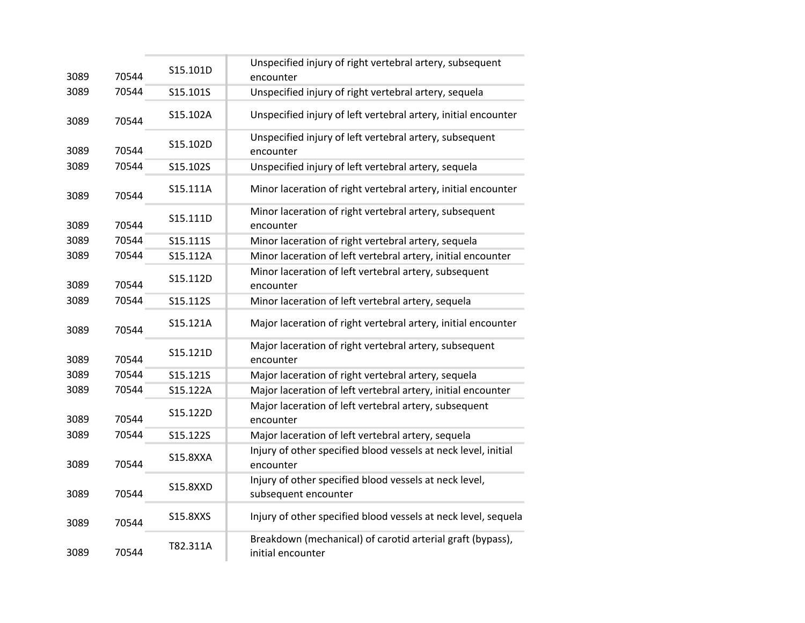| 3089 | 70544 | S15.101D        | Unspecified injury of right vertebral artery, subsequent<br>encounter           |
|------|-------|-----------------|---------------------------------------------------------------------------------|
| 3089 | 70544 | S15.101S        | Unspecified injury of right vertebral artery, sequela                           |
| 3089 | 70544 | S15.102A        | Unspecified injury of left vertebral artery, initial encounter                  |
| 3089 | 70544 | S15.102D        | Unspecified injury of left vertebral artery, subsequent<br>encounter            |
| 3089 | 70544 | S15.102S        | Unspecified injury of left vertebral artery, sequela                            |
| 3089 | 70544 | S15.111A        | Minor laceration of right vertebral artery, initial encounter                   |
| 3089 | 70544 | S15.111D        | Minor laceration of right vertebral artery, subsequent<br>encounter             |
| 3089 | 70544 | S15.111S        | Minor laceration of right vertebral artery, sequela                             |
| 3089 | 70544 | S15.112A        | Minor laceration of left vertebral artery, initial encounter                    |
| 3089 | 70544 | S15.112D        | Minor laceration of left vertebral artery, subsequent<br>encounter              |
| 3089 | 70544 | S15.112S        | Minor laceration of left vertebral artery, sequela                              |
| 3089 | 70544 | S15.121A        | Major laceration of right vertebral artery, initial encounter                   |
| 3089 | 70544 | S15.121D        | Major laceration of right vertebral artery, subsequent<br>encounter             |
| 3089 | 70544 | S15.121S        | Major laceration of right vertebral artery, sequela                             |
| 3089 | 70544 | S15.122A        | Major laceration of left vertebral artery, initial encounter                    |
| 3089 | 70544 | S15.122D        | Major laceration of left vertebral artery, subsequent<br>encounter              |
| 3089 | 70544 | S15.122S        | Major laceration of left vertebral artery, sequela                              |
| 3089 | 70544 | <b>S15.8XXA</b> | Injury of other specified blood vessels at neck level, initial<br>encounter     |
| 3089 | 70544 | <b>S15.8XXD</b> | Injury of other specified blood vessels at neck level,<br>subsequent encounter  |
| 3089 | 70544 | S15.8XXS        | Injury of other specified blood vessels at neck level, sequela                  |
| 3089 | 70544 | T82.311A        | Breakdown (mechanical) of carotid arterial graft (bypass),<br>initial encounter |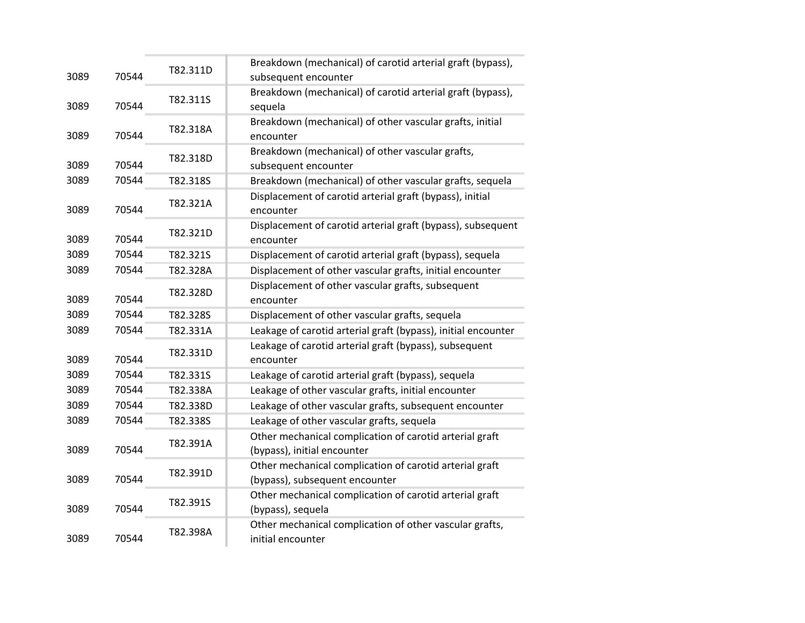| 3089 | 70544 | T82.311D | Breakdown (mechanical) of carotid arterial graft (bypass),<br>subsequent encounter        |
|------|-------|----------|-------------------------------------------------------------------------------------------|
| 3089 | 70544 | T82.311S | Breakdown (mechanical) of carotid arterial graft (bypass),<br>sequela                     |
| 3089 | 70544 | T82.318A | Breakdown (mechanical) of other vascular grafts, initial<br>encounter                     |
| 3089 | 70544 | T82.318D | Breakdown (mechanical) of other vascular grafts,<br>subsequent encounter                  |
| 3089 | 70544 | T82.318S | Breakdown (mechanical) of other vascular grafts, sequela                                  |
| 3089 | 70544 | T82.321A | Displacement of carotid arterial graft (bypass), initial<br>encounter                     |
| 3089 | 70544 | T82.321D | Displacement of carotid arterial graft (bypass), subsequent<br>encounter                  |
| 3089 | 70544 | T82.321S | Displacement of carotid arterial graft (bypass), sequela                                  |
| 3089 | 70544 | T82.328A | Displacement of other vascular grafts, initial encounter                                  |
| 3089 | 70544 | T82.328D | Displacement of other vascular grafts, subsequent<br>encounter                            |
| 3089 | 70544 | T82.328S | Displacement of other vascular grafts, sequela                                            |
| 3089 | 70544 | T82.331A | Leakage of carotid arterial graft (bypass), initial encounter                             |
| 3089 | 70544 | T82.331D | Leakage of carotid arterial graft (bypass), subsequent<br>encounter                       |
| 3089 | 70544 | T82.331S | Leakage of carotid arterial graft (bypass), sequela                                       |
| 3089 | 70544 | T82.338A | Leakage of other vascular grafts, initial encounter                                       |
| 3089 | 70544 | T82.338D | Leakage of other vascular grafts, subsequent encounter                                    |
| 3089 | 70544 | T82.338S | Leakage of other vascular grafts, sequela                                                 |
| 3089 | 70544 | T82.391A | Other mechanical complication of carotid arterial graft<br>(bypass), initial encounter    |
| 3089 | 70544 | T82.391D | Other mechanical complication of carotid arterial graft<br>(bypass), subsequent encounter |
| 3089 | 70544 | T82.391S | Other mechanical complication of carotid arterial graft<br>(bypass), sequela              |
| 3089 | 70544 | T82.398A | Other mechanical complication of other vascular grafts,<br>initial encounter              |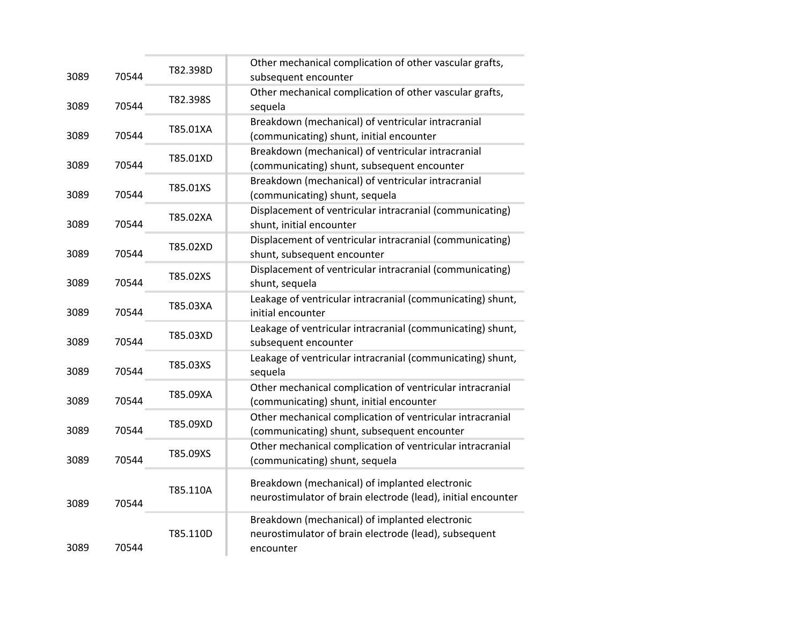| 3089 | 70544 | T82.398D | Other mechanical complication of other vascular grafts,<br>subsequent encounter                                      |
|------|-------|----------|----------------------------------------------------------------------------------------------------------------------|
| 3089 | 70544 | T82.398S | Other mechanical complication of other vascular grafts,<br>sequela                                                   |
| 3089 | 70544 | T85.01XA | Breakdown (mechanical) of ventricular intracranial<br>(communicating) shunt, initial encounter                       |
| 3089 | 70544 | T85.01XD | Breakdown (mechanical) of ventricular intracranial<br>(communicating) shunt, subsequent encounter                    |
| 3089 | 70544 | T85.01XS | Breakdown (mechanical) of ventricular intracranial<br>(communicating) shunt, sequela                                 |
| 3089 | 70544 | T85.02XA | Displacement of ventricular intracranial (communicating)<br>shunt, initial encounter                                 |
| 3089 | 70544 | T85.02XD | Displacement of ventricular intracranial (communicating)<br>shunt, subsequent encounter                              |
| 3089 | 70544 | T85.02XS | Displacement of ventricular intracranial (communicating)<br>shunt, sequela                                           |
| 3089 | 70544 | T85.03XA | Leakage of ventricular intracranial (communicating) shunt,<br>initial encounter                                      |
| 3089 | 70544 | T85.03XD | Leakage of ventricular intracranial (communicating) shunt,<br>subsequent encounter                                   |
| 3089 | 70544 | T85.03XS | Leakage of ventricular intracranial (communicating) shunt,<br>sequela                                                |
| 3089 | 70544 | T85.09XA | Other mechanical complication of ventricular intracranial<br>(communicating) shunt, initial encounter                |
| 3089 | 70544 | T85.09XD | Other mechanical complication of ventricular intracranial<br>(communicating) shunt, subsequent encounter             |
| 3089 | 70544 | T85.09XS | Other mechanical complication of ventricular intracranial<br>(communicating) shunt, sequela                          |
| 3089 | 70544 | T85.110A | Breakdown (mechanical) of implanted electronic<br>neurostimulator of brain electrode (lead), initial encounter       |
| 3089 | 70544 | T85.110D | Breakdown (mechanical) of implanted electronic<br>neurostimulator of brain electrode (lead), subsequent<br>encounter |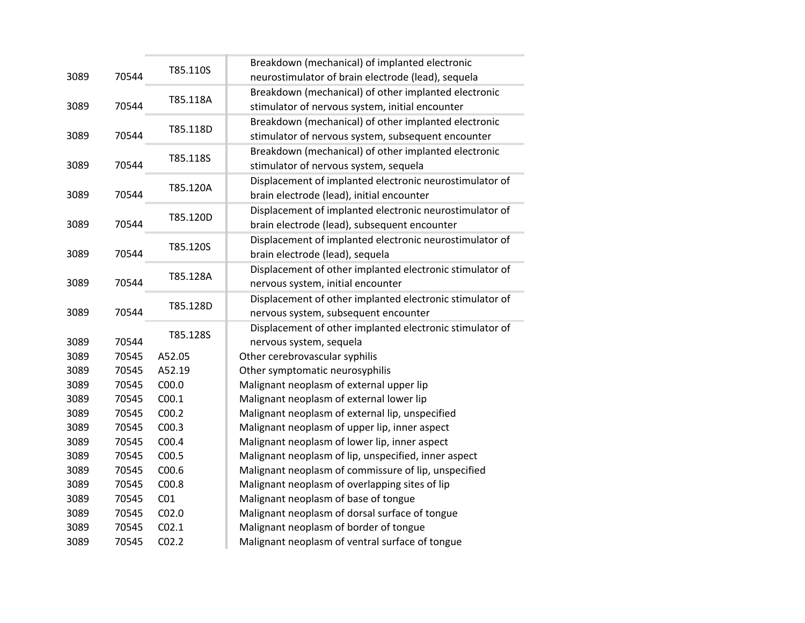| 3089         | 70544          | T85.110S          | Breakdown (mechanical) of implanted electronic<br>neurostimulator of brain electrode (lead), sequela       |
|--------------|----------------|-------------------|------------------------------------------------------------------------------------------------------------|
| 3089         | 70544          | T85.118A          | Breakdown (mechanical) of other implanted electronic<br>stimulator of nervous system, initial encounter    |
| 3089         | 70544          | T85.118D          | Breakdown (mechanical) of other implanted electronic<br>stimulator of nervous system, subsequent encounter |
| 3089         | 70544          | T85.118S          | Breakdown (mechanical) of other implanted electronic<br>stimulator of nervous system, sequela              |
| 3089         | 70544          | T85.120A          | Displacement of implanted electronic neurostimulator of<br>brain electrode (lead), initial encounter       |
| 3089         | 70544          | T85.120D          | Displacement of implanted electronic neurostimulator of<br>brain electrode (lead), subsequent encounter    |
| 3089         | 70544          | T85.120S          | Displacement of implanted electronic neurostimulator of<br>brain electrode (lead), sequela                 |
| 3089         | 70544          | T85.128A          | Displacement of other implanted electronic stimulator of<br>nervous system, initial encounter              |
| 3089         | 70544          | T85.128D          | Displacement of other implanted electronic stimulator of<br>nervous system, subsequent encounter           |
| 3089         | 70544          | T85.128S          | Displacement of other implanted electronic stimulator of<br>nervous system, sequela                        |
| 3089         | 70545          | A52.05            | Other cerebrovascular syphilis                                                                             |
| 3089         | 70545          | A52.19            | Other symptomatic neurosyphilis                                                                            |
| 3089         | 70545          | C <sub>00.0</sub> | Malignant neoplasm of external upper lip                                                                   |
| 3089         | 70545          | C <sub>00.1</sub> | Malignant neoplasm of external lower lip                                                                   |
| 3089         | 70545          | CO <sub>0.2</sub> | Malignant neoplasm of external lip, unspecified                                                            |
| 3089         | 70545          | CO <sub>0.3</sub> | Malignant neoplasm of upper lip, inner aspect                                                              |
| 3089         | 70545          | C <sub>00.4</sub> | Malignant neoplasm of lower lip, inner aspect                                                              |
| 3089         | 70545          | C00.5             | Malignant neoplasm of lip, unspecified, inner aspect                                                       |
| 3089<br>3089 | 70545<br>70545 | C00.6<br>C00.8    | Malignant neoplasm of commissure of lip, unspecified<br>Malignant neoplasm of overlapping sites of lip     |
| 3089         | 70545          | CO <sub>1</sub>   | Malignant neoplasm of base of tongue                                                                       |
| 3089         | 70545          | CO <sub>2.0</sub> | Malignant neoplasm of dorsal surface of tongue                                                             |
| 3089         | 70545          | CO <sub>2.1</sub> | Malignant neoplasm of border of tongue                                                                     |
| 3089         | 70545          | CO <sub>2.2</sub> | Malignant neoplasm of ventral surface of tongue                                                            |
|              |                |                   |                                                                                                            |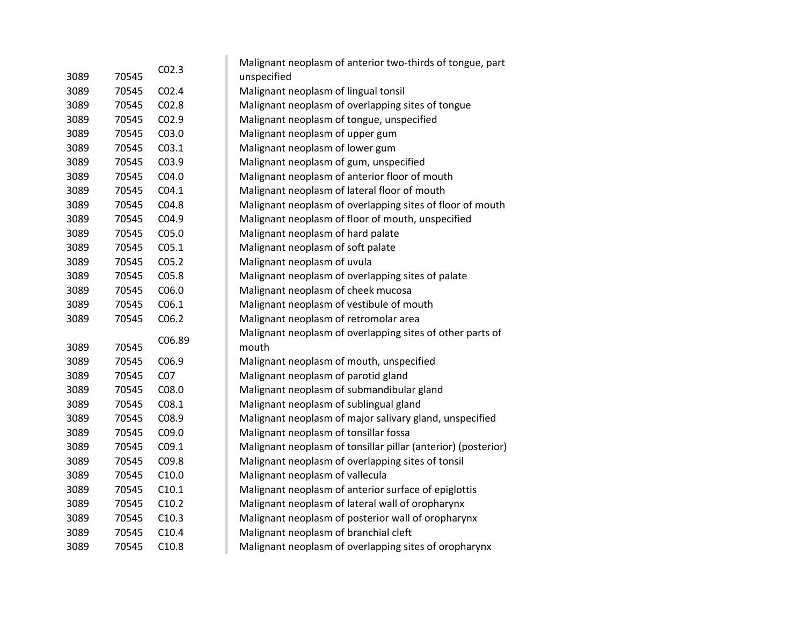|      |       | CO <sub>2.3</sub> | Malignant neoplasm of anterior two-thirds of tongue, part     |
|------|-------|-------------------|---------------------------------------------------------------|
| 3089 | 70545 |                   | unspecified                                                   |
| 3089 | 70545 | CO <sub>2.4</sub> | Malignant neoplasm of lingual tonsil                          |
| 3089 | 70545 | CO <sub>2.8</sub> | Malignant neoplasm of overlapping sites of tongue             |
| 3089 | 70545 | CO <sub>2.9</sub> | Malignant neoplasm of tongue, unspecified                     |
| 3089 | 70545 | C03.0             | Malignant neoplasm of upper gum                               |
| 3089 | 70545 | CO3.1             | Malignant neoplasm of lower gum                               |
| 3089 | 70545 | C03.9             | Malignant neoplasm of gum, unspecified                        |
| 3089 | 70545 | CO4.0             | Malignant neoplasm of anterior floor of mouth                 |
| 3089 | 70545 | CO4.1             | Malignant neoplasm of lateral floor of mouth                  |
| 3089 | 70545 | C04.8             | Malignant neoplasm of overlapping sites of floor of mouth     |
| 3089 | 70545 | C04.9             | Malignant neoplasm of floor of mouth, unspecified             |
| 3089 | 70545 | C <sub>05.0</sub> | Malignant neoplasm of hard palate                             |
| 3089 | 70545 | C <sub>05.1</sub> | Malignant neoplasm of soft palate                             |
| 3089 | 70545 | CO <sub>5.2</sub> | Malignant neoplasm of uvula                                   |
| 3089 | 70545 | C05.8             | Malignant neoplasm of overlapping sites of palate             |
| 3089 | 70545 | C06.0             | Malignant neoplasm of cheek mucosa                            |
| 3089 | 70545 | C <sub>06.1</sub> | Malignant neoplasm of vestibule of mouth                      |
| 3089 | 70545 | C06.2             | Malignant neoplasm of retromolar area                         |
|      |       | C06.89            | Malignant neoplasm of overlapping sites of other parts of     |
| 3089 | 70545 |                   | mouth                                                         |
| 3089 | 70545 | C06.9             | Malignant neoplasm of mouth, unspecified                      |
| 3089 | 70545 | CO <sub>7</sub>   | Malignant neoplasm of parotid gland                           |
| 3089 | 70545 | C08.0             | Malignant neoplasm of submandibular gland                     |
| 3089 | 70545 | CO8.1             | Malignant neoplasm of sublingual gland                        |
| 3089 | 70545 | C08.9             | Malignant neoplasm of major salivary gland, unspecified       |
| 3089 | 70545 | C09.0             | Malignant neoplasm of tonsillar fossa                         |
| 3089 | 70545 | C09.1             | Malignant neoplasm of tonsillar pillar (anterior) (posterior) |
| 3089 | 70545 | C09.8             | Malignant neoplasm of overlapping sites of tonsil             |
| 3089 | 70545 | C10.0             | Malignant neoplasm of vallecula                               |
| 3089 | 70545 | C10.1             | Malignant neoplasm of anterior surface of epiglottis          |
| 3089 | 70545 | C10.2             | Malignant neoplasm of lateral wall of oropharynx              |
| 3089 | 70545 | C10.3             | Malignant neoplasm of posterior wall of oropharynx            |
| 3089 | 70545 | C10.4             | Malignant neoplasm of branchial cleft                         |
| 3089 | 70545 | C10.8             | Malignant neoplasm of overlapping sites of oropharynx         |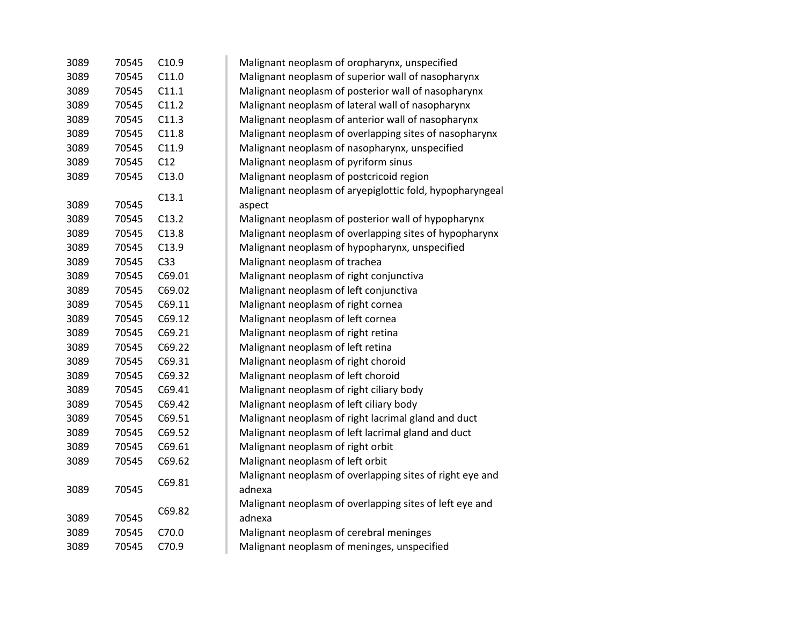| 3089 | 70545 | C10.9           | Malignant neoplasm of oropharynx, unspecified                      |
|------|-------|-----------------|--------------------------------------------------------------------|
| 3089 | 70545 | C11.0           | Malignant neoplasm of superior wall of nasopharynx                 |
| 3089 | 70545 | C11.1           | Malignant neoplasm of posterior wall of nasopharynx                |
| 3089 | 70545 | C11.2           | Malignant neoplasm of lateral wall of nasopharynx                  |
| 3089 | 70545 | C11.3           | Malignant neoplasm of anterior wall of nasopharynx                 |
| 3089 | 70545 | C11.8           | Malignant neoplasm of overlapping sites of nasopharynx             |
| 3089 | 70545 | C11.9           | Malignant neoplasm of nasopharynx, unspecified                     |
| 3089 | 70545 | C12             | Malignant neoplasm of pyriform sinus                               |
| 3089 | 70545 | C13.0           | Malignant neoplasm of postcricoid region                           |
| 3089 | 70545 | C13.1           | Malignant neoplasm of aryepiglottic fold, hypopharyngeal<br>aspect |
| 3089 | 70545 | C13.2           | Malignant neoplasm of posterior wall of hypopharynx                |
| 3089 | 70545 | C13.8           | Malignant neoplasm of overlapping sites of hypopharynx             |
| 3089 | 70545 | C13.9           | Malignant neoplasm of hypopharynx, unspecified                     |
| 3089 | 70545 | C <sub>33</sub> | Malignant neoplasm of trachea                                      |
| 3089 | 70545 | C69.01          | Malignant neoplasm of right conjunctiva                            |
| 3089 | 70545 | C69.02          | Malignant neoplasm of left conjunctiva                             |
| 3089 | 70545 | C69.11          | Malignant neoplasm of right cornea                                 |
| 3089 | 70545 | C69.12          | Malignant neoplasm of left cornea                                  |
| 3089 | 70545 | C69.21          | Malignant neoplasm of right retina                                 |
| 3089 | 70545 | C69.22          | Malignant neoplasm of left retina                                  |
| 3089 | 70545 | C69.31          | Malignant neoplasm of right choroid                                |
| 3089 | 70545 | C69.32          | Malignant neoplasm of left choroid                                 |
| 3089 | 70545 | C69.41          | Malignant neoplasm of right ciliary body                           |
| 3089 | 70545 | C69.42          | Malignant neoplasm of left ciliary body                            |
| 3089 | 70545 | C69.51          | Malignant neoplasm of right lacrimal gland and duct                |
| 3089 | 70545 | C69.52          | Malignant neoplasm of left lacrimal gland and duct                 |
| 3089 | 70545 | C69.61          | Malignant neoplasm of right orbit                                  |
| 3089 | 70545 | C69.62          | Malignant neoplasm of left orbit                                   |
| 3089 | 70545 | C69.81          | Malignant neoplasm of overlapping sites of right eye and<br>adnexa |
| 3089 | 70545 | C69.82          | Malignant neoplasm of overlapping sites of left eye and<br>adnexa  |
| 3089 | 70545 | C70.0           | Malignant neoplasm of cerebral meninges                            |
| 3089 | 70545 | C70.9           | Malignant neoplasm of meninges, unspecified                        |
|      |       |                 |                                                                    |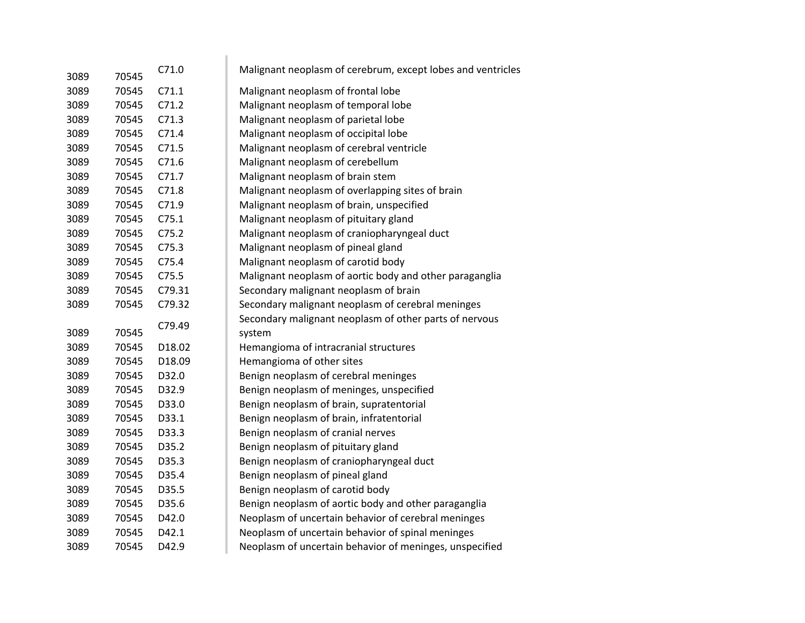| 3089 | 70545 | C71.0  | Malignant neoplasm of cerebrum, except lobes and ventricles |
|------|-------|--------|-------------------------------------------------------------|
| 3089 | 70545 | C71.1  | Malignant neoplasm of frontal lobe                          |
| 3089 | 70545 | C71.2  | Malignant neoplasm of temporal lobe                         |
| 3089 | 70545 | C71.3  | Malignant neoplasm of parietal lobe                         |
| 3089 | 70545 | C71.4  | Malignant neoplasm of occipital lobe                        |
| 3089 | 70545 | C71.5  | Malignant neoplasm of cerebral ventricle                    |
| 3089 | 70545 | C71.6  | Malignant neoplasm of cerebellum                            |
| 3089 | 70545 | C71.7  | Malignant neoplasm of brain stem                            |
| 3089 | 70545 | C71.8  | Malignant neoplasm of overlapping sites of brain            |
| 3089 | 70545 | C71.9  | Malignant neoplasm of brain, unspecified                    |
| 3089 | 70545 | C75.1  | Malignant neoplasm of pituitary gland                       |
| 3089 | 70545 | C75.2  | Malignant neoplasm of craniopharyngeal duct                 |
| 3089 | 70545 | C75.3  | Malignant neoplasm of pineal gland                          |
| 3089 | 70545 | C75.4  | Malignant neoplasm of carotid body                          |
| 3089 | 70545 | C75.5  | Malignant neoplasm of aortic body and other paraganglia     |
| 3089 | 70545 | C79.31 | Secondary malignant neoplasm of brain                       |
| 3089 | 70545 | C79.32 | Secondary malignant neoplasm of cerebral meninges           |
|      |       | C79.49 | Secondary malignant neoplasm of other parts of nervous      |
| 3089 | 70545 |        | system                                                      |
| 3089 | 70545 | D18.02 | Hemangioma of intracranial structures                       |
| 3089 | 70545 | D18.09 | Hemangioma of other sites                                   |
| 3089 | 70545 | D32.0  | Benign neoplasm of cerebral meninges                        |
| 3089 | 70545 | D32.9  | Benign neoplasm of meninges, unspecified                    |
| 3089 | 70545 | D33.0  | Benign neoplasm of brain, supratentorial                    |
| 3089 | 70545 | D33.1  | Benign neoplasm of brain, infratentorial                    |
| 3089 | 70545 | D33.3  | Benign neoplasm of cranial nerves                           |
| 3089 | 70545 | D35.2  | Benign neoplasm of pituitary gland                          |
| 3089 | 70545 | D35.3  | Benign neoplasm of craniopharyngeal duct                    |
| 3089 | 70545 | D35.4  | Benign neoplasm of pineal gland                             |
| 3089 | 70545 | D35.5  | Benign neoplasm of carotid body                             |
| 3089 | 70545 | D35.6  | Benign neoplasm of aortic body and other paraganglia        |
| 3089 | 70545 | D42.0  | Neoplasm of uncertain behavior of cerebral meninges         |
| 3089 | 70545 | D42.1  | Neoplasm of uncertain behavior of spinal meninges           |
| 3089 | 70545 | D42.9  | Neoplasm of uncertain behavior of meninges, unspecified     |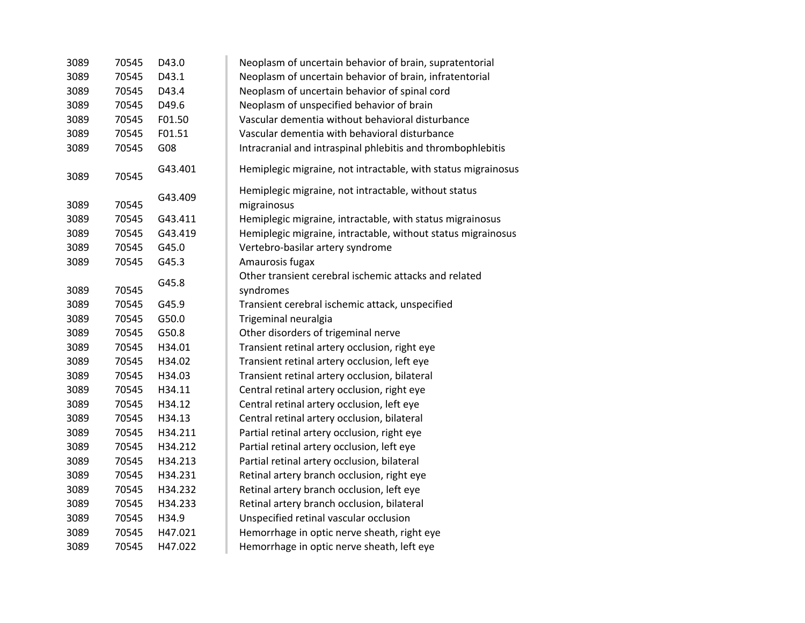| 3089 | 70545 | D43.0   | Neoplasm of uncertain behavior of brain, supratentorial             |
|------|-------|---------|---------------------------------------------------------------------|
| 3089 | 70545 | D43.1   | Neoplasm of uncertain behavior of brain, infratentorial             |
| 3089 | 70545 | D43.4   | Neoplasm of uncertain behavior of spinal cord                       |
| 3089 | 70545 | D49.6   | Neoplasm of unspecified behavior of brain                           |
| 3089 | 70545 | F01.50  | Vascular dementia without behavioral disturbance                    |
| 3089 | 70545 | F01.51  | Vascular dementia with behavioral disturbance                       |
| 3089 | 70545 | G08     | Intracranial and intraspinal phlebitis and thrombophlebitis         |
| 3089 | 70545 | G43.401 | Hemiplegic migraine, not intractable, with status migrainosus       |
| 3089 | 70545 | G43.409 | Hemiplegic migraine, not intractable, without status<br>migrainosus |
| 3089 | 70545 | G43.411 | Hemiplegic migraine, intractable, with status migrainosus           |
| 3089 | 70545 | G43.419 | Hemiplegic migraine, intractable, without status migrainosus        |
| 3089 | 70545 | G45.0   | Vertebro-basilar artery syndrome                                    |
| 3089 | 70545 | G45.3   | Amaurosis fugax                                                     |
|      |       |         | Other transient cerebral ischemic attacks and related               |
| 3089 | 70545 | G45.8   | syndromes                                                           |
| 3089 | 70545 | G45.9   | Transient cerebral ischemic attack, unspecified                     |
| 3089 | 70545 | G50.0   | Trigeminal neuralgia                                                |
| 3089 | 70545 | G50.8   | Other disorders of trigeminal nerve                                 |
| 3089 | 70545 | H34.01  | Transient retinal artery occlusion, right eye                       |
| 3089 | 70545 | H34.02  | Transient retinal artery occlusion, left eye                        |
| 3089 | 70545 | H34.03  | Transient retinal artery occlusion, bilateral                       |
| 3089 | 70545 | H34.11  | Central retinal artery occlusion, right eye                         |
| 3089 | 70545 | H34.12  | Central retinal artery occlusion, left eye                          |
| 3089 | 70545 | H34.13  | Central retinal artery occlusion, bilateral                         |
| 3089 | 70545 | H34.211 | Partial retinal artery occlusion, right eye                         |
| 3089 | 70545 | H34.212 | Partial retinal artery occlusion, left eye                          |
| 3089 | 70545 | H34.213 | Partial retinal artery occlusion, bilateral                         |
| 3089 | 70545 | H34.231 | Retinal artery branch occlusion, right eye                          |
| 3089 | 70545 | H34.232 | Retinal artery branch occlusion, left eye                           |
| 3089 | 70545 | H34.233 | Retinal artery branch occlusion, bilateral                          |
| 3089 | 70545 | H34.9   | Unspecified retinal vascular occlusion                              |
| 3089 | 70545 | H47.021 | Hemorrhage in optic nerve sheath, right eye                         |
| 3089 | 70545 | H47.022 | Hemorrhage in optic nerve sheath, left eye                          |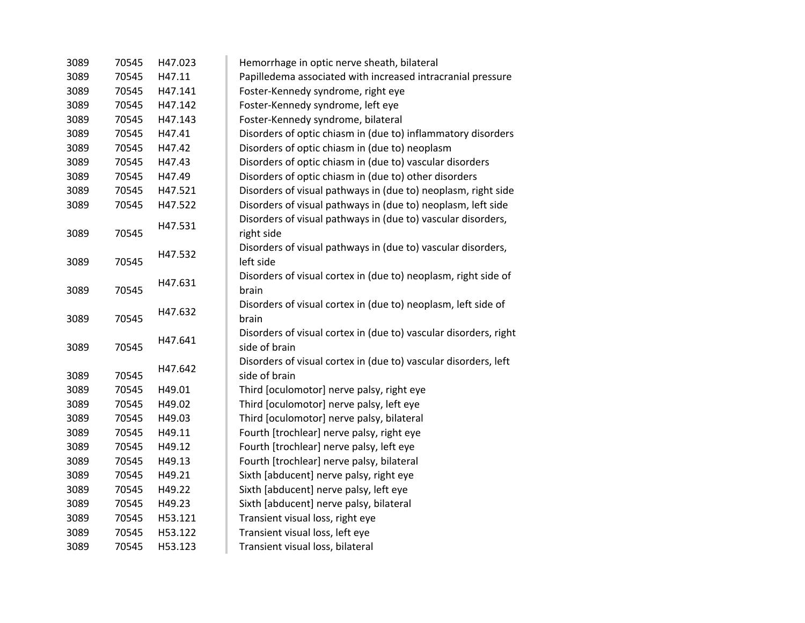| 3089 | 70545 | H47.023 | Hemorrhage in optic nerve sheath, bilateral                      |
|------|-------|---------|------------------------------------------------------------------|
| 3089 | 70545 | H47.11  | Papilledema associated with increased intracranial pressure      |
| 3089 | 70545 | H47.141 | Foster-Kennedy syndrome, right eye                               |
| 3089 | 70545 | H47.142 | Foster-Kennedy syndrome, left eye                                |
| 3089 | 70545 | H47.143 | Foster-Kennedy syndrome, bilateral                               |
| 3089 | 70545 | H47.41  | Disorders of optic chiasm in (due to) inflammatory disorders     |
| 3089 | 70545 | H47.42  | Disorders of optic chiasm in (due to) neoplasm                   |
| 3089 | 70545 | H47.43  | Disorders of optic chiasm in (due to) vascular disorders         |
| 3089 | 70545 | H47.49  | Disorders of optic chiasm in (due to) other disorders            |
| 3089 | 70545 | H47.521 | Disorders of visual pathways in (due to) neoplasm, right side    |
| 3089 | 70545 | H47.522 | Disorders of visual pathways in (due to) neoplasm, left side     |
|      |       | H47.531 | Disorders of visual pathways in (due to) vascular disorders,     |
| 3089 | 70545 |         | right side                                                       |
|      |       | H47.532 | Disorders of visual pathways in (due to) vascular disorders,     |
| 3089 | 70545 |         | left side                                                        |
|      |       | H47.631 | Disorders of visual cortex in (due to) neoplasm, right side of   |
| 3089 | 70545 |         | brain                                                            |
|      |       | H47.632 | Disorders of visual cortex in (due to) neoplasm, left side of    |
| 3089 | 70545 |         | brain                                                            |
|      |       | H47.641 | Disorders of visual cortex in (due to) vascular disorders, right |
| 3089 | 70545 |         | side of brain                                                    |
|      |       | H47.642 | Disorders of visual cortex in (due to) vascular disorders, left  |
| 3089 | 70545 |         | side of brain                                                    |
| 3089 | 70545 | H49.01  | Third [oculomotor] nerve palsy, right eye                        |
| 3089 | 70545 | H49.02  | Third [oculomotor] nerve palsy, left eye                         |
| 3089 | 70545 | H49.03  | Third [oculomotor] nerve palsy, bilateral                        |
| 3089 | 70545 | H49.11  | Fourth [trochlear] nerve palsy, right eye                        |
| 3089 | 70545 | H49.12  | Fourth [trochlear] nerve palsy, left eye                         |
| 3089 | 70545 | H49.13  | Fourth [trochlear] nerve palsy, bilateral                        |
| 3089 | 70545 | H49.21  | Sixth [abducent] nerve palsy, right eye                          |
| 3089 | 70545 | H49.22  | Sixth [abducent] nerve palsy, left eye                           |
| 3089 | 70545 | H49.23  | Sixth [abducent] nerve palsy, bilateral                          |
| 3089 | 70545 | H53.121 | Transient visual loss, right eye                                 |
| 3089 | 70545 | H53.122 | Transient visual loss, left eye                                  |
| 3089 | 70545 | H53.123 | Transient visual loss, bilateral                                 |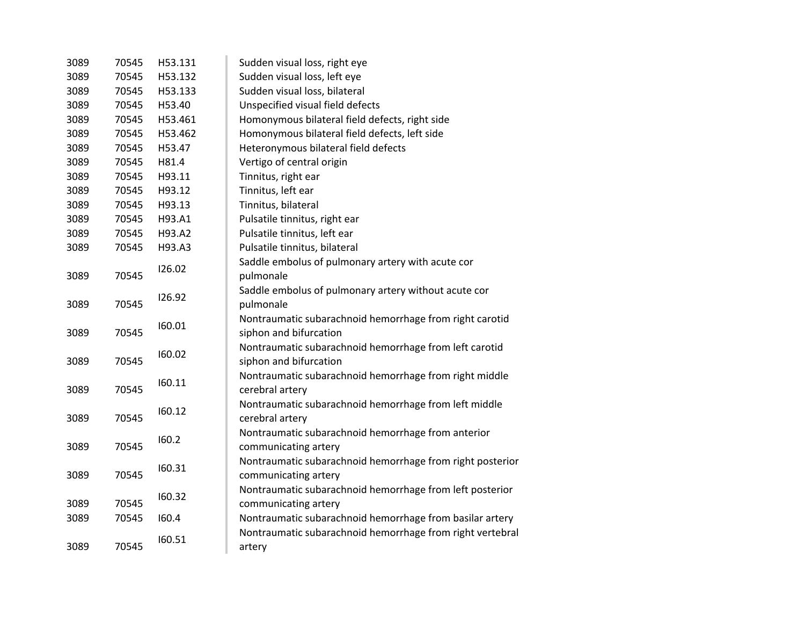| 3089 | 70545 | H53.131 | Sudden visual loss, right eye                             |
|------|-------|---------|-----------------------------------------------------------|
| 3089 | 70545 | H53.132 | Sudden visual loss, left eye                              |
| 3089 | 70545 | H53.133 | Sudden visual loss, bilateral                             |
| 3089 | 70545 | H53.40  | Unspecified visual field defects                          |
| 3089 | 70545 | H53.461 | Homonymous bilateral field defects, right side            |
| 3089 | 70545 | H53.462 | Homonymous bilateral field defects, left side             |
| 3089 | 70545 | H53.47  | Heteronymous bilateral field defects                      |
| 3089 | 70545 | H81.4   | Vertigo of central origin                                 |
| 3089 | 70545 | H93.11  | Tinnitus, right ear                                       |
| 3089 | 70545 | H93.12  | Tinnitus, left ear                                        |
| 3089 | 70545 | H93.13  | Tinnitus, bilateral                                       |
| 3089 | 70545 | H93.A1  | Pulsatile tinnitus, right ear                             |
| 3089 | 70545 | H93.A2  | Pulsatile tinnitus, left ear                              |
| 3089 | 70545 | H93.A3  | Pulsatile tinnitus, bilateral                             |
|      |       | 126.02  | Saddle embolus of pulmonary artery with acute cor         |
| 3089 | 70545 |         | pulmonale                                                 |
|      |       | 126.92  | Saddle embolus of pulmonary artery without acute cor      |
| 3089 | 70545 |         | pulmonale                                                 |
|      |       | 160.01  | Nontraumatic subarachnoid hemorrhage from right carotid   |
| 3089 | 70545 |         | siphon and bifurcation                                    |
|      |       | 160.02  | Nontraumatic subarachnoid hemorrhage from left carotid    |
| 3089 | 70545 |         | siphon and bifurcation                                    |
|      |       | 160.11  | Nontraumatic subarachnoid hemorrhage from right middle    |
| 3089 | 70545 |         | cerebral artery                                           |
|      |       | 160.12  | Nontraumatic subarachnoid hemorrhage from left middle     |
| 3089 | 70545 |         | cerebral artery                                           |
|      |       | 160.2   | Nontraumatic subarachnoid hemorrhage from anterior        |
| 3089 | 70545 |         | communicating artery                                      |
|      |       | 160.31  | Nontraumatic subarachnoid hemorrhage from right posterior |
| 3089 | 70545 |         | communicating artery                                      |
|      |       | 160.32  | Nontraumatic subarachnoid hemorrhage from left posterior  |
| 3089 | 70545 |         | communicating artery                                      |
| 3089 | 70545 | 160.4   | Nontraumatic subarachnoid hemorrhage from basilar artery  |
|      |       | 160.51  | Nontraumatic subarachnoid hemorrhage from right vertebral |
| 3089 | 70545 |         | artery                                                    |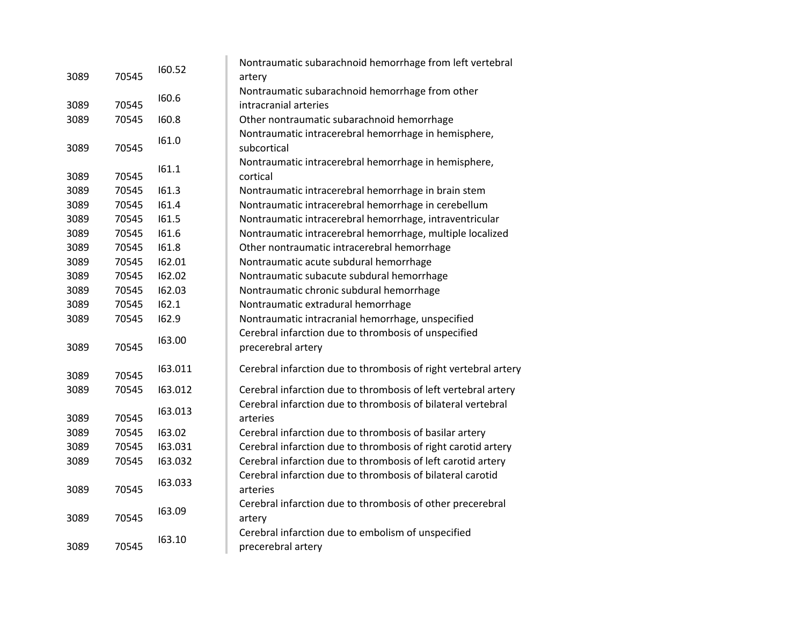|      |       | 160.52  | Nontraumatic subarachnoid hemorrhage from left vertebral        |
|------|-------|---------|-----------------------------------------------------------------|
| 3089 | 70545 |         | artery                                                          |
|      |       | 160.6   | Nontraumatic subarachnoid hemorrhage from other                 |
| 3089 | 70545 |         | intracranial arteries                                           |
| 3089 | 70545 | 160.8   | Other nontraumatic subarachnoid hemorrhage                      |
|      |       | 161.0   | Nontraumatic intracerebral hemorrhage in hemisphere,            |
| 3089 | 70545 |         | subcortical                                                     |
|      |       | 161.1   | Nontraumatic intracerebral hemorrhage in hemisphere,            |
| 3089 | 70545 |         | cortical                                                        |
| 3089 | 70545 | 161.3   | Nontraumatic intracerebral hemorrhage in brain stem             |
| 3089 | 70545 | 161.4   | Nontraumatic intracerebral hemorrhage in cerebellum             |
| 3089 | 70545 | 161.5   | Nontraumatic intracerebral hemorrhage, intraventricular         |
| 3089 | 70545 | 161.6   | Nontraumatic intracerebral hemorrhage, multiple localized       |
| 3089 | 70545 | 161.8   | Other nontraumatic intracerebral hemorrhage                     |
| 3089 | 70545 | 162.01  | Nontraumatic acute subdural hemorrhage                          |
| 3089 | 70545 | 162.02  | Nontraumatic subacute subdural hemorrhage                       |
| 3089 | 70545 | 162.03  | Nontraumatic chronic subdural hemorrhage                        |
| 3089 | 70545 | 162.1   | Nontraumatic extradural hemorrhage                              |
| 3089 | 70545 | 162.9   | Nontraumatic intracranial hemorrhage, unspecified               |
|      |       | 163.00  | Cerebral infarction due to thrombosis of unspecified            |
| 3089 | 70545 |         | precerebral artery                                              |
|      |       | 163.011 | Cerebral infarction due to thrombosis of right vertebral artery |
| 3089 | 70545 |         |                                                                 |
| 3089 | 70545 | 163.012 | Cerebral infarction due to thrombosis of left vertebral artery  |
|      |       | 163.013 | Cerebral infarction due to thrombosis of bilateral vertebral    |
| 3089 | 70545 |         | arteries                                                        |
| 3089 | 70545 | 163.02  | Cerebral infarction due to thrombosis of basilar artery         |
| 3089 | 70545 | 163.031 | Cerebral infarction due to thrombosis of right carotid artery   |
| 3089 | 70545 | 163.032 | Cerebral infarction due to thrombosis of left carotid artery    |
|      |       | 163.033 | Cerebral infarction due to thrombosis of bilateral carotid      |
| 3089 | 70545 |         | arteries                                                        |
|      |       | 163.09  | Cerebral infarction due to thrombosis of other precerebral      |
| 3089 | 70545 |         | artery                                                          |
|      |       | 163.10  | Cerebral infarction due to embolism of unspecified              |
| 3089 | 70545 |         | precerebral artery                                              |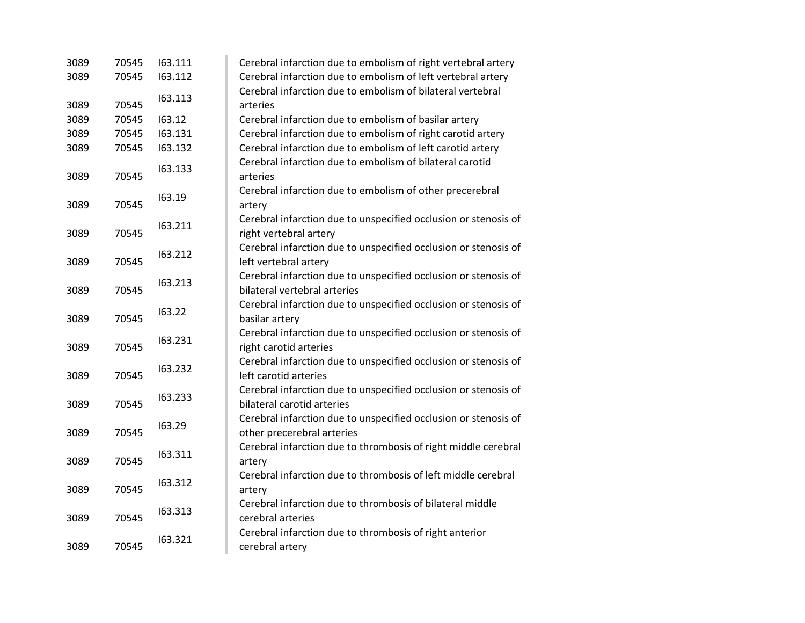| 3089 | 70545 | 163.111 | Cerebral infarction due to embolism of right vertebral artery   |
|------|-------|---------|-----------------------------------------------------------------|
| 3089 | 70545 | 163.112 | Cerebral infarction due to embolism of left vertebral artery    |
|      |       | 163.113 | Cerebral infarction due to embolism of bilateral vertebral      |
| 3089 | 70545 |         | arteries                                                        |
| 3089 | 70545 | 163.12  | Cerebral infarction due to embolism of basilar artery           |
| 3089 | 70545 | 163.131 | Cerebral infarction due to embolism of right carotid artery     |
| 3089 | 70545 | 163.132 | Cerebral infarction due to embolism of left carotid artery      |
|      |       | 163.133 | Cerebral infarction due to embolism of bilateral carotid        |
| 3089 | 70545 |         | arteries                                                        |
|      |       | 163.19  | Cerebral infarction due to embolism of other precerebral        |
| 3089 | 70545 |         | artery                                                          |
|      |       | 163.211 | Cerebral infarction due to unspecified occlusion or stenosis of |
| 3089 | 70545 |         | right vertebral artery                                          |
|      |       | 163.212 | Cerebral infarction due to unspecified occlusion or stenosis of |
| 3089 | 70545 |         | left vertebral artery                                           |
|      |       | 163.213 | Cerebral infarction due to unspecified occlusion or stenosis of |
| 3089 | 70545 |         | bilateral vertebral arteries                                    |
|      |       | 163.22  | Cerebral infarction due to unspecified occlusion or stenosis of |
| 3089 | 70545 |         | basilar artery                                                  |
|      |       | 163.231 | Cerebral infarction due to unspecified occlusion or stenosis of |
| 3089 | 70545 |         | right carotid arteries                                          |
|      |       | 163.232 | Cerebral infarction due to unspecified occlusion or stenosis of |
| 3089 | 70545 |         | left carotid arteries                                           |
|      |       | 163.233 | Cerebral infarction due to unspecified occlusion or stenosis of |
| 3089 | 70545 |         | bilateral carotid arteries                                      |
|      |       | 163.29  | Cerebral infarction due to unspecified occlusion or stenosis of |
| 3089 | 70545 |         | other precerebral arteries                                      |
|      |       | 163.311 | Cerebral infarction due to thrombosis of right middle cerebral  |
| 3089 | 70545 |         | artery                                                          |
|      |       | 163.312 | Cerebral infarction due to thrombosis of left middle cerebral   |
| 3089 | 70545 |         | artery                                                          |
|      |       | 163.313 | Cerebral infarction due to thrombosis of bilateral middle       |
| 3089 | 70545 |         | cerebral arteries                                               |
|      |       | 163.321 | Cerebral infarction due to thrombosis of right anterior         |
| 3089 | 70545 |         | cerebral artery                                                 |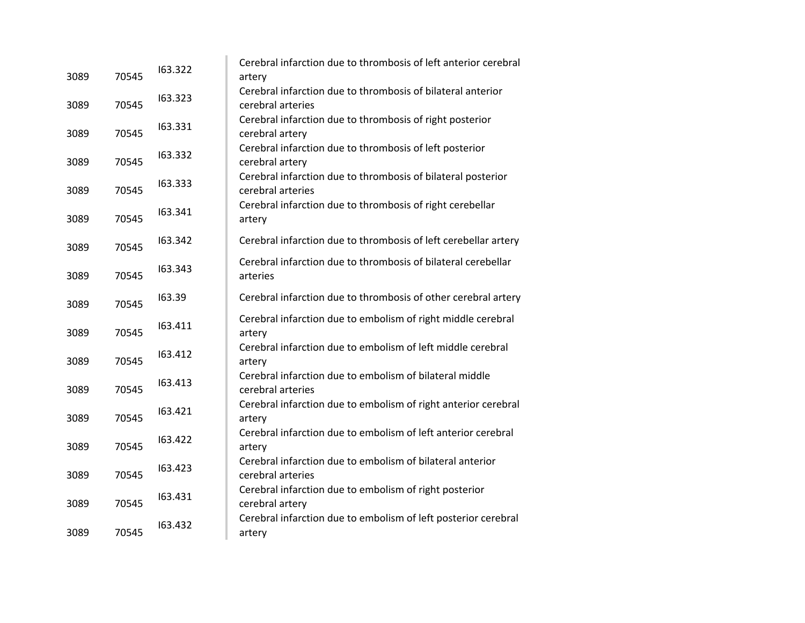| 3089 | 70545 | 163.322 | Cerebral infarction due to thrombosis of left anterior cerebral<br>artery         |
|------|-------|---------|-----------------------------------------------------------------------------------|
| 3089 | 70545 | 163.323 | Cerebral infarction due to thrombosis of bilateral anterior<br>cerebral arteries  |
| 3089 | 70545 | 163.331 | Cerebral infarction due to thrombosis of right posterior<br>cerebral artery       |
| 3089 | 70545 | 163.332 | Cerebral infarction due to thrombosis of left posterior<br>cerebral artery        |
| 3089 | 70545 | 163.333 | Cerebral infarction due to thrombosis of bilateral posterior<br>cerebral arteries |
| 3089 | 70545 | 163.341 | Cerebral infarction due to thrombosis of right cerebellar<br>artery               |
| 3089 | 70545 | 163.342 | Cerebral infarction due to thrombosis of left cerebellar artery                   |
| 3089 | 70545 | 163.343 | Cerebral infarction due to thrombosis of bilateral cerebellar<br>arteries         |
| 3089 | 70545 | 163.39  | Cerebral infarction due to thrombosis of other cerebral artery                    |
| 3089 | 70545 | 163.411 | Cerebral infarction due to embolism of right middle cerebral<br>artery            |
| 3089 | 70545 | 163.412 | Cerebral infarction due to embolism of left middle cerebral<br>artery             |
| 3089 | 70545 | 163.413 | Cerebral infarction due to embolism of bilateral middle<br>cerebral arteries      |
| 3089 | 70545 | 163.421 | Cerebral infarction due to embolism of right anterior cerebral<br>artery          |
| 3089 | 70545 | 163.422 | Cerebral infarction due to embolism of left anterior cerebral<br>artery           |
| 3089 | 70545 | 163.423 | Cerebral infarction due to embolism of bilateral anterior<br>cerebral arteries    |
| 3089 | 70545 | 163.431 | Cerebral infarction due to embolism of right posterior<br>cerebral artery         |
| 3089 | 70545 | 163.432 | Cerebral infarction due to embolism of left posterior cerebral<br>artery          |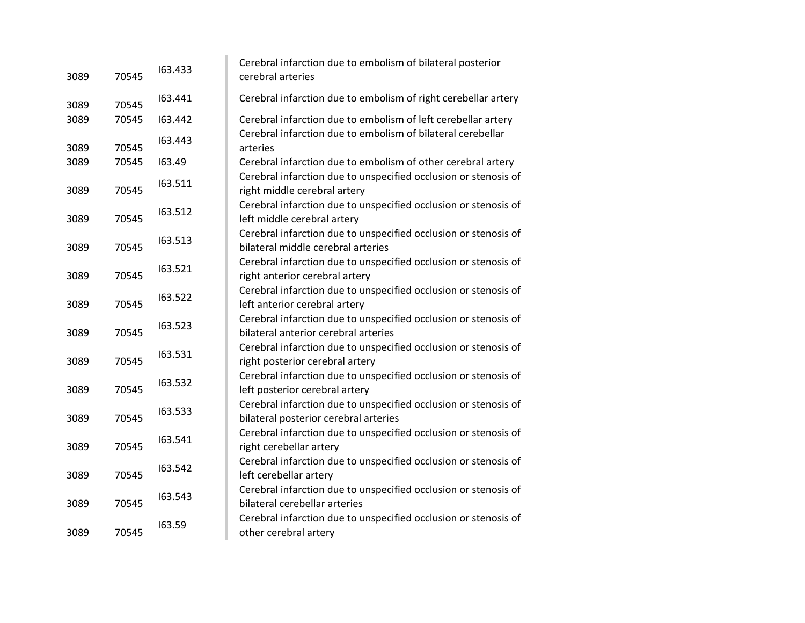| 3089 | 70545 | 163.433 | Cerebral infarction due to embolism of bilateral posterior<br>cerebral arteries                          |
|------|-------|---------|----------------------------------------------------------------------------------------------------------|
| 3089 | 70545 | 163.441 | Cerebral infarction due to embolism of right cerebellar artery                                           |
| 3089 | 70545 | 163.442 | Cerebral infarction due to embolism of left cerebellar artery                                            |
| 3089 | 70545 | 163.443 | Cerebral infarction due to embolism of bilateral cerebellar<br>arteries                                  |
| 3089 | 70545 | 163.49  | Cerebral infarction due to embolism of other cerebral artery                                             |
| 3089 | 70545 | 163.511 | Cerebral infarction due to unspecified occlusion or stenosis of<br>right middle cerebral artery          |
| 3089 | 70545 | 163.512 | Cerebral infarction due to unspecified occlusion or stenosis of<br>left middle cerebral artery           |
| 3089 | 70545 | 163.513 | Cerebral infarction due to unspecified occlusion or stenosis of<br>bilateral middle cerebral arteries    |
| 3089 | 70545 | 163.521 | Cerebral infarction due to unspecified occlusion or stenosis of<br>right anterior cerebral artery        |
| 3089 | 70545 | 163.522 | Cerebral infarction due to unspecified occlusion or stenosis of<br>left anterior cerebral artery         |
| 3089 | 70545 | 163.523 | Cerebral infarction due to unspecified occlusion or stenosis of<br>bilateral anterior cerebral arteries  |
| 3089 | 70545 | 163.531 | Cerebral infarction due to unspecified occlusion or stenosis of<br>right posterior cerebral artery       |
| 3089 | 70545 | 163.532 | Cerebral infarction due to unspecified occlusion or stenosis of<br>left posterior cerebral artery        |
| 3089 | 70545 | 163.533 | Cerebral infarction due to unspecified occlusion or stenosis of<br>bilateral posterior cerebral arteries |
| 3089 | 70545 | 163.541 | Cerebral infarction due to unspecified occlusion or stenosis of<br>right cerebellar artery               |
| 3089 | 70545 | 163.542 | Cerebral infarction due to unspecified occlusion or stenosis of<br>left cerebellar artery                |
| 3089 | 70545 | 163.543 | Cerebral infarction due to unspecified occlusion or stenosis of<br>bilateral cerebellar arteries         |
| 3089 | 70545 | 163.59  | Cerebral infarction due to unspecified occlusion or stenosis of<br>other cerebral artery                 |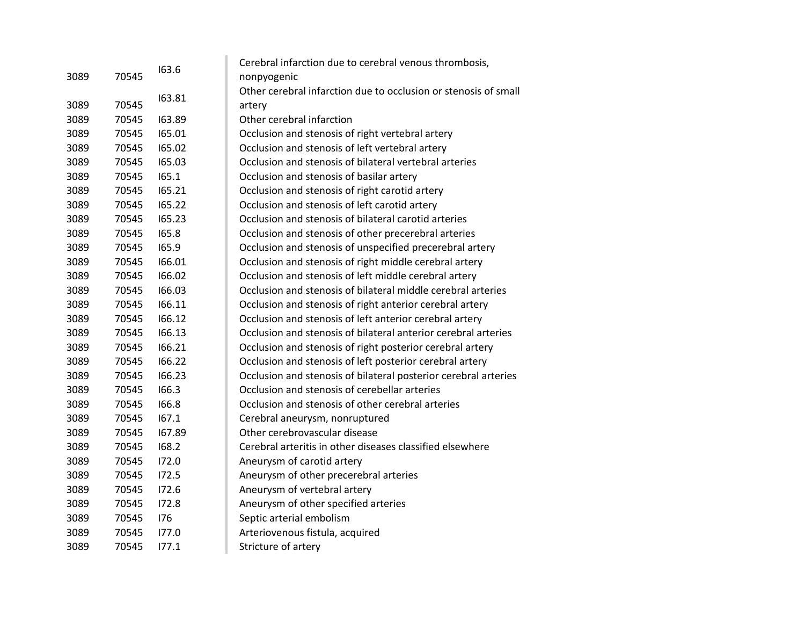|      |       |        | Cerebral infarction due to cerebral venous thrombosis,          |
|------|-------|--------|-----------------------------------------------------------------|
| 3089 | 70545 | 163.6  | nonpyogenic                                                     |
|      |       |        | Other cerebral infarction due to occlusion or stenosis of small |
| 3089 | 70545 | 163.81 | artery                                                          |
| 3089 | 70545 | 163.89 | Other cerebral infarction                                       |
| 3089 | 70545 | 165.01 | Occlusion and stenosis of right vertebral artery                |
| 3089 | 70545 | 165.02 | Occlusion and stenosis of left vertebral artery                 |
| 3089 | 70545 | 165.03 | Occlusion and stenosis of bilateral vertebral arteries          |
| 3089 | 70545 | 165.1  | Occlusion and stenosis of basilar artery                        |
| 3089 | 70545 | 165.21 | Occlusion and stenosis of right carotid artery                  |
| 3089 | 70545 | 165.22 | Occlusion and stenosis of left carotid artery                   |
| 3089 | 70545 | 165.23 | Occlusion and stenosis of bilateral carotid arteries            |
| 3089 | 70545 | 165.8  | Occlusion and stenosis of other precerebral arteries            |
| 3089 | 70545 | 165.9  | Occlusion and stenosis of unspecified precerebral artery        |
| 3089 | 70545 | 166.01 | Occlusion and stenosis of right middle cerebral artery          |
| 3089 | 70545 | 166.02 | Occlusion and stenosis of left middle cerebral artery           |
| 3089 | 70545 | 166.03 | Occlusion and stenosis of bilateral middle cerebral arteries    |
| 3089 | 70545 | 166.11 | Occlusion and stenosis of right anterior cerebral artery        |
| 3089 | 70545 | 166.12 | Occlusion and stenosis of left anterior cerebral artery         |
| 3089 | 70545 | 166.13 | Occlusion and stenosis of bilateral anterior cerebral arteries  |
| 3089 | 70545 | 166.21 | Occlusion and stenosis of right posterior cerebral artery       |
| 3089 | 70545 | 166.22 | Occlusion and stenosis of left posterior cerebral artery        |
| 3089 | 70545 | 166.23 | Occlusion and stenosis of bilateral posterior cerebral arteries |
| 3089 | 70545 | 166.3  | Occlusion and stenosis of cerebellar arteries                   |
| 3089 | 70545 | 166.8  | Occlusion and stenosis of other cerebral arteries               |
| 3089 | 70545 | 167.1  | Cerebral aneurysm, nonruptured                                  |
| 3089 | 70545 | 167.89 | Other cerebrovascular disease                                   |
| 3089 | 70545 | 168.2  | Cerebral arteritis in other diseases classified elsewhere       |
| 3089 | 70545 | 172.0  | Aneurysm of carotid artery                                      |
| 3089 | 70545 | 172.5  | Aneurysm of other precerebral arteries                          |
| 3089 | 70545 | 172.6  | Aneurysm of vertebral artery                                    |
| 3089 | 70545 | 172.8  | Aneurysm of other specified arteries                            |
| 3089 | 70545 | 176    | Septic arterial embolism                                        |
| 3089 | 70545 | 177.0  | Arteriovenous fistula, acquired                                 |
| 3089 | 70545 | 177.1  | Stricture of artery                                             |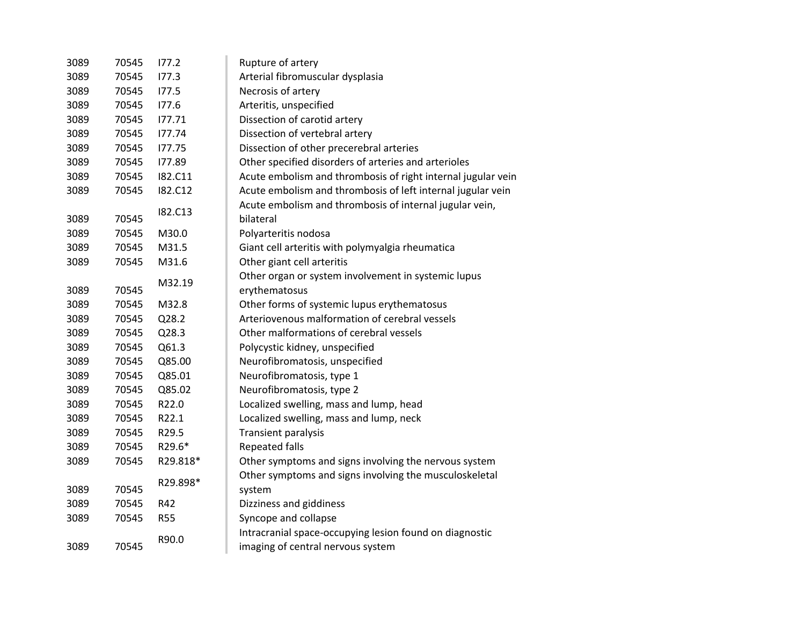| 3089 | 70545 | 177.2          | Rupture of artery                                            |
|------|-------|----------------|--------------------------------------------------------------|
| 3089 | 70545 | 177.3          | Arterial fibromuscular dysplasia                             |
| 3089 | 70545 | 177.5          | Necrosis of artery                                           |
| 3089 | 70545 | 177.6          | Arteritis, unspecified                                       |
| 3089 | 70545 | 177.71         | Dissection of carotid artery                                 |
| 3089 | 70545 | 177.74         | Dissection of vertebral artery                               |
| 3089 | 70545 | 177.75         | Dissection of other precerebral arteries                     |
| 3089 | 70545 | 177.89         | Other specified disorders of arteries and arterioles         |
| 3089 | 70545 | I82.C11        | Acute embolism and thrombosis of right internal jugular vein |
| 3089 | 70545 | <b>182.C12</b> | Acute embolism and thrombosis of left internal jugular vein  |
|      |       |                | Acute embolism and thrombosis of internal jugular vein,      |
| 3089 | 70545 | <b>182.C13</b> | bilateral                                                    |
| 3089 | 70545 | M30.0          | Polyarteritis nodosa                                         |
| 3089 | 70545 | M31.5          | Giant cell arteritis with polymyalgia rheumatica             |
| 3089 | 70545 | M31.6          | Other giant cell arteritis                                   |
|      |       | M32.19         | Other organ or system involvement in systemic lupus          |
| 3089 | 70545 |                | erythematosus                                                |
| 3089 | 70545 | M32.8          | Other forms of systemic lupus erythematosus                  |
| 3089 | 70545 | Q28.2          | Arteriovenous malformation of cerebral vessels               |
| 3089 | 70545 | Q28.3          | Other malformations of cerebral vessels                      |
| 3089 | 70545 | Q61.3          | Polycystic kidney, unspecified                               |
| 3089 | 70545 | Q85.00         | Neurofibromatosis, unspecified                               |
| 3089 | 70545 | Q85.01         | Neurofibromatosis, type 1                                    |
| 3089 | 70545 | Q85.02         | Neurofibromatosis, type 2                                    |
| 3089 | 70545 | R22.0          | Localized swelling, mass and lump, head                      |
| 3089 | 70545 | R22.1          | Localized swelling, mass and lump, neck                      |
| 3089 | 70545 | R29.5          | Transient paralysis                                          |
| 3089 | 70545 | R29.6*         | <b>Repeated falls</b>                                        |
| 3089 | 70545 | R29.818*       | Other symptoms and signs involving the nervous system        |
|      |       |                | Other symptoms and signs involving the musculoskeletal       |
| 3089 | 70545 | R29.898*       | system                                                       |
| 3089 | 70545 | R42            | Dizziness and giddiness                                      |
| 3089 | 70545 | <b>R55</b>     | Syncope and collapse                                         |
|      |       |                | Intracranial space-occupying lesion found on diagnostic      |
| 3089 | 70545 | R90.0          | imaging of central nervous system                            |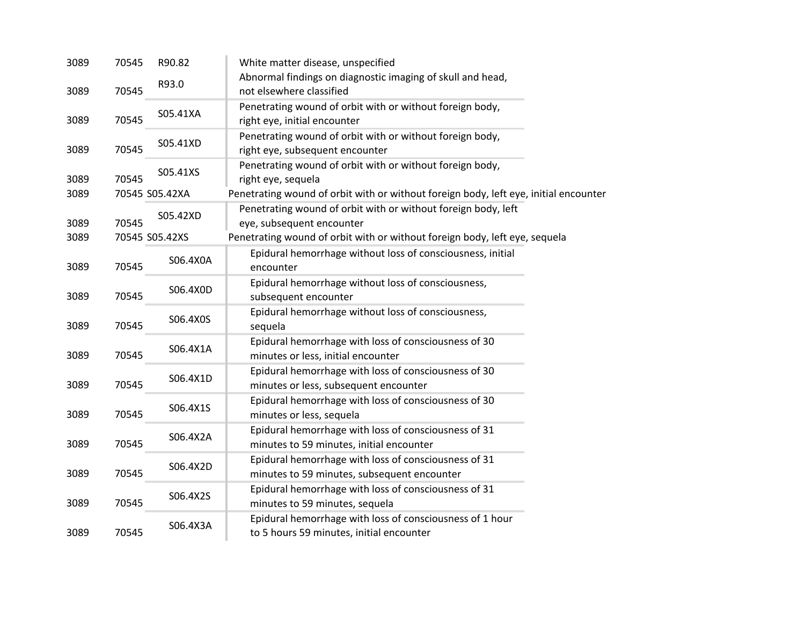| 3089 | 70545 | R90.82         | White matter disease, unspecified                                                                    |
|------|-------|----------------|------------------------------------------------------------------------------------------------------|
| 3089 | 70545 | R93.0          | Abnormal findings on diagnostic imaging of skull and head,<br>not elsewhere classified               |
| 3089 | 70545 | S05.41XA       | Penetrating wound of orbit with or without foreign body,<br>right eye, initial encounter             |
| 3089 | 70545 | S05.41XD       | Penetrating wound of orbit with or without foreign body,<br>right eye, subsequent encounter          |
| 3089 | 70545 | S05.41XS       | Penetrating wound of orbit with or without foreign body,<br>right eye, sequela                       |
| 3089 |       | 70545 S05.42XA | Penetrating wound of orbit with or without foreign body, left eye, initial encounter                 |
| 3089 | 70545 | S05.42XD       | Penetrating wound of orbit with or without foreign body, left<br>eye, subsequent encounter           |
| 3089 |       | 70545 S05.42XS | Penetrating wound of orbit with or without foreign body, left eye, sequela                           |
| 3089 | 70545 | S06.4X0A       | Epidural hemorrhage without loss of consciousness, initial<br>encounter                              |
| 3089 | 70545 | S06.4X0D       | Epidural hemorrhage without loss of consciousness,<br>subsequent encounter                           |
| 3089 | 70545 | S06.4X0S       | Epidural hemorrhage without loss of consciousness,<br>sequela                                        |
| 3089 | 70545 | S06.4X1A       | Epidural hemorrhage with loss of consciousness of 30<br>minutes or less, initial encounter           |
| 3089 | 70545 | S06.4X1D       | Epidural hemorrhage with loss of consciousness of 30<br>minutes or less, subsequent encounter        |
| 3089 | 70545 | S06.4X1S       | Epidural hemorrhage with loss of consciousness of 30<br>minutes or less, sequela                     |
| 3089 | 70545 | S06.4X2A       | Epidural hemorrhage with loss of consciousness of 31<br>minutes to 59 minutes, initial encounter     |
| 3089 | 70545 | S06.4X2D       | Epidural hemorrhage with loss of consciousness of 31<br>minutes to 59 minutes, subsequent encounter  |
| 3089 | 70545 | S06.4X2S       | Epidural hemorrhage with loss of consciousness of 31<br>minutes to 59 minutes, sequela               |
| 3089 | 70545 | S06.4X3A       | Epidural hemorrhage with loss of consciousness of 1 hour<br>to 5 hours 59 minutes, initial encounter |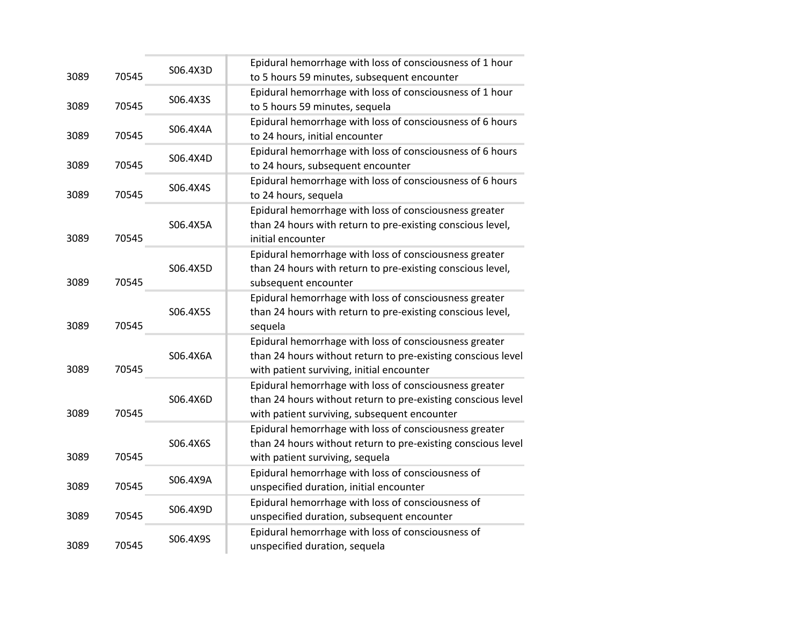| 3089 | 70545 | S06.4X3D | Epidural hemorrhage with loss of consciousness of 1 hour<br>to 5 hours 59 minutes, subsequent encounter                                                                |
|------|-------|----------|------------------------------------------------------------------------------------------------------------------------------------------------------------------------|
| 3089 | 70545 | S06.4X3S | Epidural hemorrhage with loss of consciousness of 1 hour<br>to 5 hours 59 minutes, sequela                                                                             |
| 3089 | 70545 | S06.4X4A | Epidural hemorrhage with loss of consciousness of 6 hours<br>to 24 hours, initial encounter                                                                            |
| 3089 | 70545 | S06.4X4D | Epidural hemorrhage with loss of consciousness of 6 hours<br>to 24 hours, subsequent encounter                                                                         |
| 3089 | 70545 | S06.4X4S | Epidural hemorrhage with loss of consciousness of 6 hours<br>to 24 hours, sequela                                                                                      |
| 3089 | 70545 | S06.4X5A | Epidural hemorrhage with loss of consciousness greater<br>than 24 hours with return to pre-existing conscious level,<br>initial encounter                              |
| 3089 | 70545 | S06.4X5D | Epidural hemorrhage with loss of consciousness greater<br>than 24 hours with return to pre-existing conscious level,<br>subsequent encounter                           |
| 3089 | 70545 | S06.4X5S | Epidural hemorrhage with loss of consciousness greater<br>than 24 hours with return to pre-existing conscious level,<br>sequela                                        |
| 3089 | 70545 | S06.4X6A | Epidural hemorrhage with loss of consciousness greater<br>than 24 hours without return to pre-existing conscious level<br>with patient surviving, initial encounter    |
| 3089 | 70545 | S06.4X6D | Epidural hemorrhage with loss of consciousness greater<br>than 24 hours without return to pre-existing conscious level<br>with patient surviving, subsequent encounter |
| 3089 | 70545 | S06.4X6S | Epidural hemorrhage with loss of consciousness greater<br>than 24 hours without return to pre-existing conscious level<br>with patient surviving, sequela              |
| 3089 | 70545 | S06.4X9A | Epidural hemorrhage with loss of consciousness of<br>unspecified duration, initial encounter                                                                           |
| 3089 | 70545 | S06.4X9D | Epidural hemorrhage with loss of consciousness of<br>unspecified duration, subsequent encounter                                                                        |
| 3089 | 70545 | S06.4X9S | Epidural hemorrhage with loss of consciousness of<br>unspecified duration, sequela                                                                                     |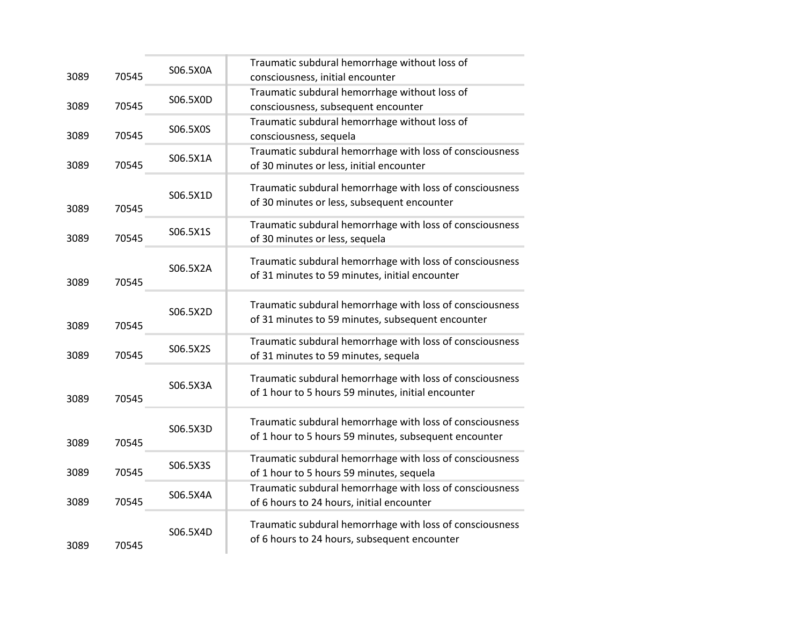| 3089 | 70545 | S06.5X0A | Traumatic subdural hemorrhage without loss of<br>consciousness, initial encounter                                 |
|------|-------|----------|-------------------------------------------------------------------------------------------------------------------|
| 3089 | 70545 | S06.5X0D | Traumatic subdural hemorrhage without loss of<br>consciousness, subsequent encounter                              |
| 3089 | 70545 | S06.5X0S | Traumatic subdural hemorrhage without loss of<br>consciousness, sequela                                           |
| 3089 | 70545 | S06.5X1A | Traumatic subdural hemorrhage with loss of consciousness<br>of 30 minutes or less, initial encounter              |
| 3089 | 70545 | S06.5X1D | Traumatic subdural hemorrhage with loss of consciousness<br>of 30 minutes or less, subsequent encounter           |
| 3089 | 70545 | S06.5X1S | Traumatic subdural hemorrhage with loss of consciousness<br>of 30 minutes or less, sequela                        |
| 3089 | 70545 | S06.5X2A | Traumatic subdural hemorrhage with loss of consciousness<br>of 31 minutes to 59 minutes, initial encounter        |
| 3089 | 70545 | S06.5X2D | Traumatic subdural hemorrhage with loss of consciousness<br>of 31 minutes to 59 minutes, subsequent encounter     |
| 3089 | 70545 | S06.5X2S | Traumatic subdural hemorrhage with loss of consciousness<br>of 31 minutes to 59 minutes, sequela                  |
| 3089 | 70545 | S06.5X3A | Traumatic subdural hemorrhage with loss of consciousness<br>of 1 hour to 5 hours 59 minutes, initial encounter    |
| 3089 | 70545 | S06.5X3D | Traumatic subdural hemorrhage with loss of consciousness<br>of 1 hour to 5 hours 59 minutes, subsequent encounter |
| 3089 | 70545 | S06.5X3S | Traumatic subdural hemorrhage with loss of consciousness<br>of 1 hour to 5 hours 59 minutes, sequela              |
| 3089 | 70545 | S06.5X4A | Traumatic subdural hemorrhage with loss of consciousness<br>of 6 hours to 24 hours, initial encounter             |
| 3089 | 70545 | S06.5X4D | Traumatic subdural hemorrhage with loss of consciousness<br>of 6 hours to 24 hours, subsequent encounter          |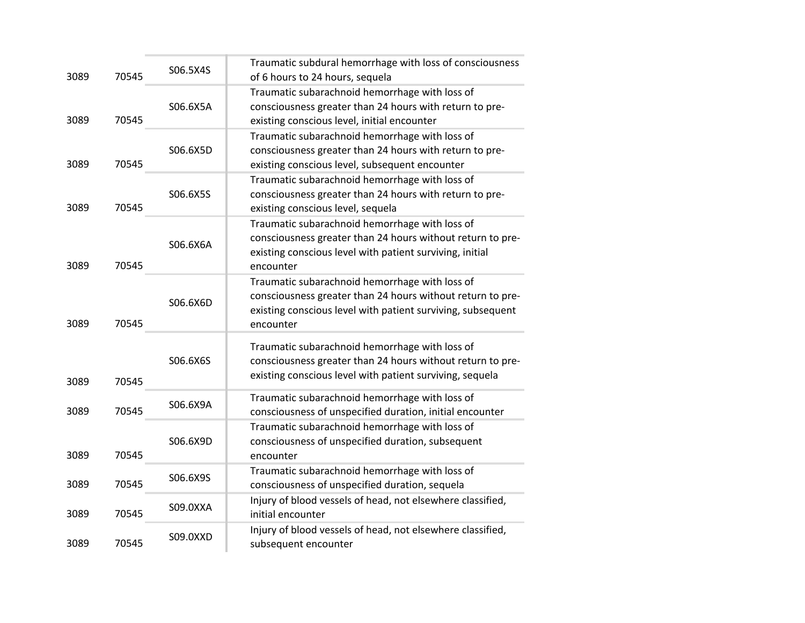| 3089 | 70545 | S06.5X4S | Traumatic subdural hemorrhage with loss of consciousness<br>of 6 hours to 24 hours, sequela                                                                                              |
|------|-------|----------|------------------------------------------------------------------------------------------------------------------------------------------------------------------------------------------|
| 3089 | 70545 | S06.6X5A | Traumatic subarachnoid hemorrhage with loss of<br>consciousness greater than 24 hours with return to pre-<br>existing conscious level, initial encounter                                 |
| 3089 | 70545 | S06.6X5D | Traumatic subarachnoid hemorrhage with loss of<br>consciousness greater than 24 hours with return to pre-<br>existing conscious level, subsequent encounter                              |
| 3089 | 70545 | S06.6X5S | Traumatic subarachnoid hemorrhage with loss of<br>consciousness greater than 24 hours with return to pre-<br>existing conscious level, sequela                                           |
| 3089 | 70545 | S06.6X6A | Traumatic subarachnoid hemorrhage with loss of<br>consciousness greater than 24 hours without return to pre-<br>existing conscious level with patient surviving, initial<br>encounter    |
| 3089 | 70545 | S06.6X6D | Traumatic subarachnoid hemorrhage with loss of<br>consciousness greater than 24 hours without return to pre-<br>existing conscious level with patient surviving, subsequent<br>encounter |
| 3089 | 70545 | S06.6X6S | Traumatic subarachnoid hemorrhage with loss of<br>consciousness greater than 24 hours without return to pre-<br>existing conscious level with patient surviving, sequela                 |
| 3089 | 70545 | S06.6X9A | Traumatic subarachnoid hemorrhage with loss of<br>consciousness of unspecified duration, initial encounter                                                                               |
| 3089 | 70545 | S06.6X9D | Traumatic subarachnoid hemorrhage with loss of<br>consciousness of unspecified duration, subsequent<br>encounter                                                                         |
| 3089 | 70545 | S06.6X9S | Traumatic subarachnoid hemorrhage with loss of<br>consciousness of unspecified duration, sequela                                                                                         |
| 3089 | 70545 | S09.0XXA | Injury of blood vessels of head, not elsewhere classified,<br>initial encounter                                                                                                          |
| 3089 | 70545 | S09.0XXD | Injury of blood vessels of head, not elsewhere classified,<br>subsequent encounter                                                                                                       |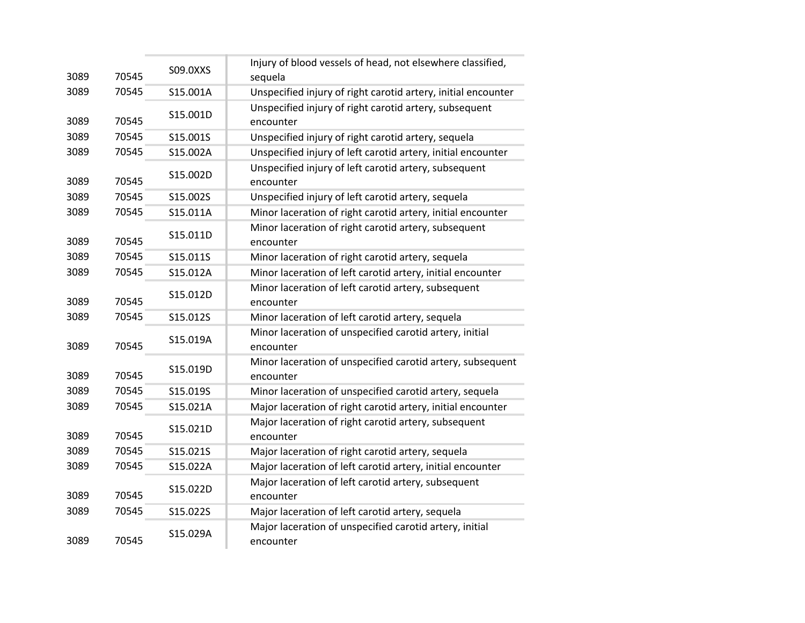| 3089 | 70545 | S09.0XXS | Injury of blood vessels of head, not elsewhere classified,<br>sequela   |
|------|-------|----------|-------------------------------------------------------------------------|
| 3089 | 70545 | S15.001A | Unspecified injury of right carotid artery, initial encounter           |
| 3089 | 70545 | S15.001D | Unspecified injury of right carotid artery, subsequent<br>encounter     |
| 3089 | 70545 | S15.001S | Unspecified injury of right carotid artery, sequela                     |
| 3089 | 70545 | S15.002A | Unspecified injury of left carotid artery, initial encounter            |
| 3089 | 70545 | S15.002D | Unspecified injury of left carotid artery, subsequent<br>encounter      |
| 3089 | 70545 | S15.002S | Unspecified injury of left carotid artery, sequela                      |
| 3089 | 70545 | S15.011A | Minor laceration of right carotid artery, initial encounter             |
| 3089 | 70545 | S15.011D | Minor laceration of right carotid artery, subsequent<br>encounter       |
| 3089 | 70545 | S15.011S | Minor laceration of right carotid artery, sequela                       |
| 3089 | 70545 | S15.012A | Minor laceration of left carotid artery, initial encounter              |
| 3089 | 70545 | S15.012D | Minor laceration of left carotid artery, subsequent<br>encounter        |
| 3089 | 70545 | S15.012S | Minor laceration of left carotid artery, sequela                        |
| 3089 | 70545 | S15.019A | Minor laceration of unspecified carotid artery, initial<br>encounter    |
| 3089 | 70545 | S15.019D | Minor laceration of unspecified carotid artery, subsequent<br>encounter |
| 3089 | 70545 | S15.019S | Minor laceration of unspecified carotid artery, sequela                 |
| 3089 | 70545 | S15.021A | Major laceration of right carotid artery, initial encounter             |
| 3089 | 70545 | S15.021D | Major laceration of right carotid artery, subsequent<br>encounter       |
| 3089 | 70545 | S15.021S | Major laceration of right carotid artery, sequela                       |
| 3089 | 70545 | S15.022A | Major laceration of left carotid artery, initial encounter              |
| 3089 | 70545 | S15.022D | Major laceration of left carotid artery, subsequent<br>encounter        |
| 3089 | 70545 | S15.022S | Major laceration of left carotid artery, sequela                        |
| 3089 | 70545 | S15.029A | Major laceration of unspecified carotid artery, initial<br>encounter    |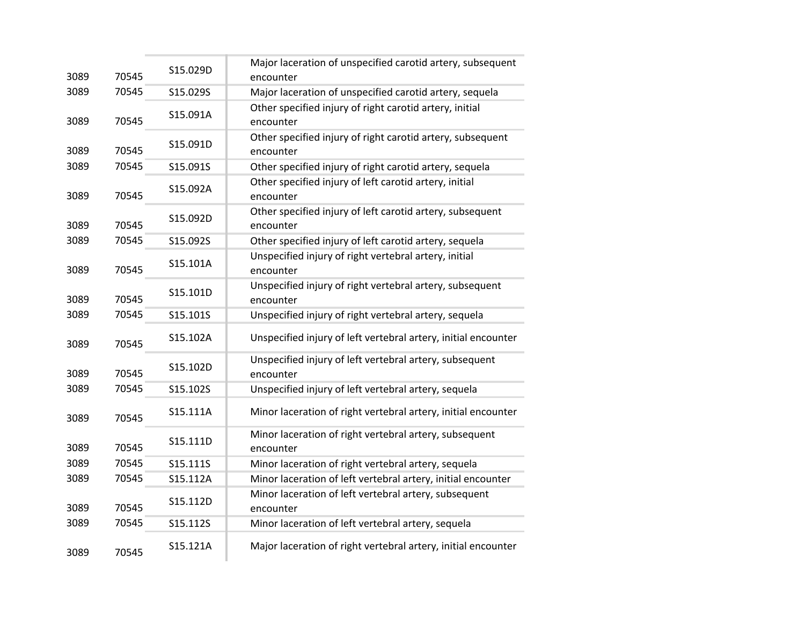| 3089 | 70545 | S15.029D | Major laceration of unspecified carotid artery, subsequent<br>encounter |
|------|-------|----------|-------------------------------------------------------------------------|
| 3089 | 70545 | S15.029S | Major laceration of unspecified carotid artery, sequela                 |
| 3089 | 70545 | S15.091A | Other specified injury of right carotid artery, initial<br>encounter    |
| 3089 | 70545 | S15.091D | Other specified injury of right carotid artery, subsequent<br>encounter |
| 3089 | 70545 | S15.091S | Other specified injury of right carotid artery, sequela                 |
| 3089 | 70545 | S15.092A | Other specified injury of left carotid artery, initial<br>encounter     |
| 3089 | 70545 | S15.092D | Other specified injury of left carotid artery, subsequent<br>encounter  |
| 3089 | 70545 | S15.092S | Other specified injury of left carotid artery, sequela                  |
| 3089 | 70545 | S15.101A | Unspecified injury of right vertebral artery, initial<br>encounter      |
| 3089 | 70545 | S15.101D | Unspecified injury of right vertebral artery, subsequent<br>encounter   |
| 3089 | 70545 | S15.101S | Unspecified injury of right vertebral artery, sequela                   |
| 3089 | 70545 | S15.102A | Unspecified injury of left vertebral artery, initial encounter          |
| 3089 | 70545 | S15.102D | Unspecified injury of left vertebral artery, subsequent<br>encounter    |
| 3089 | 70545 | S15.102S | Unspecified injury of left vertebral artery, sequela                    |
| 3089 | 70545 | S15.111A | Minor laceration of right vertebral artery, initial encounter           |
| 3089 | 70545 | S15.111D | Minor laceration of right vertebral artery, subsequent<br>encounter     |
| 3089 | 70545 | S15.111S | Minor laceration of right vertebral artery, sequela                     |
| 3089 | 70545 | S15.112A | Minor laceration of left vertebral artery, initial encounter            |
| 3089 | 70545 | S15.112D | Minor laceration of left vertebral artery, subsequent<br>encounter      |
| 3089 | 70545 | S15.112S | Minor laceration of left vertebral artery, sequela                      |
| 3089 | 70545 | S15.121A | Major laceration of right vertebral artery, initial encounter           |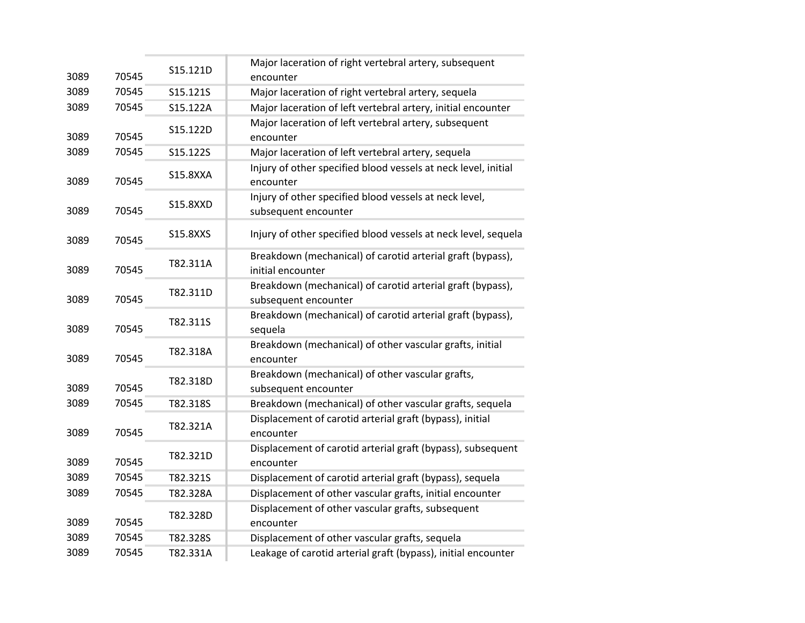| 3089 | 70545 | S15.121D        | Major laceration of right vertebral artery, subsequent<br>encounter                |
|------|-------|-----------------|------------------------------------------------------------------------------------|
| 3089 | 70545 | S15.121S        | Major laceration of right vertebral artery, sequela                                |
| 3089 | 70545 | S15.122A        | Major laceration of left vertebral artery, initial encounter                       |
| 3089 | 70545 | S15.122D        | Major laceration of left vertebral artery, subsequent<br>encounter                 |
| 3089 | 70545 | S15.122S        | Major laceration of left vertebral artery, sequela                                 |
| 3089 | 70545 | <b>S15.8XXA</b> | Injury of other specified blood vessels at neck level, initial<br>encounter        |
| 3089 | 70545 | <b>S15.8XXD</b> | Injury of other specified blood vessels at neck level,<br>subsequent encounter     |
| 3089 | 70545 | S15.8XXS        | Injury of other specified blood vessels at neck level, sequela                     |
| 3089 | 70545 | T82.311A        | Breakdown (mechanical) of carotid arterial graft (bypass),<br>initial encounter    |
| 3089 | 70545 | T82.311D        | Breakdown (mechanical) of carotid arterial graft (bypass),<br>subsequent encounter |
| 3089 | 70545 | T82.311S        | Breakdown (mechanical) of carotid arterial graft (bypass),<br>sequela              |
| 3089 | 70545 | T82.318A        | Breakdown (mechanical) of other vascular grafts, initial<br>encounter              |
| 3089 | 70545 | T82.318D        | Breakdown (mechanical) of other vascular grafts,<br>subsequent encounter           |
| 3089 | 70545 | T82.318S        | Breakdown (mechanical) of other vascular grafts, sequela                           |
| 3089 | 70545 | T82.321A        | Displacement of carotid arterial graft (bypass), initial<br>encounter              |
| 3089 | 70545 | T82.321D        | Displacement of carotid arterial graft (bypass), subsequent<br>encounter           |
| 3089 | 70545 | T82.321S        | Displacement of carotid arterial graft (bypass), sequela                           |
| 3089 | 70545 | T82.328A        | Displacement of other vascular grafts, initial encounter                           |
| 3089 | 70545 | T82.328D        | Displacement of other vascular grafts, subsequent<br>encounter                     |
| 3089 | 70545 | T82.328S        | Displacement of other vascular grafts, sequela                                     |
| 3089 | 70545 | T82.331A        | Leakage of carotid arterial graft (bypass), initial encounter                      |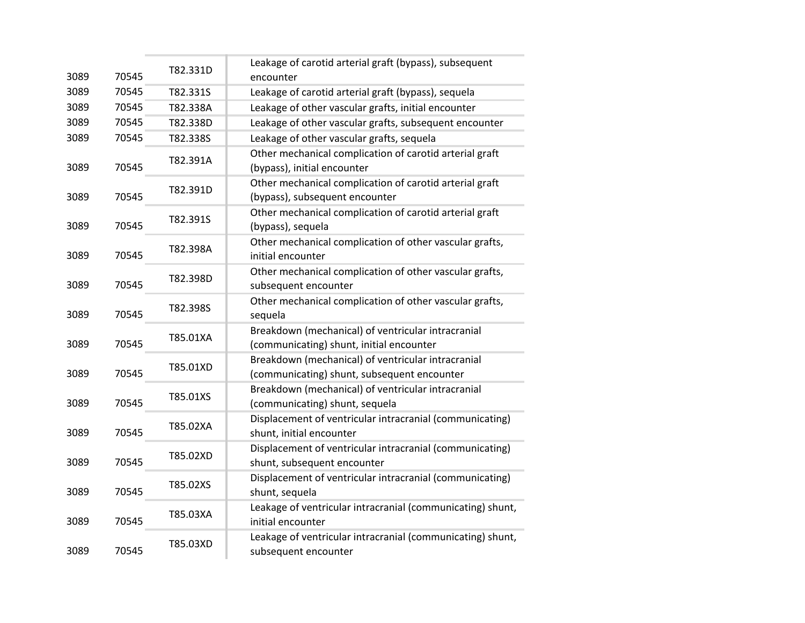|      |       | T82.331D | Leakage of carotid arterial graft (bypass), subsequent                                            |
|------|-------|----------|---------------------------------------------------------------------------------------------------|
| 3089 | 70545 |          | encounter                                                                                         |
| 3089 | 70545 | T82.331S | Leakage of carotid arterial graft (bypass), sequela                                               |
| 3089 | 70545 | T82.338A | Leakage of other vascular grafts, initial encounter                                               |
| 3089 | 70545 | T82.338D | Leakage of other vascular grafts, subsequent encounter                                            |
| 3089 | 70545 | T82.338S | Leakage of other vascular grafts, sequela                                                         |
| 3089 | 70545 | T82.391A | Other mechanical complication of carotid arterial graft<br>(bypass), initial encounter            |
| 3089 | 70545 | T82.391D | Other mechanical complication of carotid arterial graft<br>(bypass), subsequent encounter         |
| 3089 | 70545 | T82.391S | Other mechanical complication of carotid arterial graft<br>(bypass), sequela                      |
| 3089 | 70545 | T82.398A | Other mechanical complication of other vascular grafts,<br>initial encounter                      |
| 3089 | 70545 | T82.398D | Other mechanical complication of other vascular grafts,<br>subsequent encounter                   |
| 3089 | 70545 | T82.398S | Other mechanical complication of other vascular grafts,<br>sequela                                |
| 3089 | 70545 | T85.01XA | Breakdown (mechanical) of ventricular intracranial<br>(communicating) shunt, initial encounter    |
| 3089 | 70545 | T85.01XD | Breakdown (mechanical) of ventricular intracranial<br>(communicating) shunt, subsequent encounter |
| 3089 | 70545 | T85.01XS | Breakdown (mechanical) of ventricular intracranial<br>(communicating) shunt, sequela              |
| 3089 | 70545 | T85.02XA | Displacement of ventricular intracranial (communicating)<br>shunt, initial encounter              |
| 3089 | 70545 | T85.02XD | Displacement of ventricular intracranial (communicating)<br>shunt, subsequent encounter           |
| 3089 | 70545 | T85.02XS | Displacement of ventricular intracranial (communicating)<br>shunt, sequela                        |
| 3089 | 70545 | T85.03XA | Leakage of ventricular intracranial (communicating) shunt,<br>initial encounter                   |
| 3089 | 70545 | T85.03XD | Leakage of ventricular intracranial (communicating) shunt,<br>subsequent encounter                |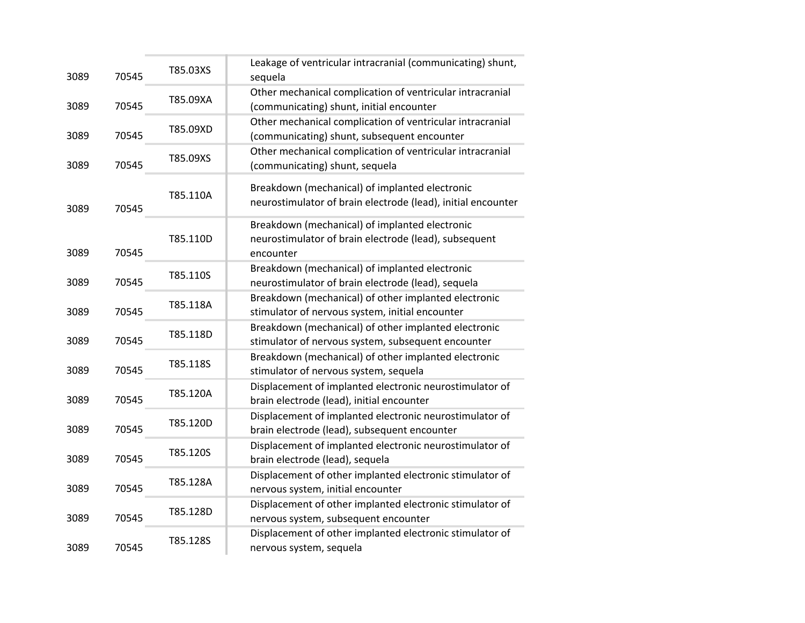| 3089 | 70545 | T85.03XS | Leakage of ventricular intracranial (communicating) shunt,<br>sequela                                                |
|------|-------|----------|----------------------------------------------------------------------------------------------------------------------|
| 3089 | 70545 | T85.09XA | Other mechanical complication of ventricular intracranial<br>(communicating) shunt, initial encounter                |
| 3089 | 70545 | T85.09XD | Other mechanical complication of ventricular intracranial<br>(communicating) shunt, subsequent encounter             |
| 3089 | 70545 | T85.09XS | Other mechanical complication of ventricular intracranial<br>(communicating) shunt, sequela                          |
| 3089 | 70545 | T85.110A | Breakdown (mechanical) of implanted electronic<br>neurostimulator of brain electrode (lead), initial encounter       |
| 3089 | 70545 | T85.110D | Breakdown (mechanical) of implanted electronic<br>neurostimulator of brain electrode (lead), subsequent<br>encounter |
| 3089 | 70545 | T85.110S | Breakdown (mechanical) of implanted electronic<br>neurostimulator of brain electrode (lead), sequela                 |
| 3089 | 70545 | T85.118A | Breakdown (mechanical) of other implanted electronic<br>stimulator of nervous system, initial encounter              |
| 3089 | 70545 | T85.118D | Breakdown (mechanical) of other implanted electronic<br>stimulator of nervous system, subsequent encounter           |
| 3089 | 70545 | T85.118S | Breakdown (mechanical) of other implanted electronic<br>stimulator of nervous system, sequela                        |
| 3089 | 70545 | T85.120A | Displacement of implanted electronic neurostimulator of<br>brain electrode (lead), initial encounter                 |
| 3089 | 70545 | T85.120D | Displacement of implanted electronic neurostimulator of<br>brain electrode (lead), subsequent encounter              |
| 3089 | 70545 | T85.120S | Displacement of implanted electronic neurostimulator of<br>brain electrode (lead), sequela                           |
| 3089 | 70545 | T85.128A | Displacement of other implanted electronic stimulator of<br>nervous system, initial encounter                        |
| 3089 | 70545 | T85.128D | Displacement of other implanted electronic stimulator of<br>nervous system, subsequent encounter                     |
| 3089 | 70545 | T85.128S | Displacement of other implanted electronic stimulator of<br>nervous system, sequela                                  |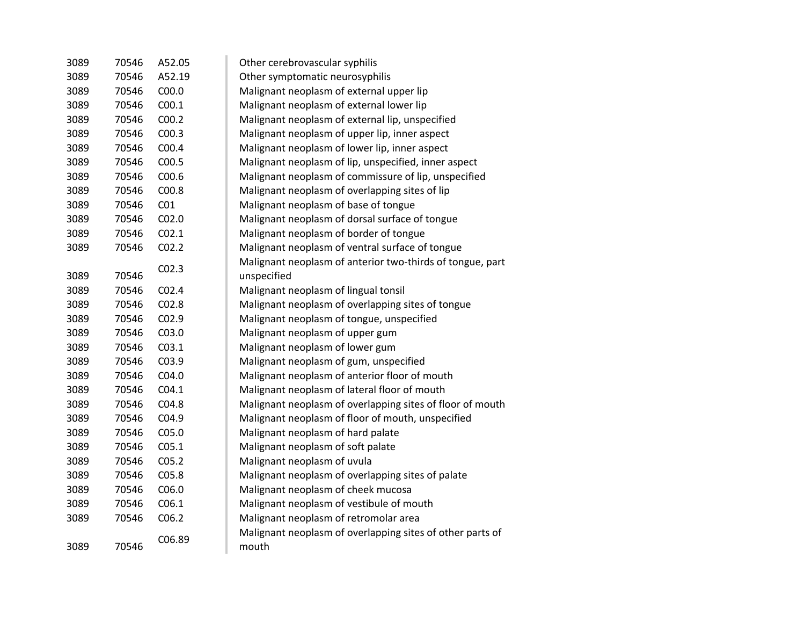| 3089 | 70546 | A52.05            | Other cerebrovascular syphilis                            |
|------|-------|-------------------|-----------------------------------------------------------|
| 3089 | 70546 | A52.19            | Other symptomatic neurosyphilis                           |
| 3089 | 70546 | C <sub>00.0</sub> | Malignant neoplasm of external upper lip                  |
| 3089 | 70546 | C <sub>00.1</sub> | Malignant neoplasm of external lower lip                  |
| 3089 | 70546 | C <sub>00.2</sub> | Malignant neoplasm of external lip, unspecified           |
| 3089 | 70546 | CO <sub>0.3</sub> | Malignant neoplasm of upper lip, inner aspect             |
| 3089 | 70546 | COO.4             | Malignant neoplasm of lower lip, inner aspect             |
| 3089 | 70546 | C00.5             | Malignant neoplasm of lip, unspecified, inner aspect      |
| 3089 | 70546 | C00.6             | Malignant neoplasm of commissure of lip, unspecified      |
| 3089 | 70546 | C00.8             | Malignant neoplasm of overlapping sites of lip            |
| 3089 | 70546 | CO <sub>1</sub>   | Malignant neoplasm of base of tongue                      |
| 3089 | 70546 | CO <sub>2.0</sub> | Malignant neoplasm of dorsal surface of tongue            |
| 3089 | 70546 | CO <sub>2.1</sub> | Malignant neoplasm of border of tongue                    |
| 3089 | 70546 | CO <sub>2.2</sub> | Malignant neoplasm of ventral surface of tongue           |
|      |       |                   | Malignant neoplasm of anterior two-thirds of tongue, part |
| 3089 | 70546 | CO <sub>2.3</sub> | unspecified                                               |
| 3089 | 70546 | CO <sub>2.4</sub> | Malignant neoplasm of lingual tonsil                      |
| 3089 | 70546 | CO <sub>2.8</sub> | Malignant neoplasm of overlapping sites of tongue         |
| 3089 | 70546 | C02.9             | Malignant neoplasm of tongue, unspecified                 |
| 3089 | 70546 | C03.0             | Malignant neoplasm of upper gum                           |
| 3089 | 70546 | CO <sub>3.1</sub> | Malignant neoplasm of lower gum                           |
| 3089 | 70546 | C03.9             | Malignant neoplasm of gum, unspecified                    |
| 3089 | 70546 | C04.0             | Malignant neoplasm of anterior floor of mouth             |
| 3089 | 70546 | CO4.1             | Malignant neoplasm of lateral floor of mouth              |
| 3089 | 70546 | C04.8             | Malignant neoplasm of overlapping sites of floor of mouth |
| 3089 | 70546 | C04.9             | Malignant neoplasm of floor of mouth, unspecified         |
| 3089 | 70546 | C05.0             | Malignant neoplasm of hard palate                         |
| 3089 | 70546 | C <sub>05.1</sub> | Malignant neoplasm of soft palate                         |
| 3089 | 70546 | CO <sub>5.2</sub> | Malignant neoplasm of uvula                               |
| 3089 | 70546 | C05.8             | Malignant neoplasm of overlapping sites of palate         |
| 3089 | 70546 | C06.0             | Malignant neoplasm of cheek mucosa                        |
| 3089 | 70546 | C <sub>06.1</sub> | Malignant neoplasm of vestibule of mouth                  |
| 3089 | 70546 | C <sub>06.2</sub> | Malignant neoplasm of retromolar area                     |
|      |       | C06.89            | Malignant neoplasm of overlapping sites of other parts of |
| 3089 | 70546 |                   | mouth                                                     |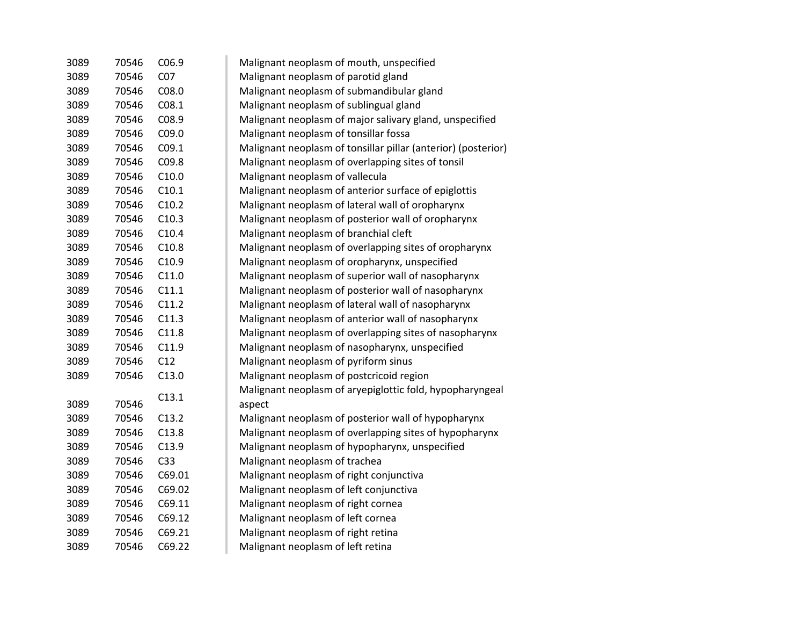| 3089 | 70546 | C <sub>06.9</sub> | Malignant neoplasm of mouth, unspecified                      |
|------|-------|-------------------|---------------------------------------------------------------|
| 3089 | 70546 | CO <sub>7</sub>   | Malignant neoplasm of parotid gland                           |
| 3089 | 70546 | CO8.0             | Malignant neoplasm of submandibular gland                     |
| 3089 | 70546 | C <sub>08.1</sub> | Malignant neoplasm of sublingual gland                        |
| 3089 | 70546 | C08.9             | Malignant neoplasm of major salivary gland, unspecified       |
| 3089 | 70546 | C09.0             | Malignant neoplasm of tonsillar fossa                         |
| 3089 | 70546 | C09.1             | Malignant neoplasm of tonsillar pillar (anterior) (posterior) |
| 3089 | 70546 | C09.8             | Malignant neoplasm of overlapping sites of tonsil             |
| 3089 | 70546 | C10.0             | Malignant neoplasm of vallecula                               |
| 3089 | 70546 | C10.1             | Malignant neoplasm of anterior surface of epiglottis          |
| 3089 | 70546 | C10.2             | Malignant neoplasm of lateral wall of oropharynx              |
| 3089 | 70546 | C10.3             | Malignant neoplasm of posterior wall of oropharynx            |
| 3089 | 70546 | C10.4             | Malignant neoplasm of branchial cleft                         |
| 3089 | 70546 | C10.8             | Malignant neoplasm of overlapping sites of oropharynx         |
| 3089 | 70546 | C10.9             | Malignant neoplasm of oropharynx, unspecified                 |
| 3089 | 70546 | C11.0             | Malignant neoplasm of superior wall of nasopharynx            |
| 3089 | 70546 | C11.1             | Malignant neoplasm of posterior wall of nasopharynx           |
| 3089 | 70546 | C11.2             | Malignant neoplasm of lateral wall of nasopharynx             |
| 3089 | 70546 | C11.3             | Malignant neoplasm of anterior wall of nasopharynx            |
| 3089 | 70546 | C11.8             | Malignant neoplasm of overlapping sites of nasopharynx        |
| 3089 | 70546 | C11.9             | Malignant neoplasm of nasopharynx, unspecified                |
| 3089 | 70546 | C12               | Malignant neoplasm of pyriform sinus                          |
| 3089 | 70546 | C13.0             | Malignant neoplasm of postcricoid region                      |
|      |       | C13.1             | Malignant neoplasm of aryepiglottic fold, hypopharyngeal      |
| 3089 | 70546 |                   | aspect                                                        |
| 3089 | 70546 | C13.2             | Malignant neoplasm of posterior wall of hypopharynx           |
| 3089 | 70546 | C13.8             | Malignant neoplasm of overlapping sites of hypopharynx        |
| 3089 | 70546 | C13.9             | Malignant neoplasm of hypopharynx, unspecified                |
| 3089 | 70546 | C <sub>33</sub>   | Malignant neoplasm of trachea                                 |
| 3089 | 70546 | C69.01            | Malignant neoplasm of right conjunctiva                       |
| 3089 | 70546 | C69.02            | Malignant neoplasm of left conjunctiva                        |
| 3089 | 70546 | C69.11            | Malignant neoplasm of right cornea                            |
| 3089 | 70546 | C69.12            | Malignant neoplasm of left cornea                             |
| 3089 | 70546 | C69.21            | Malignant neoplasm of right retina                            |
| 3089 | 70546 | C69.22            | Malignant neoplasm of left retina                             |
|      |       |                   |                                                               |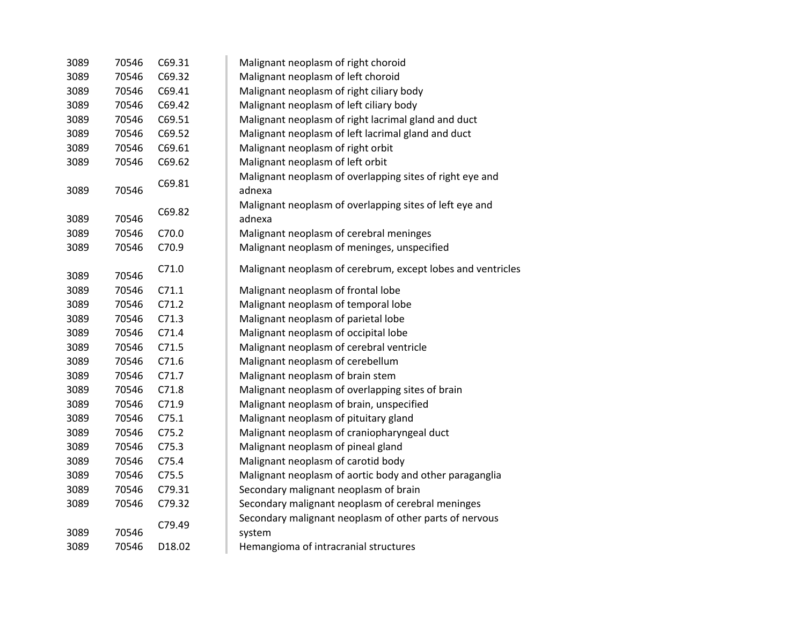| 3089 | 70546 | C69.31 | Malignant neoplasm of right choroid                                |
|------|-------|--------|--------------------------------------------------------------------|
| 3089 | 70546 | C69.32 | Malignant neoplasm of left choroid                                 |
| 3089 | 70546 | C69.41 | Malignant neoplasm of right ciliary body                           |
| 3089 | 70546 | C69.42 | Malignant neoplasm of left ciliary body                            |
| 3089 | 70546 | C69.51 | Malignant neoplasm of right lacrimal gland and duct                |
| 3089 | 70546 | C69.52 | Malignant neoplasm of left lacrimal gland and duct                 |
| 3089 | 70546 | C69.61 | Malignant neoplasm of right orbit                                  |
| 3089 | 70546 | C69.62 | Malignant neoplasm of left orbit                                   |
| 3089 | 70546 | C69.81 | Malignant neoplasm of overlapping sites of right eye and<br>adnexa |
| 3089 | 70546 | C69.82 | Malignant neoplasm of overlapping sites of left eye and<br>adnexa  |
| 3089 | 70546 | C70.0  | Malignant neoplasm of cerebral meninges                            |
| 3089 | 70546 | C70.9  | Malignant neoplasm of meninges, unspecified                        |
| 3089 | 70546 | C71.0  | Malignant neoplasm of cerebrum, except lobes and ventricles        |
| 3089 | 70546 | C71.1  | Malignant neoplasm of frontal lobe                                 |
| 3089 | 70546 | C71.2  | Malignant neoplasm of temporal lobe                                |
| 3089 | 70546 | C71.3  | Malignant neoplasm of parietal lobe                                |
| 3089 | 70546 | C71.4  | Malignant neoplasm of occipital lobe                               |
| 3089 | 70546 | C71.5  | Malignant neoplasm of cerebral ventricle                           |
| 3089 | 70546 | C71.6  | Malignant neoplasm of cerebellum                                   |
| 3089 | 70546 | C71.7  | Malignant neoplasm of brain stem                                   |
| 3089 | 70546 | C71.8  | Malignant neoplasm of overlapping sites of brain                   |
| 3089 | 70546 | C71.9  | Malignant neoplasm of brain, unspecified                           |
| 3089 | 70546 | C75.1  | Malignant neoplasm of pituitary gland                              |
| 3089 | 70546 | C75.2  | Malignant neoplasm of craniopharyngeal duct                        |
| 3089 | 70546 | C75.3  | Malignant neoplasm of pineal gland                                 |
| 3089 | 70546 | C75.4  | Malignant neoplasm of carotid body                                 |
| 3089 | 70546 | C75.5  | Malignant neoplasm of aortic body and other paraganglia            |
| 3089 | 70546 | C79.31 | Secondary malignant neoplasm of brain                              |
| 3089 | 70546 | C79.32 | Secondary malignant neoplasm of cerebral meninges                  |
| 3089 | 70546 | C79.49 | Secondary malignant neoplasm of other parts of nervous<br>system   |
| 3089 | 70546 | D18.02 | Hemangioma of intracranial structures                              |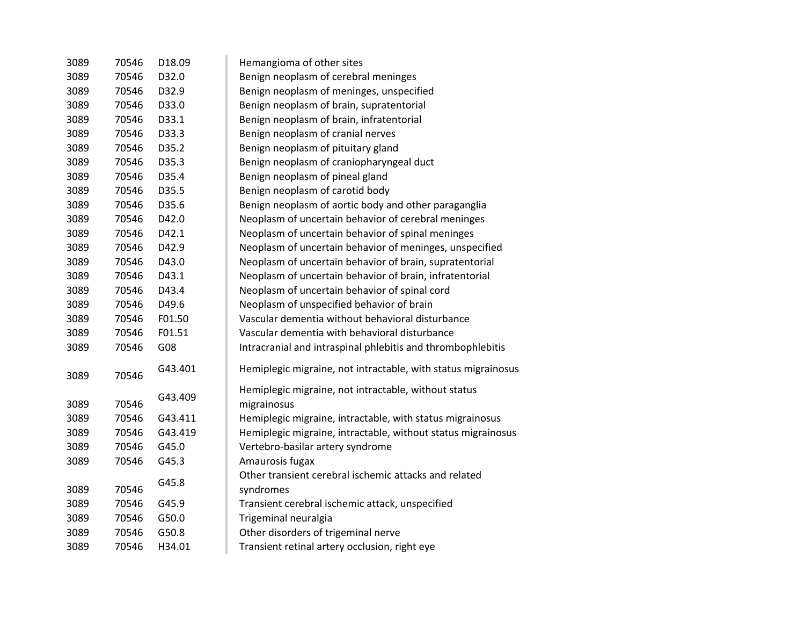| 3089 | 70546 | D18.09  | Hemangioma of other sites                                          |
|------|-------|---------|--------------------------------------------------------------------|
| 3089 | 70546 | D32.0   | Benign neoplasm of cerebral meninges                               |
| 3089 | 70546 | D32.9   | Benign neoplasm of meninges, unspecified                           |
| 3089 | 70546 | D33.0   | Benign neoplasm of brain, supratentorial                           |
| 3089 | 70546 | D33.1   | Benign neoplasm of brain, infratentorial                           |
| 3089 | 70546 | D33.3   | Benign neoplasm of cranial nerves                                  |
| 3089 | 70546 | D35.2   | Benign neoplasm of pituitary gland                                 |
| 3089 | 70546 | D35.3   | Benign neoplasm of craniopharyngeal duct                           |
| 3089 | 70546 | D35.4   | Benign neoplasm of pineal gland                                    |
| 3089 | 70546 | D35.5   | Benign neoplasm of carotid body                                    |
| 3089 | 70546 | D35.6   | Benign neoplasm of aortic body and other paraganglia               |
| 3089 | 70546 | D42.0   | Neoplasm of uncertain behavior of cerebral meninges                |
| 3089 | 70546 | D42.1   | Neoplasm of uncertain behavior of spinal meninges                  |
| 3089 | 70546 | D42.9   | Neoplasm of uncertain behavior of meninges, unspecified            |
| 3089 | 70546 | D43.0   | Neoplasm of uncertain behavior of brain, supratentorial            |
| 3089 | 70546 | D43.1   | Neoplasm of uncertain behavior of brain, infratentorial            |
| 3089 | 70546 | D43.4   | Neoplasm of uncertain behavior of spinal cord                      |
| 3089 | 70546 | D49.6   | Neoplasm of unspecified behavior of brain                          |
| 3089 | 70546 | F01.50  | Vascular dementia without behavioral disturbance                   |
| 3089 | 70546 | F01.51  | Vascular dementia with behavioral disturbance                      |
| 3089 | 70546 | G08     | Intracranial and intraspinal phlebitis and thrombophlebitis        |
| 3089 | 70546 | G43.401 | Hemiplegic migraine, not intractable, with status migrainosus      |
|      |       | G43.409 | Hemiplegic migraine, not intractable, without status               |
| 3089 | 70546 |         | migrainosus                                                        |
| 3089 | 70546 | G43.411 | Hemiplegic migraine, intractable, with status migrainosus          |
| 3089 | 70546 | G43.419 | Hemiplegic migraine, intractable, without status migrainosus       |
| 3089 | 70546 | G45.0   | Vertebro-basilar artery syndrome                                   |
| 3089 | 70546 | G45.3   | Amaurosis fugax                                                    |
| 3089 | 70546 | G45.8   | Other transient cerebral ischemic attacks and related<br>syndromes |
| 3089 | 70546 | G45.9   | Transient cerebral ischemic attack, unspecified                    |
| 3089 | 70546 | G50.0   | Trigeminal neuralgia                                               |
| 3089 | 70546 | G50.8   | Other disorders of trigeminal nerve                                |
| 3089 | 70546 | H34.01  | Transient retinal artery occlusion, right eye                      |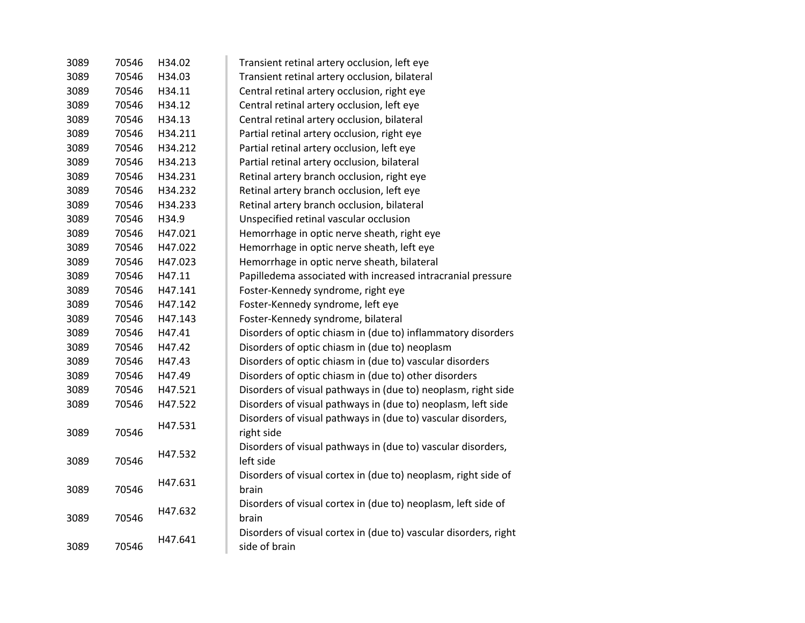| 3089 | 70546 | H34.02  | Transient retinal artery occlusion, left eye                     |
|------|-------|---------|------------------------------------------------------------------|
| 3089 | 70546 | H34.03  | Transient retinal artery occlusion, bilateral                    |
| 3089 | 70546 | H34.11  | Central retinal artery occlusion, right eye                      |
| 3089 | 70546 | H34.12  | Central retinal artery occlusion, left eye                       |
| 3089 | 70546 | H34.13  | Central retinal artery occlusion, bilateral                      |
| 3089 | 70546 | H34.211 | Partial retinal artery occlusion, right eye                      |
| 3089 | 70546 | H34.212 | Partial retinal artery occlusion, left eye                       |
| 3089 | 70546 | H34.213 | Partial retinal artery occlusion, bilateral                      |
| 3089 | 70546 | H34.231 | Retinal artery branch occlusion, right eye                       |
| 3089 | 70546 | H34.232 | Retinal artery branch occlusion, left eye                        |
| 3089 | 70546 | H34.233 | Retinal artery branch occlusion, bilateral                       |
| 3089 | 70546 | H34.9   | Unspecified retinal vascular occlusion                           |
| 3089 | 70546 | H47.021 | Hemorrhage in optic nerve sheath, right eye                      |
| 3089 | 70546 | H47.022 | Hemorrhage in optic nerve sheath, left eye                       |
| 3089 | 70546 | H47.023 | Hemorrhage in optic nerve sheath, bilateral                      |
| 3089 | 70546 | H47.11  | Papilledema associated with increased intracranial pressure      |
| 3089 | 70546 | H47.141 | Foster-Kennedy syndrome, right eye                               |
| 3089 | 70546 | H47.142 | Foster-Kennedy syndrome, left eye                                |
| 3089 | 70546 | H47.143 | Foster-Kennedy syndrome, bilateral                               |
| 3089 | 70546 | H47.41  | Disorders of optic chiasm in (due to) inflammatory disorders     |
| 3089 | 70546 | H47.42  | Disorders of optic chiasm in (due to) neoplasm                   |
| 3089 | 70546 | H47.43  | Disorders of optic chiasm in (due to) vascular disorders         |
| 3089 | 70546 | H47.49  | Disorders of optic chiasm in (due to) other disorders            |
| 3089 | 70546 | H47.521 | Disorders of visual pathways in (due to) neoplasm, right side    |
| 3089 | 70546 | H47.522 | Disorders of visual pathways in (due to) neoplasm, left side     |
|      |       | H47.531 | Disorders of visual pathways in (due to) vascular disorders,     |
| 3089 | 70546 |         | right side                                                       |
|      |       | H47.532 | Disorders of visual pathways in (due to) vascular disorders,     |
| 3089 | 70546 |         | left side                                                        |
|      |       | H47.631 | Disorders of visual cortex in (due to) neoplasm, right side of   |
| 3089 | 70546 |         | brain                                                            |
|      |       | H47.632 | Disorders of visual cortex in (due to) neoplasm, left side of    |
| 3089 | 70546 |         | brain                                                            |
|      |       | H47.641 | Disorders of visual cortex in (due to) vascular disorders, right |
| 3089 | 70546 |         | side of brain                                                    |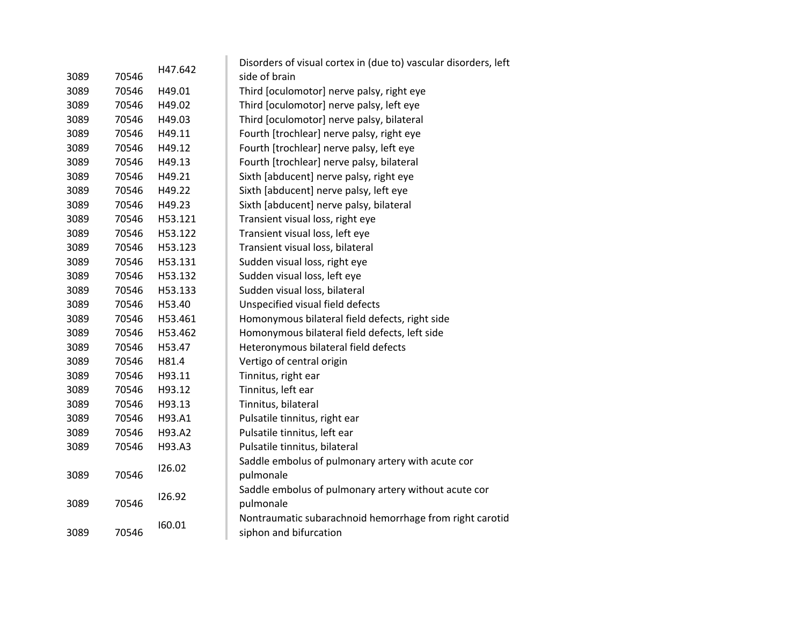|      |       | H47.642 | Disorders of visual cortex in (due to) vascular disorders, left |
|------|-------|---------|-----------------------------------------------------------------|
| 3089 | 70546 |         | side of brain                                                   |
| 3089 | 70546 | H49.01  | Third [oculomotor] nerve palsy, right eye                       |
| 3089 | 70546 | H49.02  | Third [oculomotor] nerve palsy, left eye                        |
| 3089 | 70546 | H49.03  | Third [oculomotor] nerve palsy, bilateral                       |
| 3089 | 70546 | H49.11  | Fourth [trochlear] nerve palsy, right eye                       |
| 3089 | 70546 | H49.12  | Fourth [trochlear] nerve palsy, left eye                        |
| 3089 | 70546 | H49.13  | Fourth [trochlear] nerve palsy, bilateral                       |
| 3089 | 70546 | H49.21  | Sixth [abducent] nerve palsy, right eye                         |
| 3089 | 70546 | H49.22  | Sixth [abducent] nerve palsy, left eye                          |
| 3089 | 70546 | H49.23  | Sixth [abducent] nerve palsy, bilateral                         |
| 3089 | 70546 | H53.121 | Transient visual loss, right eye                                |
| 3089 | 70546 | H53.122 | Transient visual loss, left eye                                 |
| 3089 | 70546 | H53.123 | Transient visual loss, bilateral                                |
| 3089 | 70546 | H53.131 | Sudden visual loss, right eye                                   |
| 3089 | 70546 | H53.132 | Sudden visual loss, left eye                                    |
| 3089 | 70546 | H53.133 | Sudden visual loss, bilateral                                   |
| 3089 | 70546 | H53.40  | Unspecified visual field defects                                |
| 3089 | 70546 | H53.461 | Homonymous bilateral field defects, right side                  |
| 3089 | 70546 | H53.462 | Homonymous bilateral field defects, left side                   |
| 3089 | 70546 | H53.47  | Heteronymous bilateral field defects                            |
| 3089 | 70546 | H81.4   | Vertigo of central origin                                       |
| 3089 | 70546 | H93.11  | Tinnitus, right ear                                             |
| 3089 | 70546 | H93.12  | Tinnitus, left ear                                              |
| 3089 | 70546 | H93.13  | Tinnitus, bilateral                                             |
| 3089 | 70546 | H93.A1  | Pulsatile tinnitus, right ear                                   |
| 3089 | 70546 | H93.A2  | Pulsatile tinnitus, left ear                                    |
| 3089 | 70546 | H93.A3  | Pulsatile tinnitus, bilateral                                   |
|      |       | 126.02  | Saddle embolus of pulmonary artery with acute cor               |
| 3089 | 70546 |         | pulmonale                                                       |
|      |       | 126.92  | Saddle embolus of pulmonary artery without acute cor            |
| 3089 | 70546 |         | pulmonale                                                       |
|      |       | 160.01  | Nontraumatic subarachnoid hemorrhage from right carotid         |
| 3089 | 70546 |         | siphon and bifurcation                                          |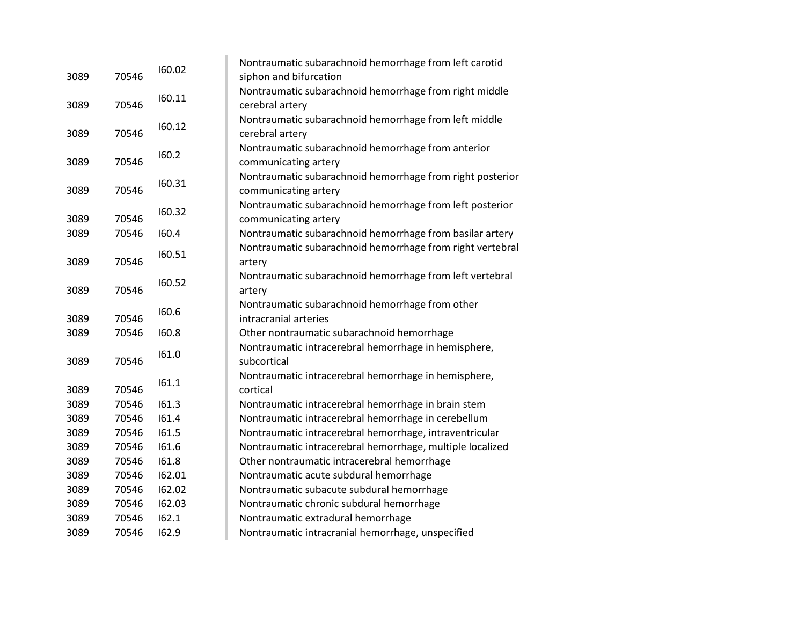|       | 160.02                                                                        | Nontraumatic subarachnoid hemorrhage from left carotid    |
|-------|-------------------------------------------------------------------------------|-----------------------------------------------------------|
|       |                                                                               | siphon and bifurcation                                    |
|       | 160.11                                                                        | Nontraumatic subarachnoid hemorrhage from right middle    |
|       |                                                                               | cerebral artery                                           |
|       | 160.12                                                                        | Nontraumatic subarachnoid hemorrhage from left middle     |
|       |                                                                               | cerebral artery                                           |
|       | 160.2                                                                         | Nontraumatic subarachnoid hemorrhage from anterior        |
|       |                                                                               | communicating artery                                      |
|       | 160.31                                                                        | Nontraumatic subarachnoid hemorrhage from right posterior |
|       |                                                                               | communicating artery                                      |
|       |                                                                               | Nontraumatic subarachnoid hemorrhage from left posterior  |
|       |                                                                               | communicating artery                                      |
|       |                                                                               | Nontraumatic subarachnoid hemorrhage from basilar artery  |
|       |                                                                               | Nontraumatic subarachnoid hemorrhage from right vertebral |
|       |                                                                               | artery                                                    |
|       | 160.52                                                                        | Nontraumatic subarachnoid hemorrhage from left vertebral  |
|       |                                                                               | artery                                                    |
|       |                                                                               | Nontraumatic subarachnoid hemorrhage from other           |
| 70546 |                                                                               | intracranial arteries                                     |
| 70546 | 160.8                                                                         | Other nontraumatic subarachnoid hemorrhage                |
|       |                                                                               | Nontraumatic intracerebral hemorrhage in hemisphere,      |
| 70546 |                                                                               | subcortical                                               |
|       |                                                                               | Nontraumatic intracerebral hemorrhage in hemisphere,      |
| 70546 |                                                                               | cortical                                                  |
| 70546 | 161.3                                                                         | Nontraumatic intracerebral hemorrhage in brain stem       |
| 70546 | 161.4                                                                         | Nontraumatic intracerebral hemorrhage in cerebellum       |
| 70546 | 161.5                                                                         | Nontraumatic intracerebral hemorrhage, intraventricular   |
| 70546 | 161.6                                                                         | Nontraumatic intracerebral hemorrhage, multiple localized |
| 70546 | 161.8                                                                         | Other nontraumatic intracerebral hemorrhage               |
| 70546 | 162.01                                                                        | Nontraumatic acute subdural hemorrhage                    |
| 70546 | 162.02                                                                        | Nontraumatic subacute subdural hemorrhage                 |
| 70546 | 162.03                                                                        | Nontraumatic chronic subdural hemorrhage                  |
| 70546 | 162.1                                                                         | Nontraumatic extradural hemorrhage                        |
| 70546 | 162.9                                                                         | Nontraumatic intracranial hemorrhage, unspecified         |
|       | 70546<br>70546<br>70546<br>70546<br>70546<br>70546<br>70546<br>70546<br>70546 | 160.32<br>160.4<br>160.51<br>160.6<br>161.0<br>161.1      |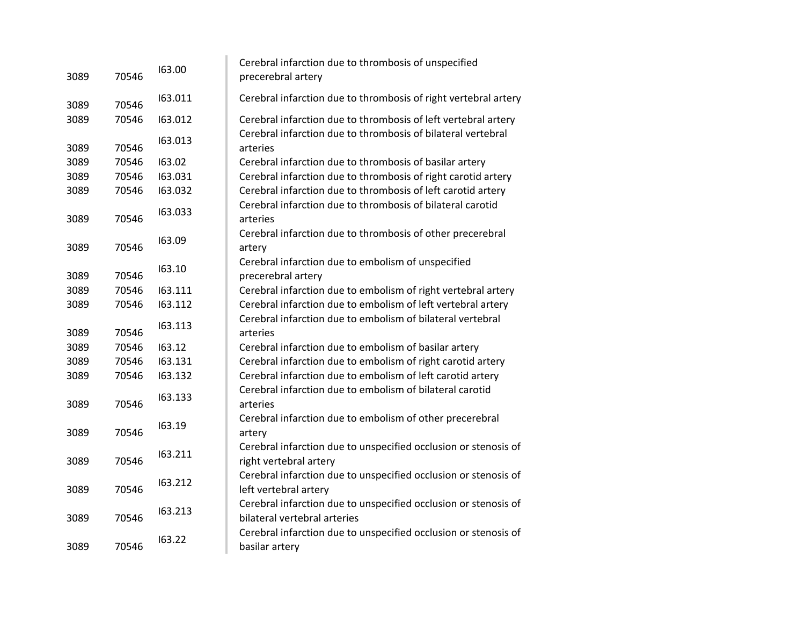| 3089 | 70546 | 163.00  | Cerebral infarction due to thrombosis of unspecified<br>precerebral artery                      |
|------|-------|---------|-------------------------------------------------------------------------------------------------|
| 3089 | 70546 | 163.011 | Cerebral infarction due to thrombosis of right vertebral artery                                 |
| 3089 | 70546 | 163.012 | Cerebral infarction due to thrombosis of left vertebral artery                                  |
| 3089 | 70546 | 163.013 | Cerebral infarction due to thrombosis of bilateral vertebral<br>arteries                        |
| 3089 | 70546 | 163.02  | Cerebral infarction due to thrombosis of basilar artery                                         |
| 3089 | 70546 | 163.031 | Cerebral infarction due to thrombosis of right carotid artery                                   |
| 3089 | 70546 | 163.032 | Cerebral infarction due to thrombosis of left carotid artery                                    |
| 3089 | 70546 | 163.033 | Cerebral infarction due to thrombosis of bilateral carotid<br>arteries                          |
| 3089 | 70546 | 163.09  | Cerebral infarction due to thrombosis of other precerebral<br>artery                            |
| 3089 | 70546 | 163.10  | Cerebral infarction due to embolism of unspecified<br>precerebral artery                        |
| 3089 | 70546 | 163.111 | Cerebral infarction due to embolism of right vertebral artery                                   |
| 3089 | 70546 | 163.112 | Cerebral infarction due to embolism of left vertebral artery                                    |
| 3089 | 70546 | 163.113 | Cerebral infarction due to embolism of bilateral vertebral<br>arteries                          |
| 3089 | 70546 | 163.12  | Cerebral infarction due to embolism of basilar artery                                           |
| 3089 | 70546 | 163.131 | Cerebral infarction due to embolism of right carotid artery                                     |
| 3089 | 70546 | 163.132 | Cerebral infarction due to embolism of left carotid artery                                      |
| 3089 | 70546 | 163.133 | Cerebral infarction due to embolism of bilateral carotid<br>arteries                            |
| 3089 | 70546 | 163.19  | Cerebral infarction due to embolism of other precerebral<br>artery                              |
| 3089 | 70546 | 163.211 | Cerebral infarction due to unspecified occlusion or stenosis of<br>right vertebral artery       |
| 3089 | 70546 | 163.212 | Cerebral infarction due to unspecified occlusion or stenosis of<br>left vertebral artery        |
| 3089 | 70546 | 163.213 | Cerebral infarction due to unspecified occlusion or stenosis of<br>bilateral vertebral arteries |
| 3089 | 70546 | 163.22  | Cerebral infarction due to unspecified occlusion or stenosis of<br>basilar artery               |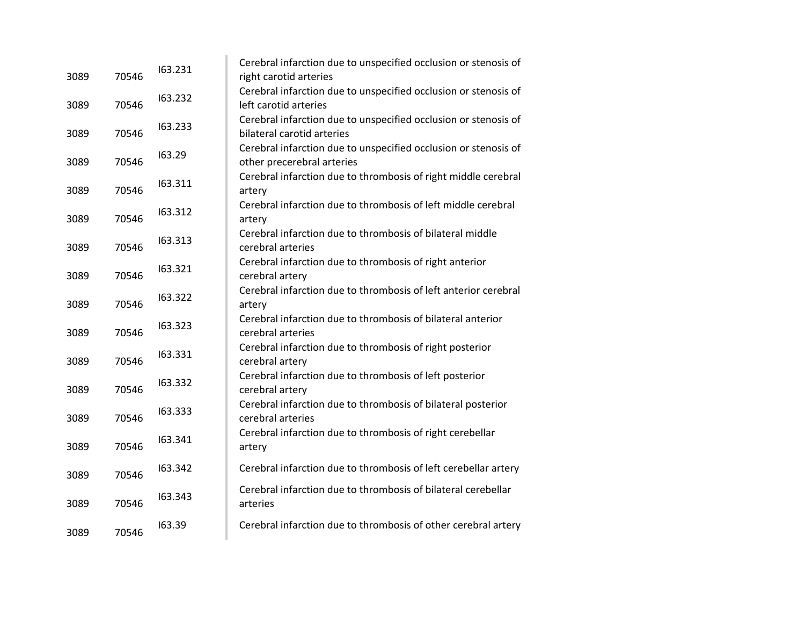| 3089 | 70546 | 163.231 | Cerebral infarction due to unspecified occlusion or stenosis of<br>right carotid arteries     |
|------|-------|---------|-----------------------------------------------------------------------------------------------|
| 3089 | 70546 | 163.232 | Cerebral infarction due to unspecified occlusion or stenosis of<br>left carotid arteries      |
| 3089 | 70546 | 163.233 | Cerebral infarction due to unspecified occlusion or stenosis of<br>bilateral carotid arteries |
| 3089 | 70546 | 163.29  | Cerebral infarction due to unspecified occlusion or stenosis of<br>other precerebral arteries |
| 3089 | 70546 | 163.311 | Cerebral infarction due to thrombosis of right middle cerebral<br>artery                      |
| 3089 | 70546 | 163.312 | Cerebral infarction due to thrombosis of left middle cerebral<br>artery                       |
| 3089 | 70546 | 163.313 | Cerebral infarction due to thrombosis of bilateral middle<br>cerebral arteries                |
| 3089 | 70546 | 163.321 | Cerebral infarction due to thrombosis of right anterior<br>cerebral artery                    |
| 3089 | 70546 | 163.322 | Cerebral infarction due to thrombosis of left anterior cerebral<br>artery                     |
| 3089 | 70546 | 163.323 | Cerebral infarction due to thrombosis of bilateral anterior<br>cerebral arteries              |
| 3089 | 70546 | 163.331 | Cerebral infarction due to thrombosis of right posterior<br>cerebral artery                   |
| 3089 | 70546 | 163.332 | Cerebral infarction due to thrombosis of left posterior<br>cerebral artery                    |
| 3089 | 70546 | 163.333 | Cerebral infarction due to thrombosis of bilateral posterior<br>cerebral arteries             |
| 3089 | 70546 | 163.341 | Cerebral infarction due to thrombosis of right cerebellar<br>artery                           |
| 3089 | 70546 | 163.342 | Cerebral infarction due to thrombosis of left cerebellar artery                               |
| 3089 | 70546 | 163.343 | Cerebral infarction due to thrombosis of bilateral cerebellar<br>arteries                     |
| 3089 | 70546 | 163.39  | Cerebral infarction due to thrombosis of other cerebral artery                                |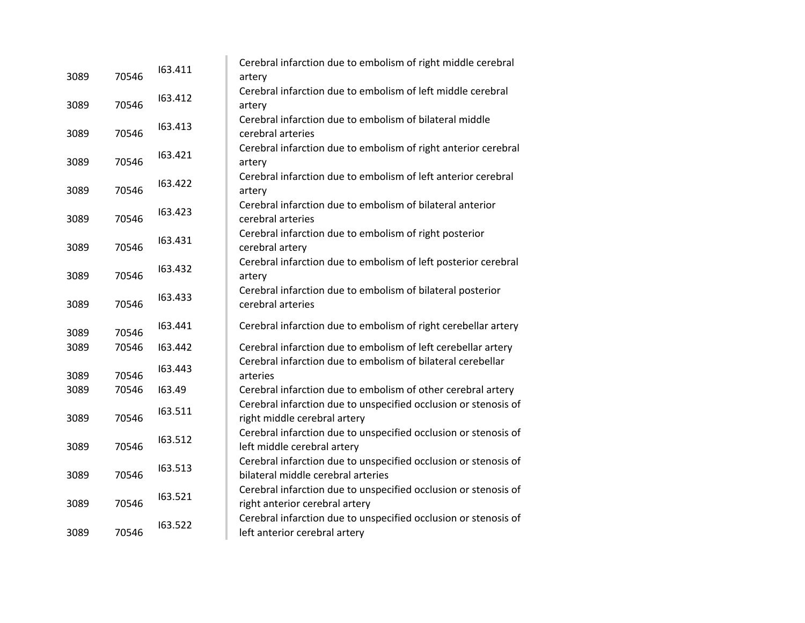| 3089 | 70546 | 163.411 | Cerebral infarction due to embolism of right middle cerebral<br>artery                                |
|------|-------|---------|-------------------------------------------------------------------------------------------------------|
| 3089 | 70546 | 163.412 | Cerebral infarction due to embolism of left middle cerebral<br>artery                                 |
| 3089 | 70546 | 163.413 | Cerebral infarction due to embolism of bilateral middle<br>cerebral arteries                          |
| 3089 | 70546 | 163.421 | Cerebral infarction due to embolism of right anterior cerebral<br>artery                              |
| 3089 | 70546 | 163.422 | Cerebral infarction due to embolism of left anterior cerebral<br>artery                               |
| 3089 | 70546 | 163.423 | Cerebral infarction due to embolism of bilateral anterior<br>cerebral arteries                        |
| 3089 | 70546 | 163.431 | Cerebral infarction due to embolism of right posterior<br>cerebral artery                             |
| 3089 | 70546 | 163.432 | Cerebral infarction due to embolism of left posterior cerebral<br>artery                              |
| 3089 | 70546 | 163.433 | Cerebral infarction due to embolism of bilateral posterior<br>cerebral arteries                       |
| 3089 | 70546 | 163.441 | Cerebral infarction due to embolism of right cerebellar artery                                        |
| 3089 | 70546 | 163.442 | Cerebral infarction due to embolism of left cerebellar artery                                         |
| 3089 | 70546 | 163.443 | Cerebral infarction due to embolism of bilateral cerebellar<br>arteries                               |
| 3089 | 70546 | 163.49  | Cerebral infarction due to embolism of other cerebral artery                                          |
| 3089 | 70546 | 163.511 | Cerebral infarction due to unspecified occlusion or stenosis of<br>right middle cerebral artery       |
| 3089 | 70546 | 163.512 | Cerebral infarction due to unspecified occlusion or stenosis of<br>left middle cerebral artery        |
| 3089 | 70546 | 163.513 | Cerebral infarction due to unspecified occlusion or stenosis of<br>bilateral middle cerebral arteries |
| 3089 | 70546 | 163.521 | Cerebral infarction due to unspecified occlusion or stenosis of<br>right anterior cerebral artery     |
| 3089 | 70546 | 163.522 | Cerebral infarction due to unspecified occlusion or stenosis of<br>left anterior cerebral artery      |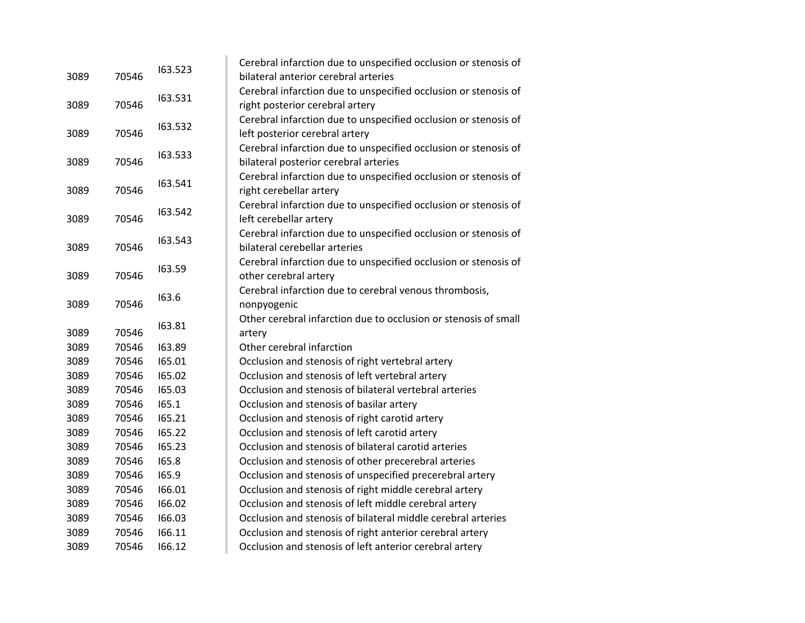|               | 163.523 | Cerebral infarction due to unspecified occlusion or stenosis of                             |
|---------------|---------|---------------------------------------------------------------------------------------------|
| 3089<br>70546 |         | bilateral anterior cerebral arteries                                                        |
|               |         | Cerebral infarction due to unspecified occlusion or stenosis of                             |
| 70546         |         | right posterior cerebral artery                                                             |
|               |         | Cerebral infarction due to unspecified occlusion or stenosis of                             |
| 70546         |         | left posterior cerebral artery                                                              |
|               |         | Cerebral infarction due to unspecified occlusion or stenosis of                             |
| 70546         |         | bilateral posterior cerebral arteries                                                       |
|               |         | Cerebral infarction due to unspecified occlusion or stenosis of                             |
| 70546         |         | right cerebellar artery                                                                     |
|               |         | Cerebral infarction due to unspecified occlusion or stenosis of                             |
| 70546         |         | left cerebellar artery                                                                      |
|               |         | Cerebral infarction due to unspecified occlusion or stenosis of                             |
| 70546         |         | bilateral cerebellar arteries                                                               |
|               |         | Cerebral infarction due to unspecified occlusion or stenosis of                             |
| 70546         |         | other cerebral artery                                                                       |
|               |         | Cerebral infarction due to cerebral venous thrombosis,                                      |
| 70546         |         | nonpyogenic                                                                                 |
|               |         | Other cerebral infarction due to occlusion or stenosis of small                             |
| 70546         |         | artery                                                                                      |
| 70546         | 163.89  | Other cerebral infarction                                                                   |
| 70546         | 165.01  | Occlusion and stenosis of right vertebral artery                                            |
| 70546         | 165.02  | Occlusion and stenosis of left vertebral artery                                             |
| 70546         | 165.03  | Occlusion and stenosis of bilateral vertebral arteries                                      |
| 70546         | 165.1   | Occlusion and stenosis of basilar artery                                                    |
| 70546         | 165.21  | Occlusion and stenosis of right carotid artery                                              |
| 70546         | 165.22  | Occlusion and stenosis of left carotid artery                                               |
| 70546         | 165.23  | Occlusion and stenosis of bilateral carotid arteries                                        |
| 70546         | 165.8   | Occlusion and stenosis of other precerebral arteries                                        |
| 70546         | 165.9   | Occlusion and stenosis of unspecified precerebral artery                                    |
| 70546         | 166.01  | Occlusion and stenosis of right middle cerebral artery                                      |
| 70546         | 166.02  | Occlusion and stenosis of left middle cerebral artery                                       |
| 70546         | 166.03  | Occlusion and stenosis of bilateral middle cerebral arteries                                |
| 70546         | 166.11  | Occlusion and stenosis of right anterior cerebral artery                                    |
|               |         |                                                                                             |
|               |         | 163.531<br>163.532<br>163.533<br>163.541<br>163.542<br>163.543<br>163.59<br>163.6<br>163.81 |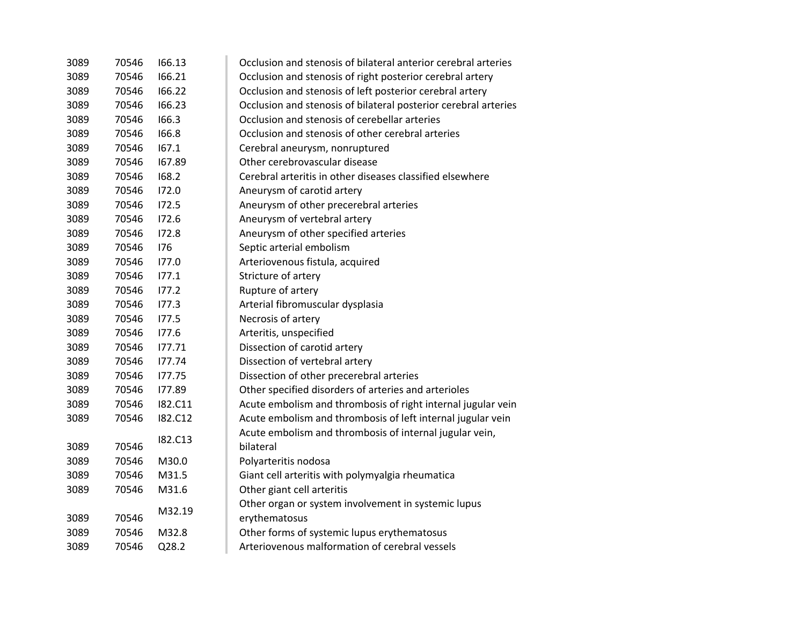| 3089 | 70546 | 166.13         | Occlusion and stenosis of bilateral anterior cerebral arteries  |
|------|-------|----------------|-----------------------------------------------------------------|
| 3089 | 70546 | 166.21         | Occlusion and stenosis of right posterior cerebral artery       |
| 3089 | 70546 | 166.22         | Occlusion and stenosis of left posterior cerebral artery        |
| 3089 | 70546 | 166.23         | Occlusion and stenosis of bilateral posterior cerebral arteries |
| 3089 | 70546 | 166.3          | Occlusion and stenosis of cerebellar arteries                   |
| 3089 | 70546 | 166.8          | Occlusion and stenosis of other cerebral arteries               |
| 3089 | 70546 | 167.1          | Cerebral aneurysm, nonruptured                                  |
| 3089 | 70546 | 167.89         | Other cerebrovascular disease                                   |
| 3089 | 70546 | 168.2          | Cerebral arteritis in other diseases classified elsewhere       |
| 3089 | 70546 | 172.0          | Aneurysm of carotid artery                                      |
| 3089 | 70546 | 172.5          | Aneurysm of other precerebral arteries                          |
| 3089 | 70546 | 172.6          | Aneurysm of vertebral artery                                    |
| 3089 | 70546 | 172.8          | Aneurysm of other specified arteries                            |
| 3089 | 70546 | 176            | Septic arterial embolism                                        |
| 3089 | 70546 | 177.0          | Arteriovenous fistula, acquired                                 |
| 3089 | 70546 | 177.1          | Stricture of artery                                             |
| 3089 | 70546 | 177.2          | Rupture of artery                                               |
| 3089 | 70546 | 177.3          | Arterial fibromuscular dysplasia                                |
| 3089 | 70546 | 177.5          | Necrosis of artery                                              |
| 3089 | 70546 | 177.6          | Arteritis, unspecified                                          |
| 3089 | 70546 | 177.71         | Dissection of carotid artery                                    |
| 3089 | 70546 | 177.74         | Dissection of vertebral artery                                  |
| 3089 | 70546 | 177.75         | Dissection of other precerebral arteries                        |
| 3089 | 70546 | 177.89         | Other specified disorders of arteries and arterioles            |
| 3089 | 70546 | I82.C11        | Acute embolism and thrombosis of right internal jugular vein    |
| 3089 | 70546 | <b>182.C12</b> | Acute embolism and thrombosis of left internal jugular vein     |
|      |       | I82.C13        | Acute embolism and thrombosis of internal jugular vein,         |
| 3089 | 70546 |                | bilateral                                                       |
| 3089 | 70546 | M30.0          | Polyarteritis nodosa                                            |
| 3089 | 70546 | M31.5          | Giant cell arteritis with polymyalgia rheumatica                |
| 3089 | 70546 | M31.6          | Other giant cell arteritis                                      |
|      |       | M32.19         | Other organ or system involvement in systemic lupus             |
| 3089 | 70546 |                | erythematosus                                                   |
| 3089 | 70546 | M32.8          | Other forms of systemic lupus erythematosus                     |
| 3089 | 70546 | Q28.2          | Arteriovenous malformation of cerebral vessels                  |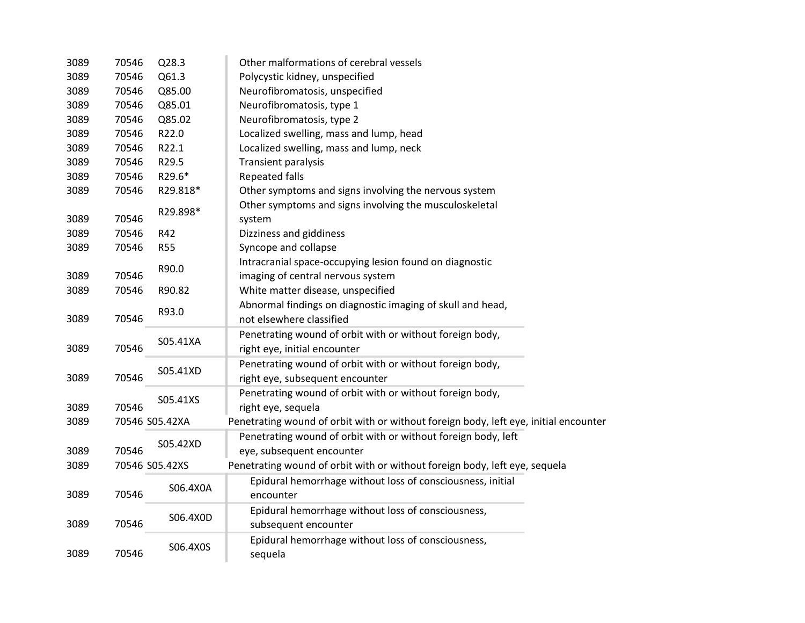| 3089 | 70546 | Q28.3          | Other malformations of cerebral vessels                                              |
|------|-------|----------------|--------------------------------------------------------------------------------------|
| 3089 | 70546 | Q61.3          | Polycystic kidney, unspecified                                                       |
| 3089 | 70546 | Q85.00         | Neurofibromatosis, unspecified                                                       |
| 3089 | 70546 | Q85.01         | Neurofibromatosis, type 1                                                            |
| 3089 | 70546 | Q85.02         | Neurofibromatosis, type 2                                                            |
| 3089 | 70546 | R22.0          | Localized swelling, mass and lump, head                                              |
| 3089 | 70546 | R22.1          | Localized swelling, mass and lump, neck                                              |
| 3089 | 70546 | R29.5          | Transient paralysis                                                                  |
| 3089 | 70546 | R29.6*         | <b>Repeated falls</b>                                                                |
| 3089 | 70546 | R29.818*       | Other symptoms and signs involving the nervous system                                |
|      |       |                | Other symptoms and signs involving the musculoskeletal                               |
| 3089 | 70546 | R29.898*       | system                                                                               |
| 3089 | 70546 | R42            | Dizziness and giddiness                                                              |
| 3089 | 70546 | <b>R55</b>     | Syncope and collapse                                                                 |
|      |       |                | Intracranial space-occupying lesion found on diagnostic                              |
| 3089 | 70546 | R90.0          | imaging of central nervous system                                                    |
| 3089 | 70546 | R90.82         | White matter disease, unspecified                                                    |
|      |       |                | Abnormal findings on diagnostic imaging of skull and head,                           |
| 3089 | 70546 | R93.0          | not elsewhere classified                                                             |
|      |       |                | Penetrating wound of orbit with or without foreign body,                             |
| 3089 | 70546 | S05.41XA       | right eye, initial encounter                                                         |
|      |       |                | Penetrating wound of orbit with or without foreign body,                             |
| 3089 | 70546 | S05.41XD       | right eye, subsequent encounter                                                      |
|      |       |                | Penetrating wound of orbit with or without foreign body,                             |
| 3089 | 70546 | S05.41XS       | right eye, sequela                                                                   |
| 3089 |       | 70546 S05.42XA | Penetrating wound of orbit with or without foreign body, left eye, initial encounter |
|      |       |                | Penetrating wound of orbit with or without foreign body, left                        |
| 3089 | 70546 | S05.42XD       | eye, subsequent encounter                                                            |
| 3089 |       | 70546 S05.42XS | Penetrating wound of orbit with or without foreign body, left eye, sequela           |
|      |       |                | Epidural hemorrhage without loss of consciousness, initial                           |
| 3089 | 70546 | S06.4X0A       | encounter                                                                            |
|      |       |                | Epidural hemorrhage without loss of consciousness,                                   |
| 3089 | 70546 | S06.4X0D       | subsequent encounter                                                                 |
|      |       |                | Epidural hemorrhage without loss of consciousness,                                   |
| 3089 | 70546 | S06.4X0S       | sequela                                                                              |
|      |       |                |                                                                                      |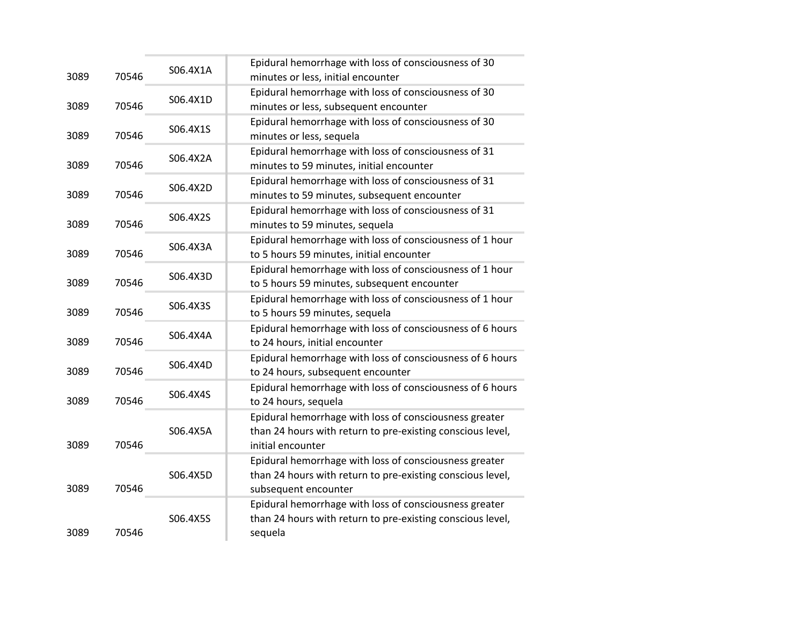| 3089 | 70546 | S06.4X1A | Epidural hemorrhage with loss of consciousness of 30<br>minutes or less, initial encounter                                                   |
|------|-------|----------|----------------------------------------------------------------------------------------------------------------------------------------------|
| 3089 | 70546 | S06.4X1D | Epidural hemorrhage with loss of consciousness of 30<br>minutes or less, subsequent encounter                                                |
| 3089 | 70546 | S06.4X1S | Epidural hemorrhage with loss of consciousness of 30<br>minutes or less, sequela                                                             |
| 3089 | 70546 | S06.4X2A | Epidural hemorrhage with loss of consciousness of 31<br>minutes to 59 minutes, initial encounter                                             |
| 3089 | 70546 | S06.4X2D | Epidural hemorrhage with loss of consciousness of 31<br>minutes to 59 minutes, subsequent encounter                                          |
| 3089 | 70546 | S06.4X2S | Epidural hemorrhage with loss of consciousness of 31<br>minutes to 59 minutes, sequela                                                       |
| 3089 | 70546 | S06.4X3A | Epidural hemorrhage with loss of consciousness of 1 hour<br>to 5 hours 59 minutes, initial encounter                                         |
| 3089 | 70546 | S06.4X3D | Epidural hemorrhage with loss of consciousness of 1 hour<br>to 5 hours 59 minutes, subsequent encounter                                      |
| 3089 | 70546 | S06.4X3S | Epidural hemorrhage with loss of consciousness of 1 hour<br>to 5 hours 59 minutes, sequela                                                   |
| 3089 | 70546 | S06.4X4A | Epidural hemorrhage with loss of consciousness of 6 hours<br>to 24 hours, initial encounter                                                  |
| 3089 | 70546 | S06.4X4D | Epidural hemorrhage with loss of consciousness of 6 hours<br>to 24 hours, subsequent encounter                                               |
| 3089 | 70546 | S06.4X4S | Epidural hemorrhage with loss of consciousness of 6 hours<br>to 24 hours, sequela                                                            |
| 3089 | 70546 | S06.4X5A | Epidural hemorrhage with loss of consciousness greater<br>than 24 hours with return to pre-existing conscious level,<br>initial encounter    |
| 3089 | 70546 | S06.4X5D | Epidural hemorrhage with loss of consciousness greater<br>than 24 hours with return to pre-existing conscious level,<br>subsequent encounter |
| 3089 | 70546 | S06.4X5S | Epidural hemorrhage with loss of consciousness greater<br>than 24 hours with return to pre-existing conscious level,<br>sequela              |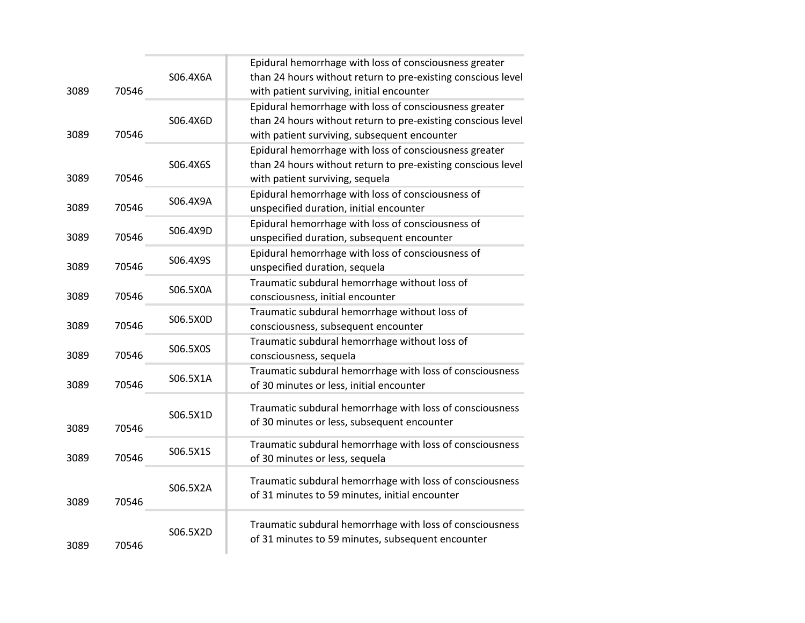|      |       |          | Epidural hemorrhage with loss of consciousness greater       |
|------|-------|----------|--------------------------------------------------------------|
|      |       | S06.4X6A | than 24 hours without return to pre-existing conscious level |
| 3089 | 70546 |          | with patient surviving, initial encounter                    |
|      |       |          | Epidural hemorrhage with loss of consciousness greater       |
|      |       | S06.4X6D | than 24 hours without return to pre-existing conscious level |
| 3089 | 70546 |          | with patient surviving, subsequent encounter                 |
|      |       |          | Epidural hemorrhage with loss of consciousness greater       |
|      |       | S06.4X6S | than 24 hours without return to pre-existing conscious level |
| 3089 | 70546 |          | with patient surviving, sequela                              |
|      |       | S06.4X9A | Epidural hemorrhage with loss of consciousness of            |
| 3089 | 70546 |          | unspecified duration, initial encounter                      |
|      |       | S06.4X9D | Epidural hemorrhage with loss of consciousness of            |
| 3089 | 70546 |          | unspecified duration, subsequent encounter                   |
|      |       | S06.4X9S | Epidural hemorrhage with loss of consciousness of            |
| 3089 | 70546 |          | unspecified duration, sequela                                |
|      |       | S06.5X0A | Traumatic subdural hemorrhage without loss of                |
| 3089 | 70546 |          | consciousness, initial encounter                             |
|      |       | S06.5X0D | Traumatic subdural hemorrhage without loss of                |
| 3089 | 70546 |          | consciousness, subsequent encounter                          |
|      |       | S06.5X0S | Traumatic subdural hemorrhage without loss of                |
| 3089 | 70546 |          | consciousness, sequela                                       |
|      |       | S06.5X1A | Traumatic subdural hemorrhage with loss of consciousness     |
| 3089 | 70546 |          | of 30 minutes or less, initial encounter                     |
|      |       |          | Traumatic subdural hemorrhage with loss of consciousness     |
|      |       | S06.5X1D | of 30 minutes or less, subsequent encounter                  |
| 3089 | 70546 |          |                                                              |
|      |       | S06.5X1S | Traumatic subdural hemorrhage with loss of consciousness     |
| 3089 | 70546 |          | of 30 minutes or less, sequela                               |
|      |       |          | Traumatic subdural hemorrhage with loss of consciousness     |
|      |       | S06.5X2A | of 31 minutes to 59 minutes, initial encounter               |
| 3089 | 70546 |          |                                                              |
|      |       |          | Traumatic subdural hemorrhage with loss of consciousness     |
|      |       | S06.5X2D | of 31 minutes to 59 minutes, subsequent encounter            |
| 3089 | 70546 |          |                                                              |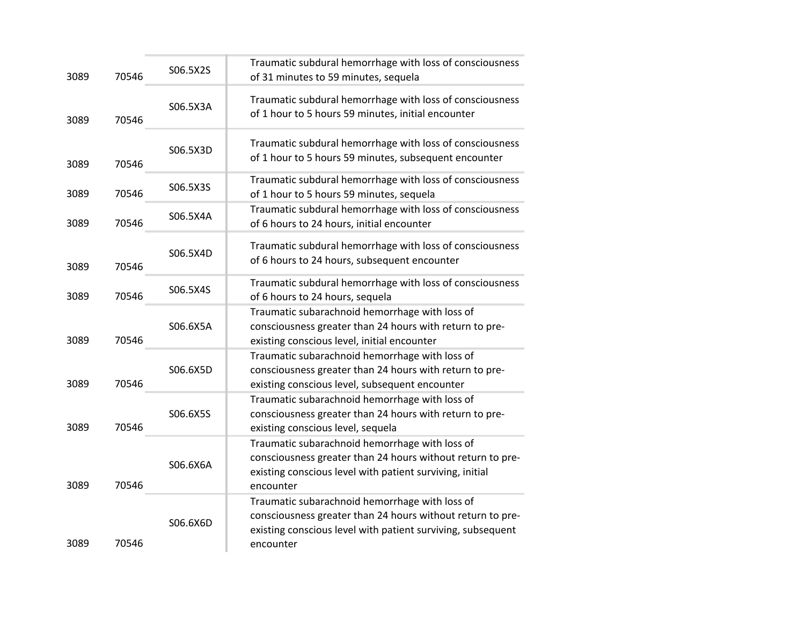| 70546 | S06.5X2S | Traumatic subdural hemorrhage with loss of consciousness<br>of 31 minutes to 59 minutes, sequela                                                                                         |
|-------|----------|------------------------------------------------------------------------------------------------------------------------------------------------------------------------------------------|
| 70546 | S06.5X3A | Traumatic subdural hemorrhage with loss of consciousness<br>of 1 hour to 5 hours 59 minutes, initial encounter                                                                           |
| 70546 | S06.5X3D | Traumatic subdural hemorrhage with loss of consciousness<br>of 1 hour to 5 hours 59 minutes, subsequent encounter                                                                        |
| 70546 | S06.5X3S | Traumatic subdural hemorrhage with loss of consciousness<br>of 1 hour to 5 hours 59 minutes, sequela                                                                                     |
| 70546 | S06.5X4A | Traumatic subdural hemorrhage with loss of consciousness<br>of 6 hours to 24 hours, initial encounter                                                                                    |
| 70546 | S06.5X4D | Traumatic subdural hemorrhage with loss of consciousness<br>of 6 hours to 24 hours, subsequent encounter                                                                                 |
| 70546 | S06.5X4S | Traumatic subdural hemorrhage with loss of consciousness<br>of 6 hours to 24 hours, sequela                                                                                              |
| 70546 | S06.6X5A | Traumatic subarachnoid hemorrhage with loss of<br>consciousness greater than 24 hours with return to pre-<br>existing conscious level, initial encounter                                 |
| 70546 | S06.6X5D | Traumatic subarachnoid hemorrhage with loss of<br>consciousness greater than 24 hours with return to pre-<br>existing conscious level, subsequent encounter                              |
| 70546 | S06.6X5S | Traumatic subarachnoid hemorrhage with loss of<br>consciousness greater than 24 hours with return to pre-<br>existing conscious level, sequela                                           |
| 70546 | S06.6X6A | Traumatic subarachnoid hemorrhage with loss of<br>consciousness greater than 24 hours without return to pre-<br>existing conscious level with patient surviving, initial<br>encounter    |
| 70546 | S06.6X6D | Traumatic subarachnoid hemorrhage with loss of<br>consciousness greater than 24 hours without return to pre-<br>existing conscious level with patient surviving, subsequent<br>encounter |
|       |          |                                                                                                                                                                                          |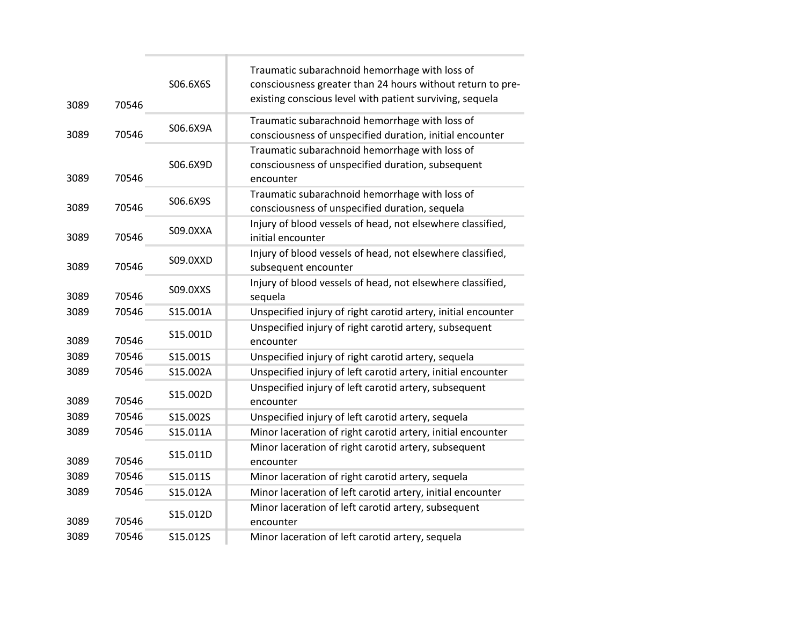| 3089 | 70546 | S06.6X6S | Traumatic subarachnoid hemorrhage with loss of<br>consciousness greater than 24 hours without return to pre-<br>existing conscious level with patient surviving, sequela |
|------|-------|----------|--------------------------------------------------------------------------------------------------------------------------------------------------------------------------|
| 3089 | 70546 | S06.6X9A | Traumatic subarachnoid hemorrhage with loss of<br>consciousness of unspecified duration, initial encounter                                                               |
| 3089 | 70546 | S06.6X9D | Traumatic subarachnoid hemorrhage with loss of<br>consciousness of unspecified duration, subsequent<br>encounter                                                         |
| 3089 | 70546 | S06.6X9S | Traumatic subarachnoid hemorrhage with loss of<br>consciousness of unspecified duration, sequela                                                                         |
| 3089 | 70546 | S09.0XXA | Injury of blood vessels of head, not elsewhere classified,<br>initial encounter                                                                                          |
| 3089 | 70546 | S09.0XXD | Injury of blood vessels of head, not elsewhere classified,<br>subsequent encounter                                                                                       |
| 3089 | 70546 | S09.0XXS | Injury of blood vessels of head, not elsewhere classified,<br>sequela                                                                                                    |
| 3089 | 70546 | S15.001A | Unspecified injury of right carotid artery, initial encounter                                                                                                            |
| 3089 | 70546 | S15.001D | Unspecified injury of right carotid artery, subsequent<br>encounter                                                                                                      |
| 3089 | 70546 | S15.001S | Unspecified injury of right carotid artery, sequela                                                                                                                      |
| 3089 | 70546 | S15.002A | Unspecified injury of left carotid artery, initial encounter                                                                                                             |
| 3089 | 70546 | S15.002D | Unspecified injury of left carotid artery, subsequent<br>encounter                                                                                                       |
| 3089 | 70546 | S15.002S | Unspecified injury of left carotid artery, sequela                                                                                                                       |
| 3089 | 70546 | S15.011A | Minor laceration of right carotid artery, initial encounter                                                                                                              |
| 3089 | 70546 | S15.011D | Minor laceration of right carotid artery, subsequent<br>encounter                                                                                                        |
| 3089 | 70546 | S15.011S | Minor laceration of right carotid artery, sequela                                                                                                                        |
| 3089 | 70546 | S15.012A | Minor laceration of left carotid artery, initial encounter                                                                                                               |
| 3089 | 70546 | S15.012D | Minor laceration of left carotid artery, subsequent<br>encounter                                                                                                         |
| 3089 | 70546 | S15.012S | Minor laceration of left carotid artery, sequela                                                                                                                         |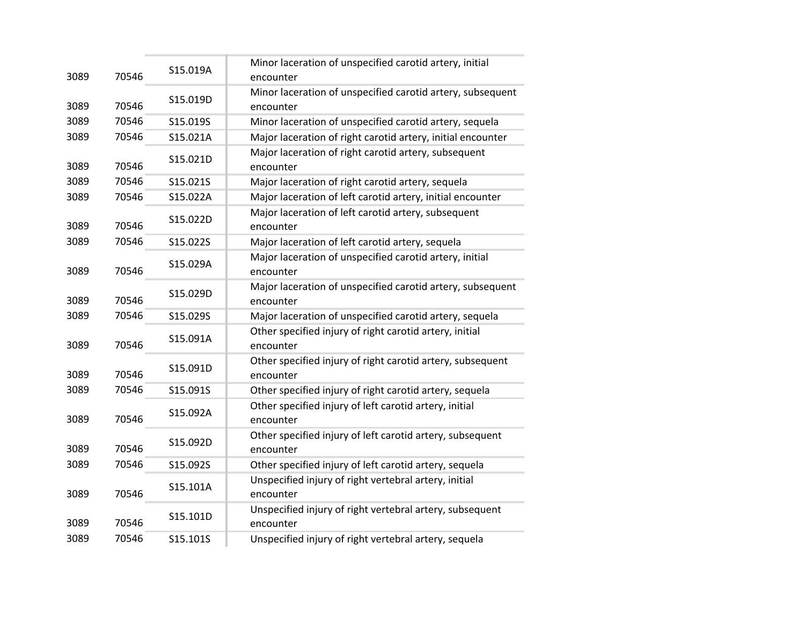| 3089 | 70546 | S15.019A | Minor laceration of unspecified carotid artery, initial<br>encounter    |
|------|-------|----------|-------------------------------------------------------------------------|
|      |       |          | Minor laceration of unspecified carotid artery, subsequent              |
| 3089 | 70546 | S15.019D | encounter                                                               |
| 3089 | 70546 | S15.019S | Minor laceration of unspecified carotid artery, sequela                 |
| 3089 | 70546 | S15.021A | Major laceration of right carotid artery, initial encounter             |
| 3089 | 70546 | S15.021D | Major laceration of right carotid artery, subsequent<br>encounter       |
| 3089 | 70546 | S15.021S | Major laceration of right carotid artery, sequela                       |
| 3089 | 70546 | S15.022A | Major laceration of left carotid artery, initial encounter              |
| 3089 | 70546 | S15.022D | Major laceration of left carotid artery, subsequent<br>encounter        |
| 3089 | 70546 | S15.022S | Major laceration of left carotid artery, sequela                        |
| 3089 | 70546 | S15.029A | Major laceration of unspecified carotid artery, initial<br>encounter    |
| 3089 | 70546 | S15.029D | Major laceration of unspecified carotid artery, subsequent<br>encounter |
| 3089 | 70546 | S15.029S | Major laceration of unspecified carotid artery, sequela                 |
| 3089 | 70546 | S15.091A | Other specified injury of right carotid artery, initial<br>encounter    |
| 3089 | 70546 | S15.091D | Other specified injury of right carotid artery, subsequent<br>encounter |
| 3089 | 70546 | S15.091S | Other specified injury of right carotid artery, sequela                 |
| 3089 | 70546 | S15.092A | Other specified injury of left carotid artery, initial<br>encounter     |
| 3089 | 70546 | S15.092D | Other specified injury of left carotid artery, subsequent<br>encounter  |
| 3089 | 70546 | S15.092S | Other specified injury of left carotid artery, sequela                  |
| 3089 | 70546 | S15.101A | Unspecified injury of right vertebral artery, initial<br>encounter      |
| 3089 | 70546 | S15.101D | Unspecified injury of right vertebral artery, subsequent<br>encounter   |
| 3089 | 70546 | S15.101S | Unspecified injury of right vertebral artery, sequela                   |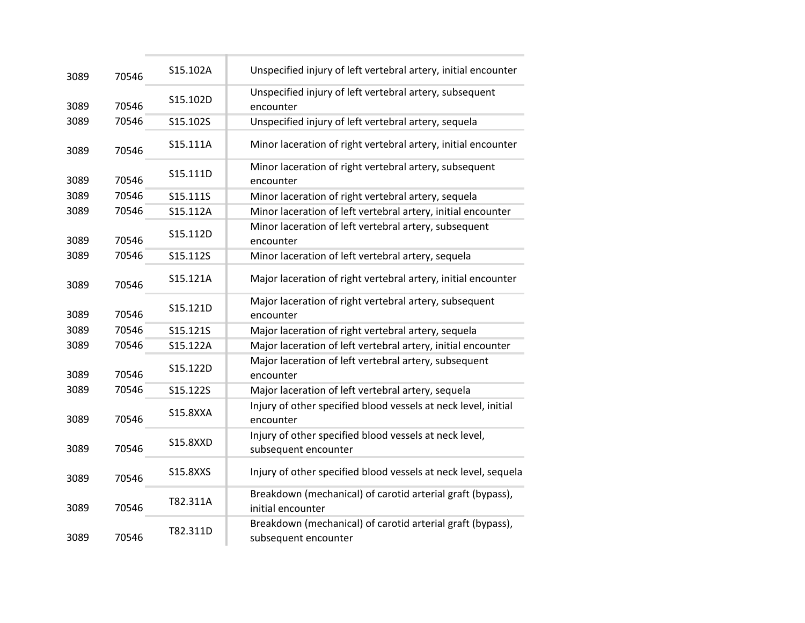| 3089 | 70546 | S15.102A        | Unspecified injury of left vertebral artery, initial encounter                     |
|------|-------|-----------------|------------------------------------------------------------------------------------|
| 3089 | 70546 | S15.102D        | Unspecified injury of left vertebral artery, subsequent<br>encounter               |
| 3089 | 70546 | S15.102S        | Unspecified injury of left vertebral artery, sequela                               |
| 3089 | 70546 | S15.111A        | Minor laceration of right vertebral artery, initial encounter                      |
| 3089 | 70546 | S15.111D        | Minor laceration of right vertebral artery, subsequent<br>encounter                |
| 3089 | 70546 | S15.111S        | Minor laceration of right vertebral artery, sequela                                |
| 3089 | 70546 | S15.112A        | Minor laceration of left vertebral artery, initial encounter                       |
| 3089 | 70546 | S15.112D        | Minor laceration of left vertebral artery, subsequent<br>encounter                 |
| 3089 | 70546 | S15.112S        | Minor laceration of left vertebral artery, sequela                                 |
| 3089 | 70546 | S15.121A        | Major laceration of right vertebral artery, initial encounter                      |
| 3089 | 70546 | S15.121D        | Major laceration of right vertebral artery, subsequent<br>encounter                |
| 3089 | 70546 | S15.121S        | Major laceration of right vertebral artery, sequela                                |
| 3089 | 70546 | S15.122A        | Major laceration of left vertebral artery, initial encounter                       |
| 3089 | 70546 | S15.122D        | Major laceration of left vertebral artery, subsequent<br>encounter                 |
| 3089 | 70546 | S15.122S        | Major laceration of left vertebral artery, sequela                                 |
| 3089 | 70546 | <b>S15.8XXA</b> | Injury of other specified blood vessels at neck level, initial<br>encounter        |
| 3089 | 70546 | <b>S15.8XXD</b> | Injury of other specified blood vessels at neck level,<br>subsequent encounter     |
| 3089 | 70546 | S15.8XXS        | Injury of other specified blood vessels at neck level, sequela                     |
| 3089 | 70546 | T82.311A        | Breakdown (mechanical) of carotid arterial graft (bypass),<br>initial encounter    |
| 3089 | 70546 | T82.311D        | Breakdown (mechanical) of carotid arterial graft (bypass),<br>subsequent encounter |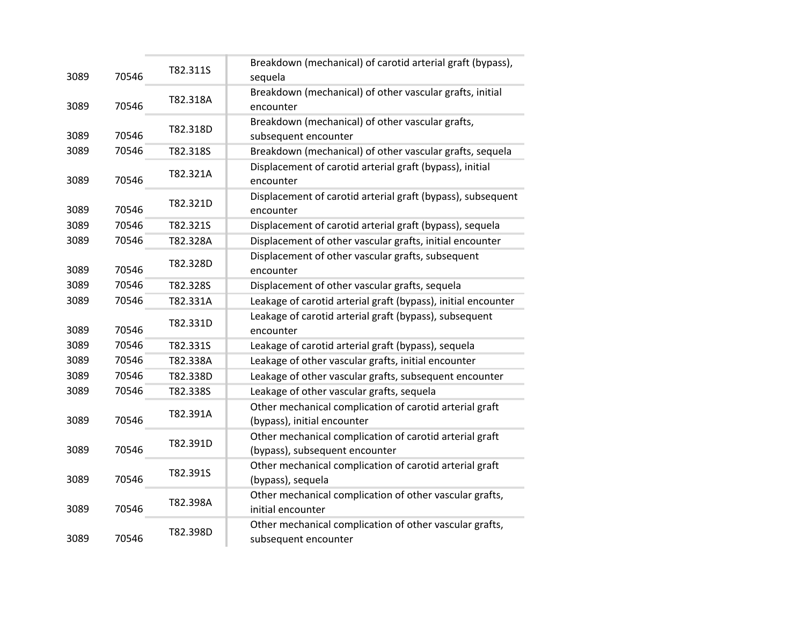| 3089 | 70546 | T82.311S | Breakdown (mechanical) of carotid arterial graft (bypass),<br>sequela                     |
|------|-------|----------|-------------------------------------------------------------------------------------------|
| 3089 | 70546 | T82.318A | Breakdown (mechanical) of other vascular grafts, initial<br>encounter                     |
| 3089 | 70546 | T82.318D | Breakdown (mechanical) of other vascular grafts,<br>subsequent encounter                  |
| 3089 | 70546 | T82.318S | Breakdown (mechanical) of other vascular grafts, sequela                                  |
| 3089 | 70546 | T82.321A | Displacement of carotid arterial graft (bypass), initial<br>encounter                     |
| 3089 | 70546 | T82.321D | Displacement of carotid arterial graft (bypass), subsequent<br>encounter                  |
| 3089 | 70546 | T82.321S | Displacement of carotid arterial graft (bypass), sequela                                  |
| 3089 | 70546 | T82.328A | Displacement of other vascular grafts, initial encounter                                  |
| 3089 | 70546 | T82.328D | Displacement of other vascular grafts, subsequent<br>encounter                            |
| 3089 | 70546 | T82.328S | Displacement of other vascular grafts, sequela                                            |
| 3089 | 70546 | T82.331A | Leakage of carotid arterial graft (bypass), initial encounter                             |
| 3089 | 70546 | T82.331D | Leakage of carotid arterial graft (bypass), subsequent<br>encounter                       |
| 3089 | 70546 | T82.331S | Leakage of carotid arterial graft (bypass), sequela                                       |
| 3089 | 70546 | T82.338A | Leakage of other vascular grafts, initial encounter                                       |
| 3089 | 70546 | T82.338D | Leakage of other vascular grafts, subsequent encounter                                    |
| 3089 | 70546 | T82.338S | Leakage of other vascular grafts, sequela                                                 |
| 3089 | 70546 | T82.391A | Other mechanical complication of carotid arterial graft<br>(bypass), initial encounter    |
| 3089 | 70546 | T82.391D | Other mechanical complication of carotid arterial graft<br>(bypass), subsequent encounter |
| 3089 | 70546 | T82.391S | Other mechanical complication of carotid arterial graft<br>(bypass), sequela              |
| 3089 | 70546 | T82.398A | Other mechanical complication of other vascular grafts,<br>initial encounter              |
| 3089 | 70546 | T82.398D | Other mechanical complication of other vascular grafts,<br>subsequent encounter           |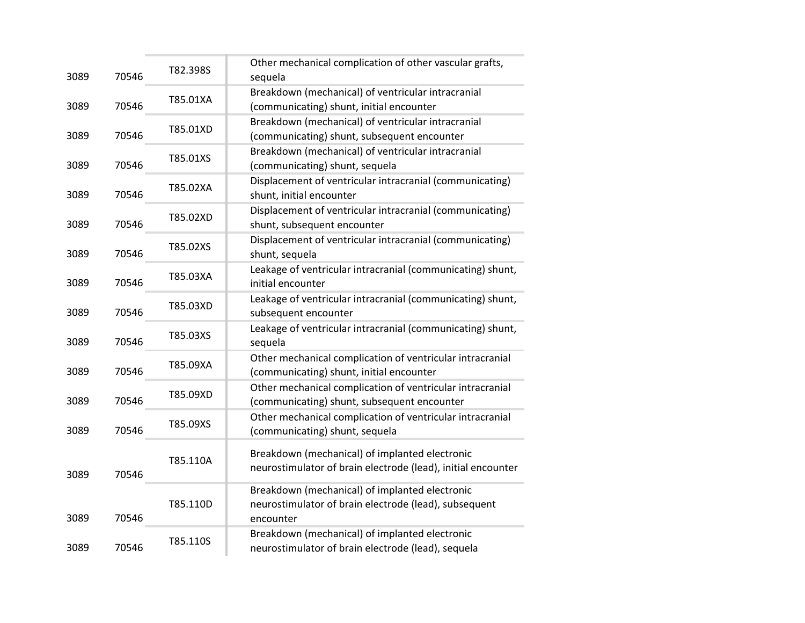| 3089 | 70546 | T82.398S | Other mechanical complication of other vascular grafts,<br>sequela                                                   |
|------|-------|----------|----------------------------------------------------------------------------------------------------------------------|
| 3089 | 70546 | T85.01XA | Breakdown (mechanical) of ventricular intracranial<br>(communicating) shunt, initial encounter                       |
| 3089 | 70546 | T85.01XD | Breakdown (mechanical) of ventricular intracranial<br>(communicating) shunt, subsequent encounter                    |
| 3089 | 70546 | T85.01XS | Breakdown (mechanical) of ventricular intracranial<br>(communicating) shunt, sequela                                 |
| 3089 | 70546 | T85.02XA | Displacement of ventricular intracranial (communicating)<br>shunt, initial encounter                                 |
| 3089 | 70546 | T85.02XD | Displacement of ventricular intracranial (communicating)<br>shunt, subsequent encounter                              |
| 3089 | 70546 | T85.02XS | Displacement of ventricular intracranial (communicating)<br>shunt, sequela                                           |
| 3089 | 70546 | T85.03XA | Leakage of ventricular intracranial (communicating) shunt,<br>initial encounter                                      |
| 3089 | 70546 | T85.03XD | Leakage of ventricular intracranial (communicating) shunt,<br>subsequent encounter                                   |
| 3089 | 70546 | T85.03XS | Leakage of ventricular intracranial (communicating) shunt,<br>sequela                                                |
| 3089 | 70546 | T85.09XA | Other mechanical complication of ventricular intracranial<br>(communicating) shunt, initial encounter                |
| 3089 | 70546 | T85.09XD | Other mechanical complication of ventricular intracranial<br>(communicating) shunt, subsequent encounter             |
| 3089 | 70546 | T85.09XS | Other mechanical complication of ventricular intracranial<br>(communicating) shunt, sequela                          |
| 3089 | 70546 | T85.110A | Breakdown (mechanical) of implanted electronic<br>neurostimulator of brain electrode (lead), initial encounter       |
| 3089 | 70546 | T85.110D | Breakdown (mechanical) of implanted electronic<br>neurostimulator of brain electrode (lead), subsequent<br>encounter |
| 3089 | 70546 | T85.110S | Breakdown (mechanical) of implanted electronic<br>neurostimulator of brain electrode (lead), sequela                 |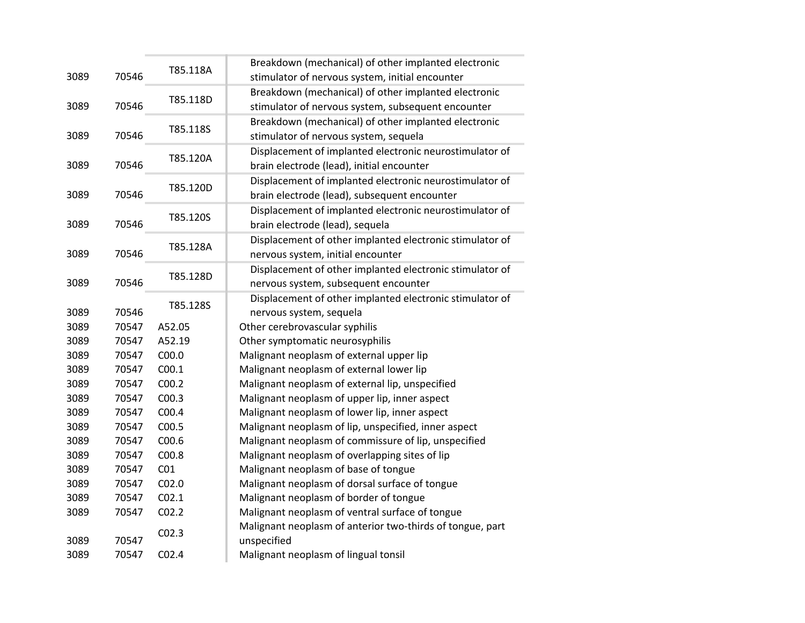|      |       |                   | Breakdown (mechanical) of other implanted electronic      |
|------|-------|-------------------|-----------------------------------------------------------|
| 3089 | 70546 | T85.118A          | stimulator of nervous system, initial encounter           |
|      |       |                   | Breakdown (mechanical) of other implanted electronic      |
| 3089 | 70546 | T85.118D          | stimulator of nervous system, subsequent encounter        |
|      |       |                   | Breakdown (mechanical) of other implanted electronic      |
| 3089 | 70546 | T85.118S          | stimulator of nervous system, sequela                     |
|      |       | T85.120A          | Displacement of implanted electronic neurostimulator of   |
| 3089 | 70546 |                   | brain electrode (lead), initial encounter                 |
|      |       | T85.120D          | Displacement of implanted electronic neurostimulator of   |
| 3089 | 70546 |                   | brain electrode (lead), subsequent encounter              |
|      |       | T85.120S          | Displacement of implanted electronic neurostimulator of   |
| 3089 | 70546 |                   | brain electrode (lead), sequela                           |
|      |       | T85.128A          | Displacement of other implanted electronic stimulator of  |
| 3089 | 70546 |                   | nervous system, initial encounter                         |
|      |       | T85.128D          | Displacement of other implanted electronic stimulator of  |
| 3089 | 70546 |                   | nervous system, subsequent encounter                      |
|      |       | T85.128S          | Displacement of other implanted electronic stimulator of  |
| 3089 | 70546 |                   | nervous system, sequela                                   |
| 3089 | 70547 | A52.05            | Other cerebrovascular syphilis                            |
| 3089 | 70547 | A52.19            | Other symptomatic neurosyphilis                           |
| 3089 | 70547 | C <sub>00.0</sub> | Malignant neoplasm of external upper lip                  |
| 3089 | 70547 | C <sub>00.1</sub> | Malignant neoplasm of external lower lip                  |
| 3089 | 70547 | C <sub>00.2</sub> | Malignant neoplasm of external lip, unspecified           |
| 3089 | 70547 | CO <sub>0.3</sub> | Malignant neoplasm of upper lip, inner aspect             |
| 3089 | 70547 | C00.4             | Malignant neoplasm of lower lip, inner aspect             |
| 3089 | 70547 | C <sub>00.5</sub> | Malignant neoplasm of lip, unspecified, inner aspect      |
| 3089 | 70547 | C <sub>00.6</sub> | Malignant neoplasm of commissure of lip, unspecified      |
| 3089 | 70547 | C00.8             | Malignant neoplasm of overlapping sites of lip            |
| 3089 | 70547 | CO <sub>1</sub>   | Malignant neoplasm of base of tongue                      |
| 3089 | 70547 | CO <sub>2.0</sub> | Malignant neoplasm of dorsal surface of tongue            |
| 3089 | 70547 | CO <sub>2.1</sub> | Malignant neoplasm of border of tongue                    |
| 3089 | 70547 | CO <sub>2.2</sub> | Malignant neoplasm of ventral surface of tongue           |
|      |       | CO <sub>2.3</sub> | Malignant neoplasm of anterior two-thirds of tongue, part |
| 3089 | 70547 |                   | unspecified                                               |
| 3089 | 70547 | CO <sub>2.4</sub> | Malignant neoplasm of lingual tonsil                      |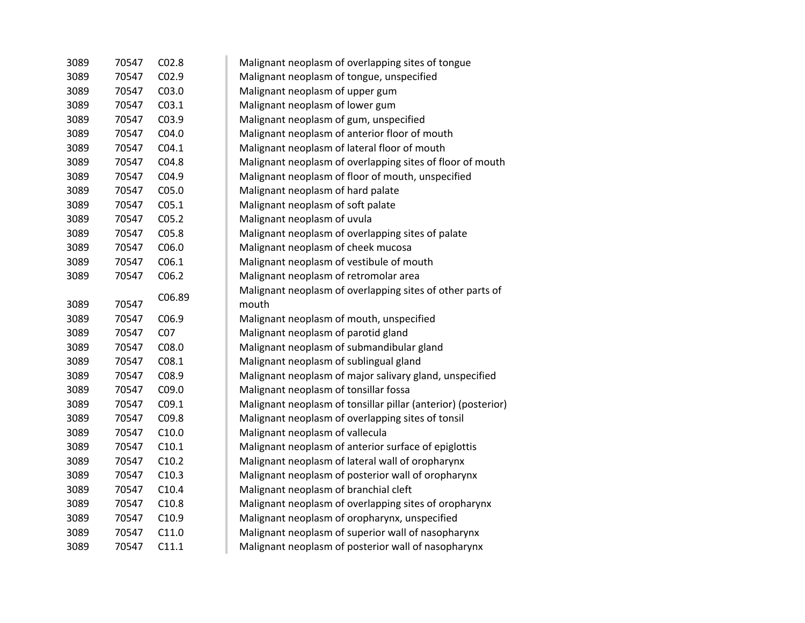| 3089 | 70547 | CO <sub>2.8</sub> | Malignant neoplasm of overlapping sites of tongue             |
|------|-------|-------------------|---------------------------------------------------------------|
| 3089 | 70547 | CO <sub>2.9</sub> | Malignant neoplasm of tongue, unspecified                     |
| 3089 | 70547 | C03.0             | Malignant neoplasm of upper gum                               |
| 3089 | 70547 | CO <sub>3.1</sub> | Malignant neoplasm of lower gum                               |
| 3089 | 70547 | C03.9             | Malignant neoplasm of gum, unspecified                        |
| 3089 | 70547 | CO4.0             | Malignant neoplasm of anterior floor of mouth                 |
| 3089 | 70547 | CO4.1             | Malignant neoplasm of lateral floor of mouth                  |
| 3089 | 70547 | C04.8             | Malignant neoplasm of overlapping sites of floor of mouth     |
| 3089 | 70547 | C04.9             | Malignant neoplasm of floor of mouth, unspecified             |
| 3089 | 70547 | CO <sub>5.0</sub> | Malignant neoplasm of hard palate                             |
| 3089 | 70547 | C <sub>05.1</sub> | Malignant neoplasm of soft palate                             |
| 3089 | 70547 | C <sub>05.2</sub> | Malignant neoplasm of uvula                                   |
| 3089 | 70547 | C05.8             | Malignant neoplasm of overlapping sites of palate             |
| 3089 | 70547 | C06.0             | Malignant neoplasm of cheek mucosa                            |
| 3089 | 70547 | C <sub>06.1</sub> | Malignant neoplasm of vestibule of mouth                      |
| 3089 | 70547 | C06.2             | Malignant neoplasm of retromolar area                         |
|      |       | C06.89            | Malignant neoplasm of overlapping sites of other parts of     |
| 3089 | 70547 |                   | mouth                                                         |
| 3089 | 70547 | C <sub>06.9</sub> | Malignant neoplasm of mouth, unspecified                      |
| 3089 | 70547 | CO <sub>7</sub>   | Malignant neoplasm of parotid gland                           |
| 3089 | 70547 | C08.0             | Malignant neoplasm of submandibular gland                     |
| 3089 | 70547 | C <sub>08.1</sub> | Malignant neoplasm of sublingual gland                        |
| 3089 | 70547 | C08.9             | Malignant neoplasm of major salivary gland, unspecified       |
| 3089 | 70547 | C09.0             | Malignant neoplasm of tonsillar fossa                         |
| 3089 | 70547 | C <sub>09.1</sub> | Malignant neoplasm of tonsillar pillar (anterior) (posterior) |
| 3089 | 70547 | C09.8             | Malignant neoplasm of overlapping sites of tonsil             |
| 3089 | 70547 | C10.0             | Malignant neoplasm of vallecula                               |
| 3089 | 70547 | C10.1             | Malignant neoplasm of anterior surface of epiglottis          |
| 3089 | 70547 | C10.2             | Malignant neoplasm of lateral wall of oropharynx              |
| 3089 | 70547 | C10.3             | Malignant neoplasm of posterior wall of oropharynx            |
| 3089 | 70547 | C10.4             | Malignant neoplasm of branchial cleft                         |
| 3089 | 70547 | C10.8             | Malignant neoplasm of overlapping sites of oropharynx         |
| 3089 | 70547 | C10.9             | Malignant neoplasm of oropharynx, unspecified                 |
| 3089 | 70547 | C11.0             | Malignant neoplasm of superior wall of nasopharynx            |
| 3089 | 70547 | C11.1             | Malignant neoplasm of posterior wall of nasopharynx           |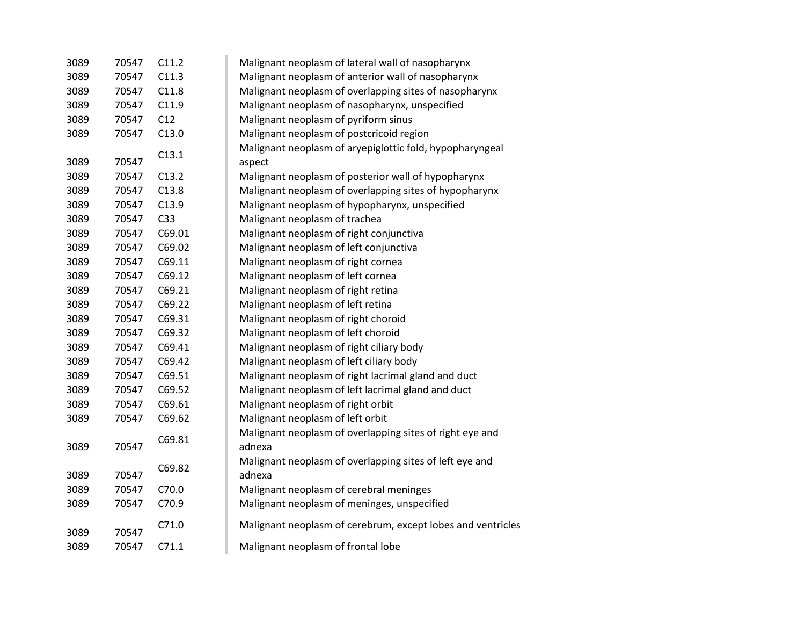| 3089 | 70547 | C11.2           | Malignant neoplasm of lateral wall of nasopharynx           |
|------|-------|-----------------|-------------------------------------------------------------|
| 3089 | 70547 | C11.3           | Malignant neoplasm of anterior wall of nasopharynx          |
| 3089 | 70547 | C11.8           | Malignant neoplasm of overlapping sites of nasopharynx      |
| 3089 | 70547 | C11.9           | Malignant neoplasm of nasopharynx, unspecified              |
| 3089 | 70547 | C12             | Malignant neoplasm of pyriform sinus                        |
| 3089 | 70547 | C13.0           | Malignant neoplasm of postcricoid region                    |
|      |       |                 | Malignant neoplasm of aryepiglottic fold, hypopharyngeal    |
| 3089 | 70547 | C13.1           | aspect                                                      |
| 3089 | 70547 | C13.2           | Malignant neoplasm of posterior wall of hypopharynx         |
| 3089 | 70547 | C13.8           | Malignant neoplasm of overlapping sites of hypopharynx      |
| 3089 | 70547 | C13.9           | Malignant neoplasm of hypopharynx, unspecified              |
| 3089 | 70547 | C <sub>33</sub> | Malignant neoplasm of trachea                               |
| 3089 | 70547 | C69.01          | Malignant neoplasm of right conjunctiva                     |
| 3089 | 70547 | C69.02          | Malignant neoplasm of left conjunctiva                      |
| 3089 | 70547 | C69.11          | Malignant neoplasm of right cornea                          |
| 3089 | 70547 | C69.12          | Malignant neoplasm of left cornea                           |
| 3089 | 70547 | C69.21          | Malignant neoplasm of right retina                          |
| 3089 | 70547 | C69.22          | Malignant neoplasm of left retina                           |
| 3089 | 70547 | C69.31          | Malignant neoplasm of right choroid                         |
| 3089 | 70547 | C69.32          | Malignant neoplasm of left choroid                          |
| 3089 | 70547 | C69.41          | Malignant neoplasm of right ciliary body                    |
| 3089 | 70547 | C69.42          | Malignant neoplasm of left ciliary body                     |
| 3089 | 70547 | C69.51          | Malignant neoplasm of right lacrimal gland and duct         |
| 3089 | 70547 | C69.52          | Malignant neoplasm of left lacrimal gland and duct          |
| 3089 | 70547 | C69.61          | Malignant neoplasm of right orbit                           |
| 3089 | 70547 | C69.62          | Malignant neoplasm of left orbit                            |
|      |       |                 | Malignant neoplasm of overlapping sites of right eye and    |
| 3089 | 70547 | C69.81          | adnexa                                                      |
|      |       | C69.82          | Malignant neoplasm of overlapping sites of left eye and     |
| 3089 | 70547 |                 | adnexa                                                      |
| 3089 | 70547 | C70.0           | Malignant neoplasm of cerebral meninges                     |
| 3089 | 70547 | C70.9           | Malignant neoplasm of meninges, unspecified                 |
|      |       | C71.0           | Malignant neoplasm of cerebrum, except lobes and ventricles |
| 3089 | 70547 |                 |                                                             |
| 3089 | 70547 | C71.1           | Malignant neoplasm of frontal lobe                          |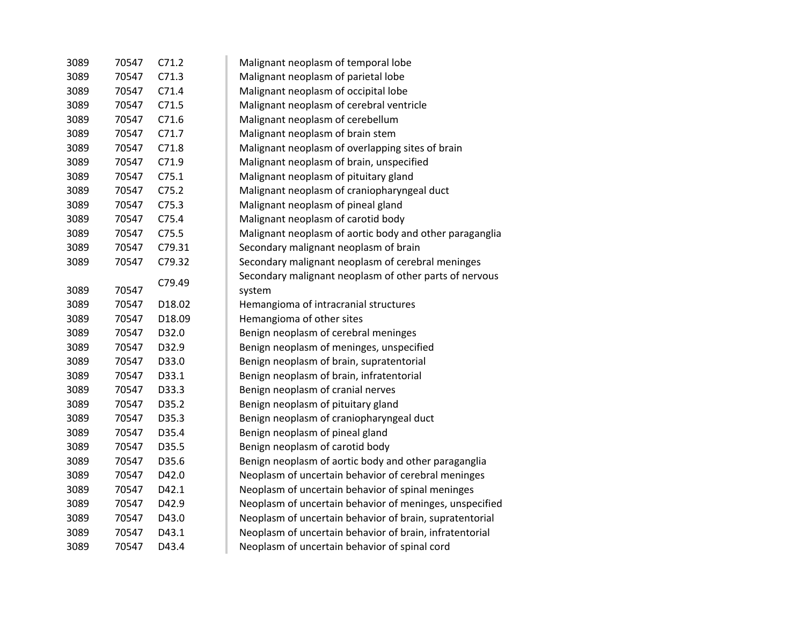| 3089 | 70547 | C71.2  | Malignant neoplasm of temporal lobe                     |
|------|-------|--------|---------------------------------------------------------|
| 3089 | 70547 | C71.3  | Malignant neoplasm of parietal lobe                     |
| 3089 | 70547 | C71.4  | Malignant neoplasm of occipital lobe                    |
| 3089 | 70547 | C71.5  | Malignant neoplasm of cerebral ventricle                |
| 3089 | 70547 | C71.6  | Malignant neoplasm of cerebellum                        |
| 3089 | 70547 | C71.7  | Malignant neoplasm of brain stem                        |
| 3089 | 70547 | C71.8  | Malignant neoplasm of overlapping sites of brain        |
| 3089 | 70547 | C71.9  | Malignant neoplasm of brain, unspecified                |
| 3089 | 70547 | C75.1  | Malignant neoplasm of pituitary gland                   |
| 3089 | 70547 | C75.2  | Malignant neoplasm of craniopharyngeal duct             |
| 3089 | 70547 | C75.3  | Malignant neoplasm of pineal gland                      |
| 3089 | 70547 | C75.4  | Malignant neoplasm of carotid body                      |
| 3089 | 70547 | C75.5  | Malignant neoplasm of aortic body and other paraganglia |
| 3089 | 70547 | C79.31 | Secondary malignant neoplasm of brain                   |
| 3089 | 70547 | C79.32 | Secondary malignant neoplasm of cerebral meninges       |
|      |       | C79.49 | Secondary malignant neoplasm of other parts of nervous  |
| 3089 | 70547 |        | system                                                  |
| 3089 | 70547 | D18.02 | Hemangioma of intracranial structures                   |
| 3089 | 70547 | D18.09 | Hemangioma of other sites                               |
| 3089 | 70547 | D32.0  | Benign neoplasm of cerebral meninges                    |
| 3089 | 70547 | D32.9  | Benign neoplasm of meninges, unspecified                |
| 3089 | 70547 | D33.0  | Benign neoplasm of brain, supratentorial                |
| 3089 | 70547 | D33.1  | Benign neoplasm of brain, infratentorial                |
| 3089 | 70547 | D33.3  | Benign neoplasm of cranial nerves                       |
| 3089 | 70547 | D35.2  | Benign neoplasm of pituitary gland                      |
| 3089 | 70547 | D35.3  | Benign neoplasm of craniopharyngeal duct                |
| 3089 | 70547 | D35.4  | Benign neoplasm of pineal gland                         |
| 3089 | 70547 | D35.5  | Benign neoplasm of carotid body                         |
| 3089 | 70547 | D35.6  | Benign neoplasm of aortic body and other paraganglia    |
| 3089 | 70547 | D42.0  | Neoplasm of uncertain behavior of cerebral meninges     |
| 3089 | 70547 | D42.1  | Neoplasm of uncertain behavior of spinal meninges       |
| 3089 | 70547 | D42.9  | Neoplasm of uncertain behavior of meninges, unspecified |
| 3089 | 70547 | D43.0  | Neoplasm of uncertain behavior of brain, supratentorial |
| 3089 | 70547 | D43.1  | Neoplasm of uncertain behavior of brain, infratentorial |
| 3089 | 70547 | D43.4  | Neoplasm of uncertain behavior of spinal cord           |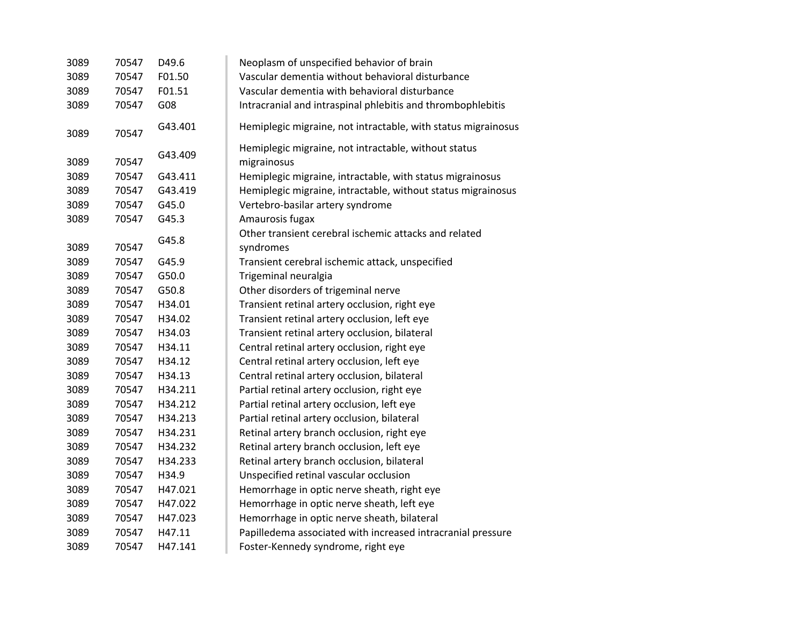| 3089 | 70547 | D49.6   | Neoplasm of unspecified behavior of brain                           |
|------|-------|---------|---------------------------------------------------------------------|
| 3089 | 70547 | F01.50  | Vascular dementia without behavioral disturbance                    |
| 3089 | 70547 | F01.51  | Vascular dementia with behavioral disturbance                       |
| 3089 | 70547 | G08     | Intracranial and intraspinal phlebitis and thrombophlebitis         |
| 3089 | 70547 | G43.401 | Hemiplegic migraine, not intractable, with status migrainosus       |
| 3089 | 70547 | G43.409 | Hemiplegic migraine, not intractable, without status<br>migrainosus |
| 3089 | 70547 | G43.411 | Hemiplegic migraine, intractable, with status migrainosus           |
| 3089 | 70547 | G43.419 | Hemiplegic migraine, intractable, without status migrainosus        |
| 3089 | 70547 | G45.0   | Vertebro-basilar artery syndrome                                    |
| 3089 | 70547 | G45.3   | Amaurosis fugax                                                     |
|      |       |         | Other transient cerebral ischemic attacks and related               |
| 3089 | 70547 | G45.8   | syndromes                                                           |
| 3089 | 70547 | G45.9   | Transient cerebral ischemic attack, unspecified                     |
| 3089 | 70547 | G50.0   | Trigeminal neuralgia                                                |
| 3089 | 70547 | G50.8   | Other disorders of trigeminal nerve                                 |
| 3089 | 70547 | H34.01  | Transient retinal artery occlusion, right eye                       |
| 3089 | 70547 | H34.02  | Transient retinal artery occlusion, left eye                        |
| 3089 | 70547 | H34.03  | Transient retinal artery occlusion, bilateral                       |
| 3089 | 70547 | H34.11  | Central retinal artery occlusion, right eye                         |
| 3089 | 70547 | H34.12  | Central retinal artery occlusion, left eye                          |
| 3089 | 70547 | H34.13  | Central retinal artery occlusion, bilateral                         |
| 3089 | 70547 | H34.211 | Partial retinal artery occlusion, right eye                         |
| 3089 | 70547 | H34.212 | Partial retinal artery occlusion, left eye                          |
| 3089 | 70547 | H34.213 | Partial retinal artery occlusion, bilateral                         |
| 3089 | 70547 | H34.231 | Retinal artery branch occlusion, right eye                          |
| 3089 | 70547 | H34.232 | Retinal artery branch occlusion, left eye                           |
| 3089 | 70547 | H34.233 | Retinal artery branch occlusion, bilateral                          |
| 3089 | 70547 | H34.9   | Unspecified retinal vascular occlusion                              |
| 3089 | 70547 | H47.021 | Hemorrhage in optic nerve sheath, right eye                         |
| 3089 | 70547 | H47.022 | Hemorrhage in optic nerve sheath, left eye                          |
| 3089 | 70547 | H47.023 | Hemorrhage in optic nerve sheath, bilateral                         |
| 3089 | 70547 | H47.11  | Papilledema associated with increased intracranial pressure         |
| 3089 | 70547 | H47.141 | Foster-Kennedy syndrome, right eye                                  |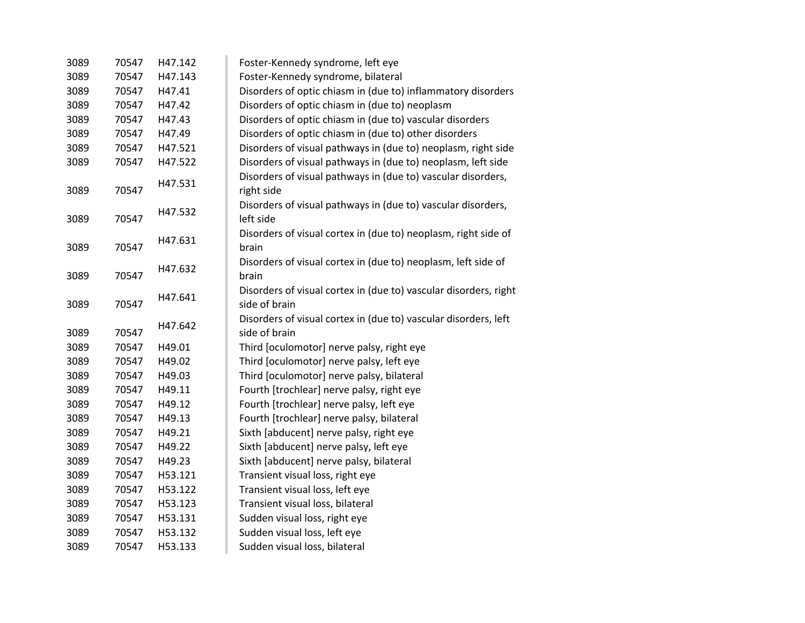| 3089          | 70547 | H47.142 | Foster-Kennedy syndrome, left eye                                |
|---------------|-------|---------|------------------------------------------------------------------|
| 3089          | 70547 | H47.143 | Foster-Kennedy syndrome, bilateral                               |
| 3089          | 70547 | H47.41  | Disorders of optic chiasm in (due to) inflammatory disorders     |
| 3089          | 70547 | H47.42  | Disorders of optic chiasm in (due to) neoplasm                   |
|               | 70547 | H47.43  |                                                                  |
| 3089          | 70547 |         | Disorders of optic chiasm in (due to) vascular disorders         |
| 3089          |       | H47.49  | Disorders of optic chiasm in (due to) other disorders            |
| 3089          | 70547 | H47.521 | Disorders of visual pathways in (due to) neoplasm, right side    |
| 3089          | 70547 | H47.522 | Disorders of visual pathways in (due to) neoplasm, left side     |
|               |       | H47.531 | Disorders of visual pathways in (due to) vascular disorders,     |
| 3089          | 70547 |         | right side                                                       |
|               |       | H47.532 | Disorders of visual pathways in (due to) vascular disorders,     |
| 3089          | 70547 |         | left side                                                        |
|               |       | H47.631 | Disorders of visual cortex in (due to) neoplasm, right side of   |
| 3089          | 70547 |         | brain                                                            |
|               |       | H47.632 | Disorders of visual cortex in (due to) neoplasm, left side of    |
| 3089          | 70547 |         | brain                                                            |
|               |       | H47.641 | Disorders of visual cortex in (due to) vascular disorders, right |
| 70547<br>3089 |       |         | side of brain                                                    |
|               |       | H47.642 | Disorders of visual cortex in (due to) vascular disorders, left  |
| 3089          | 70547 |         | side of brain                                                    |
| 3089          | 70547 | H49.01  | Third [oculomotor] nerve palsy, right eye                        |
| 3089          | 70547 | H49.02  | Third [oculomotor] nerve palsy, left eye                         |
| 3089          | 70547 | H49.03  | Third [oculomotor] nerve palsy, bilateral                        |
| 3089          | 70547 | H49.11  | Fourth [trochlear] nerve palsy, right eye                        |
| 3089          | 70547 | H49.12  | Fourth [trochlear] nerve palsy, left eye                         |
| 3089          | 70547 | H49.13  | Fourth [trochlear] nerve palsy, bilateral                        |
| 3089          | 70547 | H49.21  | Sixth [abducent] nerve palsy, right eye                          |
| 3089          | 70547 | H49.22  | Sixth [abducent] nerve palsy, left eye                           |
| 3089          | 70547 | H49.23  | Sixth [abducent] nerve palsy, bilateral                          |
| 3089          | 70547 | H53.121 | Transient visual loss, right eye                                 |
| 3089          | 70547 | H53.122 | Transient visual loss, left eye                                  |
| 3089          | 70547 | H53.123 | Transient visual loss, bilateral                                 |
| 3089          | 70547 | H53.131 | Sudden visual loss, right eye                                    |
| 3089          | 70547 | H53.132 | Sudden visual loss, left eye                                     |
| 3089          | 70547 | H53.133 | Sudden visual loss, bilateral                                    |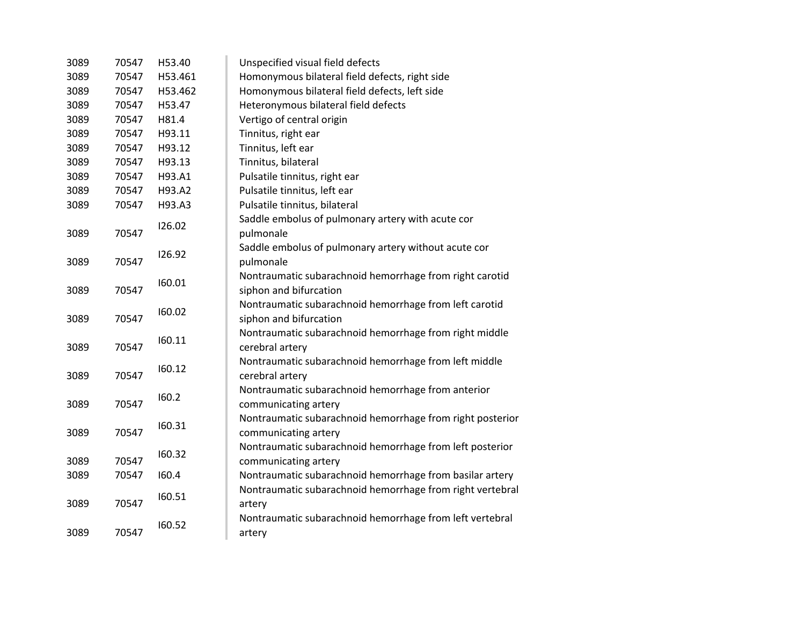| 3089          | 70547 | H53.40          | Unspecified visual field defects                                                  |
|---------------|-------|-----------------|-----------------------------------------------------------------------------------|
| 3089          | 70547 | H53.461         | Homonymous bilateral field defects, right side                                    |
| 3089          | 70547 | H53.462         | Homonymous bilateral field defects, left side                                     |
| 3089          | 70547 | H53.47          | Heteronymous bilateral field defects                                              |
| 3089          | 70547 | H81.4           | Vertigo of central origin                                                         |
| 3089          | 70547 | H93.11          | Tinnitus, right ear                                                               |
| 3089          | 70547 | H93.12          | Tinnitus, left ear                                                                |
| 3089          | 70547 | H93.13          | Tinnitus, bilateral                                                               |
| 3089          | 70547 | H93.A1          | Pulsatile tinnitus, right ear                                                     |
| 3089          | 70547 | H93.A2          | Pulsatile tinnitus, left ear                                                      |
| 3089          | 70547 | H93.A3          | Pulsatile tinnitus, bilateral                                                     |
|               | 70547 | 126.02          | Saddle embolus of pulmonary artery with acute cor                                 |
| 3089          |       |                 | pulmonale                                                                         |
| 3089          | 70547 | 126.92          | Saddle embolus of pulmonary artery without acute cor<br>pulmonale                 |
| 3089          | 70547 | 160.01          | Nontraumatic subarachnoid hemorrhage from right carotid<br>siphon and bifurcation |
|               |       |                 | Nontraumatic subarachnoid hemorrhage from left carotid                            |
| 3089          | 70547 | 160.02          | siphon and bifurcation                                                            |
|               |       | 160.11          | Nontraumatic subarachnoid hemorrhage from right middle                            |
| 70547<br>3089 |       | cerebral artery |                                                                                   |
| 3089          | 70547 | 160.12          | Nontraumatic subarachnoid hemorrhage from left middle<br>cerebral artery          |
|               |       | 160.2           | Nontraumatic subarachnoid hemorrhage from anterior                                |
| 3089          | 70547 |                 | communicating artery                                                              |
|               |       | 160.31          | Nontraumatic subarachnoid hemorrhage from right posterior                         |
| 3089          | 70547 |                 | communicating artery                                                              |
| 3089          | 70547 | 160.32          | Nontraumatic subarachnoid hemorrhage from left posterior<br>communicating artery  |
| 3089          | 70547 | 160.4           | Nontraumatic subarachnoid hemorrhage from basilar artery                          |
|               |       |                 | Nontraumatic subarachnoid hemorrhage from right vertebral                         |
| 3089          | 70547 | 160.51          | artery                                                                            |
|               |       | 160.52          | Nontraumatic subarachnoid hemorrhage from left vertebral                          |
| 3089          | 70547 |                 | artery                                                                            |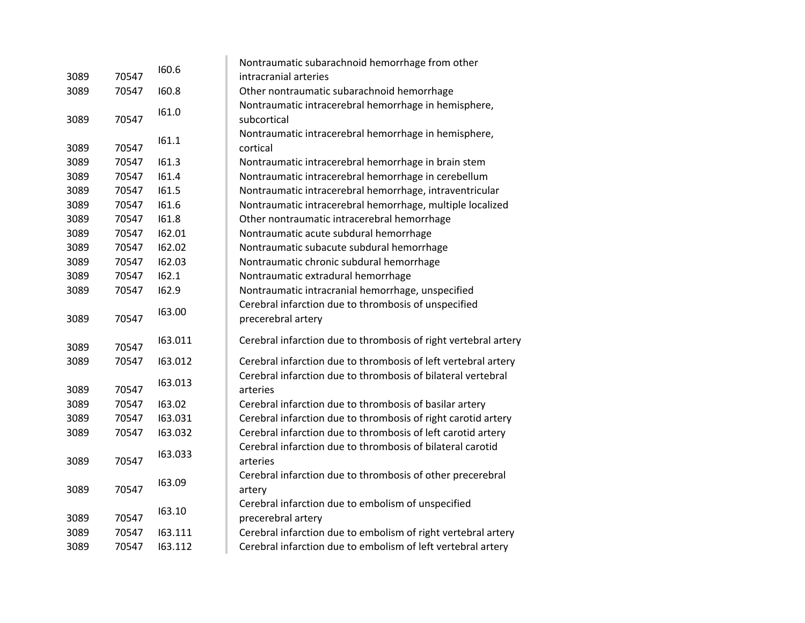|      |       | 160.6   | Nontraumatic subarachnoid hemorrhage from other                 |
|------|-------|---------|-----------------------------------------------------------------|
| 3089 | 70547 |         | intracranial arteries                                           |
| 3089 | 70547 | 160.8   | Other nontraumatic subarachnoid hemorrhage                      |
|      |       | 161.0   | Nontraumatic intracerebral hemorrhage in hemisphere,            |
| 3089 | 70547 |         | subcortical                                                     |
|      |       | 161.1   | Nontraumatic intracerebral hemorrhage in hemisphere,            |
| 3089 | 70547 |         | cortical                                                        |
| 3089 | 70547 | 161.3   | Nontraumatic intracerebral hemorrhage in brain stem             |
| 3089 | 70547 | 161.4   | Nontraumatic intracerebral hemorrhage in cerebellum             |
| 3089 | 70547 | 161.5   | Nontraumatic intracerebral hemorrhage, intraventricular         |
| 3089 | 70547 | 161.6   | Nontraumatic intracerebral hemorrhage, multiple localized       |
| 3089 | 70547 | 161.8   | Other nontraumatic intracerebral hemorrhage                     |
| 3089 | 70547 | 162.01  | Nontraumatic acute subdural hemorrhage                          |
| 3089 | 70547 | 162.02  | Nontraumatic subacute subdural hemorrhage                       |
| 3089 | 70547 | 162.03  | Nontraumatic chronic subdural hemorrhage                        |
| 3089 | 70547 | 162.1   | Nontraumatic extradural hemorrhage                              |
| 3089 | 70547 | 162.9   | Nontraumatic intracranial hemorrhage, unspecified               |
|      |       | 163.00  | Cerebral infarction due to thrombosis of unspecified            |
| 3089 | 70547 |         | precerebral artery                                              |
| 3089 | 70547 | 163.011 | Cerebral infarction due to thrombosis of right vertebral artery |
| 3089 | 70547 | 163.012 | Cerebral infarction due to thrombosis of left vertebral artery  |
|      |       |         | Cerebral infarction due to thrombosis of bilateral vertebral    |
| 3089 | 70547 | 163.013 | arteries                                                        |
| 3089 | 70547 | 163.02  | Cerebral infarction due to thrombosis of basilar artery         |
| 3089 | 70547 | 163.031 | Cerebral infarction due to thrombosis of right carotid artery   |
| 3089 | 70547 | 163.032 | Cerebral infarction due to thrombosis of left carotid artery    |
|      |       | 163.033 | Cerebral infarction due to thrombosis of bilateral carotid      |
| 3089 | 70547 |         | arteries                                                        |
|      |       | 163.09  | Cerebral infarction due to thrombosis of other precerebral      |
| 3089 | 70547 |         | artery                                                          |
|      |       | 163.10  | Cerebral infarction due to embolism of unspecified              |
| 3089 | 70547 |         | precerebral artery                                              |
| 3089 | 70547 | 163.111 | Cerebral infarction due to embolism of right vertebral artery   |
| 3089 | 70547 | 163.112 | Cerebral infarction due to embolism of left vertebral artery    |
|      |       |         |                                                                 |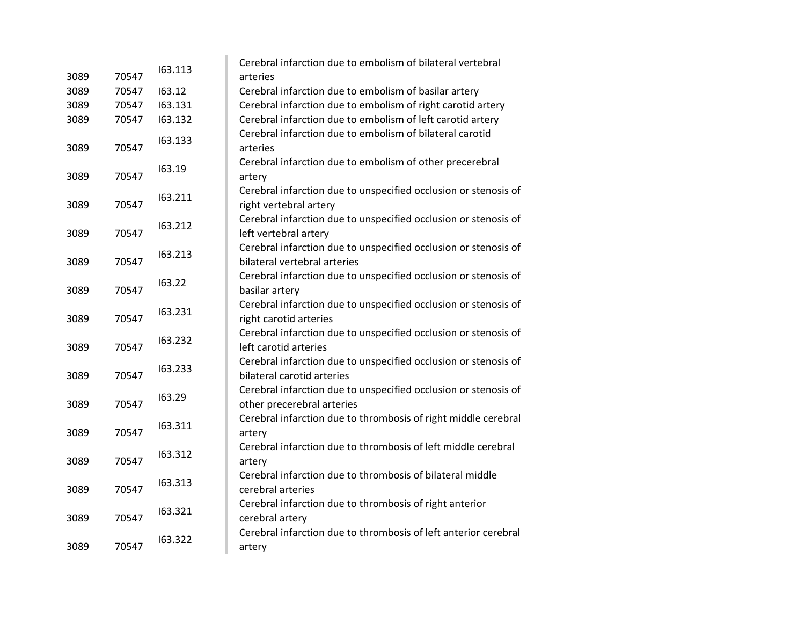|               |       | 163.113 | Cerebral infarction due to embolism of bilateral vertebral      |
|---------------|-------|---------|-----------------------------------------------------------------|
| 3089          | 70547 |         | arteries                                                        |
| 3089          | 70547 | 163.12  | Cerebral infarction due to embolism of basilar artery           |
| 3089          | 70547 | 163.131 | Cerebral infarction due to embolism of right carotid artery     |
| 3089          | 70547 | 163.132 | Cerebral infarction due to embolism of left carotid artery      |
|               |       | 163.133 | Cerebral infarction due to embolism of bilateral carotid        |
| 3089          | 70547 |         | arteries                                                        |
|               |       | 163.19  | Cerebral infarction due to embolism of other precerebral        |
| 3089          | 70547 |         | artery                                                          |
|               |       | 163.211 | Cerebral infarction due to unspecified occlusion or stenosis of |
| 3089          | 70547 |         | right vertebral artery                                          |
|               |       | 163.212 | Cerebral infarction due to unspecified occlusion or stenosis of |
| 3089          | 70547 |         | left vertebral artery                                           |
|               |       | 163.213 | Cerebral infarction due to unspecified occlusion or stenosis of |
| 3089          | 70547 |         | bilateral vertebral arteries                                    |
|               |       | 163.22  | Cerebral infarction due to unspecified occlusion or stenosis of |
| 70547<br>3089 |       |         | basilar artery                                                  |
|               | 70547 | 163.231 | Cerebral infarction due to unspecified occlusion or stenosis of |
| 3089          |       |         | right carotid arteries                                          |
|               |       | 163.232 | Cerebral infarction due to unspecified occlusion or stenosis of |
| 3089          | 70547 |         | left carotid arteries                                           |
|               |       | 163.233 | Cerebral infarction due to unspecified occlusion or stenosis of |
| 3089          | 70547 |         | bilateral carotid arteries                                      |
|               |       | 163.29  | Cerebral infarction due to unspecified occlusion or stenosis of |
| 3089          | 70547 |         | other precerebral arteries                                      |
|               |       | 163.311 | Cerebral infarction due to thrombosis of right middle cerebral  |
| 3089          | 70547 |         | artery                                                          |
|               |       | 163.312 | Cerebral infarction due to thrombosis of left middle cerebral   |
| 3089          | 70547 |         | artery                                                          |
|               |       | 163.313 | Cerebral infarction due to thrombosis of bilateral middle       |
| 3089          | 70547 |         | cerebral arteries                                               |
|               |       | 163.321 | Cerebral infarction due to thrombosis of right anterior         |
| 3089          | 70547 |         | cerebral artery                                                 |
|               |       | 163.322 | Cerebral infarction due to thrombosis of left anterior cerebral |
| 3089          | 70547 |         | artery                                                          |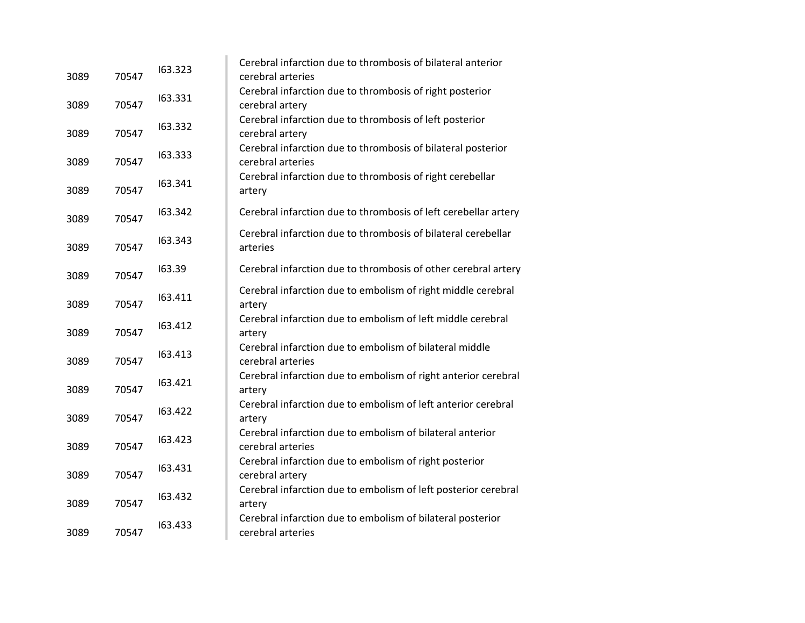| 3089 | 70547 | 163.323 | Cerebral infarction due to thrombosis of bilateral anterior<br>cerebral arteries  |
|------|-------|---------|-----------------------------------------------------------------------------------|
| 3089 | 70547 | 163.331 | Cerebral infarction due to thrombosis of right posterior<br>cerebral artery       |
| 3089 | 70547 | 163.332 | Cerebral infarction due to thrombosis of left posterior<br>cerebral artery        |
| 3089 | 70547 | 163.333 | Cerebral infarction due to thrombosis of bilateral posterior<br>cerebral arteries |
| 3089 | 70547 | 163.341 | Cerebral infarction due to thrombosis of right cerebellar<br>artery               |
| 3089 | 70547 | 163.342 | Cerebral infarction due to thrombosis of left cerebellar artery                   |
| 3089 | 70547 | 163.343 | Cerebral infarction due to thrombosis of bilateral cerebellar<br>arteries         |
| 3089 | 70547 | 163.39  | Cerebral infarction due to thrombosis of other cerebral artery                    |
| 3089 | 70547 | 163.411 | Cerebral infarction due to embolism of right middle cerebral<br>artery            |
| 3089 | 70547 | 163.412 | Cerebral infarction due to embolism of left middle cerebral<br>artery             |
| 3089 | 70547 | 163.413 | Cerebral infarction due to embolism of bilateral middle<br>cerebral arteries      |
| 3089 | 70547 | 163.421 | Cerebral infarction due to embolism of right anterior cerebral<br>artery          |
| 3089 | 70547 | 163.422 | Cerebral infarction due to embolism of left anterior cerebral<br>artery           |
| 3089 | 70547 | 163.423 | Cerebral infarction due to embolism of bilateral anterior<br>cerebral arteries    |
| 3089 | 70547 | 163.431 | Cerebral infarction due to embolism of right posterior<br>cerebral artery         |
| 3089 | 70547 | 163.432 | Cerebral infarction due to embolism of left posterior cerebral<br>artery          |
| 3089 | 70547 | 163.433 | Cerebral infarction due to embolism of bilateral posterior<br>cerebral arteries   |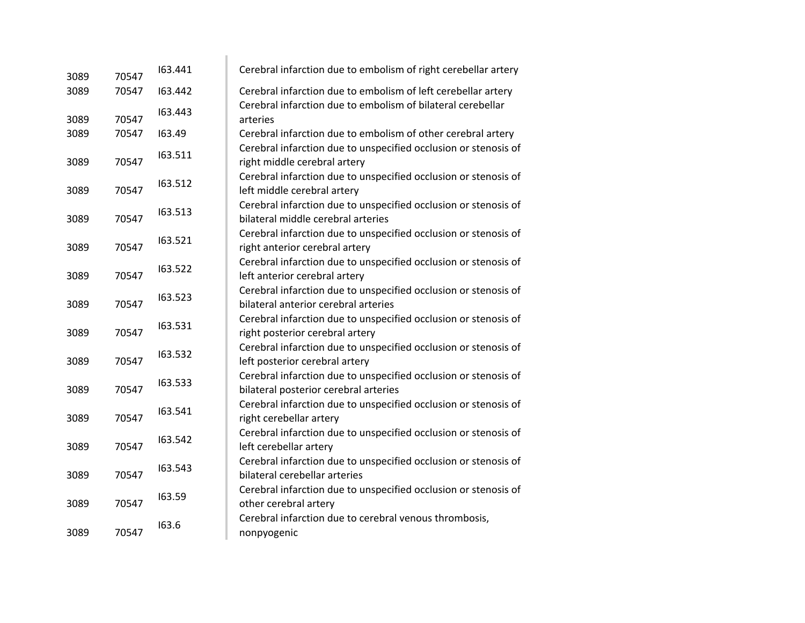| 3089 | 70547 | 163.441 | Cerebral infarction due to embolism of right cerebellar artery                                           |
|------|-------|---------|----------------------------------------------------------------------------------------------------------|
| 3089 | 70547 | 163.442 | Cerebral infarction due to embolism of left cerebellar artery                                            |
| 3089 | 70547 | 163.443 | Cerebral infarction due to embolism of bilateral cerebellar<br>arteries                                  |
| 3089 | 70547 | 163.49  | Cerebral infarction due to embolism of other cerebral artery                                             |
| 3089 | 70547 | 163.511 | Cerebral infarction due to unspecified occlusion or stenosis of<br>right middle cerebral artery          |
| 3089 | 70547 | 163.512 | Cerebral infarction due to unspecified occlusion or stenosis of<br>left middle cerebral artery           |
| 3089 | 70547 | 163.513 | Cerebral infarction due to unspecified occlusion or stenosis of<br>bilateral middle cerebral arteries    |
| 3089 | 70547 | 163.521 | Cerebral infarction due to unspecified occlusion or stenosis of<br>right anterior cerebral artery        |
| 3089 | 70547 | 163.522 | Cerebral infarction due to unspecified occlusion or stenosis of<br>left anterior cerebral artery         |
| 3089 | 70547 | 163.523 | Cerebral infarction due to unspecified occlusion or stenosis of<br>bilateral anterior cerebral arteries  |
| 3089 | 70547 | 163.531 | Cerebral infarction due to unspecified occlusion or stenosis of<br>right posterior cerebral artery       |
| 3089 | 70547 | 163.532 | Cerebral infarction due to unspecified occlusion or stenosis of<br>left posterior cerebral artery        |
| 3089 | 70547 | 163.533 | Cerebral infarction due to unspecified occlusion or stenosis of<br>bilateral posterior cerebral arteries |
| 3089 | 70547 | 163.541 | Cerebral infarction due to unspecified occlusion or stenosis of<br>right cerebellar artery               |
| 3089 | 70547 | 163.542 | Cerebral infarction due to unspecified occlusion or stenosis of<br>left cerebellar artery                |
| 3089 | 70547 | 163.543 | Cerebral infarction due to unspecified occlusion or stenosis of<br>bilateral cerebellar arteries         |
| 3089 | 70547 | 163.59  | Cerebral infarction due to unspecified occlusion or stenosis of<br>other cerebral artery                 |
| 3089 | 70547 | 163.6   | Cerebral infarction due to cerebral venous thrombosis,<br>nonpyogenic                                    |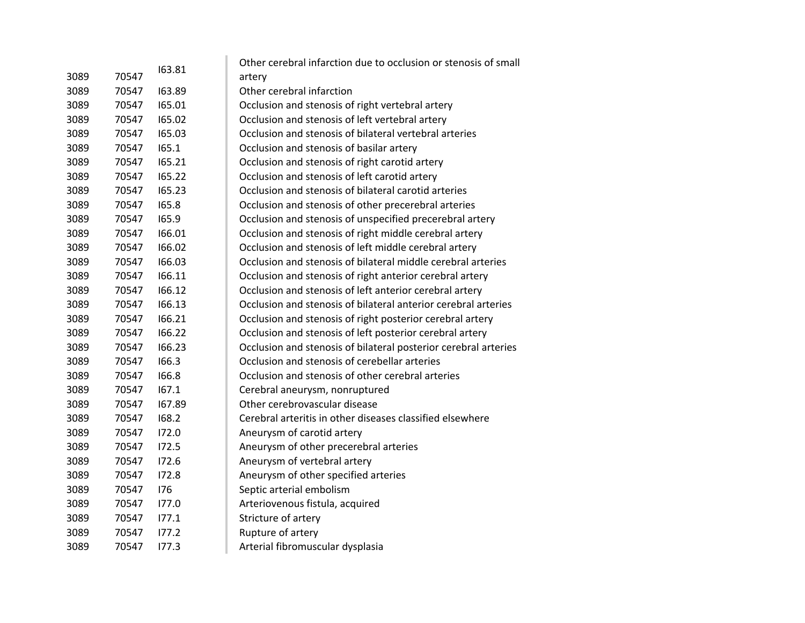|      |       |        | Other cerebral infarction due to occlusion or stenosis of small |
|------|-------|--------|-----------------------------------------------------------------|
| 3089 | 70547 | 163.81 | artery                                                          |
| 3089 | 70547 | 163.89 | Other cerebral infarction                                       |
| 3089 | 70547 | 165.01 | Occlusion and stenosis of right vertebral artery                |
| 3089 | 70547 | 165.02 | Occlusion and stenosis of left vertebral artery                 |
| 3089 | 70547 | 165.03 | Occlusion and stenosis of bilateral vertebral arteries          |
| 3089 | 70547 | 165.1  | Occlusion and stenosis of basilar artery                        |
| 3089 | 70547 | 165.21 | Occlusion and stenosis of right carotid artery                  |
| 3089 | 70547 | 165.22 | Occlusion and stenosis of left carotid artery                   |
| 3089 | 70547 | 165.23 | Occlusion and stenosis of bilateral carotid arteries            |
| 3089 | 70547 | 165.8  | Occlusion and stenosis of other precerebral arteries            |
| 3089 | 70547 | 165.9  | Occlusion and stenosis of unspecified precerebral artery        |
| 3089 | 70547 | 166.01 | Occlusion and stenosis of right middle cerebral artery          |
| 3089 | 70547 | 166.02 | Occlusion and stenosis of left middle cerebral artery           |
| 3089 | 70547 | 166.03 | Occlusion and stenosis of bilateral middle cerebral arteries    |
| 3089 | 70547 | 166.11 | Occlusion and stenosis of right anterior cerebral artery        |
| 3089 | 70547 | 166.12 | Occlusion and stenosis of left anterior cerebral artery         |
| 3089 | 70547 | 166.13 | Occlusion and stenosis of bilateral anterior cerebral arteries  |
| 3089 | 70547 | 166.21 | Occlusion and stenosis of right posterior cerebral artery       |
| 3089 | 70547 | 166.22 | Occlusion and stenosis of left posterior cerebral artery        |
| 3089 | 70547 | 166.23 | Occlusion and stenosis of bilateral posterior cerebral arteries |
| 3089 | 70547 | 166.3  | Occlusion and stenosis of cerebellar arteries                   |
| 3089 | 70547 | 166.8  | Occlusion and stenosis of other cerebral arteries               |
| 3089 | 70547 | 167.1  | Cerebral aneurysm, nonruptured                                  |
| 3089 | 70547 | 167.89 | Other cerebrovascular disease                                   |
| 3089 | 70547 | 168.2  | Cerebral arteritis in other diseases classified elsewhere       |
| 3089 | 70547 | 172.0  | Aneurysm of carotid artery                                      |
| 3089 | 70547 | 172.5  | Aneurysm of other precerebral arteries                          |
| 3089 | 70547 | 172.6  | Aneurysm of vertebral artery                                    |
| 3089 | 70547 | 172.8  | Aneurysm of other specified arteries                            |
| 3089 | 70547 | 176    | Septic arterial embolism                                        |
| 3089 | 70547 | 177.0  | Arteriovenous fistula, acquired                                 |
| 3089 | 70547 | 177.1  | Stricture of artery                                             |
| 3089 | 70547 | 177.2  | Rupture of artery                                               |
| 3089 | 70547 | 177.3  | Arterial fibromuscular dysplasia                                |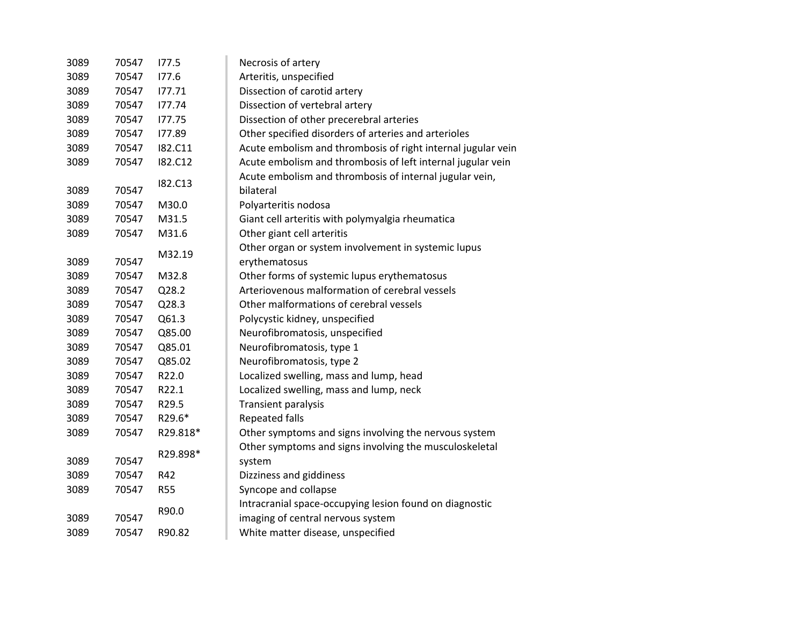| 3089 | 70547 | 177.5          | Necrosis of artery                                                   |
|------|-------|----------------|----------------------------------------------------------------------|
| 3089 | 70547 | 177.6          | Arteritis, unspecified                                               |
| 3089 | 70547 | 177.71         | Dissection of carotid artery                                         |
| 3089 | 70547 | 177.74         | Dissection of vertebral artery                                       |
| 3089 | 70547 | 177.75         | Dissection of other precerebral arteries                             |
| 3089 | 70547 | 177.89         | Other specified disorders of arteries and arterioles                 |
| 3089 | 70547 | I82.C11        | Acute embolism and thrombosis of right internal jugular vein         |
| 3089 | 70547 | <b>182.C12</b> | Acute embolism and thrombosis of left internal jugular vein          |
| 3089 | 70547 | I82.C13        | Acute embolism and thrombosis of internal jugular vein,<br>bilateral |
| 3089 | 70547 | M30.0          | Polyarteritis nodosa                                                 |
| 3089 | 70547 | M31.5          | Giant cell arteritis with polymyalgia rheumatica                     |
| 3089 | 70547 | M31.6          | Other giant cell arteritis                                           |
|      |       |                | Other organ or system involvement in systemic lupus                  |
| 3089 | 70547 | M32.19         | erythematosus                                                        |
| 3089 | 70547 | M32.8          | Other forms of systemic lupus erythematosus                          |
| 3089 | 70547 | Q28.2          | Arteriovenous malformation of cerebral vessels                       |
| 3089 | 70547 | Q28.3          | Other malformations of cerebral vessels                              |
| 3089 | 70547 | Q61.3          | Polycystic kidney, unspecified                                       |
| 3089 | 70547 | Q85.00         | Neurofibromatosis, unspecified                                       |
| 3089 | 70547 | Q85.01         | Neurofibromatosis, type 1                                            |
| 3089 | 70547 | Q85.02         | Neurofibromatosis, type 2                                            |
| 3089 | 70547 | R22.0          | Localized swelling, mass and lump, head                              |
| 3089 | 70547 | R22.1          | Localized swelling, mass and lump, neck                              |
| 3089 | 70547 | R29.5          | <b>Transient paralysis</b>                                           |
| 3089 | 70547 | R29.6*         | <b>Repeated falls</b>                                                |
| 3089 | 70547 | R29.818*       | Other symptoms and signs involving the nervous system                |
|      |       |                | Other symptoms and signs involving the musculoskeletal               |
| 3089 | 70547 | R29.898*       | system                                                               |
| 3089 | 70547 | R42            | Dizziness and giddiness                                              |
| 3089 | 70547 | <b>R55</b>     | Syncope and collapse                                                 |
|      |       | R90.0          | Intracranial space-occupying lesion found on diagnostic              |
| 3089 | 70547 |                | imaging of central nervous system                                    |
| 3089 | 70547 | R90.82         | White matter disease, unspecified                                    |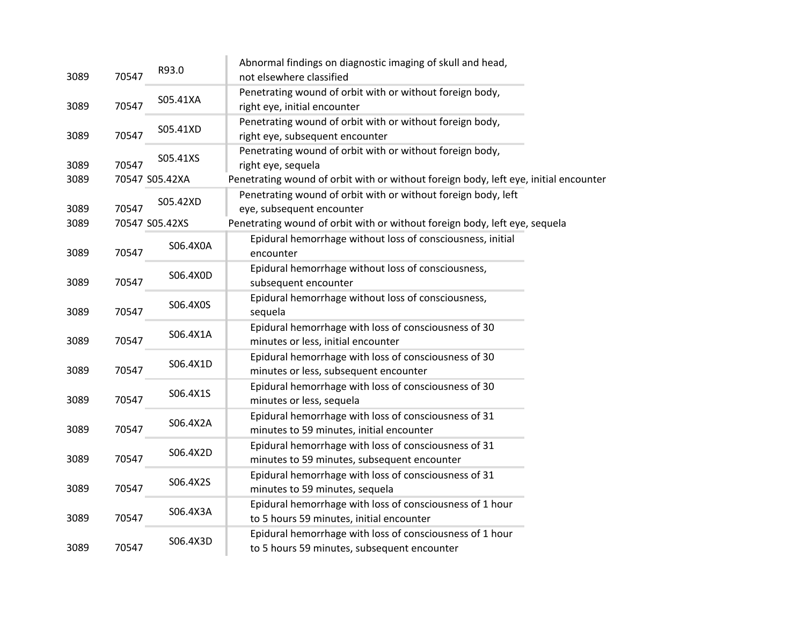| 3089 | 70547 | R93.0          | Abnormal findings on diagnostic imaging of skull and head,<br>not elsewhere classified                  |
|------|-------|----------------|---------------------------------------------------------------------------------------------------------|
| 3089 | 70547 | S05.41XA       | Penetrating wound of orbit with or without foreign body,<br>right eye, initial encounter                |
| 3089 | 70547 | S05.41XD       | Penetrating wound of orbit with or without foreign body,<br>right eye, subsequent encounter             |
| 3089 | 70547 | S05.41XS       | Penetrating wound of orbit with or without foreign body,<br>right eye, sequela                          |
| 3089 |       | 70547 S05.42XA | Penetrating wound of orbit with or without foreign body, left eye, initial encounter                    |
| 3089 | 70547 | S05.42XD       | Penetrating wound of orbit with or without foreign body, left<br>eye, subsequent encounter              |
| 3089 |       | 70547 S05.42XS | Penetrating wound of orbit with or without foreign body, left eye, sequela                              |
| 3089 | 70547 | S06.4X0A       | Epidural hemorrhage without loss of consciousness, initial<br>encounter                                 |
| 3089 | 70547 | S06.4X0D       | Epidural hemorrhage without loss of consciousness,<br>subsequent encounter                              |
| 3089 | 70547 | S06.4X0S       | Epidural hemorrhage without loss of consciousness,<br>sequela                                           |
| 3089 | 70547 | S06.4X1A       | Epidural hemorrhage with loss of consciousness of 30<br>minutes or less, initial encounter              |
| 3089 | 70547 | S06.4X1D       | Epidural hemorrhage with loss of consciousness of 30<br>minutes or less, subsequent encounter           |
| 3089 | 70547 | S06.4X1S       | Epidural hemorrhage with loss of consciousness of 30<br>minutes or less, sequela                        |
| 3089 | 70547 | S06.4X2A       | Epidural hemorrhage with loss of consciousness of 31<br>minutes to 59 minutes, initial encounter        |
| 3089 | 70547 | S06.4X2D       | Epidural hemorrhage with loss of consciousness of 31<br>minutes to 59 minutes, subsequent encounter     |
| 3089 | 70547 | S06.4X2S       | Epidural hemorrhage with loss of consciousness of 31<br>minutes to 59 minutes, sequela                  |
| 3089 | 70547 | S06.4X3A       | Epidural hemorrhage with loss of consciousness of 1 hour<br>to 5 hours 59 minutes, initial encounter    |
| 3089 | 70547 | S06.4X3D       | Epidural hemorrhage with loss of consciousness of 1 hour<br>to 5 hours 59 minutes, subsequent encounter |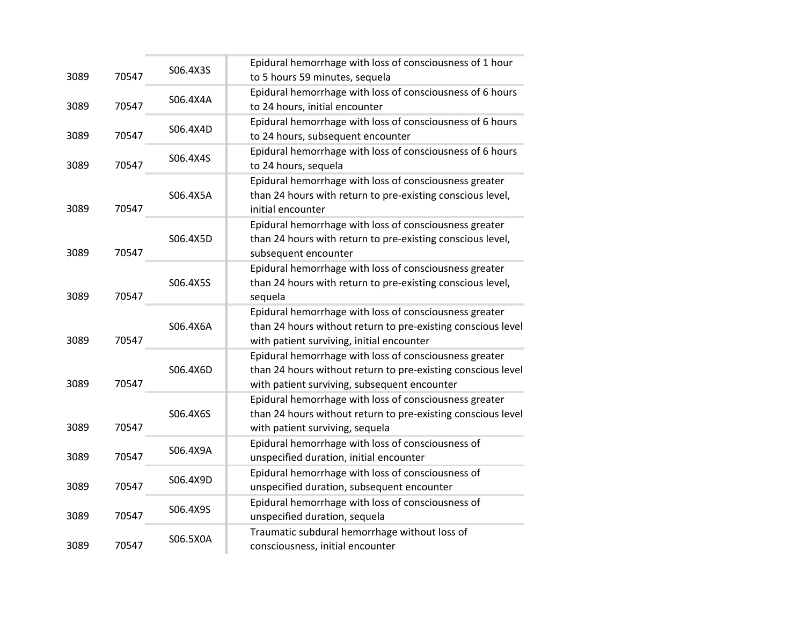| 3089 | 70547 | S06.4X3S | Epidural hemorrhage with loss of consciousness of 1 hour<br>to 5 hours 59 minutes, sequela                                                                             |
|------|-------|----------|------------------------------------------------------------------------------------------------------------------------------------------------------------------------|
| 3089 | 70547 | S06.4X4A | Epidural hemorrhage with loss of consciousness of 6 hours<br>to 24 hours, initial encounter                                                                            |
| 3089 | 70547 | S06.4X4D | Epidural hemorrhage with loss of consciousness of 6 hours<br>to 24 hours, subsequent encounter                                                                         |
| 3089 | 70547 | S06.4X4S | Epidural hemorrhage with loss of consciousness of 6 hours<br>to 24 hours, sequela                                                                                      |
| 3089 | 70547 | S06.4X5A | Epidural hemorrhage with loss of consciousness greater<br>than 24 hours with return to pre-existing conscious level,<br>initial encounter                              |
| 3089 | 70547 | S06.4X5D | Epidural hemorrhage with loss of consciousness greater<br>than 24 hours with return to pre-existing conscious level,<br>subsequent encounter                           |
| 3089 | 70547 | S06.4X5S | Epidural hemorrhage with loss of consciousness greater<br>than 24 hours with return to pre-existing conscious level,<br>sequela                                        |
| 3089 | 70547 | S06.4X6A | Epidural hemorrhage with loss of consciousness greater<br>than 24 hours without return to pre-existing conscious level<br>with patient surviving, initial encounter    |
| 3089 | 70547 | S06.4X6D | Epidural hemorrhage with loss of consciousness greater<br>than 24 hours without return to pre-existing conscious level<br>with patient surviving, subsequent encounter |
| 3089 | 70547 | S06.4X6S | Epidural hemorrhage with loss of consciousness greater<br>than 24 hours without return to pre-existing conscious level<br>with patient surviving, sequela              |
| 3089 | 70547 | S06.4X9A | Epidural hemorrhage with loss of consciousness of<br>unspecified duration, initial encounter                                                                           |
| 3089 | 70547 | S06.4X9D | Epidural hemorrhage with loss of consciousness of<br>unspecified duration, subsequent encounter                                                                        |
| 3089 | 70547 | S06.4X9S | Epidural hemorrhage with loss of consciousness of<br>unspecified duration, sequela                                                                                     |
| 3089 | 70547 | S06.5X0A | Traumatic subdural hemorrhage without loss of<br>consciousness, initial encounter                                                                                      |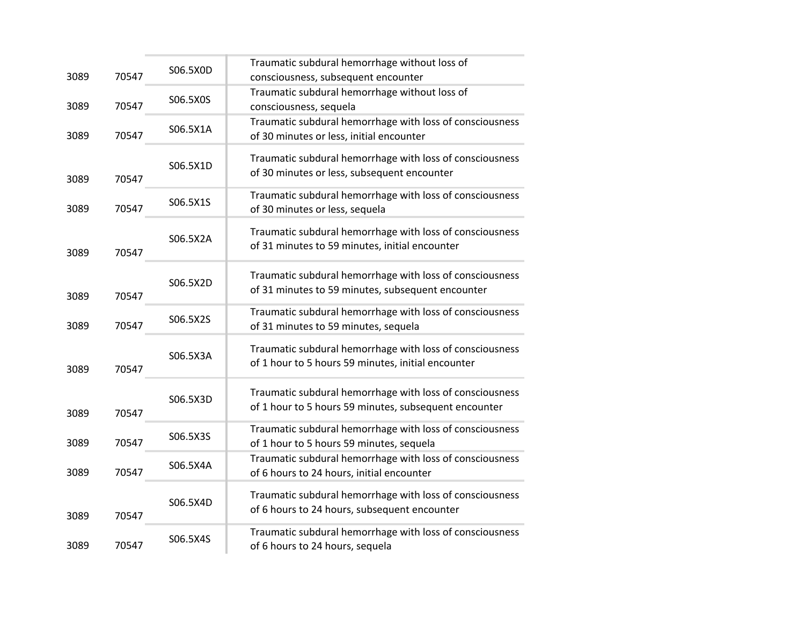| 3089 | 70547 | S06.5X0D | Traumatic subdural hemorrhage without loss of<br>consciousness, subsequent encounter                              |
|------|-------|----------|-------------------------------------------------------------------------------------------------------------------|
| 3089 | 70547 | S06.5X0S | Traumatic subdural hemorrhage without loss of<br>consciousness, sequela                                           |
| 3089 | 70547 | S06.5X1A | Traumatic subdural hemorrhage with loss of consciousness<br>of 30 minutes or less, initial encounter              |
| 3089 | 70547 | S06.5X1D | Traumatic subdural hemorrhage with loss of consciousness<br>of 30 minutes or less, subsequent encounter           |
| 3089 | 70547 | S06.5X1S | Traumatic subdural hemorrhage with loss of consciousness<br>of 30 minutes or less, sequela                        |
| 3089 | 70547 | S06.5X2A | Traumatic subdural hemorrhage with loss of consciousness<br>of 31 minutes to 59 minutes, initial encounter        |
| 3089 | 70547 | S06.5X2D | Traumatic subdural hemorrhage with loss of consciousness<br>of 31 minutes to 59 minutes, subsequent encounter     |
| 3089 | 70547 | S06.5X2S | Traumatic subdural hemorrhage with loss of consciousness<br>of 31 minutes to 59 minutes, sequela                  |
| 3089 | 70547 | S06.5X3A | Traumatic subdural hemorrhage with loss of consciousness<br>of 1 hour to 5 hours 59 minutes, initial encounter    |
| 3089 | 70547 | S06.5X3D | Traumatic subdural hemorrhage with loss of consciousness<br>of 1 hour to 5 hours 59 minutes, subsequent encounter |
| 3089 | 70547 | S06.5X3S | Traumatic subdural hemorrhage with loss of consciousness<br>of 1 hour to 5 hours 59 minutes, sequela              |
| 3089 | 70547 | S06.5X4A | Traumatic subdural hemorrhage with loss of consciousness<br>of 6 hours to 24 hours, initial encounter             |
| 3089 | 70547 | S06.5X4D | Traumatic subdural hemorrhage with loss of consciousness<br>of 6 hours to 24 hours, subsequent encounter          |
| 3089 | 70547 | S06.5X4S | Traumatic subdural hemorrhage with loss of consciousness<br>of 6 hours to 24 hours, sequela                       |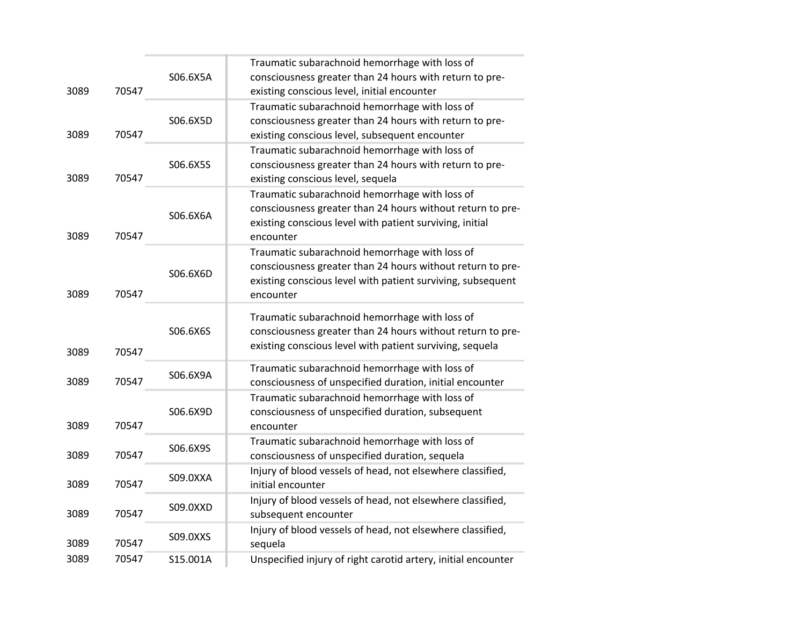|      |       |          | Traumatic subarachnoid hemorrhage with loss of                |
|------|-------|----------|---------------------------------------------------------------|
|      |       | S06.6X5A | consciousness greater than 24 hours with return to pre-       |
| 3089 | 70547 |          | existing conscious level, initial encounter                   |
|      |       |          | Traumatic subarachnoid hemorrhage with loss of                |
|      |       | S06.6X5D | consciousness greater than 24 hours with return to pre-       |
| 3089 | 70547 |          | existing conscious level, subsequent encounter                |
|      |       |          | Traumatic subarachnoid hemorrhage with loss of                |
|      |       | S06.6X5S | consciousness greater than 24 hours with return to pre-       |
| 3089 | 70547 |          | existing conscious level, sequela                             |
|      |       |          | Traumatic subarachnoid hemorrhage with loss of                |
|      |       | S06.6X6A | consciousness greater than 24 hours without return to pre-    |
|      |       |          | existing conscious level with patient surviving, initial      |
| 3089 | 70547 |          | encounter                                                     |
|      |       |          | Traumatic subarachnoid hemorrhage with loss of                |
|      |       | S06.6X6D | consciousness greater than 24 hours without return to pre-    |
|      |       |          | existing conscious level with patient surviving, subsequent   |
| 3089 | 70547 |          | encounter                                                     |
|      |       |          | Traumatic subarachnoid hemorrhage with loss of                |
|      |       | S06.6X6S | consciousness greater than 24 hours without return to pre-    |
|      |       |          | existing conscious level with patient surviving, sequela      |
| 3089 | 70547 |          |                                                               |
| 3089 | 70547 | S06.6X9A | Traumatic subarachnoid hemorrhage with loss of                |
|      |       |          | consciousness of unspecified duration, initial encounter      |
|      |       | S06.6X9D | Traumatic subarachnoid hemorrhage with loss of                |
| 3089 | 70547 |          | consciousness of unspecified duration, subsequent             |
|      |       |          | encounter<br>Traumatic subarachnoid hemorrhage with loss of   |
| 3089 | 70547 | S06.6X9S | consciousness of unspecified duration, sequela                |
|      |       |          | Injury of blood vessels of head, not elsewhere classified,    |
| 3089 | 70547 | S09.0XXA | initial encounter                                             |
|      |       |          | Injury of blood vessels of head, not elsewhere classified,    |
| 3089 | 70547 | S09.0XXD | subsequent encounter                                          |
|      |       |          | Injury of blood vessels of head, not elsewhere classified,    |
| 3089 | 70547 | S09.0XXS | sequela                                                       |
| 3089 | 70547 | S15.001A | Unspecified injury of right carotid artery, initial encounter |
|      |       |          |                                                               |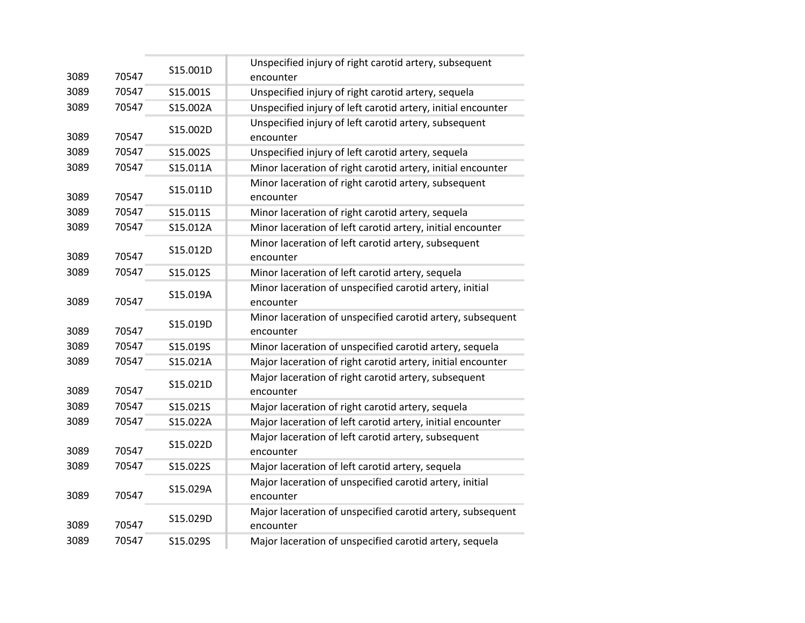| 3089 | 70547 | S15.001D | Unspecified injury of right carotid artery, subsequent<br>encounter     |
|------|-------|----------|-------------------------------------------------------------------------|
| 3089 | 70547 | S15.001S | Unspecified injury of right carotid artery, sequela                     |
| 3089 | 70547 | S15.002A | Unspecified injury of left carotid artery, initial encounter            |
| 3089 | 70547 | S15.002D | Unspecified injury of left carotid artery, subsequent<br>encounter      |
| 3089 | 70547 | S15.002S | Unspecified injury of left carotid artery, sequela                      |
| 3089 | 70547 | S15.011A | Minor laceration of right carotid artery, initial encounter             |
| 3089 | 70547 | S15.011D | Minor laceration of right carotid artery, subsequent<br>encounter       |
| 3089 | 70547 | S15.011S | Minor laceration of right carotid artery, sequela                       |
| 3089 | 70547 | S15.012A | Minor laceration of left carotid artery, initial encounter              |
| 3089 | 70547 | S15.012D | Minor laceration of left carotid artery, subsequent<br>encounter        |
| 3089 | 70547 | S15.012S | Minor laceration of left carotid artery, sequela                        |
| 3089 | 70547 | S15.019A | Minor laceration of unspecified carotid artery, initial<br>encounter    |
| 3089 | 70547 | S15.019D | Minor laceration of unspecified carotid artery, subsequent<br>encounter |
| 3089 | 70547 | S15.019S | Minor laceration of unspecified carotid artery, sequela                 |
| 3089 | 70547 | S15.021A | Major laceration of right carotid artery, initial encounter             |
| 3089 | 70547 | S15.021D | Major laceration of right carotid artery, subsequent<br>encounter       |
| 3089 | 70547 | S15.021S | Major laceration of right carotid artery, sequela                       |
| 3089 | 70547 | S15.022A | Major laceration of left carotid artery, initial encounter              |
| 3089 | 70547 | S15.022D | Major laceration of left carotid artery, subsequent<br>encounter        |
| 3089 | 70547 | S15.022S | Major laceration of left carotid artery, sequela                        |
| 3089 | 70547 | S15.029A | Major laceration of unspecified carotid artery, initial<br>encounter    |
| 3089 | 70547 | S15.029D | Major laceration of unspecified carotid artery, subsequent<br>encounter |
| 3089 | 70547 | S15.029S | Major laceration of unspecified carotid artery, sequela                 |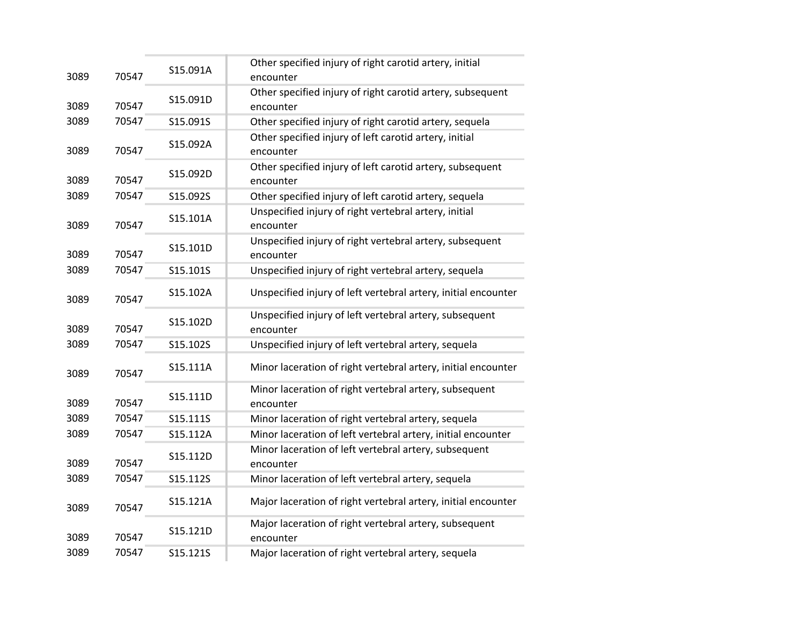| 3089 | 70547 | S15.091A | Other specified injury of right carotid artery, initial<br>encounter    |
|------|-------|----------|-------------------------------------------------------------------------|
| 3089 | 70547 | S15.091D | Other specified injury of right carotid artery, subsequent<br>encounter |
| 3089 | 70547 | S15.091S | Other specified injury of right carotid artery, sequela                 |
| 3089 | 70547 | S15.092A | Other specified injury of left carotid artery, initial<br>encounter     |
| 3089 | 70547 | S15.092D | Other specified injury of left carotid artery, subsequent<br>encounter  |
| 3089 | 70547 | S15.092S | Other specified injury of left carotid artery, sequela                  |
| 3089 | 70547 | S15.101A | Unspecified injury of right vertebral artery, initial<br>encounter      |
| 3089 | 70547 | S15.101D | Unspecified injury of right vertebral artery, subsequent<br>encounter   |
| 3089 | 70547 | S15.101S | Unspecified injury of right vertebral artery, sequela                   |
| 3089 | 70547 | S15.102A | Unspecified injury of left vertebral artery, initial encounter          |
| 3089 | 70547 | S15.102D | Unspecified injury of left vertebral artery, subsequent<br>encounter    |
| 3089 | 70547 | S15.102S | Unspecified injury of left vertebral artery, sequela                    |
| 3089 | 70547 | S15.111A | Minor laceration of right vertebral artery, initial encounter           |
| 3089 | 70547 | S15.111D | Minor laceration of right vertebral artery, subsequent<br>encounter     |
| 3089 | 70547 | S15.111S | Minor laceration of right vertebral artery, sequela                     |
| 3089 | 70547 | S15.112A | Minor laceration of left vertebral artery, initial encounter            |
| 3089 | 70547 | S15.112D | Minor laceration of left vertebral artery, subsequent<br>encounter      |
| 3089 | 70547 | S15.112S | Minor laceration of left vertebral artery, sequela                      |
| 3089 | 70547 | S15.121A | Major laceration of right vertebral artery, initial encounter           |
| 3089 | 70547 | S15.121D | Major laceration of right vertebral artery, subsequent<br>encounter     |
| 3089 | 70547 | S15.121S | Major laceration of right vertebral artery, sequela                     |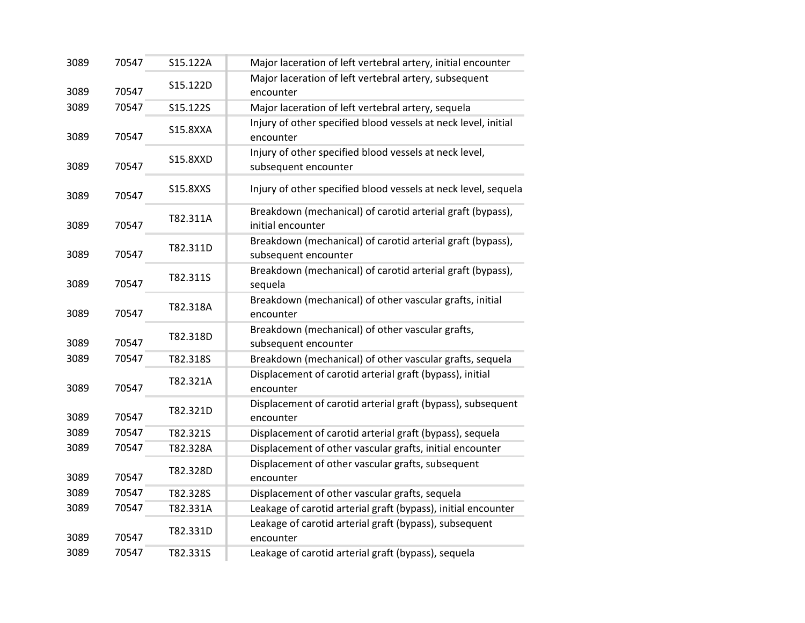| 3089 | 70547 | S15.122A        | Major laceration of left vertebral artery, initial encounter                       |
|------|-------|-----------------|------------------------------------------------------------------------------------|
| 3089 | 70547 | S15.122D        | Major laceration of left vertebral artery, subsequent<br>encounter                 |
| 3089 | 70547 | S15.122S        | Major laceration of left vertebral artery, sequela                                 |
| 3089 | 70547 | <b>S15.8XXA</b> | Injury of other specified blood vessels at neck level, initial<br>encounter        |
| 3089 | 70547 | <b>S15.8XXD</b> | Injury of other specified blood vessels at neck level,<br>subsequent encounter     |
| 3089 | 70547 | S15.8XXS        | Injury of other specified blood vessels at neck level, sequela                     |
| 3089 | 70547 | T82.311A        | Breakdown (mechanical) of carotid arterial graft (bypass),<br>initial encounter    |
| 3089 | 70547 | T82.311D        | Breakdown (mechanical) of carotid arterial graft (bypass),<br>subsequent encounter |
| 3089 | 70547 | T82.311S        | Breakdown (mechanical) of carotid arterial graft (bypass),<br>sequela              |
| 3089 | 70547 | T82.318A        | Breakdown (mechanical) of other vascular grafts, initial<br>encounter              |
| 3089 | 70547 | T82.318D        | Breakdown (mechanical) of other vascular grafts,<br>subsequent encounter           |
| 3089 | 70547 | T82.318S        | Breakdown (mechanical) of other vascular grafts, sequela                           |
| 3089 | 70547 | T82.321A        | Displacement of carotid arterial graft (bypass), initial<br>encounter              |
| 3089 | 70547 | T82.321D        | Displacement of carotid arterial graft (bypass), subsequent<br>encounter           |
| 3089 | 70547 | T82.321S        | Displacement of carotid arterial graft (bypass), sequela                           |
| 3089 | 70547 | T82.328A        | Displacement of other vascular grafts, initial encounter                           |
| 3089 | 70547 | T82.328D        | Displacement of other vascular grafts, subsequent<br>encounter                     |
| 3089 | 70547 | T82.328S        | Displacement of other vascular grafts, sequela                                     |
| 3089 | 70547 | T82.331A        | Leakage of carotid arterial graft (bypass), initial encounter                      |
| 3089 | 70547 | T82.331D        | Leakage of carotid arterial graft (bypass), subsequent<br>encounter                |
| 3089 | 70547 | T82.331S        | Leakage of carotid arterial graft (bypass), sequela                                |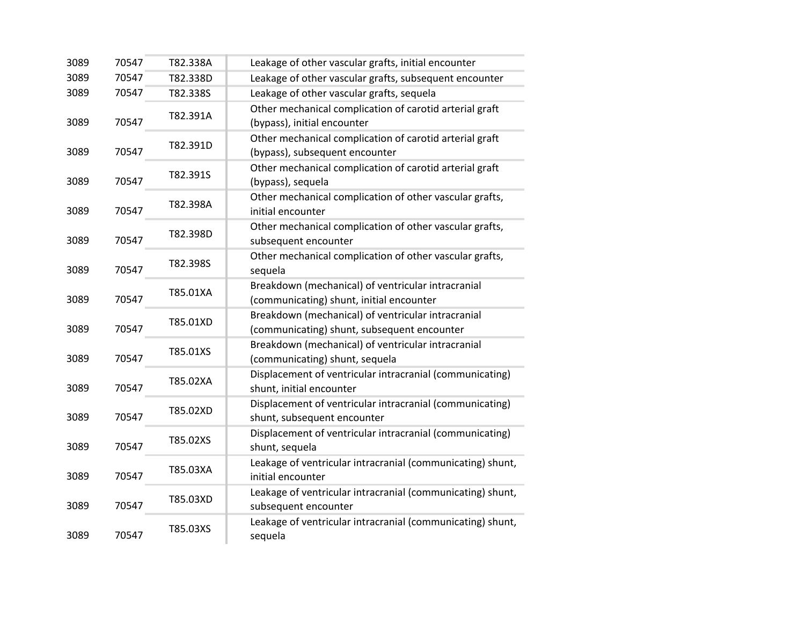| 3089 | 70547 | T82.338A | Leakage of other vascular grafts, initial encounter                                               |
|------|-------|----------|---------------------------------------------------------------------------------------------------|
| 3089 | 70547 | T82.338D | Leakage of other vascular grafts, subsequent encounter                                            |
| 3089 | 70547 | T82.338S | Leakage of other vascular grafts, sequela                                                         |
| 3089 | 70547 | T82.391A | Other mechanical complication of carotid arterial graft<br>(bypass), initial encounter            |
| 3089 | 70547 | T82.391D | Other mechanical complication of carotid arterial graft<br>(bypass), subsequent encounter         |
| 3089 | 70547 | T82.391S | Other mechanical complication of carotid arterial graft<br>(bypass), sequela                      |
| 3089 | 70547 | T82.398A | Other mechanical complication of other vascular grafts,<br>initial encounter                      |
| 3089 | 70547 | T82.398D | Other mechanical complication of other vascular grafts,<br>subsequent encounter                   |
| 3089 | 70547 | T82.398S | Other mechanical complication of other vascular grafts,<br>sequela                                |
| 3089 | 70547 | T85.01XA | Breakdown (mechanical) of ventricular intracranial<br>(communicating) shunt, initial encounter    |
| 3089 | 70547 | T85.01XD | Breakdown (mechanical) of ventricular intracranial<br>(communicating) shunt, subsequent encounter |
| 3089 | 70547 | T85.01XS | Breakdown (mechanical) of ventricular intracranial<br>(communicating) shunt, sequela              |
| 3089 | 70547 | T85.02XA | Displacement of ventricular intracranial (communicating)<br>shunt, initial encounter              |
| 3089 | 70547 | T85.02XD | Displacement of ventricular intracranial (communicating)<br>shunt, subsequent encounter           |
| 3089 | 70547 | T85.02XS | Displacement of ventricular intracranial (communicating)<br>shunt, sequela                        |
| 3089 | 70547 | T85.03XA | Leakage of ventricular intracranial (communicating) shunt,<br>initial encounter                   |
| 3089 | 70547 | T85.03XD | Leakage of ventricular intracranial (communicating) shunt,<br>subsequent encounter                |
| 3089 | 70547 | T85.03XS | Leakage of ventricular intracranial (communicating) shunt,<br>sequela                             |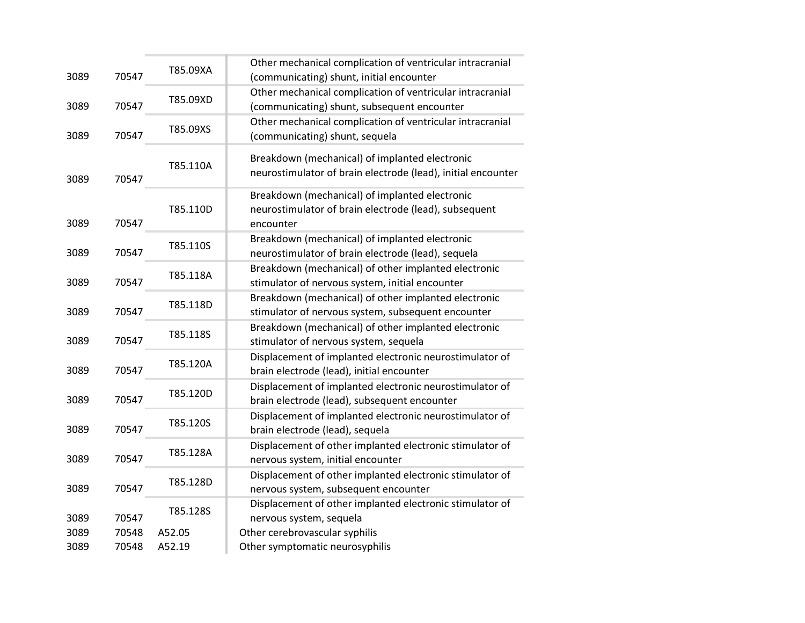| 3089         | 70547          | T85.09XA           | Other mechanical complication of ventricular intracranial<br>(communicating) shunt, initial encounter                 |
|--------------|----------------|--------------------|-----------------------------------------------------------------------------------------------------------------------|
| 3089         | 70547          | T85.09XD           | Other mechanical complication of ventricular intracranial<br>(communicating) shunt, subsequent encounter              |
| 3089         | 70547          | T85.09XS           | Other mechanical complication of ventricular intracranial<br>(communicating) shunt, sequela                           |
| 3089         | 70547          | T85.110A           | Breakdown (mechanical) of implanted electronic<br>neurostimulator of brain electrode (lead), initial encounter        |
| 3089         | 70547          | T85.110D           | Breakdown (mechanical) of implanted electronic<br>neurostimulator of brain electrode (lead), subsequent<br>encounter  |
| 3089         | 70547          | T85.110S           | Breakdown (mechanical) of implanted electronic<br>neurostimulator of brain electrode (lead), sequela                  |
| 3089         | 70547          | T85.118A           | Breakdown (mechanical) of other implanted electronic<br>stimulator of nervous system, initial encounter               |
| 3089         | 70547          | T85.118D           | Breakdown (mechanical) of other implanted electronic<br>stimulator of nervous system, subsequent encounter            |
| 3089         | 70547          | T85.118S           | Breakdown (mechanical) of other implanted electronic<br>stimulator of nervous system, sequela                         |
| 3089         | 70547          | T85.120A           | Displacement of implanted electronic neurostimulator of<br>brain electrode (lead), initial encounter                  |
| 3089         | 70547          | T85.120D           | Displacement of implanted electronic neurostimulator of<br>brain electrode (lead), subsequent encounter               |
| 3089         | 70547          | T85.120S           | Displacement of implanted electronic neurostimulator of<br>brain electrode (lead), sequela                            |
| 3089         | 70547          | T85.128A           | Displacement of other implanted electronic stimulator of<br>nervous system, initial encounter                         |
| 3089         | 70547          | T85.128D           | Displacement of other implanted electronic stimulator of<br>nervous system, subsequent encounter                      |
| 3089<br>3089 | 70547<br>70548 | T85.128S<br>A52.05 | Displacement of other implanted electronic stimulator of<br>nervous system, sequela<br>Other cerebrovascular syphilis |
| 3089         | 70548          | A52.19             | Other symptomatic neurosyphilis                                                                                       |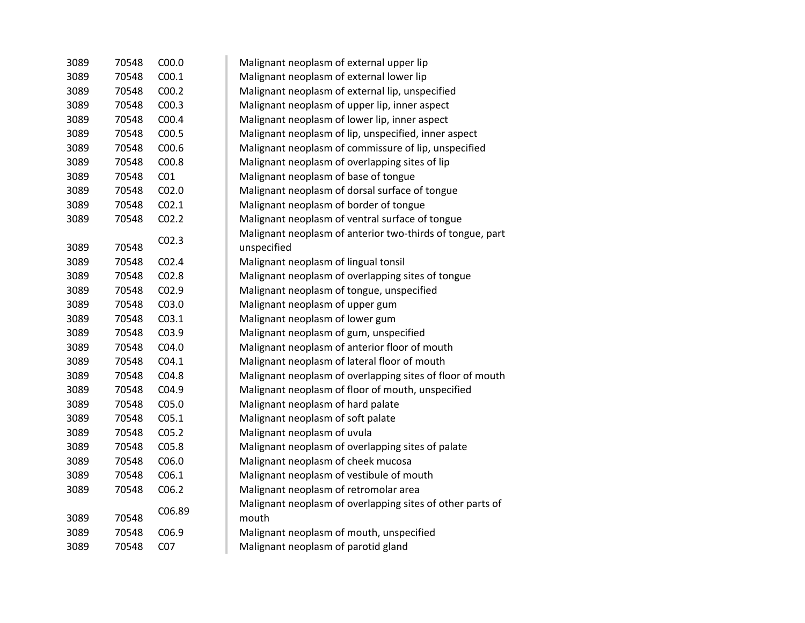| 3089 | 70548 | C <sub>00.0</sub> | Malignant neoplasm of external upper lip                  |
|------|-------|-------------------|-----------------------------------------------------------|
| 3089 | 70548 | CO <sub>0.1</sub> | Malignant neoplasm of external lower lip                  |
| 3089 | 70548 | C <sub>00.2</sub> | Malignant neoplasm of external lip, unspecified           |
| 3089 | 70548 | CO <sub>0.3</sub> | Malignant neoplasm of upper lip, inner aspect             |
| 3089 | 70548 | C00.4             | Malignant neoplasm of lower lip, inner aspect             |
| 3089 | 70548 | C00.5             | Malignant neoplasm of lip, unspecified, inner aspect      |
| 3089 | 70548 | C <sub>00.6</sub> | Malignant neoplasm of commissure of lip, unspecified      |
| 3089 | 70548 | C00.8             | Malignant neoplasm of overlapping sites of lip            |
| 3089 | 70548 | CO <sub>1</sub>   | Malignant neoplasm of base of tongue                      |
| 3089 | 70548 | CO <sub>2.0</sub> | Malignant neoplasm of dorsal surface of tongue            |
| 3089 | 70548 | CO <sub>2.1</sub> | Malignant neoplasm of border of tongue                    |
| 3089 | 70548 | CO <sub>2.2</sub> | Malignant neoplasm of ventral surface of tongue           |
|      |       |                   | Malignant neoplasm of anterior two-thirds of tongue, part |
| 3089 | 70548 | CO <sub>2.3</sub> | unspecified                                               |
| 3089 | 70548 | CO <sub>2.4</sub> | Malignant neoplasm of lingual tonsil                      |
| 3089 | 70548 | C02.8             | Malignant neoplasm of overlapping sites of tongue         |
| 3089 | 70548 | C02.9             | Malignant neoplasm of tongue, unspecified                 |
| 3089 | 70548 | C03.0             | Malignant neoplasm of upper gum                           |
| 3089 | 70548 | CO <sub>3.1</sub> | Malignant neoplasm of lower gum                           |
| 3089 | 70548 | C03.9             | Malignant neoplasm of gum, unspecified                    |
| 3089 | 70548 | CO4.0             | Malignant neoplasm of anterior floor of mouth             |
| 3089 | 70548 | CO4.1             | Malignant neoplasm of lateral floor of mouth              |
| 3089 | 70548 | CO4.8             | Malignant neoplasm of overlapping sites of floor of mouth |
| 3089 | 70548 | C04.9             | Malignant neoplasm of floor of mouth, unspecified         |
| 3089 | 70548 | C05.0             | Malignant neoplasm of hard palate                         |
| 3089 | 70548 | C <sub>05.1</sub> | Malignant neoplasm of soft palate                         |
| 3089 | 70548 | C <sub>05.2</sub> | Malignant neoplasm of uvula                               |
| 3089 | 70548 | C05.8             | Malignant neoplasm of overlapping sites of palate         |
| 3089 | 70548 | C06.0             | Malignant neoplasm of cheek mucosa                        |
| 3089 | 70548 | C <sub>06.1</sub> | Malignant neoplasm of vestibule of mouth                  |
| 3089 | 70548 | C <sub>06.2</sub> | Malignant neoplasm of retromolar area                     |
|      |       |                   | Malignant neoplasm of overlapping sites of other parts of |
| 3089 | 70548 | C06.89            | mouth                                                     |
| 3089 | 70548 | C06.9             | Malignant neoplasm of mouth, unspecified                  |
| 3089 | 70548 | CO <sub>7</sub>   | Malignant neoplasm of parotid gland                       |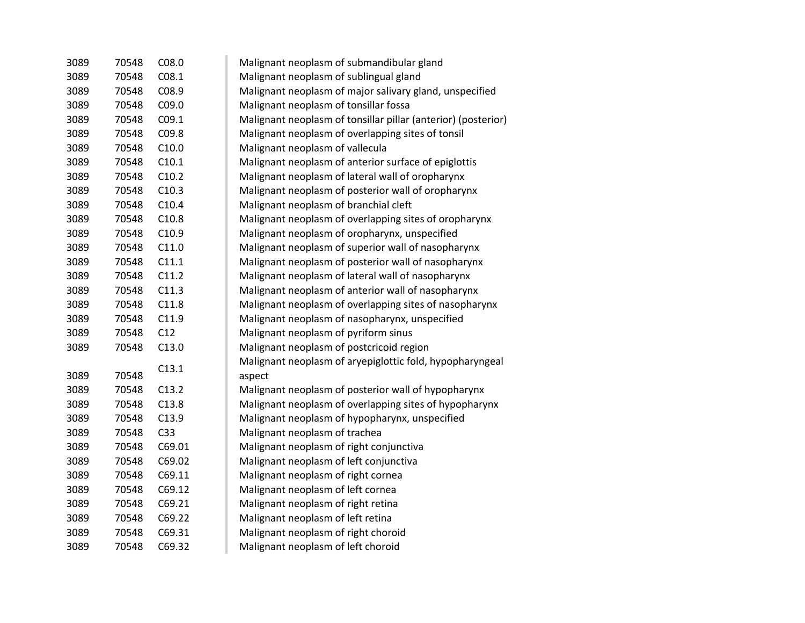| 3089 | 70548 | C08.0             | Malignant neoplasm of submandibular gland                     |
|------|-------|-------------------|---------------------------------------------------------------|
| 3089 | 70548 | CO8.1             | Malignant neoplasm of sublingual gland                        |
| 3089 | 70548 | C08.9             | Malignant neoplasm of major salivary gland, unspecified       |
| 3089 | 70548 | C09.0             | Malignant neoplasm of tonsillar fossa                         |
| 3089 | 70548 | C <sub>09.1</sub> | Malignant neoplasm of tonsillar pillar (anterior) (posterior) |
| 3089 | 70548 | C09.8             | Malignant neoplasm of overlapping sites of tonsil             |
| 3089 | 70548 | C10.0             | Malignant neoplasm of vallecula                               |
| 3089 | 70548 | C10.1             | Malignant neoplasm of anterior surface of epiglottis          |
| 3089 | 70548 | C10.2             | Malignant neoplasm of lateral wall of oropharynx              |
| 3089 | 70548 | C10.3             | Malignant neoplasm of posterior wall of oropharynx            |
| 3089 | 70548 | C10.4             | Malignant neoplasm of branchial cleft                         |
| 3089 | 70548 | C10.8             | Malignant neoplasm of overlapping sites of oropharynx         |
| 3089 | 70548 | C10.9             | Malignant neoplasm of oropharynx, unspecified                 |
| 3089 | 70548 | C11.0             | Malignant neoplasm of superior wall of nasopharynx            |
| 3089 | 70548 | C11.1             | Malignant neoplasm of posterior wall of nasopharynx           |
| 3089 | 70548 | C11.2             | Malignant neoplasm of lateral wall of nasopharynx             |
| 3089 | 70548 | C11.3             | Malignant neoplasm of anterior wall of nasopharynx            |
| 3089 | 70548 | C11.8             | Malignant neoplasm of overlapping sites of nasopharynx        |
| 3089 | 70548 | C11.9             | Malignant neoplasm of nasopharynx, unspecified                |
| 3089 | 70548 | C12               | Malignant neoplasm of pyriform sinus                          |
| 3089 | 70548 | C13.0             | Malignant neoplasm of postcricoid region                      |
|      |       | C13.1             | Malignant neoplasm of aryepiglottic fold, hypopharyngeal      |
| 3089 | 70548 |                   | aspect                                                        |
| 3089 | 70548 | C13.2             | Malignant neoplasm of posterior wall of hypopharynx           |
| 3089 | 70548 | C13.8             | Malignant neoplasm of overlapping sites of hypopharynx        |
| 3089 | 70548 | C13.9             | Malignant neoplasm of hypopharynx, unspecified                |
| 3089 | 70548 | C <sub>33</sub>   | Malignant neoplasm of trachea                                 |
| 3089 | 70548 | C69.01            | Malignant neoplasm of right conjunctiva                       |
| 3089 | 70548 | C69.02            | Malignant neoplasm of left conjunctiva                        |
| 3089 | 70548 | C69.11            | Malignant neoplasm of right cornea                            |
| 3089 | 70548 | C69.12            | Malignant neoplasm of left cornea                             |
| 3089 | 70548 | C69.21            | Malignant neoplasm of right retina                            |
| 3089 | 70548 | C69.22            | Malignant neoplasm of left retina                             |
| 3089 | 70548 | C69.31            | Malignant neoplasm of right choroid                           |
| 3089 | 70548 | C69.32            | Malignant neoplasm of left choroid                            |
|      |       |                   |                                                               |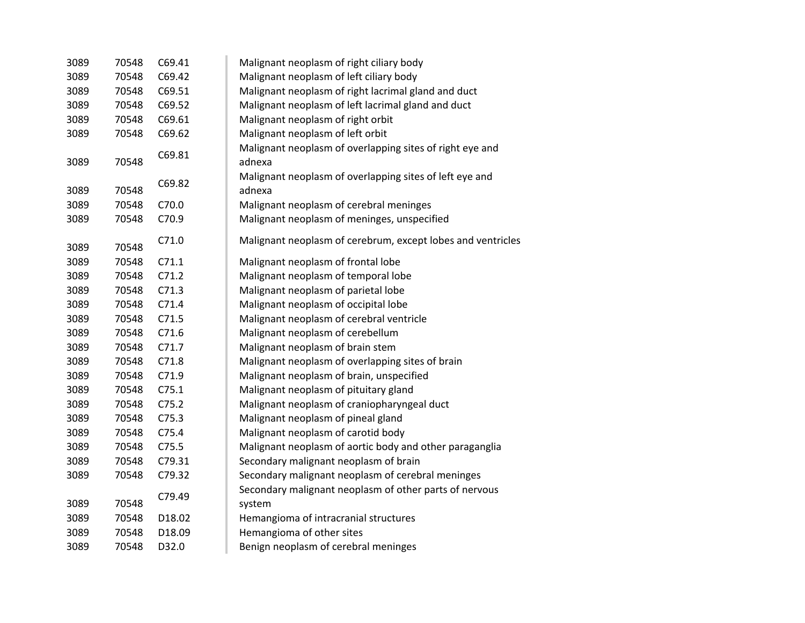| 3089 | 70548 | C69.41 | Malignant neoplasm of right ciliary body                    |
|------|-------|--------|-------------------------------------------------------------|
| 3089 | 70548 | C69.42 | Malignant neoplasm of left ciliary body                     |
| 3089 | 70548 | C69.51 | Malignant neoplasm of right lacrimal gland and duct         |
| 3089 | 70548 | C69.52 | Malignant neoplasm of left lacrimal gland and duct          |
| 3089 | 70548 | C69.61 | Malignant neoplasm of right orbit                           |
| 3089 | 70548 | C69.62 | Malignant neoplasm of left orbit                            |
|      |       | C69.81 | Malignant neoplasm of overlapping sites of right eye and    |
| 3089 | 70548 |        | adnexa                                                      |
|      |       | C69.82 | Malignant neoplasm of overlapping sites of left eye and     |
| 3089 | 70548 |        | adnexa                                                      |
| 3089 | 70548 | C70.0  | Malignant neoplasm of cerebral meninges                     |
| 3089 | 70548 | C70.9  | Malignant neoplasm of meninges, unspecified                 |
|      |       | C71.0  | Malignant neoplasm of cerebrum, except lobes and ventricles |
| 3089 | 70548 |        |                                                             |
| 3089 | 70548 | C71.1  | Malignant neoplasm of frontal lobe                          |
| 3089 | 70548 | C71.2  | Malignant neoplasm of temporal lobe                         |
| 3089 | 70548 | C71.3  | Malignant neoplasm of parietal lobe                         |
| 3089 | 70548 | C71.4  | Malignant neoplasm of occipital lobe                        |
| 3089 | 70548 | C71.5  | Malignant neoplasm of cerebral ventricle                    |
| 3089 | 70548 | C71.6  | Malignant neoplasm of cerebellum                            |
| 3089 | 70548 | C71.7  | Malignant neoplasm of brain stem                            |
| 3089 | 70548 | C71.8  | Malignant neoplasm of overlapping sites of brain            |
| 3089 | 70548 | C71.9  | Malignant neoplasm of brain, unspecified                    |
| 3089 | 70548 | C75.1  | Malignant neoplasm of pituitary gland                       |
| 3089 | 70548 | C75.2  | Malignant neoplasm of craniopharyngeal duct                 |
| 3089 | 70548 | C75.3  | Malignant neoplasm of pineal gland                          |
| 3089 | 70548 | C75.4  | Malignant neoplasm of carotid body                          |
| 3089 | 70548 | C75.5  | Malignant neoplasm of aortic body and other paraganglia     |
| 3089 | 70548 | C79.31 | Secondary malignant neoplasm of brain                       |
| 3089 | 70548 | C79.32 | Secondary malignant neoplasm of cerebral meninges           |
|      |       | C79.49 | Secondary malignant neoplasm of other parts of nervous      |
| 3089 | 70548 |        | system                                                      |
| 3089 | 70548 | D18.02 | Hemangioma of intracranial structures                       |
| 3089 | 70548 | D18.09 | Hemangioma of other sites                                   |
| 3089 | 70548 | D32.0  | Benign neoplasm of cerebral meninges                        |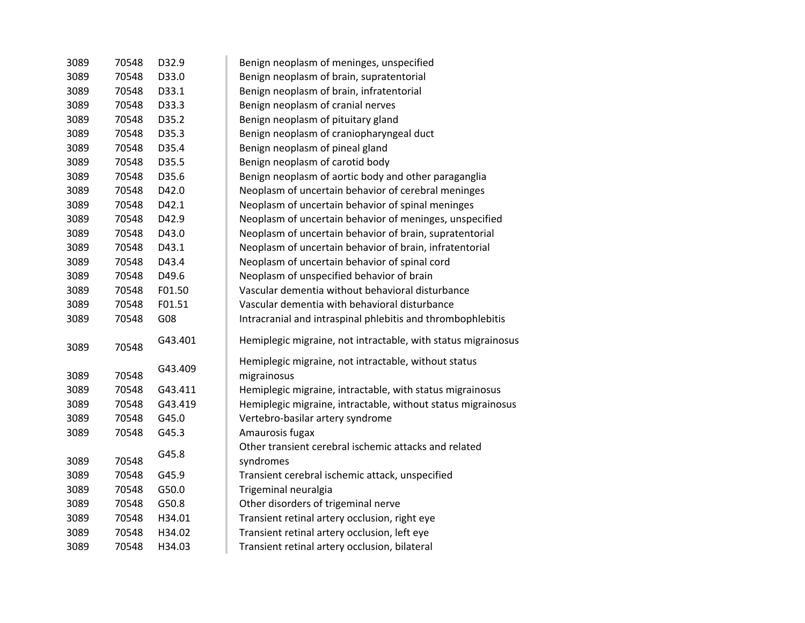| 3089 | 70548 | D32.9   | Benign neoplasm of meninges, unspecified                      |
|------|-------|---------|---------------------------------------------------------------|
| 3089 | 70548 | D33.0   | Benign neoplasm of brain, supratentorial                      |
| 3089 | 70548 | D33.1   | Benign neoplasm of brain, infratentorial                      |
| 3089 | 70548 | D33.3   | Benign neoplasm of cranial nerves                             |
| 3089 | 70548 | D35.2   | Benign neoplasm of pituitary gland                            |
| 3089 | 70548 | D35.3   | Benign neoplasm of craniopharyngeal duct                      |
| 3089 | 70548 | D35.4   | Benign neoplasm of pineal gland                               |
| 3089 | 70548 | D35.5   | Benign neoplasm of carotid body                               |
| 3089 | 70548 | D35.6   | Benign neoplasm of aortic body and other paraganglia          |
| 3089 | 70548 | D42.0   | Neoplasm of uncertain behavior of cerebral meninges           |
| 3089 | 70548 | D42.1   | Neoplasm of uncertain behavior of spinal meninges             |
| 3089 | 70548 | D42.9   | Neoplasm of uncertain behavior of meninges, unspecified       |
| 3089 | 70548 | D43.0   | Neoplasm of uncertain behavior of brain, supratentorial       |
| 3089 | 70548 | D43.1   | Neoplasm of uncertain behavior of brain, infratentorial       |
| 3089 | 70548 | D43.4   | Neoplasm of uncertain behavior of spinal cord                 |
| 3089 | 70548 | D49.6   | Neoplasm of unspecified behavior of brain                     |
| 3089 | 70548 | F01.50  | Vascular dementia without behavioral disturbance              |
| 3089 | 70548 | F01.51  | Vascular dementia with behavioral disturbance                 |
| 3089 | 70548 | G08     | Intracranial and intraspinal phlebitis and thrombophlebitis   |
| 3089 | 70548 | G43.401 | Hemiplegic migraine, not intractable, with status migrainosus |
|      |       |         | Hemiplegic migraine, not intractable, without status          |
| 3089 | 70548 | G43.409 | migrainosus                                                   |
| 3089 | 70548 | G43.411 | Hemiplegic migraine, intractable, with status migrainosus     |
| 3089 | 70548 | G43.419 | Hemiplegic migraine, intractable, without status migrainosus  |
| 3089 | 70548 | G45.0   | Vertebro-basilar artery syndrome                              |
| 3089 | 70548 | G45.3   | Amaurosis fugax                                               |
|      |       |         | Other transient cerebral ischemic attacks and related         |
| 3089 | 70548 | G45.8   | syndromes                                                     |
| 3089 | 70548 | G45.9   | Transient cerebral ischemic attack, unspecified               |
| 3089 | 70548 | G50.0   | Trigeminal neuralgia                                          |
| 3089 | 70548 | G50.8   | Other disorders of trigeminal nerve                           |
| 3089 | 70548 | H34.01  | Transient retinal artery occlusion, right eye                 |
| 3089 | 70548 | H34.02  | Transient retinal artery occlusion, left eye                  |
| 3089 | 70548 | H34.03  | Transient retinal artery occlusion, bilateral                 |
|      |       |         |                                                               |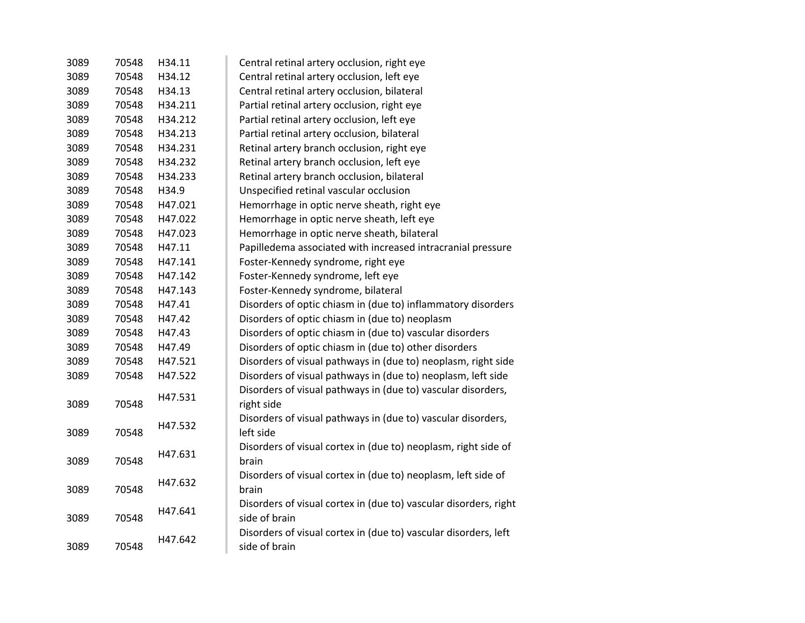| 3089 | 70548 | H34.11  | Central retinal artery occlusion, right eye                                       |
|------|-------|---------|-----------------------------------------------------------------------------------|
| 3089 | 70548 | H34.12  | Central retinal artery occlusion, left eye                                        |
| 3089 | 70548 | H34.13  | Central retinal artery occlusion, bilateral                                       |
| 3089 | 70548 | H34.211 | Partial retinal artery occlusion, right eye                                       |
| 3089 | 70548 | H34.212 | Partial retinal artery occlusion, left eye                                        |
| 3089 | 70548 | H34.213 | Partial retinal artery occlusion, bilateral                                       |
| 3089 | 70548 | H34.231 | Retinal artery branch occlusion, right eye                                        |
| 3089 | 70548 | H34.232 | Retinal artery branch occlusion, left eye                                         |
| 3089 | 70548 | H34.233 | Retinal artery branch occlusion, bilateral                                        |
| 3089 | 70548 | H34.9   | Unspecified retinal vascular occlusion                                            |
| 3089 | 70548 | H47.021 | Hemorrhage in optic nerve sheath, right eye                                       |
| 3089 | 70548 | H47.022 | Hemorrhage in optic nerve sheath, left eye                                        |
| 3089 | 70548 | H47.023 | Hemorrhage in optic nerve sheath, bilateral                                       |
| 3089 | 70548 | H47.11  | Papilledema associated with increased intracranial pressure                       |
| 3089 | 70548 | H47.141 | Foster-Kennedy syndrome, right eye                                                |
| 3089 | 70548 | H47.142 | Foster-Kennedy syndrome, left eye                                                 |
| 3089 | 70548 | H47.143 | Foster-Kennedy syndrome, bilateral                                                |
| 3089 | 70548 | H47.41  | Disorders of optic chiasm in (due to) inflammatory disorders                      |
| 3089 | 70548 | H47.42  | Disorders of optic chiasm in (due to) neoplasm                                    |
| 3089 | 70548 | H47.43  | Disorders of optic chiasm in (due to) vascular disorders                          |
| 3089 | 70548 | H47.49  | Disorders of optic chiasm in (due to) other disorders                             |
| 3089 | 70548 | H47.521 | Disorders of visual pathways in (due to) neoplasm, right side                     |
| 3089 | 70548 | H47.522 | Disorders of visual pathways in (due to) neoplasm, left side                      |
| 3089 | 70548 | H47.531 | Disorders of visual pathways in (due to) vascular disorders,<br>right side        |
| 3089 | 70548 | H47.532 | Disorders of visual pathways in (due to) vascular disorders,<br>left side         |
| 3089 | 70548 | H47.631 | Disorders of visual cortex in (due to) neoplasm, right side of<br>brain           |
| 3089 | 70548 | H47.632 | Disorders of visual cortex in (due to) neoplasm, left side of<br>brain            |
| 3089 | 70548 | H47.641 | Disorders of visual cortex in (due to) vascular disorders, right<br>side of brain |
| 3089 | 70548 | H47.642 | Disorders of visual cortex in (due to) vascular disorders, left<br>side of brain  |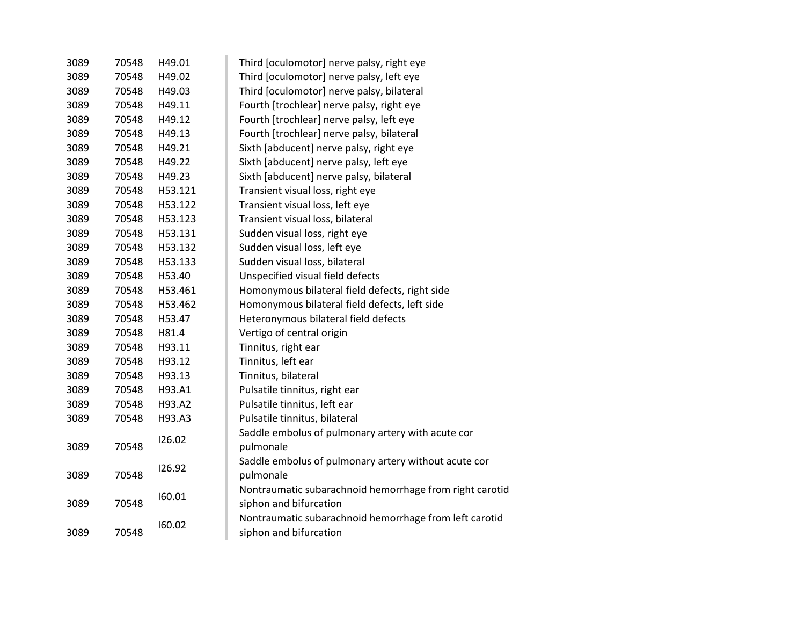| 3089 | 70548 | H49.01  | Third [oculomotor] nerve palsy, right eye               |
|------|-------|---------|---------------------------------------------------------|
| 3089 | 70548 | H49.02  | Third [oculomotor] nerve palsy, left eye                |
| 3089 | 70548 | H49.03  | Third [oculomotor] nerve palsy, bilateral               |
| 3089 | 70548 | H49.11  | Fourth [trochlear] nerve palsy, right eye               |
| 3089 | 70548 | H49.12  | Fourth [trochlear] nerve palsy, left eye                |
| 3089 | 70548 | H49.13  | Fourth [trochlear] nerve palsy, bilateral               |
| 3089 | 70548 | H49.21  | Sixth [abducent] nerve palsy, right eye                 |
| 3089 | 70548 | H49.22  | Sixth [abducent] nerve palsy, left eye                  |
| 3089 | 70548 | H49.23  | Sixth [abducent] nerve palsy, bilateral                 |
| 3089 | 70548 | H53.121 | Transient visual loss, right eye                        |
| 3089 | 70548 | H53.122 | Transient visual loss, left eye                         |
| 3089 | 70548 | H53.123 | Transient visual loss, bilateral                        |
| 3089 | 70548 | H53.131 | Sudden visual loss, right eye                           |
| 3089 | 70548 | H53.132 | Sudden visual loss, left eye                            |
| 3089 | 70548 | H53.133 | Sudden visual loss, bilateral                           |
| 3089 | 70548 | H53.40  | Unspecified visual field defects                        |
| 3089 | 70548 | H53.461 | Homonymous bilateral field defects, right side          |
| 3089 | 70548 | H53.462 | Homonymous bilateral field defects, left side           |
| 3089 | 70548 | H53.47  | Heteronymous bilateral field defects                    |
| 3089 | 70548 | H81.4   | Vertigo of central origin                               |
| 3089 | 70548 | H93.11  | Tinnitus, right ear                                     |
| 3089 | 70548 | H93.12  | Tinnitus, left ear                                      |
| 3089 | 70548 | H93.13  | Tinnitus, bilateral                                     |
| 3089 | 70548 | H93.A1  | Pulsatile tinnitus, right ear                           |
| 3089 | 70548 | H93.A2  | Pulsatile tinnitus, left ear                            |
| 3089 | 70548 | H93.A3  | Pulsatile tinnitus, bilateral                           |
|      |       | 126.02  | Saddle embolus of pulmonary artery with acute cor       |
| 3089 | 70548 |         | pulmonale                                               |
|      |       | 126.92  | Saddle embolus of pulmonary artery without acute cor    |
| 3089 | 70548 |         | pulmonale                                               |
|      |       | 160.01  | Nontraumatic subarachnoid hemorrhage from right carotid |
| 3089 | 70548 |         | siphon and bifurcation                                  |
|      |       | 160.02  | Nontraumatic subarachnoid hemorrhage from left carotid  |
| 3089 | 70548 |         | siphon and bifurcation                                  |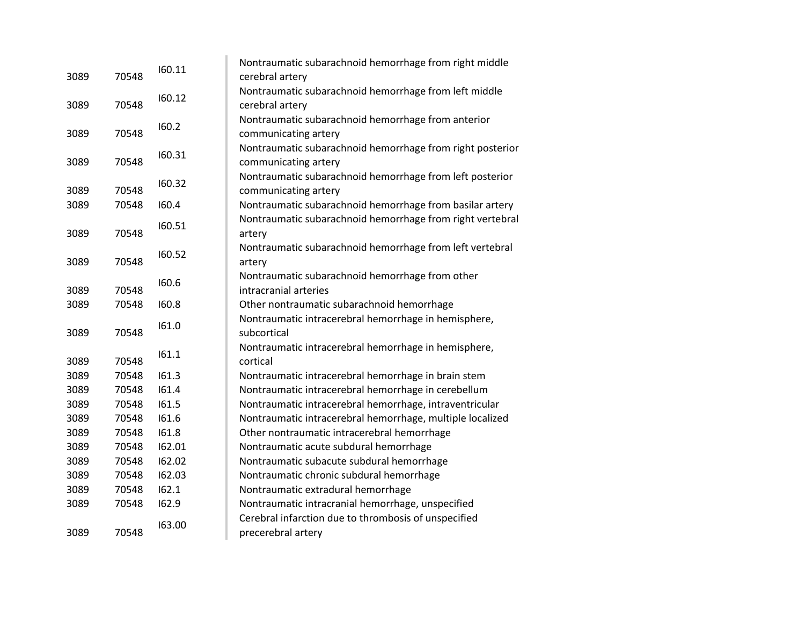| 3089 | 70548 | 160.11 | Nontraumatic subarachnoid hemorrhage from right middle<br>cerebral artery         |
|------|-------|--------|-----------------------------------------------------------------------------------|
| 3089 | 70548 | 160.12 | Nontraumatic subarachnoid hemorrhage from left middle<br>cerebral artery          |
| 3089 | 70548 | 160.2  | Nontraumatic subarachnoid hemorrhage from anterior<br>communicating artery        |
| 3089 | 70548 | 160.31 | Nontraumatic subarachnoid hemorrhage from right posterior<br>communicating artery |
| 3089 | 70548 | 160.32 | Nontraumatic subarachnoid hemorrhage from left posterior<br>communicating artery  |
| 3089 | 70548 | 160.4  | Nontraumatic subarachnoid hemorrhage from basilar artery                          |
| 3089 | 70548 | 160.51 | Nontraumatic subarachnoid hemorrhage from right vertebral<br>artery               |
| 3089 | 70548 | 160.52 | Nontraumatic subarachnoid hemorrhage from left vertebral<br>artery                |
| 3089 | 70548 | 160.6  | Nontraumatic subarachnoid hemorrhage from other<br>intracranial arteries          |
| 3089 | 70548 | 160.8  | Other nontraumatic subarachnoid hemorrhage                                        |
| 3089 | 70548 | 161.0  | Nontraumatic intracerebral hemorrhage in hemisphere,<br>subcortical               |
| 3089 | 70548 | 161.1  | Nontraumatic intracerebral hemorrhage in hemisphere,<br>cortical                  |
| 3089 | 70548 | 161.3  | Nontraumatic intracerebral hemorrhage in brain stem                               |
| 3089 | 70548 | 161.4  | Nontraumatic intracerebral hemorrhage in cerebellum                               |
| 3089 | 70548 | 161.5  | Nontraumatic intracerebral hemorrhage, intraventricular                           |
| 3089 | 70548 | 161.6  | Nontraumatic intracerebral hemorrhage, multiple localized                         |
| 3089 | 70548 | 161.8  | Other nontraumatic intracerebral hemorrhage                                       |
| 3089 | 70548 | 162.01 | Nontraumatic acute subdural hemorrhage                                            |
| 3089 | 70548 | 162.02 | Nontraumatic subacute subdural hemorrhage                                         |
| 3089 | 70548 | 162.03 | Nontraumatic chronic subdural hemorrhage                                          |
| 3089 | 70548 | 162.1  | Nontraumatic extradural hemorrhage                                                |
| 3089 | 70548 | 162.9  | Nontraumatic intracranial hemorrhage, unspecified                                 |
| 3089 | 70548 | 163.00 | Cerebral infarction due to thrombosis of unspecified<br>precerebral artery        |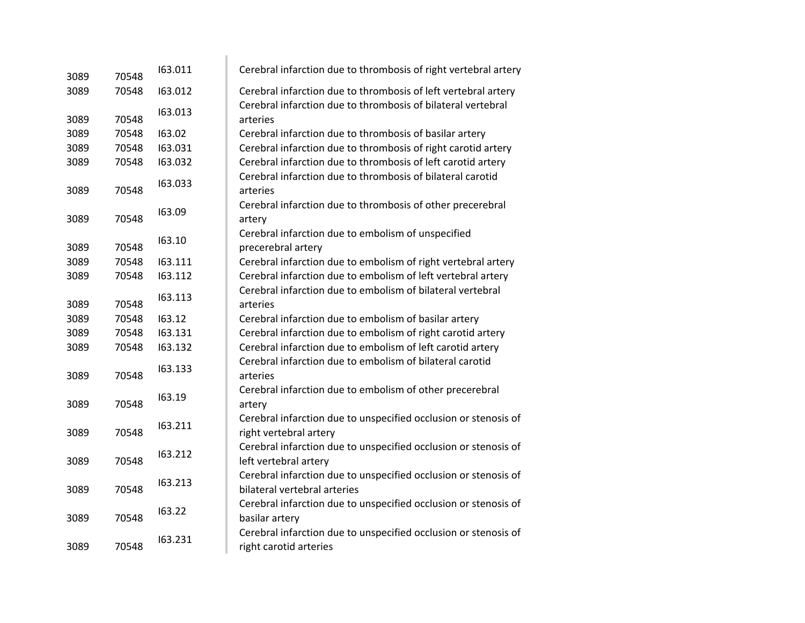| 3089 | 70548 | 163.011 | Cerebral infarction due to thrombosis of right vertebral artery                                 |
|------|-------|---------|-------------------------------------------------------------------------------------------------|
| 3089 | 70548 | 163.012 | Cerebral infarction due to thrombosis of left vertebral artery                                  |
| 3089 | 70548 | 163.013 | Cerebral infarction due to thrombosis of bilateral vertebral<br>arteries                        |
| 3089 | 70548 | 163.02  | Cerebral infarction due to thrombosis of basilar artery                                         |
| 3089 | 70548 | 163.031 | Cerebral infarction due to thrombosis of right carotid artery                                   |
| 3089 | 70548 | 163.032 | Cerebral infarction due to thrombosis of left carotid artery                                    |
| 3089 | 70548 | 163.033 | Cerebral infarction due to thrombosis of bilateral carotid<br>arteries                          |
| 3089 | 70548 | 163.09  | Cerebral infarction due to thrombosis of other precerebral<br>artery                            |
| 3089 | 70548 | 163.10  | Cerebral infarction due to embolism of unspecified<br>precerebral artery                        |
| 3089 | 70548 | 163.111 | Cerebral infarction due to embolism of right vertebral artery                                   |
| 3089 | 70548 | 163.112 | Cerebral infarction due to embolism of left vertebral artery                                    |
| 3089 | 70548 | 163.113 | Cerebral infarction due to embolism of bilateral vertebral<br>arteries                          |
| 3089 | 70548 | 163.12  | Cerebral infarction due to embolism of basilar artery                                           |
| 3089 | 70548 | 163.131 | Cerebral infarction due to embolism of right carotid artery                                     |
| 3089 | 70548 | 163.132 | Cerebral infarction due to embolism of left carotid artery                                      |
| 3089 | 70548 | 163.133 | Cerebral infarction due to embolism of bilateral carotid<br>arteries                            |
| 3089 | 70548 | 163.19  | Cerebral infarction due to embolism of other precerebral<br>artery                              |
| 3089 | 70548 | 163.211 | Cerebral infarction due to unspecified occlusion or stenosis of<br>right vertebral artery       |
| 3089 | 70548 | 163.212 | Cerebral infarction due to unspecified occlusion or stenosis of<br>left vertebral artery        |
| 3089 | 70548 | 163.213 | Cerebral infarction due to unspecified occlusion or stenosis of<br>bilateral vertebral arteries |
| 3089 | 70548 | 163.22  | Cerebral infarction due to unspecified occlusion or stenosis of<br>basilar artery               |
| 3089 | 70548 | 163.231 | Cerebral infarction due to unspecified occlusion or stenosis of<br>right carotid arteries       |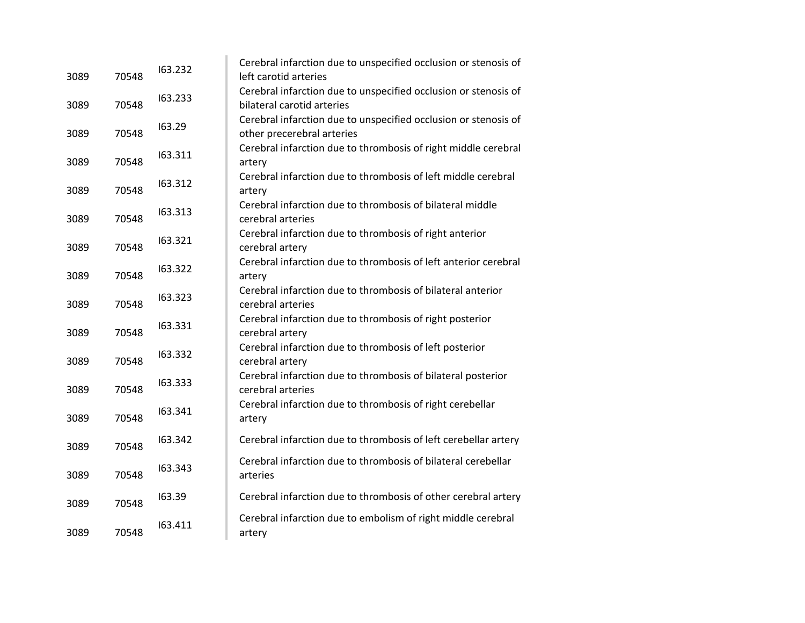| 3089 | 70548 | 163.232 | Cerebral infarction due to unspecified occlusion or stenosis of<br>left carotid arteries      |
|------|-------|---------|-----------------------------------------------------------------------------------------------|
| 3089 | 70548 | 163.233 | Cerebral infarction due to unspecified occlusion or stenosis of<br>bilateral carotid arteries |
| 3089 | 70548 | 163.29  | Cerebral infarction due to unspecified occlusion or stenosis of<br>other precerebral arteries |
| 3089 | 70548 | 163.311 | Cerebral infarction due to thrombosis of right middle cerebral<br>artery                      |
| 3089 | 70548 | 163.312 | Cerebral infarction due to thrombosis of left middle cerebral<br>artery                       |
| 3089 | 70548 | 163.313 | Cerebral infarction due to thrombosis of bilateral middle<br>cerebral arteries                |
| 3089 | 70548 | 163.321 | Cerebral infarction due to thrombosis of right anterior<br>cerebral artery                    |
| 3089 | 70548 | 163.322 | Cerebral infarction due to thrombosis of left anterior cerebral<br>artery                     |
| 3089 | 70548 | 163.323 | Cerebral infarction due to thrombosis of bilateral anterior<br>cerebral arteries              |
| 3089 | 70548 | 163.331 | Cerebral infarction due to thrombosis of right posterior<br>cerebral artery                   |
| 3089 | 70548 | 163.332 | Cerebral infarction due to thrombosis of left posterior<br>cerebral artery                    |
| 3089 | 70548 | 163.333 | Cerebral infarction due to thrombosis of bilateral posterior<br>cerebral arteries             |
| 3089 | 70548 | 163.341 | Cerebral infarction due to thrombosis of right cerebellar<br>artery                           |
| 3089 | 70548 | 163.342 | Cerebral infarction due to thrombosis of left cerebellar artery                               |
| 3089 | 70548 | 163.343 | Cerebral infarction due to thrombosis of bilateral cerebellar<br>arteries                     |
| 3089 | 70548 | 163.39  | Cerebral infarction due to thrombosis of other cerebral artery                                |
| 3089 | 70548 | 163.411 | Cerebral infarction due to embolism of right middle cerebral<br>artery                        |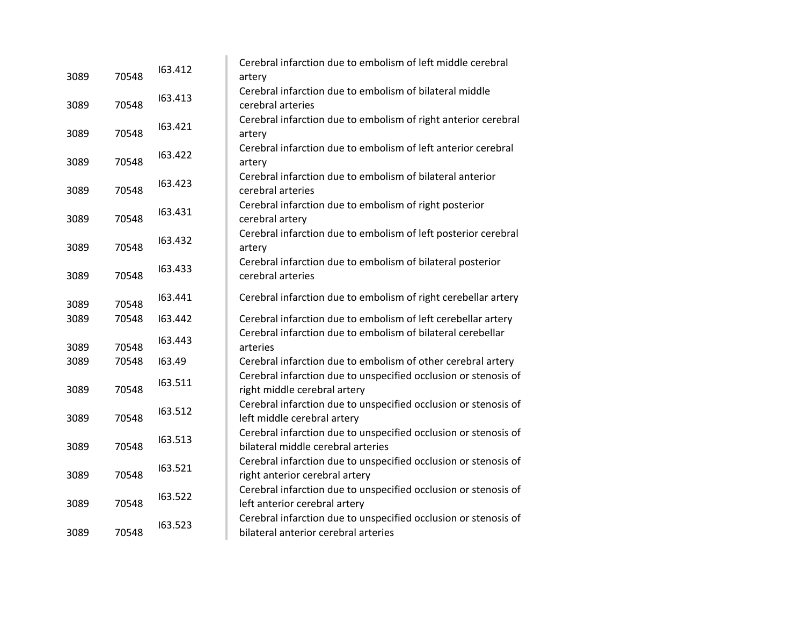| 3089 | 70548 | 163.412 | Cerebral infarction due to embolism of left middle cerebral<br>artery                                   |
|------|-------|---------|---------------------------------------------------------------------------------------------------------|
| 3089 | 70548 | 163.413 | Cerebral infarction due to embolism of bilateral middle<br>cerebral arteries                            |
| 3089 | 70548 | 163.421 | Cerebral infarction due to embolism of right anterior cerebral<br>artery                                |
| 3089 | 70548 | 163.422 | Cerebral infarction due to embolism of left anterior cerebral<br>artery                                 |
| 3089 | 70548 | 163.423 | Cerebral infarction due to embolism of bilateral anterior<br>cerebral arteries                          |
| 3089 | 70548 | 163.431 | Cerebral infarction due to embolism of right posterior<br>cerebral artery                               |
| 3089 | 70548 | 163.432 | Cerebral infarction due to embolism of left posterior cerebral<br>artery                                |
| 3089 | 70548 | 163.433 | Cerebral infarction due to embolism of bilateral posterior<br>cerebral arteries                         |
| 3089 | 70548 | 163.441 | Cerebral infarction due to embolism of right cerebellar artery                                          |
| 3089 | 70548 | 163.442 | Cerebral infarction due to embolism of left cerebellar artery                                           |
| 3089 | 70548 | 163.443 | Cerebral infarction due to embolism of bilateral cerebellar<br>arteries                                 |
| 3089 | 70548 | 163.49  | Cerebral infarction due to embolism of other cerebral artery                                            |
| 3089 | 70548 | 163.511 | Cerebral infarction due to unspecified occlusion or stenosis of<br>right middle cerebral artery         |
| 3089 | 70548 | 163.512 | Cerebral infarction due to unspecified occlusion or stenosis of<br>left middle cerebral artery          |
| 3089 | 70548 | 163.513 | Cerebral infarction due to unspecified occlusion or stenosis of<br>bilateral middle cerebral arteries   |
| 3089 | 70548 | 163.521 | Cerebral infarction due to unspecified occlusion or stenosis of<br>right anterior cerebral artery       |
| 3089 | 70548 | 163.522 | Cerebral infarction due to unspecified occlusion or stenosis of<br>left anterior cerebral artery        |
| 3089 | 70548 | 163.523 | Cerebral infarction due to unspecified occlusion or stenosis of<br>bilateral anterior cerebral arteries |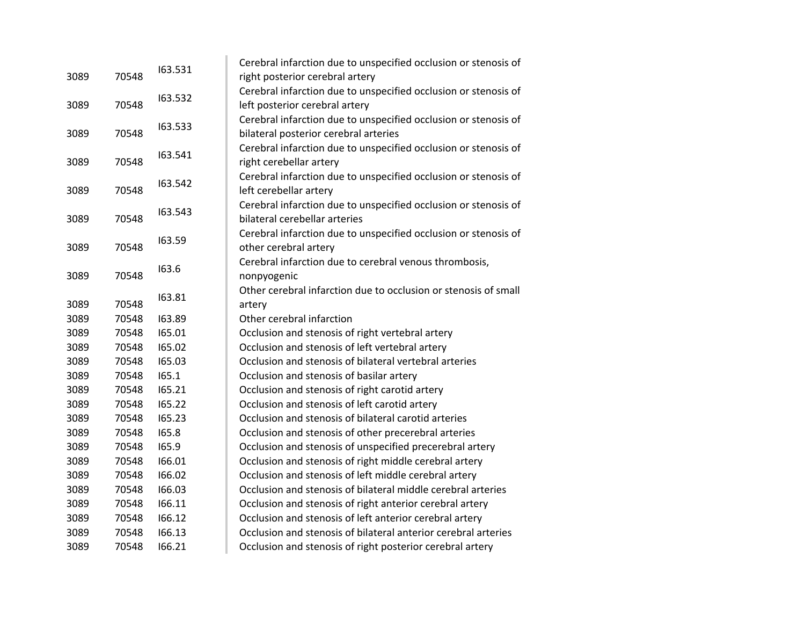| 3089 |       | 163.531 | Cerebral infarction due to unspecified occlusion or stenosis of |
|------|-------|---------|-----------------------------------------------------------------|
|      | 70548 |         | right posterior cerebral artery                                 |
|      |       | 163.532 | Cerebral infarction due to unspecified occlusion or stenosis of |
| 3089 | 70548 |         | left posterior cerebral artery                                  |
|      |       | 163.533 | Cerebral infarction due to unspecified occlusion or stenosis of |
| 3089 | 70548 |         | bilateral posterior cerebral arteries                           |
|      |       | 163.541 | Cerebral infarction due to unspecified occlusion or stenosis of |
| 3089 | 70548 |         | right cerebellar artery                                         |
|      |       | 163.542 | Cerebral infarction due to unspecified occlusion or stenosis of |
| 3089 | 70548 |         | left cerebellar artery                                          |
|      |       | 163.543 | Cerebral infarction due to unspecified occlusion or stenosis of |
| 3089 | 70548 |         | bilateral cerebellar arteries                                   |
|      |       | 163.59  | Cerebral infarction due to unspecified occlusion or stenosis of |
| 3089 | 70548 |         | other cerebral artery                                           |
|      |       | 163.6   | Cerebral infarction due to cerebral venous thrombosis,          |
| 3089 | 70548 |         | nonpyogenic                                                     |
|      |       | 163.81  | Other cerebral infarction due to occlusion or stenosis of small |
| 3089 | 70548 |         | artery                                                          |
| 3089 | 70548 | 163.89  | Other cerebral infarction                                       |
| 3089 | 70548 | 165.01  | Occlusion and stenosis of right vertebral artery                |
| 3089 | 70548 | 165.02  | Occlusion and stenosis of left vertebral artery                 |
| 3089 | 70548 | 165.03  | Occlusion and stenosis of bilateral vertebral arteries          |
| 3089 | 70548 | 165.1   | Occlusion and stenosis of basilar artery                        |
| 3089 | 70548 | 165.21  | Occlusion and stenosis of right carotid artery                  |
| 3089 | 70548 | 165.22  | Occlusion and stenosis of left carotid artery                   |
| 3089 | 70548 | 165.23  | Occlusion and stenosis of bilateral carotid arteries            |
| 3089 | 70548 | 165.8   | Occlusion and stenosis of other precerebral arteries            |
| 3089 | 70548 | 165.9   | Occlusion and stenosis of unspecified precerebral artery        |
| 3089 | 70548 | 166.01  | Occlusion and stenosis of right middle cerebral artery          |
| 3089 | 70548 | 166.02  | Occlusion and stenosis of left middle cerebral artery           |
| 3089 | 70548 | 166.03  | Occlusion and stenosis of bilateral middle cerebral arteries    |
| 3089 | 70548 | 166.11  | Occlusion and stenosis of right anterior cerebral artery        |
| 3089 | 70548 | 166.12  | Occlusion and stenosis of left anterior cerebral artery         |
| 3089 | 70548 | 166.13  | Occlusion and stenosis of bilateral anterior cerebral arteries  |
| 3089 | 70548 | 166.21  | Occlusion and stenosis of right posterior cerebral artery       |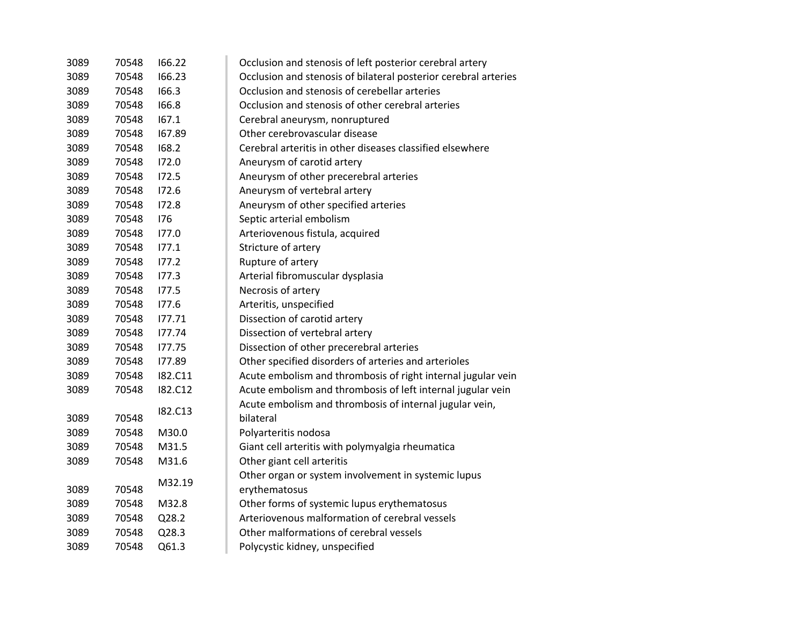| 3089 | 70548 | 166.22  | Occlusion and stenosis of left posterior cerebral artery        |
|------|-------|---------|-----------------------------------------------------------------|
| 3089 | 70548 | 166.23  | Occlusion and stenosis of bilateral posterior cerebral arteries |
| 3089 | 70548 | 166.3   | Occlusion and stenosis of cerebellar arteries                   |
| 3089 | 70548 | 166.8   | Occlusion and stenosis of other cerebral arteries               |
| 3089 | 70548 | 167.1   | Cerebral aneurysm, nonruptured                                  |
| 3089 | 70548 | 167.89  | Other cerebrovascular disease                                   |
| 3089 | 70548 | 168.2   | Cerebral arteritis in other diseases classified elsewhere       |
| 3089 | 70548 | 172.0   | Aneurysm of carotid artery                                      |
| 3089 | 70548 | 172.5   | Aneurysm of other precerebral arteries                          |
| 3089 | 70548 | 172.6   | Aneurysm of vertebral artery                                    |
| 3089 | 70548 | 172.8   | Aneurysm of other specified arteries                            |
| 3089 | 70548 | 176     | Septic arterial embolism                                        |
| 3089 | 70548 | 177.0   | Arteriovenous fistula, acquired                                 |
| 3089 | 70548 | 177.1   | Stricture of artery                                             |
| 3089 | 70548 | 177.2   | Rupture of artery                                               |
| 3089 | 70548 | 177.3   | Arterial fibromuscular dysplasia                                |
| 3089 | 70548 | 177.5   | Necrosis of artery                                              |
| 3089 | 70548 | 177.6   | Arteritis, unspecified                                          |
| 3089 | 70548 | 177.71  | Dissection of carotid artery                                    |
| 3089 | 70548 | 177.74  | Dissection of vertebral artery                                  |
| 3089 | 70548 | 177.75  | Dissection of other precerebral arteries                        |
| 3089 | 70548 | 177.89  | Other specified disorders of arteries and arterioles            |
| 3089 | 70548 | I82.C11 | Acute embolism and thrombosis of right internal jugular vein    |
| 3089 | 70548 | I82.C12 | Acute embolism and thrombosis of left internal jugular vein     |
|      |       |         | Acute embolism and thrombosis of internal jugular vein,         |
| 3089 | 70548 | I82.C13 | bilateral                                                       |
| 3089 | 70548 | M30.0   | Polyarteritis nodosa                                            |
| 3089 | 70548 | M31.5   | Giant cell arteritis with polymyalgia rheumatica                |
| 3089 | 70548 | M31.6   | Other giant cell arteritis                                      |
|      |       |         | Other organ or system involvement in systemic lupus             |
| 3089 | 70548 | M32.19  | erythematosus                                                   |
| 3089 | 70548 | M32.8   | Other forms of systemic lupus erythematosus                     |
| 3089 | 70548 | Q28.2   | Arteriovenous malformation of cerebral vessels                  |
| 3089 | 70548 | Q28.3   | Other malformations of cerebral vessels                         |
| 3089 | 70548 | Q61.3   | Polycystic kidney, unspecified                                  |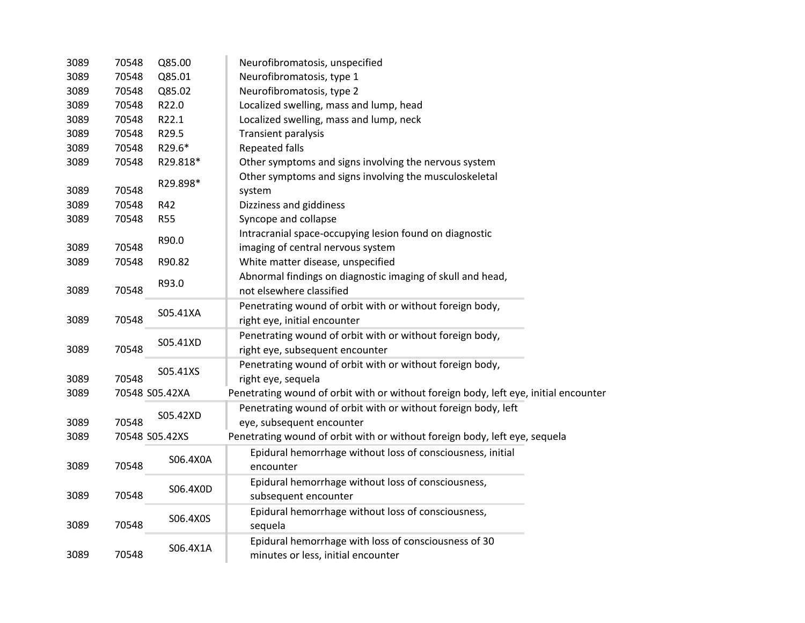| 3089          | 70548 | Q85.00         | Neurofibromatosis, unspecified                                                       |
|---------------|-------|----------------|--------------------------------------------------------------------------------------|
| 3089          | 70548 | Q85.01         | Neurofibromatosis, type 1                                                            |
| 3089          | 70548 | Q85.02         | Neurofibromatosis, type 2                                                            |
| 3089          | 70548 | R22.0          | Localized swelling, mass and lump, head                                              |
| 3089          | 70548 | R22.1          | Localized swelling, mass and lump, neck                                              |
| 3089          | 70548 | R29.5          | Transient paralysis                                                                  |
| 3089          | 70548 | R29.6*         | <b>Repeated falls</b>                                                                |
| 3089          | 70548 | R29.818*       | Other symptoms and signs involving the nervous system                                |
| 3089          | 70548 | R29.898*       | Other symptoms and signs involving the musculoskeletal<br>system                     |
| 3089          | 70548 | R42            | Dizziness and giddiness                                                              |
| 3089          | 70548 | <b>R55</b>     | Syncope and collapse                                                                 |
|               |       |                | Intracranial space-occupying lesion found on diagnostic                              |
| 3089          | 70548 | R90.0          | imaging of central nervous system                                                    |
| 3089          | 70548 | R90.82         | White matter disease, unspecified                                                    |
|               |       |                | Abnormal findings on diagnostic imaging of skull and head,                           |
| 3089          | 70548 | R93.0          | not elsewhere classified                                                             |
|               |       |                | Penetrating wound of orbit with or without foreign body,                             |
| 3089          | 70548 | S05.41XA       | right eye, initial encounter                                                         |
|               |       |                | Penetrating wound of orbit with or without foreign body,                             |
| 3089          | 70548 | S05.41XD       | right eye, subsequent encounter                                                      |
|               |       |                | Penetrating wound of orbit with or without foreign body,                             |
| 3089          | 70548 | S05.41XS       | right eye, sequela                                                                   |
| 3089          |       | 70548 S05.42XA | Penetrating wound of orbit with or without foreign body, left eye, initial encounter |
|               |       |                | Penetrating wound of orbit with or without foreign body, left                        |
| 3089          | 70548 | S05.42XD       | eye, subsequent encounter                                                            |
| 3089          |       | 70548 S05.42XS | Penetrating wound of orbit with or without foreign body, left eye, sequela           |
|               |       |                | Epidural hemorrhage without loss of consciousness, initial                           |
| 3089          | 70548 | S06.4X0A       | encounter                                                                            |
|               |       |                | Epidural hemorrhage without loss of consciousness,                                   |
| 3089          | 70548 | S06.4X0D       | subsequent encounter                                                                 |
|               |       |                | Epidural hemorrhage without loss of consciousness,                                   |
| 3089          | 70548 | S06.4X0S       | sequela                                                                              |
|               |       |                | Epidural hemorrhage with loss of consciousness of 30                                 |
| 70548<br>3089 |       | S06.4X1A       | minutes or less, initial encounter                                                   |
|               |       |                |                                                                                      |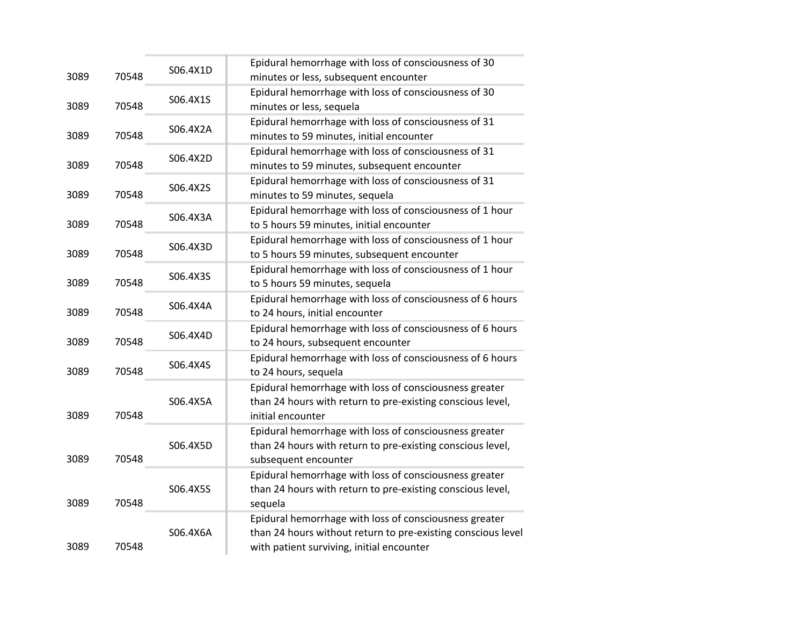| 3089 | 70548 | S06.4X1D | Epidural hemorrhage with loss of consciousness of 30<br>minutes or less, subsequent encounter                                                                       |
|------|-------|----------|---------------------------------------------------------------------------------------------------------------------------------------------------------------------|
| 3089 | 70548 | S06.4X1S | Epidural hemorrhage with loss of consciousness of 30<br>minutes or less, sequela                                                                                    |
| 3089 | 70548 | S06.4X2A | Epidural hemorrhage with loss of consciousness of 31<br>minutes to 59 minutes, initial encounter                                                                    |
| 3089 | 70548 | S06.4X2D | Epidural hemorrhage with loss of consciousness of 31<br>minutes to 59 minutes, subsequent encounter                                                                 |
| 3089 | 70548 | S06.4X2S | Epidural hemorrhage with loss of consciousness of 31<br>minutes to 59 minutes, sequela                                                                              |
| 3089 | 70548 | S06.4X3A | Epidural hemorrhage with loss of consciousness of 1 hour<br>to 5 hours 59 minutes, initial encounter                                                                |
| 3089 | 70548 | S06.4X3D | Epidural hemorrhage with loss of consciousness of 1 hour<br>to 5 hours 59 minutes, subsequent encounter                                                             |
| 3089 | 70548 | S06.4X3S | Epidural hemorrhage with loss of consciousness of 1 hour<br>to 5 hours 59 minutes, sequela                                                                          |
| 3089 | 70548 | S06.4X4A | Epidural hemorrhage with loss of consciousness of 6 hours<br>to 24 hours, initial encounter                                                                         |
| 3089 | 70548 | S06.4X4D | Epidural hemorrhage with loss of consciousness of 6 hours<br>to 24 hours, subsequent encounter                                                                      |
| 3089 | 70548 | S06.4X4S | Epidural hemorrhage with loss of consciousness of 6 hours<br>to 24 hours, sequela                                                                                   |
| 3089 | 70548 | S06.4X5A | Epidural hemorrhage with loss of consciousness greater<br>than 24 hours with return to pre-existing conscious level,<br>initial encounter                           |
| 3089 | 70548 | S06.4X5D | Epidural hemorrhage with loss of consciousness greater<br>than 24 hours with return to pre-existing conscious level,<br>subsequent encounter                        |
| 3089 | 70548 | S06.4X5S | Epidural hemorrhage with loss of consciousness greater<br>than 24 hours with return to pre-existing conscious level,<br>sequela                                     |
| 3089 | 70548 | S06.4X6A | Epidural hemorrhage with loss of consciousness greater<br>than 24 hours without return to pre-existing conscious level<br>with patient surviving, initial encounter |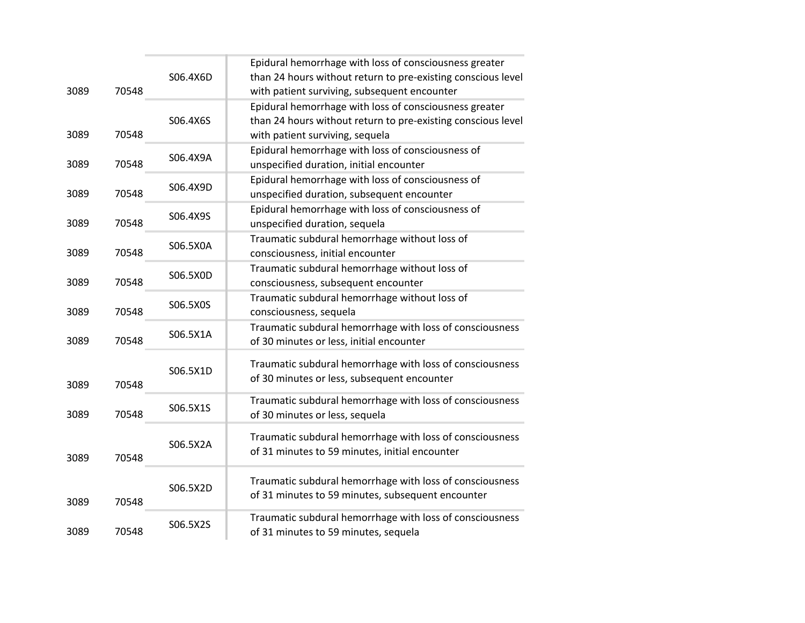|      |       |          | Epidural hemorrhage with loss of consciousness greater                                                        |
|------|-------|----------|---------------------------------------------------------------------------------------------------------------|
| 3089 | 70548 | S06.4X6D | than 24 hours without return to pre-existing conscious level<br>with patient surviving, subsequent encounter  |
|      |       |          | Epidural hemorrhage with loss of consciousness greater                                                        |
| 3089 | 70548 | S06.4X6S | than 24 hours without return to pre-existing conscious level<br>with patient surviving, sequela               |
|      |       | S06.4X9A | Epidural hemorrhage with loss of consciousness of                                                             |
| 3089 | 70548 |          | unspecified duration, initial encounter                                                                       |
| 3089 | 70548 | S06.4X9D | Epidural hemorrhage with loss of consciousness of<br>unspecified duration, subsequent encounter               |
|      |       | S06.4X9S | Epidural hemorrhage with loss of consciousness of                                                             |
| 3089 | 70548 |          | unspecified duration, sequela                                                                                 |
| 3089 | 70548 | S06.5X0A | Traumatic subdural hemorrhage without loss of<br>consciousness, initial encounter                             |
|      |       |          | Traumatic subdural hemorrhage without loss of                                                                 |
| 3089 | 70548 | S06.5X0D | consciousness, subsequent encounter                                                                           |
| 3089 | 70548 | S06.5X0S | Traumatic subdural hemorrhage without loss of<br>consciousness, sequela                                       |
| 3089 | 70548 | S06.5X1A | Traumatic subdural hemorrhage with loss of consciousness<br>of 30 minutes or less, initial encounter          |
|      |       |          | Traumatic subdural hemorrhage with loss of consciousness                                                      |
| 3089 | 70548 | S06.5X1D | of 30 minutes or less, subsequent encounter                                                                   |
|      |       | S06.5X1S | Traumatic subdural hemorrhage with loss of consciousness                                                      |
| 3089 | 70548 |          | of 30 minutes or less, sequela                                                                                |
|      |       | S06.5X2A | Traumatic subdural hemorrhage with loss of consciousness<br>of 31 minutes to 59 minutes, initial encounter    |
| 3089 | 70548 |          |                                                                                                               |
| 3089 | 70548 | S06.5X2D | Traumatic subdural hemorrhage with loss of consciousness<br>of 31 minutes to 59 minutes, subsequent encounter |
|      |       | S06.5X2S | Traumatic subdural hemorrhage with loss of consciousness                                                      |
| 3089 | 70548 |          | of 31 minutes to 59 minutes, sequela                                                                          |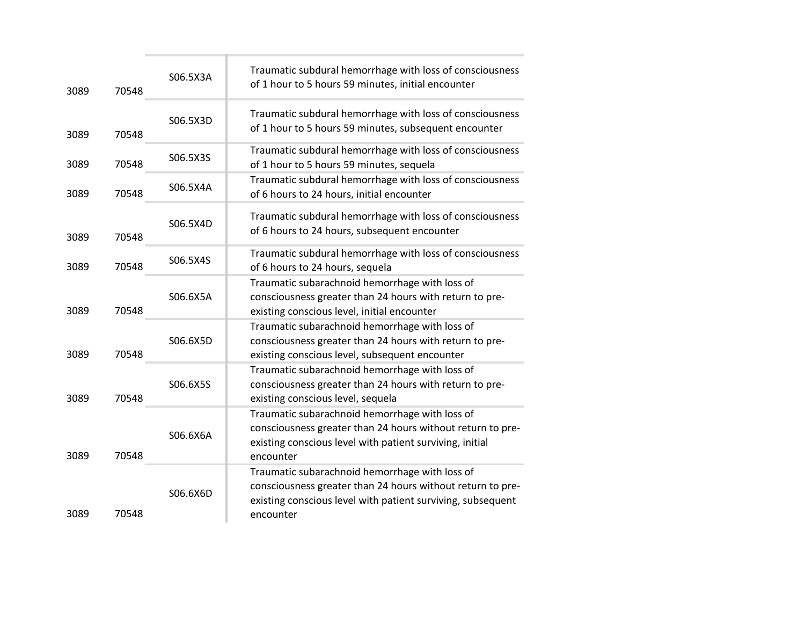| 3089 | 70548 | S06.5X3A | Traumatic subdural hemorrhage with loss of consciousness<br>of 1 hour to 5 hours 59 minutes, initial encounter                                                                           |
|------|-------|----------|------------------------------------------------------------------------------------------------------------------------------------------------------------------------------------------|
| 3089 | 70548 | S06.5X3D | Traumatic subdural hemorrhage with loss of consciousness<br>of 1 hour to 5 hours 59 minutes, subsequent encounter                                                                        |
| 3089 | 70548 | S06.5X3S | Traumatic subdural hemorrhage with loss of consciousness<br>of 1 hour to 5 hours 59 minutes, sequela                                                                                     |
| 3089 | 70548 | S06.5X4A | Traumatic subdural hemorrhage with loss of consciousness<br>of 6 hours to 24 hours, initial encounter                                                                                    |
| 3089 | 70548 | S06.5X4D | Traumatic subdural hemorrhage with loss of consciousness<br>of 6 hours to 24 hours, subsequent encounter                                                                                 |
| 3089 | 70548 | S06.5X4S | Traumatic subdural hemorrhage with loss of consciousness<br>of 6 hours to 24 hours, sequela                                                                                              |
| 3089 | 70548 | S06.6X5A | Traumatic subarachnoid hemorrhage with loss of<br>consciousness greater than 24 hours with return to pre-<br>existing conscious level, initial encounter                                 |
| 3089 | 70548 | S06.6X5D | Traumatic subarachnoid hemorrhage with loss of<br>consciousness greater than 24 hours with return to pre-<br>existing conscious level, subsequent encounter                              |
| 3089 | 70548 | S06.6X5S | Traumatic subarachnoid hemorrhage with loss of<br>consciousness greater than 24 hours with return to pre-<br>existing conscious level, sequela                                           |
| 3089 | 70548 | S06.6X6A | Traumatic subarachnoid hemorrhage with loss of<br>consciousness greater than 24 hours without return to pre-<br>existing conscious level with patient surviving, initial<br>encounter    |
| 3089 | 70548 | S06.6X6D | Traumatic subarachnoid hemorrhage with loss of<br>consciousness greater than 24 hours without return to pre-<br>existing conscious level with patient surviving, subsequent<br>encounter |
|      |       |          |                                                                                                                                                                                          |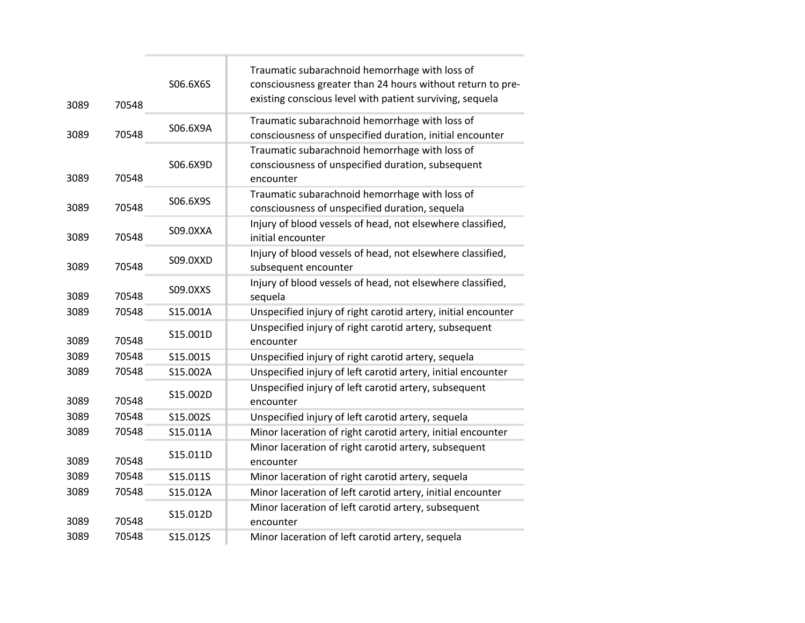| 3089 | 70548 | S06.6X6S | Traumatic subarachnoid hemorrhage with loss of<br>consciousness greater than 24 hours without return to pre-<br>existing conscious level with patient surviving, sequela |
|------|-------|----------|--------------------------------------------------------------------------------------------------------------------------------------------------------------------------|
| 3089 | 70548 | S06.6X9A | Traumatic subarachnoid hemorrhage with loss of<br>consciousness of unspecified duration, initial encounter                                                               |
| 3089 | 70548 | S06.6X9D | Traumatic subarachnoid hemorrhage with loss of<br>consciousness of unspecified duration, subsequent<br>encounter                                                         |
| 3089 | 70548 | S06.6X9S | Traumatic subarachnoid hemorrhage with loss of<br>consciousness of unspecified duration, sequela                                                                         |
| 3089 | 70548 | S09.0XXA | Injury of blood vessels of head, not elsewhere classified,<br>initial encounter                                                                                          |
| 3089 | 70548 | S09.0XXD | Injury of blood vessels of head, not elsewhere classified,<br>subsequent encounter                                                                                       |
| 3089 | 70548 | S09.0XXS | Injury of blood vessels of head, not elsewhere classified,<br>sequela                                                                                                    |
| 3089 | 70548 | S15.001A | Unspecified injury of right carotid artery, initial encounter                                                                                                            |
| 3089 | 70548 | S15.001D | Unspecified injury of right carotid artery, subsequent<br>encounter                                                                                                      |
| 3089 | 70548 | S15.001S | Unspecified injury of right carotid artery, sequela                                                                                                                      |
| 3089 | 70548 | S15.002A | Unspecified injury of left carotid artery, initial encounter                                                                                                             |
| 3089 | 70548 | S15.002D | Unspecified injury of left carotid artery, subsequent<br>encounter                                                                                                       |
| 3089 | 70548 | S15.002S | Unspecified injury of left carotid artery, sequela                                                                                                                       |
| 3089 | 70548 | S15.011A | Minor laceration of right carotid artery, initial encounter                                                                                                              |
| 3089 | 70548 | S15.011D | Minor laceration of right carotid artery, subsequent<br>encounter                                                                                                        |
| 3089 | 70548 | S15.011S | Minor laceration of right carotid artery, sequela                                                                                                                        |
| 3089 | 70548 | S15.012A | Minor laceration of left carotid artery, initial encounter                                                                                                               |
| 3089 | 70548 | S15.012D | Minor laceration of left carotid artery, subsequent<br>encounter                                                                                                         |
| 3089 | 70548 | S15.012S | Minor laceration of left carotid artery, sequela                                                                                                                         |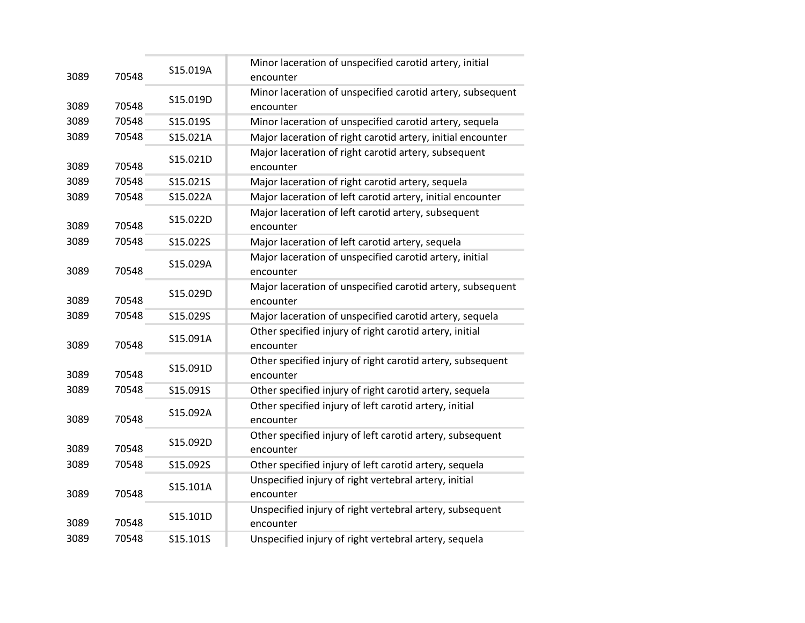| 3089 | 70548 | S15.019A | Minor laceration of unspecified carotid artery, initial<br>encounter    |
|------|-------|----------|-------------------------------------------------------------------------|
|      |       |          | Minor laceration of unspecified carotid artery, subsequent              |
| 3089 | 70548 | S15.019D | encounter                                                               |
| 3089 | 70548 | S15.019S | Minor laceration of unspecified carotid artery, sequela                 |
| 3089 | 70548 | S15.021A | Major laceration of right carotid artery, initial encounter             |
| 3089 | 70548 | S15.021D | Major laceration of right carotid artery, subsequent<br>encounter       |
| 3089 | 70548 | S15.021S | Major laceration of right carotid artery, sequela                       |
| 3089 | 70548 | S15.022A | Major laceration of left carotid artery, initial encounter              |
| 3089 | 70548 | S15.022D | Major laceration of left carotid artery, subsequent<br>encounter        |
| 3089 | 70548 | S15.022S | Major laceration of left carotid artery, sequela                        |
| 3089 | 70548 | S15.029A | Major laceration of unspecified carotid artery, initial<br>encounter    |
| 3089 | 70548 | S15.029D | Major laceration of unspecified carotid artery, subsequent<br>encounter |
| 3089 | 70548 | S15.029S | Major laceration of unspecified carotid artery, sequela                 |
| 3089 | 70548 | S15.091A | Other specified injury of right carotid artery, initial<br>encounter    |
| 3089 | 70548 | S15.091D | Other specified injury of right carotid artery, subsequent<br>encounter |
| 3089 | 70548 | S15.091S | Other specified injury of right carotid artery, sequela                 |
| 3089 | 70548 | S15.092A | Other specified injury of left carotid artery, initial<br>encounter     |
| 3089 | 70548 | S15.092D | Other specified injury of left carotid artery, subsequent<br>encounter  |
| 3089 | 70548 | S15.092S | Other specified injury of left carotid artery, sequela                  |
| 3089 | 70548 | S15.101A | Unspecified injury of right vertebral artery, initial<br>encounter      |
| 3089 | 70548 | S15.101D | Unspecified injury of right vertebral artery, subsequent<br>encounter   |
| 3089 | 70548 | S15.101S | Unspecified injury of right vertebral artery, sequela                   |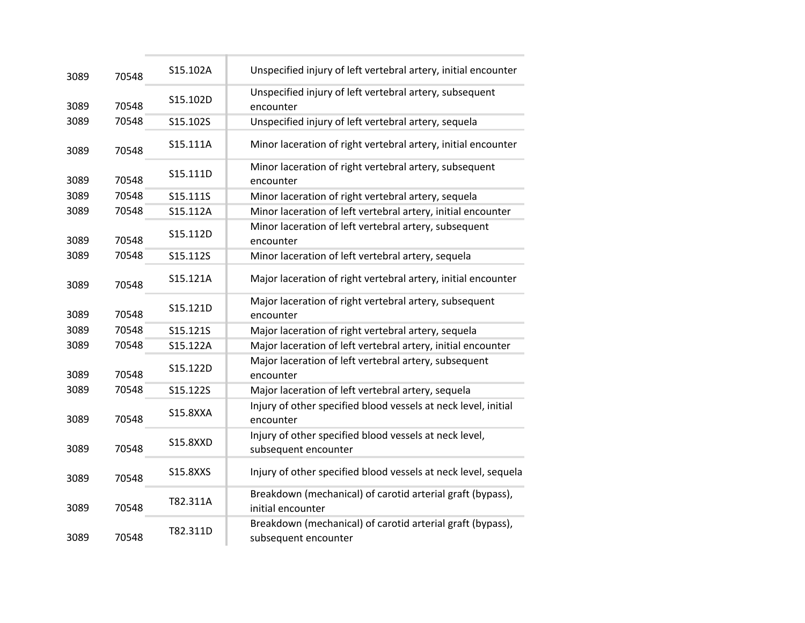| 3089 | 70548 | S15.102A        | Unspecified injury of left vertebral artery, initial encounter                     |
|------|-------|-----------------|------------------------------------------------------------------------------------|
| 3089 | 70548 | S15.102D        | Unspecified injury of left vertebral artery, subsequent<br>encounter               |
| 3089 | 70548 | S15.102S        | Unspecified injury of left vertebral artery, sequela                               |
| 3089 | 70548 | S15.111A        | Minor laceration of right vertebral artery, initial encounter                      |
| 3089 | 70548 | S15.111D        | Minor laceration of right vertebral artery, subsequent<br>encounter                |
| 3089 | 70548 | S15.111S        | Minor laceration of right vertebral artery, sequela                                |
| 3089 | 70548 | S15.112A        | Minor laceration of left vertebral artery, initial encounter                       |
| 3089 | 70548 | S15.112D        | Minor laceration of left vertebral artery, subsequent<br>encounter                 |
| 3089 | 70548 | S15.112S        | Minor laceration of left vertebral artery, sequela                                 |
| 3089 | 70548 | S15.121A        | Major laceration of right vertebral artery, initial encounter                      |
| 3089 | 70548 | S15.121D        | Major laceration of right vertebral artery, subsequent<br>encounter                |
| 3089 | 70548 | S15.121S        | Major laceration of right vertebral artery, sequela                                |
| 3089 | 70548 | S15.122A        | Major laceration of left vertebral artery, initial encounter                       |
| 3089 | 70548 | S15.122D        | Major laceration of left vertebral artery, subsequent<br>encounter                 |
| 3089 | 70548 | S15.122S        | Major laceration of left vertebral artery, sequela                                 |
| 3089 | 70548 | <b>S15.8XXA</b> | Injury of other specified blood vessels at neck level, initial<br>encounter        |
| 3089 | 70548 | <b>S15.8XXD</b> | Injury of other specified blood vessels at neck level,<br>subsequent encounter     |
| 3089 | 70548 | S15.8XXS        | Injury of other specified blood vessels at neck level, sequela                     |
| 3089 | 70548 | T82.311A        | Breakdown (mechanical) of carotid arterial graft (bypass),<br>initial encounter    |
| 3089 | 70548 | T82.311D        | Breakdown (mechanical) of carotid arterial graft (bypass),<br>subsequent encounter |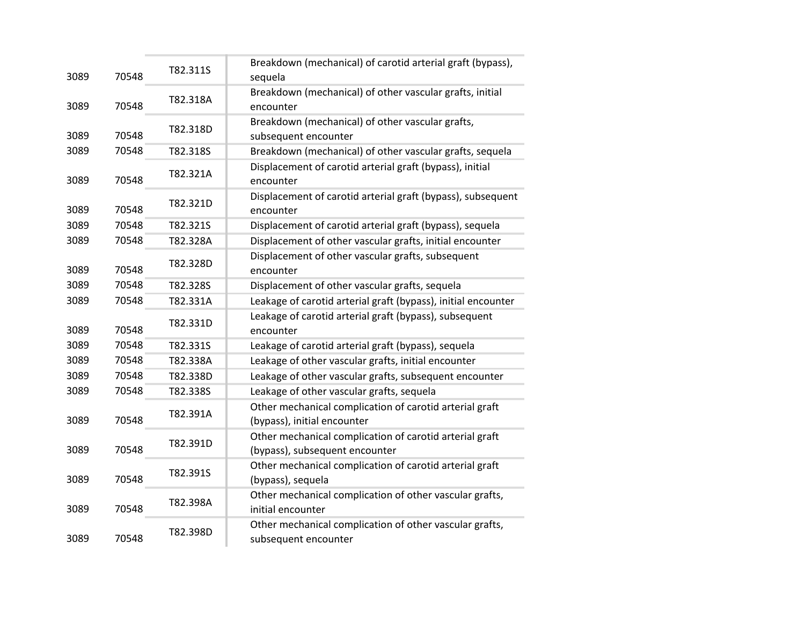| 3089 | 70548 | T82.311S | Breakdown (mechanical) of carotid arterial graft (bypass),<br>sequela                     |
|------|-------|----------|-------------------------------------------------------------------------------------------|
| 3089 | 70548 | T82.318A | Breakdown (mechanical) of other vascular grafts, initial<br>encounter                     |
| 3089 | 70548 | T82.318D | Breakdown (mechanical) of other vascular grafts,<br>subsequent encounter                  |
| 3089 | 70548 | T82.318S | Breakdown (mechanical) of other vascular grafts, sequela                                  |
| 3089 | 70548 | T82.321A | Displacement of carotid arterial graft (bypass), initial<br>encounter                     |
| 3089 | 70548 | T82.321D | Displacement of carotid arterial graft (bypass), subsequent<br>encounter                  |
| 3089 | 70548 | T82.321S | Displacement of carotid arterial graft (bypass), sequela                                  |
| 3089 | 70548 | T82.328A | Displacement of other vascular grafts, initial encounter                                  |
| 3089 | 70548 | T82.328D | Displacement of other vascular grafts, subsequent<br>encounter                            |
| 3089 | 70548 | T82.328S | Displacement of other vascular grafts, sequela                                            |
| 3089 | 70548 | T82.331A | Leakage of carotid arterial graft (bypass), initial encounter                             |
| 3089 | 70548 | T82.331D | Leakage of carotid arterial graft (bypass), subsequent<br>encounter                       |
| 3089 | 70548 | T82.331S | Leakage of carotid arterial graft (bypass), sequela                                       |
| 3089 | 70548 | T82.338A | Leakage of other vascular grafts, initial encounter                                       |
| 3089 | 70548 | T82.338D | Leakage of other vascular grafts, subsequent encounter                                    |
| 3089 | 70548 | T82.338S | Leakage of other vascular grafts, sequela                                                 |
| 3089 | 70548 | T82.391A | Other mechanical complication of carotid arterial graft<br>(bypass), initial encounter    |
| 3089 | 70548 | T82.391D | Other mechanical complication of carotid arterial graft<br>(bypass), subsequent encounter |
| 3089 | 70548 | T82.391S | Other mechanical complication of carotid arterial graft<br>(bypass), sequela              |
| 3089 | 70548 | T82.398A | Other mechanical complication of other vascular grafts,<br>initial encounter              |
| 3089 | 70548 | T82.398D | Other mechanical complication of other vascular grafts,<br>subsequent encounter           |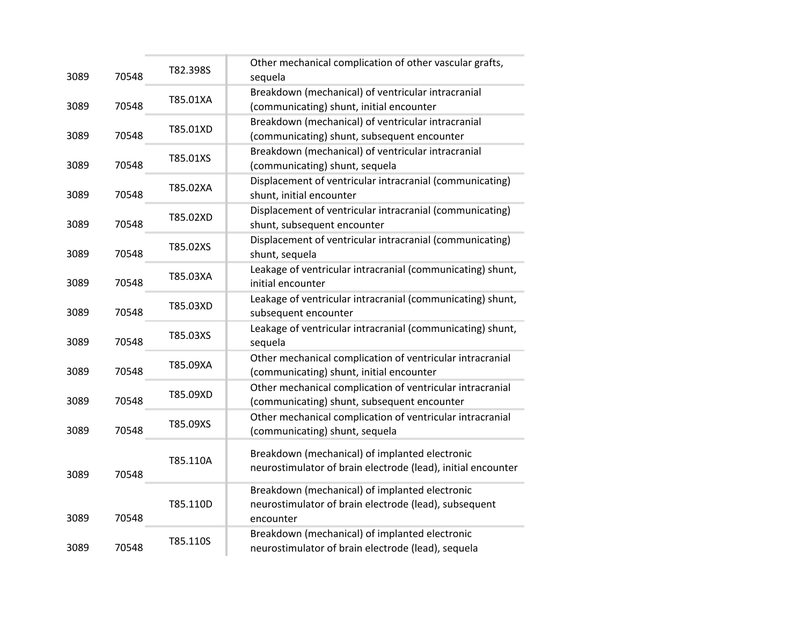| 3089 | 70548 | T82.398S | Other mechanical complication of other vascular grafts,<br>sequela                                                   |
|------|-------|----------|----------------------------------------------------------------------------------------------------------------------|
| 3089 | 70548 | T85.01XA | Breakdown (mechanical) of ventricular intracranial<br>(communicating) shunt, initial encounter                       |
| 3089 | 70548 | T85.01XD | Breakdown (mechanical) of ventricular intracranial<br>(communicating) shunt, subsequent encounter                    |
| 3089 | 70548 | T85.01XS | Breakdown (mechanical) of ventricular intracranial<br>(communicating) shunt, sequela                                 |
| 3089 | 70548 | T85.02XA | Displacement of ventricular intracranial (communicating)<br>shunt, initial encounter                                 |
| 3089 | 70548 | T85.02XD | Displacement of ventricular intracranial (communicating)<br>shunt, subsequent encounter                              |
| 3089 | 70548 | T85.02XS | Displacement of ventricular intracranial (communicating)<br>shunt, sequela                                           |
| 3089 | 70548 | T85.03XA | Leakage of ventricular intracranial (communicating) shunt,<br>initial encounter                                      |
| 3089 | 70548 | T85.03XD | Leakage of ventricular intracranial (communicating) shunt,<br>subsequent encounter                                   |
| 3089 | 70548 | T85.03XS | Leakage of ventricular intracranial (communicating) shunt,<br>sequela                                                |
| 3089 | 70548 | T85.09XA | Other mechanical complication of ventricular intracranial<br>(communicating) shunt, initial encounter                |
| 3089 | 70548 | T85.09XD | Other mechanical complication of ventricular intracranial<br>(communicating) shunt, subsequent encounter             |
| 3089 | 70548 | T85.09XS | Other mechanical complication of ventricular intracranial<br>(communicating) shunt, sequela                          |
| 3089 | 70548 | T85.110A | Breakdown (mechanical) of implanted electronic<br>neurostimulator of brain electrode (lead), initial encounter       |
| 3089 | 70548 | T85.110D | Breakdown (mechanical) of implanted electronic<br>neurostimulator of brain electrode (lead), subsequent<br>encounter |
| 3089 | 70548 | T85.110S | Breakdown (mechanical) of implanted electronic<br>neurostimulator of brain electrode (lead), sequela                 |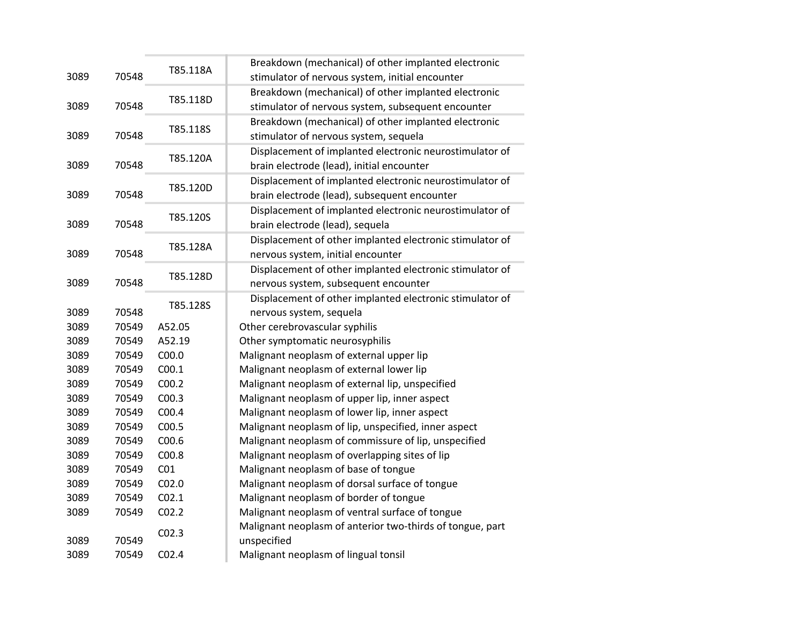|      |       |                   | Breakdown (mechanical) of other implanted electronic      |
|------|-------|-------------------|-----------------------------------------------------------|
| 3089 | 70548 | T85.118A          | stimulator of nervous system, initial encounter           |
|      |       |                   | Breakdown (mechanical) of other implanted electronic      |
| 3089 | 70548 | T85.118D          | stimulator of nervous system, subsequent encounter        |
|      |       |                   | Breakdown (mechanical) of other implanted electronic      |
| 3089 | 70548 | T85.118S          | stimulator of nervous system, sequela                     |
|      |       |                   | Displacement of implanted electronic neurostimulator of   |
| 3089 | 70548 | T85.120A          | brain electrode (lead), initial encounter                 |
|      |       | T85.120D          | Displacement of implanted electronic neurostimulator of   |
| 3089 | 70548 |                   | brain electrode (lead), subsequent encounter              |
|      |       | T85.120S          | Displacement of implanted electronic neurostimulator of   |
| 3089 | 70548 |                   | brain electrode (lead), sequela                           |
|      |       | T85.128A          | Displacement of other implanted electronic stimulator of  |
| 3089 | 70548 |                   | nervous system, initial encounter                         |
|      |       | T85.128D          | Displacement of other implanted electronic stimulator of  |
| 3089 | 70548 |                   | nervous system, subsequent encounter                      |
|      |       | T85.128S          | Displacement of other implanted electronic stimulator of  |
| 3089 | 70548 |                   | nervous system, sequela                                   |
| 3089 | 70549 | A52.05            | Other cerebrovascular syphilis                            |
| 3089 | 70549 | A52.19            | Other symptomatic neurosyphilis                           |
| 3089 | 70549 | C <sub>00.0</sub> | Malignant neoplasm of external upper lip                  |
| 3089 | 70549 | C <sub>00.1</sub> | Malignant neoplasm of external lower lip                  |
| 3089 | 70549 | C <sub>00.2</sub> | Malignant neoplasm of external lip, unspecified           |
| 3089 | 70549 | CO <sub>0.3</sub> | Malignant neoplasm of upper lip, inner aspect             |
| 3089 | 70549 | C00.4             | Malignant neoplasm of lower lip, inner aspect             |
| 3089 | 70549 | C <sub>00.5</sub> | Malignant neoplasm of lip, unspecified, inner aspect      |
| 3089 | 70549 | C <sub>00.6</sub> | Malignant neoplasm of commissure of lip, unspecified      |
| 3089 | 70549 | C00.8             | Malignant neoplasm of overlapping sites of lip            |
| 3089 | 70549 | CO <sub>1</sub>   | Malignant neoplasm of base of tongue                      |
| 3089 | 70549 | CO <sub>2.0</sub> | Malignant neoplasm of dorsal surface of tongue            |
| 3089 | 70549 | CO <sub>2.1</sub> | Malignant neoplasm of border of tongue                    |
| 3089 | 70549 | CO <sub>2.2</sub> | Malignant neoplasm of ventral surface of tongue           |
|      |       | CO <sub>2.3</sub> | Malignant neoplasm of anterior two-thirds of tongue, part |
| 3089 | 70549 |                   | unspecified                                               |
| 3089 | 70549 | CO <sub>2.4</sub> | Malignant neoplasm of lingual tonsil                      |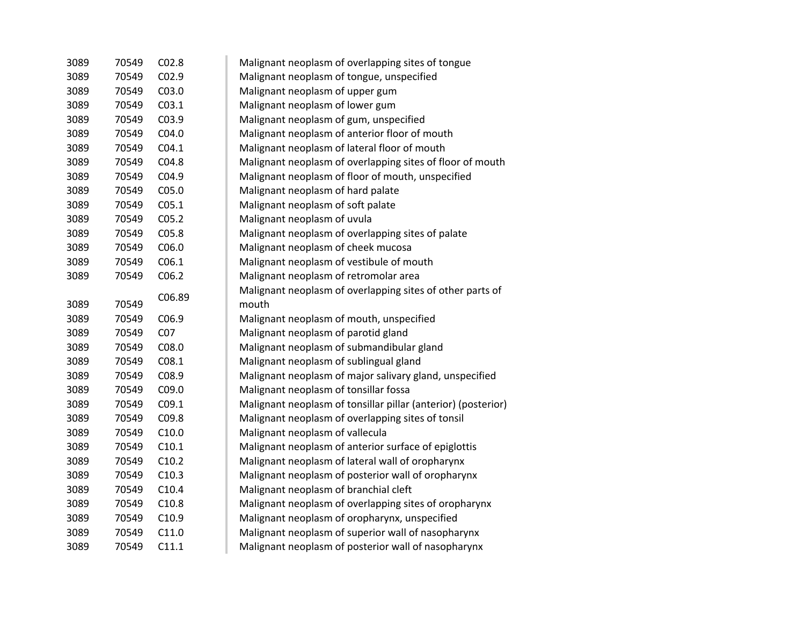| 3089 | 70549 | C <sub>02.8</sub> | Malignant neoplasm of overlapping sites of tongue             |
|------|-------|-------------------|---------------------------------------------------------------|
| 3089 | 70549 | CO <sub>2.9</sub> | Malignant neoplasm of tongue, unspecified                     |
| 3089 | 70549 | C03.0             | Malignant neoplasm of upper gum                               |
| 3089 | 70549 | CO <sub>3.1</sub> | Malignant neoplasm of lower gum                               |
| 3089 | 70549 | C03.9             | Malignant neoplasm of gum, unspecified                        |
| 3089 | 70549 | CO4.0             | Malignant neoplasm of anterior floor of mouth                 |
| 3089 | 70549 | CO4.1             | Malignant neoplasm of lateral floor of mouth                  |
| 3089 | 70549 | CO4.8             | Malignant neoplasm of overlapping sites of floor of mouth     |
| 3089 | 70549 | C04.9             | Malignant neoplasm of floor of mouth, unspecified             |
| 3089 | 70549 | C <sub>05.0</sub> | Malignant neoplasm of hard palate                             |
| 3089 | 70549 | C <sub>05.1</sub> | Malignant neoplasm of soft palate                             |
| 3089 | 70549 | CO <sub>5.2</sub> | Malignant neoplasm of uvula                                   |
| 3089 | 70549 | C05.8             | Malignant neoplasm of overlapping sites of palate             |
| 3089 | 70549 | C06.0             | Malignant neoplasm of cheek mucosa                            |
| 3089 | 70549 | C <sub>06.1</sub> | Malignant neoplasm of vestibule of mouth                      |
| 3089 | 70549 | C <sub>06.2</sub> | Malignant neoplasm of retromolar area                         |
|      |       | C06.89            | Malignant neoplasm of overlapping sites of other parts of     |
| 3089 | 70549 |                   | mouth                                                         |
| 3089 | 70549 | C <sub>06.9</sub> | Malignant neoplasm of mouth, unspecified                      |
| 3089 | 70549 | CO <sub>7</sub>   | Malignant neoplasm of parotid gland                           |
| 3089 | 70549 | C08.0             | Malignant neoplasm of submandibular gland                     |
| 3089 | 70549 | CO8.1             | Malignant neoplasm of sublingual gland                        |
| 3089 | 70549 | C08.9             | Malignant neoplasm of major salivary gland, unspecified       |
| 3089 | 70549 | C09.0             | Malignant neoplasm of tonsillar fossa                         |
| 3089 | 70549 | CO9.1             | Malignant neoplasm of tonsillar pillar (anterior) (posterior) |
| 3089 | 70549 | C09.8             | Malignant neoplasm of overlapping sites of tonsil             |
| 3089 | 70549 | C10.0             | Malignant neoplasm of vallecula                               |
| 3089 | 70549 | C10.1             | Malignant neoplasm of anterior surface of epiglottis          |
| 3089 | 70549 | C10.2             | Malignant neoplasm of lateral wall of oropharynx              |
| 3089 | 70549 | C10.3             | Malignant neoplasm of posterior wall of oropharynx            |
| 3089 | 70549 | C10.4             | Malignant neoplasm of branchial cleft                         |
| 3089 | 70549 | C10.8             | Malignant neoplasm of overlapping sites of oropharynx         |
| 3089 | 70549 | C <sub>10.9</sub> | Malignant neoplasm of oropharynx, unspecified                 |
| 3089 | 70549 | C11.0             | Malignant neoplasm of superior wall of nasopharynx            |
| 3089 | 70549 | C11.1             | Malignant neoplasm of posterior wall of nasopharynx           |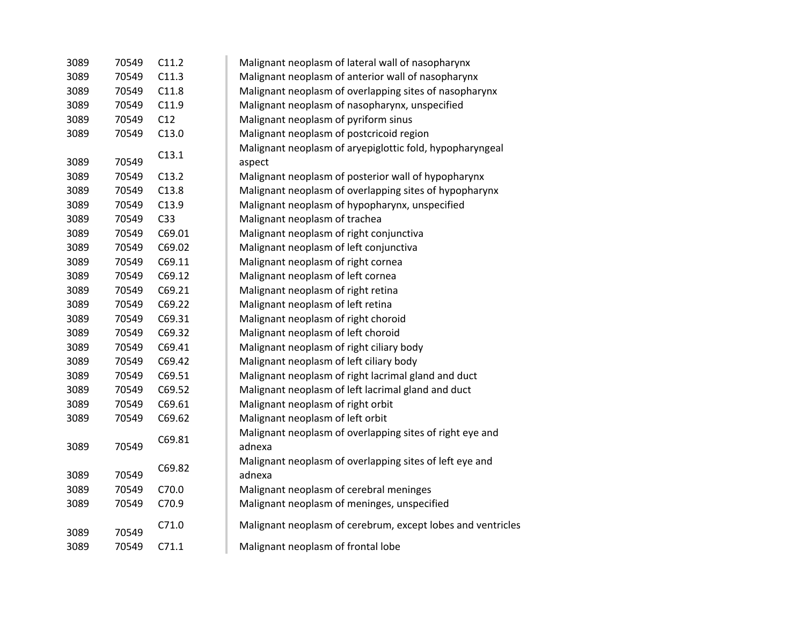| 3089 | 70549 | C11.2           | Malignant neoplasm of lateral wall of nasopharynx           |
|------|-------|-----------------|-------------------------------------------------------------|
| 3089 | 70549 | C11.3           | Malignant neoplasm of anterior wall of nasopharynx          |
| 3089 | 70549 | C11.8           | Malignant neoplasm of overlapping sites of nasopharynx      |
| 3089 | 70549 | C11.9           | Malignant neoplasm of nasopharynx, unspecified              |
| 3089 | 70549 | C12             | Malignant neoplasm of pyriform sinus                        |
| 3089 | 70549 | C13.0           | Malignant neoplasm of postcricoid region                    |
|      |       |                 | Malignant neoplasm of aryepiglottic fold, hypopharyngeal    |
| 3089 | 70549 | C13.1           | aspect                                                      |
| 3089 | 70549 | C13.2           | Malignant neoplasm of posterior wall of hypopharynx         |
| 3089 | 70549 | C13.8           | Malignant neoplasm of overlapping sites of hypopharynx      |
| 3089 | 70549 | C13.9           | Malignant neoplasm of hypopharynx, unspecified              |
| 3089 | 70549 | C <sub>33</sub> | Malignant neoplasm of trachea                               |
| 3089 | 70549 | C69.01          | Malignant neoplasm of right conjunctiva                     |
| 3089 | 70549 | C69.02          | Malignant neoplasm of left conjunctiva                      |
| 3089 | 70549 | C69.11          | Malignant neoplasm of right cornea                          |
| 3089 | 70549 | C69.12          | Malignant neoplasm of left cornea                           |
| 3089 | 70549 | C69.21          | Malignant neoplasm of right retina                          |
| 3089 | 70549 | C69.22          | Malignant neoplasm of left retina                           |
| 3089 | 70549 | C69.31          | Malignant neoplasm of right choroid                         |
| 3089 | 70549 | C69.32          | Malignant neoplasm of left choroid                          |
| 3089 | 70549 | C69.41          | Malignant neoplasm of right ciliary body                    |
| 3089 | 70549 | C69.42          | Malignant neoplasm of left ciliary body                     |
| 3089 | 70549 | C69.51          | Malignant neoplasm of right lacrimal gland and duct         |
| 3089 | 70549 | C69.52          | Malignant neoplasm of left lacrimal gland and duct          |
| 3089 | 70549 | C69.61          | Malignant neoplasm of right orbit                           |
| 3089 | 70549 | C69.62          | Malignant neoplasm of left orbit                            |
|      |       |                 | Malignant neoplasm of overlapping sites of right eye and    |
| 3089 | 70549 | C69.81          | adnexa                                                      |
|      |       |                 | Malignant neoplasm of overlapping sites of left eye and     |
| 3089 | 70549 | C69.82          | adnexa                                                      |
| 3089 | 70549 | C70.0           | Malignant neoplasm of cerebral meninges                     |
| 3089 | 70549 | C70.9           | Malignant neoplasm of meninges, unspecified                 |
|      |       |                 |                                                             |
| 3089 | 70549 | C71.0           | Malignant neoplasm of cerebrum, except lobes and ventricles |
| 3089 | 70549 | C71.1           | Malignant neoplasm of frontal lobe                          |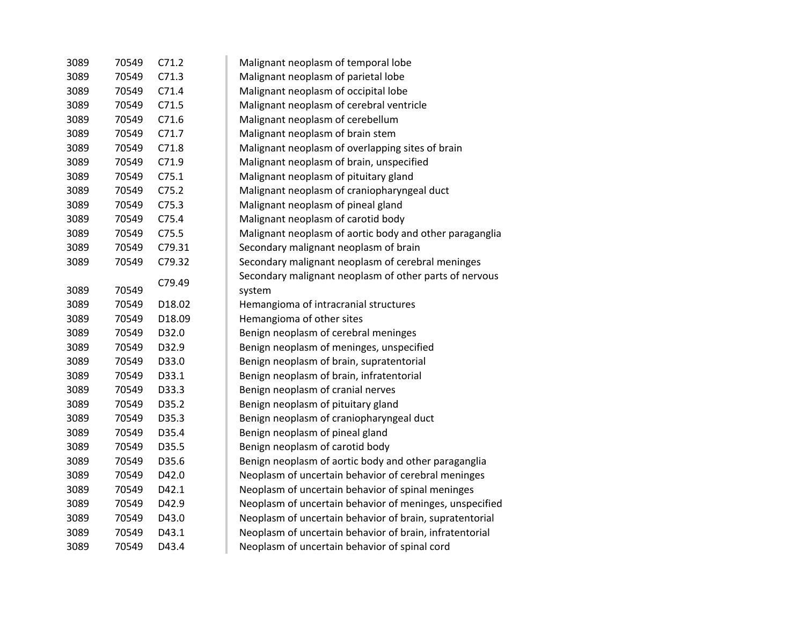| 3089 | 70549 | C71.2  | Malignant neoplasm of temporal lobe                     |
|------|-------|--------|---------------------------------------------------------|
| 3089 | 70549 | C71.3  | Malignant neoplasm of parietal lobe                     |
| 3089 | 70549 | C71.4  | Malignant neoplasm of occipital lobe                    |
| 3089 | 70549 | C71.5  | Malignant neoplasm of cerebral ventricle                |
| 3089 | 70549 | C71.6  | Malignant neoplasm of cerebellum                        |
| 3089 | 70549 | C71.7  | Malignant neoplasm of brain stem                        |
| 3089 | 70549 | C71.8  | Malignant neoplasm of overlapping sites of brain        |
| 3089 | 70549 | C71.9  | Malignant neoplasm of brain, unspecified                |
| 3089 | 70549 | C75.1  | Malignant neoplasm of pituitary gland                   |
| 3089 | 70549 | C75.2  | Malignant neoplasm of craniopharyngeal duct             |
| 3089 | 70549 | C75.3  | Malignant neoplasm of pineal gland                      |
| 3089 | 70549 | C75.4  | Malignant neoplasm of carotid body                      |
| 3089 | 70549 | C75.5  | Malignant neoplasm of aortic body and other paraganglia |
| 3089 | 70549 | C79.31 | Secondary malignant neoplasm of brain                   |
| 3089 | 70549 | C79.32 | Secondary malignant neoplasm of cerebral meninges       |
|      |       | C79.49 | Secondary malignant neoplasm of other parts of nervous  |
| 3089 | 70549 |        | system                                                  |
| 3089 | 70549 | D18.02 | Hemangioma of intracranial structures                   |
| 3089 | 70549 | D18.09 | Hemangioma of other sites                               |
| 3089 | 70549 | D32.0  | Benign neoplasm of cerebral meninges                    |
| 3089 | 70549 | D32.9  | Benign neoplasm of meninges, unspecified                |
| 3089 | 70549 | D33.0  | Benign neoplasm of brain, supratentorial                |
| 3089 | 70549 | D33.1  | Benign neoplasm of brain, infratentorial                |
| 3089 | 70549 | D33.3  | Benign neoplasm of cranial nerves                       |
| 3089 | 70549 | D35.2  | Benign neoplasm of pituitary gland                      |
| 3089 | 70549 | D35.3  | Benign neoplasm of craniopharyngeal duct                |
| 3089 | 70549 | D35.4  | Benign neoplasm of pineal gland                         |
| 3089 | 70549 | D35.5  | Benign neoplasm of carotid body                         |
| 3089 | 70549 | D35.6  | Benign neoplasm of aortic body and other paraganglia    |
| 3089 | 70549 | D42.0  | Neoplasm of uncertain behavior of cerebral meninges     |
| 3089 | 70549 | D42.1  | Neoplasm of uncertain behavior of spinal meninges       |
| 3089 | 70549 | D42.9  | Neoplasm of uncertain behavior of meninges, unspecified |
| 3089 | 70549 | D43.0  | Neoplasm of uncertain behavior of brain, supratentorial |
| 3089 | 70549 | D43.1  | Neoplasm of uncertain behavior of brain, infratentorial |
| 3089 | 70549 | D43.4  | Neoplasm of uncertain behavior of spinal cord           |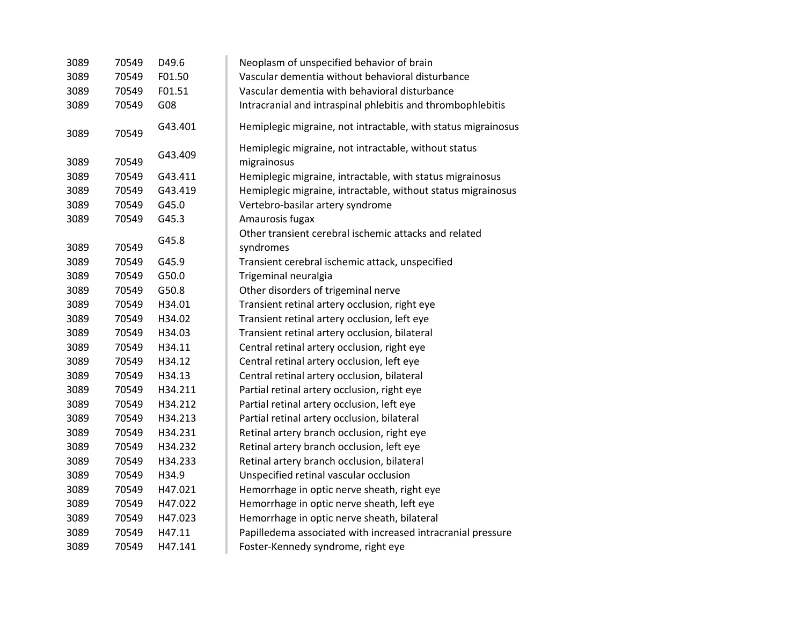| 3089 | 70549 | D49.6   | Neoplasm of unspecified behavior of brain                     |
|------|-------|---------|---------------------------------------------------------------|
| 3089 | 70549 | F01.50  | Vascular dementia without behavioral disturbance              |
| 3089 | 70549 | F01.51  | Vascular dementia with behavioral disturbance                 |
| 3089 | 70549 | G08     | Intracranial and intraspinal phlebitis and thrombophlebitis   |
| 3089 | 70549 | G43.401 | Hemiplegic migraine, not intractable, with status migrainosus |
|      |       |         | Hemiplegic migraine, not intractable, without status          |
| 3089 | 70549 | G43.409 | migrainosus                                                   |
| 3089 | 70549 | G43.411 | Hemiplegic migraine, intractable, with status migrainosus     |
| 3089 | 70549 | G43.419 | Hemiplegic migraine, intractable, without status migrainosus  |
| 3089 | 70549 | G45.0   |                                                               |
| 3089 | 70549 | G45.3   | Vertebro-basilar artery syndrome<br>Amaurosis fugax           |
|      |       |         | Other transient cerebral ischemic attacks and related         |
| 3089 | 70549 | G45.8   |                                                               |
|      |       |         | syndromes                                                     |
| 3089 | 70549 | G45.9   | Transient cerebral ischemic attack, unspecified               |
| 3089 | 70549 | G50.0   | Trigeminal neuralgia                                          |
| 3089 | 70549 | G50.8   | Other disorders of trigeminal nerve                           |
| 3089 | 70549 | H34.01  | Transient retinal artery occlusion, right eye                 |
| 3089 | 70549 | H34.02  | Transient retinal artery occlusion, left eye                  |
| 3089 | 70549 | H34.03  | Transient retinal artery occlusion, bilateral                 |
| 3089 | 70549 | H34.11  | Central retinal artery occlusion, right eye                   |
| 3089 | 70549 | H34.12  | Central retinal artery occlusion, left eye                    |
| 3089 | 70549 | H34.13  | Central retinal artery occlusion, bilateral                   |
| 3089 | 70549 | H34.211 | Partial retinal artery occlusion, right eye                   |
| 3089 | 70549 | H34.212 | Partial retinal artery occlusion, left eye                    |
| 3089 | 70549 | H34.213 | Partial retinal artery occlusion, bilateral                   |
| 3089 | 70549 | H34.231 | Retinal artery branch occlusion, right eye                    |
| 3089 | 70549 | H34.232 | Retinal artery branch occlusion, left eye                     |
| 3089 | 70549 | H34.233 | Retinal artery branch occlusion, bilateral                    |
| 3089 | 70549 | H34.9   | Unspecified retinal vascular occlusion                        |
| 3089 | 70549 | H47.021 | Hemorrhage in optic nerve sheath, right eye                   |
| 3089 | 70549 | H47.022 | Hemorrhage in optic nerve sheath, left eye                    |
| 3089 | 70549 | H47.023 | Hemorrhage in optic nerve sheath, bilateral                   |
| 3089 | 70549 | H47.11  | Papilledema associated with increased intracranial pressure   |
| 3089 | 70549 | H47.141 | Foster-Kennedy syndrome, right eye                            |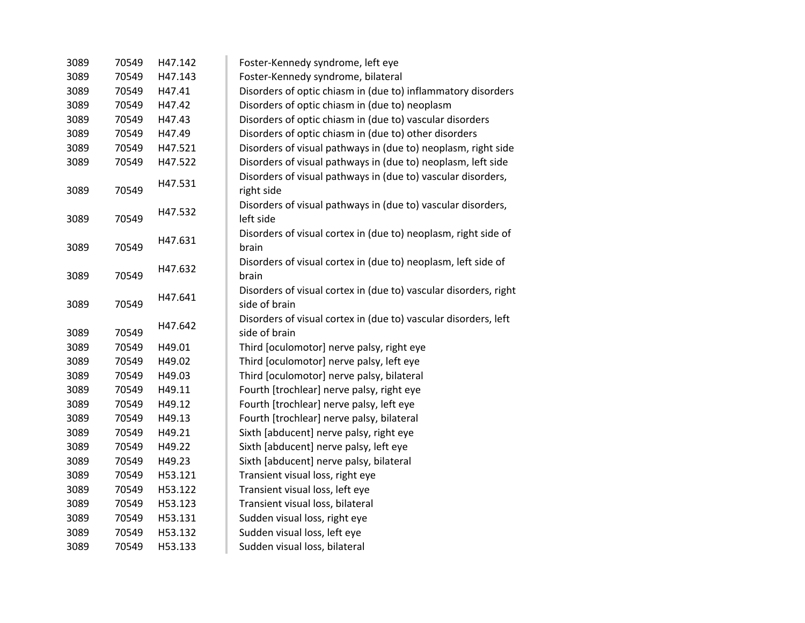| 3089 | 70549 | H47.142 | Foster-Kennedy syndrome, left eye                                |
|------|-------|---------|------------------------------------------------------------------|
| 3089 | 70549 | H47.143 | Foster-Kennedy syndrome, bilateral                               |
| 3089 | 70549 | H47.41  | Disorders of optic chiasm in (due to) inflammatory disorders     |
| 3089 | 70549 | H47.42  | Disorders of optic chiasm in (due to) neoplasm                   |
| 3089 | 70549 | H47.43  | Disorders of optic chiasm in (due to) vascular disorders         |
| 3089 | 70549 | H47.49  | Disorders of optic chiasm in (due to) other disorders            |
| 3089 | 70549 | H47.521 | Disorders of visual pathways in (due to) neoplasm, right side    |
| 3089 | 70549 | H47.522 | Disorders of visual pathways in (due to) neoplasm, left side     |
|      |       |         | Disorders of visual pathways in (due to) vascular disorders,     |
| 3089 | 70549 | H47.531 | right side                                                       |
|      |       |         | Disorders of visual pathways in (due to) vascular disorders,     |
| 3089 | 70549 | H47.532 | left side                                                        |
|      |       |         | Disorders of visual cortex in (due to) neoplasm, right side of   |
| 3089 | 70549 | H47.631 | brain                                                            |
|      |       | H47.632 | Disorders of visual cortex in (due to) neoplasm, left side of    |
| 3089 | 70549 |         | brain                                                            |
|      |       |         | Disorders of visual cortex in (due to) vascular disorders, right |
| 3089 | 70549 | H47.641 | side of brain                                                    |
|      |       |         | Disorders of visual cortex in (due to) vascular disorders, left  |
| 3089 | 70549 | H47.642 | side of brain                                                    |
| 3089 | 70549 | H49.01  | Third [oculomotor] nerve palsy, right eye                        |
| 3089 | 70549 | H49.02  | Third [oculomotor] nerve palsy, left eye                         |
| 3089 | 70549 | H49.03  | Third [oculomotor] nerve palsy, bilateral                        |
| 3089 | 70549 | H49.11  | Fourth [trochlear] nerve palsy, right eye                        |
| 3089 | 70549 | H49.12  | Fourth [trochlear] nerve palsy, left eye                         |
| 3089 | 70549 | H49.13  | Fourth [trochlear] nerve palsy, bilateral                        |
| 3089 | 70549 | H49.21  | Sixth [abducent] nerve palsy, right eye                          |
| 3089 | 70549 | H49.22  | Sixth [abducent] nerve palsy, left eye                           |
| 3089 | 70549 | H49.23  | Sixth [abducent] nerve palsy, bilateral                          |
| 3089 | 70549 | H53.121 | Transient visual loss, right eye                                 |
| 3089 | 70549 | H53.122 | Transient visual loss, left eye                                  |
| 3089 | 70549 | H53.123 | Transient visual loss, bilateral                                 |
| 3089 | 70549 | H53.131 | Sudden visual loss, right eye                                    |
| 3089 | 70549 | H53.132 | Sudden visual loss, left eye                                     |
| 3089 | 70549 | H53.133 | Sudden visual loss, bilateral                                    |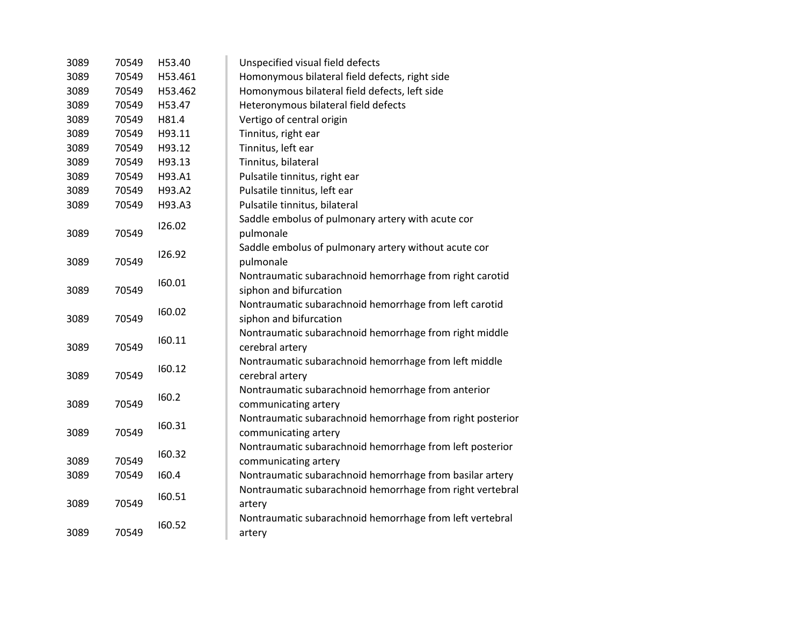| 3089 | 70549 | H53.40  | Unspecified visual field defects                          |
|------|-------|---------|-----------------------------------------------------------|
| 3089 | 70549 | H53.461 | Homonymous bilateral field defects, right side            |
| 3089 | 70549 | H53.462 | Homonymous bilateral field defects, left side             |
| 3089 | 70549 | H53.47  | Heteronymous bilateral field defects                      |
| 3089 | 70549 | H81.4   | Vertigo of central origin                                 |
| 3089 | 70549 | H93.11  | Tinnitus, right ear                                       |
| 3089 | 70549 | H93.12  | Tinnitus, left ear                                        |
| 3089 | 70549 | H93.13  | Tinnitus, bilateral                                       |
| 3089 | 70549 | H93.A1  | Pulsatile tinnitus, right ear                             |
| 3089 | 70549 | H93.A2  | Pulsatile tinnitus, left ear                              |
| 3089 | 70549 | H93.A3  | Pulsatile tinnitus, bilateral                             |
|      |       |         | Saddle embolus of pulmonary artery with acute cor         |
| 3089 | 70549 | 126.02  | pulmonale                                                 |
|      |       |         | Saddle embolus of pulmonary artery without acute cor      |
| 3089 | 70549 | 126.92  | pulmonale                                                 |
|      |       |         | Nontraumatic subarachnoid hemorrhage from right carotid   |
| 3089 | 70549 | 160.01  | siphon and bifurcation                                    |
|      |       |         | Nontraumatic subarachnoid hemorrhage from left carotid    |
| 3089 | 70549 | 160.02  | siphon and bifurcation                                    |
|      |       |         | Nontraumatic subarachnoid hemorrhage from right middle    |
| 3089 | 70549 | 160.11  | cerebral artery                                           |
|      |       |         | Nontraumatic subarachnoid hemorrhage from left middle     |
| 3089 | 70549 | 160.12  | cerebral artery                                           |
|      |       |         | Nontraumatic subarachnoid hemorrhage from anterior        |
| 3089 | 70549 | 160.2   | communicating artery                                      |
|      |       |         | Nontraumatic subarachnoid hemorrhage from right posterior |
| 3089 | 70549 | 160.31  | communicating artery                                      |
|      |       |         | Nontraumatic subarachnoid hemorrhage from left posterior  |
| 3089 | 70549 | 160.32  | communicating artery                                      |
| 3089 | 70549 | 160.4   | Nontraumatic subarachnoid hemorrhage from basilar artery  |
|      |       |         | Nontraumatic subarachnoid hemorrhage from right vertebral |
| 3089 | 70549 | 160.51  | artery                                                    |
|      |       |         | Nontraumatic subarachnoid hemorrhage from left vertebral  |
| 3089 | 70549 | 160.52  | artery                                                    |
|      |       |         |                                                           |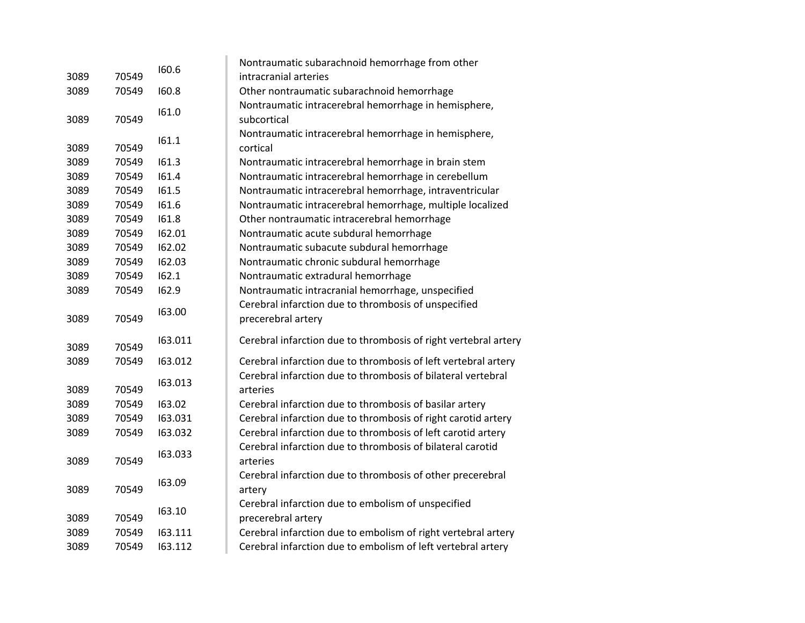|      |       | 160.6   | Nontraumatic subarachnoid hemorrhage from other                 |
|------|-------|---------|-----------------------------------------------------------------|
| 3089 | 70549 |         | intracranial arteries                                           |
| 3089 | 70549 | 160.8   | Other nontraumatic subarachnoid hemorrhage                      |
|      |       | 161.0   | Nontraumatic intracerebral hemorrhage in hemisphere,            |
| 3089 | 70549 |         | subcortical                                                     |
|      |       |         | Nontraumatic intracerebral hemorrhage in hemisphere,            |
| 3089 | 70549 | 161.1   | cortical                                                        |
| 3089 | 70549 | 161.3   | Nontraumatic intracerebral hemorrhage in brain stem             |
| 3089 | 70549 | 161.4   | Nontraumatic intracerebral hemorrhage in cerebellum             |
| 3089 | 70549 | 161.5   | Nontraumatic intracerebral hemorrhage, intraventricular         |
| 3089 | 70549 | 161.6   | Nontraumatic intracerebral hemorrhage, multiple localized       |
| 3089 | 70549 | 161.8   | Other nontraumatic intracerebral hemorrhage                     |
| 3089 | 70549 | 162.01  | Nontraumatic acute subdural hemorrhage                          |
| 3089 | 70549 | 162.02  | Nontraumatic subacute subdural hemorrhage                       |
| 3089 | 70549 | 162.03  | Nontraumatic chronic subdural hemorrhage                        |
| 3089 | 70549 | 162.1   | Nontraumatic extradural hemorrhage                              |
| 3089 | 70549 | 162.9   | Nontraumatic intracranial hemorrhage, unspecified               |
|      |       | 163.00  | Cerebral infarction due to thrombosis of unspecified            |
| 3089 | 70549 |         | precerebral artery                                              |
| 3089 | 70549 | 163.011 | Cerebral infarction due to thrombosis of right vertebral artery |
| 3089 | 70549 | 163.012 | Cerebral infarction due to thrombosis of left vertebral artery  |
|      |       |         | Cerebral infarction due to thrombosis of bilateral vertebral    |
| 3089 | 70549 | 163.013 | arteries                                                        |
| 3089 | 70549 | 163.02  | Cerebral infarction due to thrombosis of basilar artery         |
| 3089 | 70549 | 163.031 | Cerebral infarction due to thrombosis of right carotid artery   |
| 3089 | 70549 | 163.032 | Cerebral infarction due to thrombosis of left carotid artery    |
|      |       | 163.033 | Cerebral infarction due to thrombosis of bilateral carotid      |
| 3089 | 70549 |         | arteries                                                        |
|      |       | 163.09  | Cerebral infarction due to thrombosis of other precerebral      |
| 3089 | 70549 |         | artery                                                          |
|      |       | 163.10  | Cerebral infarction due to embolism of unspecified              |
| 3089 | 70549 |         | precerebral artery                                              |
| 3089 | 70549 | 163.111 | Cerebral infarction due to embolism of right vertebral artery   |
| 3089 | 70549 | 163.112 | Cerebral infarction due to embolism of left vertebral artery    |
|      |       |         |                                                                 |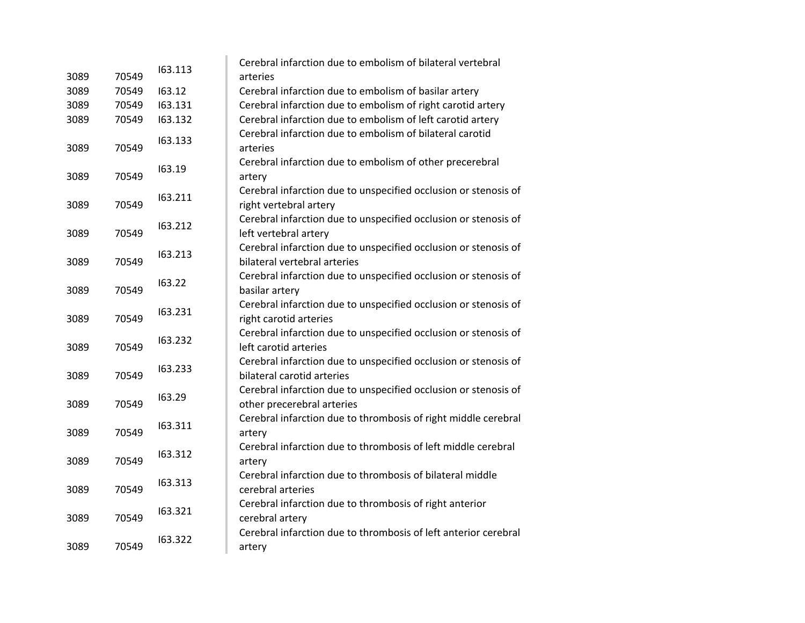| 3089 | 70549 | 163.113 | Cerebral infarction due to embolism of bilateral vertebral<br>arteries                        |
|------|-------|---------|-----------------------------------------------------------------------------------------------|
| 3089 | 70549 | 163.12  | Cerebral infarction due to embolism of basilar artery                                         |
| 3089 | 70549 | 163.131 | Cerebral infarction due to embolism of right carotid artery                                   |
| 3089 | 70549 | 163.132 | Cerebral infarction due to embolism of left carotid artery                                    |
|      |       |         | Cerebral infarction due to embolism of bilateral carotid                                      |
| 3089 | 70549 | 163.133 | arteries                                                                                      |
|      |       |         | Cerebral infarction due to embolism of other precerebral                                      |
| 3089 | 70549 | 163.19  | artery                                                                                        |
|      |       | 163.211 | Cerebral infarction due to unspecified occlusion or stenosis of                               |
| 3089 | 70549 |         | right vertebral artery                                                                        |
|      |       | 163.212 | Cerebral infarction due to unspecified occlusion or stenosis of                               |
| 3089 | 70549 |         | left vertebral artery                                                                         |
|      |       | 163.213 | Cerebral infarction due to unspecified occlusion or stenosis of                               |
| 3089 | 70549 |         | bilateral vertebral arteries                                                                  |
|      |       | 163.22  | Cerebral infarction due to unspecified occlusion or stenosis of                               |
| 3089 | 70549 |         | basilar artery                                                                                |
|      |       | 163.231 | Cerebral infarction due to unspecified occlusion or stenosis of                               |
| 3089 | 70549 |         | right carotid arteries                                                                        |
|      | 70549 | 163.232 | Cerebral infarction due to unspecified occlusion or stenosis of                               |
| 3089 |       |         | left carotid arteries                                                                         |
| 3089 | 70549 | 163.233 | Cerebral infarction due to unspecified occlusion or stenosis of<br>bilateral carotid arteries |
|      |       |         | Cerebral infarction due to unspecified occlusion or stenosis of                               |
| 3089 | 70549 | 163.29  | other precerebral arteries                                                                    |
|      |       |         | Cerebral infarction due to thrombosis of right middle cerebral                                |
| 3089 | 70549 | 163.311 | artery                                                                                        |
|      |       |         | Cerebral infarction due to thrombosis of left middle cerebral                                 |
| 3089 | 70549 | 163.312 | artery                                                                                        |
|      |       |         | Cerebral infarction due to thrombosis of bilateral middle                                     |
| 3089 | 70549 | 163.313 | cerebral arteries                                                                             |
|      |       |         | Cerebral infarction due to thrombosis of right anterior                                       |
| 3089 | 70549 | 163.321 | cerebral artery                                                                               |
|      |       | 163.322 | Cerebral infarction due to thrombosis of left anterior cerebral                               |
| 3089 | 70549 |         | artery                                                                                        |
|      |       |         |                                                                                               |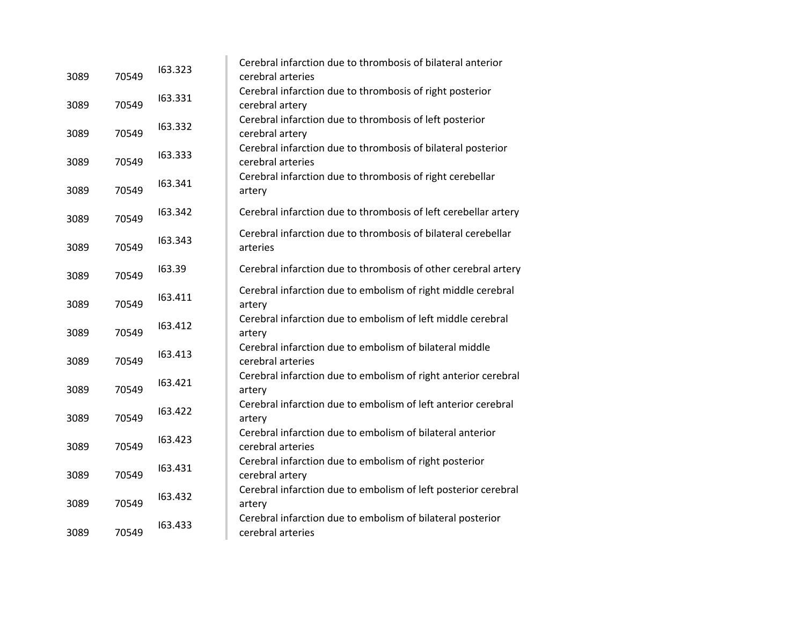| 3089 | 70549 | 163.323 | Cerebral infarction due to thrombosis of bilateral anterior<br>cerebral arteries  |
|------|-------|---------|-----------------------------------------------------------------------------------|
| 3089 | 70549 | 163.331 | Cerebral infarction due to thrombosis of right posterior<br>cerebral artery       |
| 3089 | 70549 | 163.332 | Cerebral infarction due to thrombosis of left posterior<br>cerebral artery        |
| 3089 | 70549 | 163.333 | Cerebral infarction due to thrombosis of bilateral posterior<br>cerebral arteries |
| 3089 | 70549 | 163.341 | Cerebral infarction due to thrombosis of right cerebellar<br>artery               |
| 3089 | 70549 | 163.342 | Cerebral infarction due to thrombosis of left cerebellar artery                   |
| 3089 | 70549 | 163.343 | Cerebral infarction due to thrombosis of bilateral cerebellar<br>arteries         |
| 3089 | 70549 | 163.39  | Cerebral infarction due to thrombosis of other cerebral artery                    |
| 3089 | 70549 | 163.411 | Cerebral infarction due to embolism of right middle cerebral<br>artery            |
| 3089 | 70549 | 163.412 | Cerebral infarction due to embolism of left middle cerebral<br>artery             |
| 3089 | 70549 | 163.413 | Cerebral infarction due to embolism of bilateral middle<br>cerebral arteries      |
| 3089 | 70549 | 163.421 | Cerebral infarction due to embolism of right anterior cerebral<br>artery          |
| 3089 | 70549 | 163.422 | Cerebral infarction due to embolism of left anterior cerebral<br>artery           |
| 3089 | 70549 | 163.423 | Cerebral infarction due to embolism of bilateral anterior<br>cerebral arteries    |
| 3089 | 70549 | 163.431 | Cerebral infarction due to embolism of right posterior<br>cerebral artery         |
| 3089 | 70549 | 163.432 | Cerebral infarction due to embolism of left posterior cerebral<br>artery          |
| 3089 | 70549 | 163.433 | Cerebral infarction due to embolism of bilateral posterior<br>cerebral arteries   |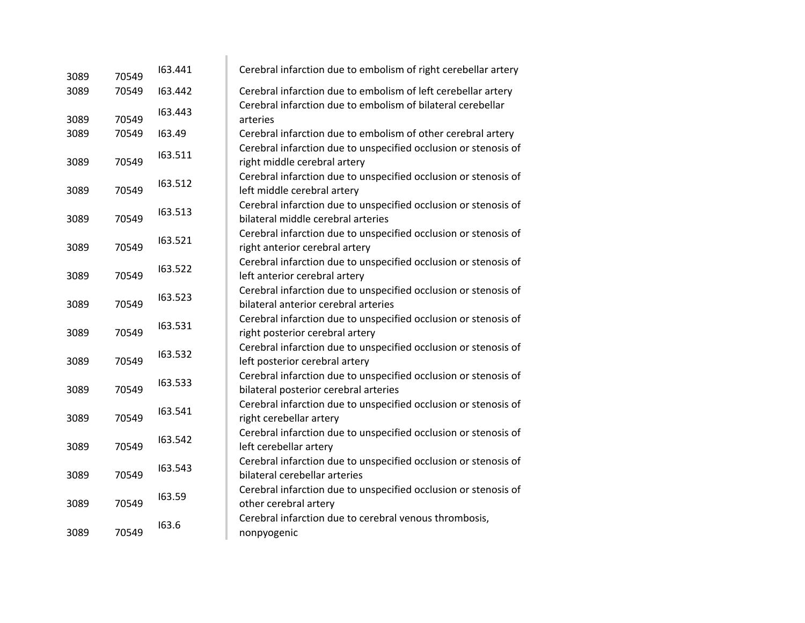| 3089 | 70549 | 163.441 | Cerebral infarction due to embolism of right cerebellar artery                                           |
|------|-------|---------|----------------------------------------------------------------------------------------------------------|
| 3089 | 70549 | 163.442 | Cerebral infarction due to embolism of left cerebellar artery                                            |
| 3089 | 70549 | 163.443 | Cerebral infarction due to embolism of bilateral cerebellar<br>arteries                                  |
| 3089 | 70549 | 163.49  | Cerebral infarction due to embolism of other cerebral artery                                             |
| 3089 | 70549 | 163.511 | Cerebral infarction due to unspecified occlusion or stenosis of<br>right middle cerebral artery          |
| 3089 | 70549 | 163.512 | Cerebral infarction due to unspecified occlusion or stenosis of<br>left middle cerebral artery           |
| 3089 | 70549 | 163.513 | Cerebral infarction due to unspecified occlusion or stenosis of<br>bilateral middle cerebral arteries    |
| 3089 | 70549 | 163.521 | Cerebral infarction due to unspecified occlusion or stenosis of<br>right anterior cerebral artery        |
| 3089 | 70549 | 163.522 | Cerebral infarction due to unspecified occlusion or stenosis of<br>left anterior cerebral artery         |
| 3089 | 70549 | 163.523 | Cerebral infarction due to unspecified occlusion or stenosis of<br>bilateral anterior cerebral arteries  |
| 3089 | 70549 | 163.531 | Cerebral infarction due to unspecified occlusion or stenosis of<br>right posterior cerebral artery       |
| 3089 | 70549 | 163.532 | Cerebral infarction due to unspecified occlusion or stenosis of<br>left posterior cerebral artery        |
| 3089 | 70549 | 163.533 | Cerebral infarction due to unspecified occlusion or stenosis of<br>bilateral posterior cerebral arteries |
| 3089 | 70549 | 163.541 | Cerebral infarction due to unspecified occlusion or stenosis of<br>right cerebellar artery               |
| 3089 | 70549 | 163.542 | Cerebral infarction due to unspecified occlusion or stenosis of<br>left cerebellar artery                |
| 3089 | 70549 | 163.543 | Cerebral infarction due to unspecified occlusion or stenosis of<br>bilateral cerebellar arteries         |
| 3089 | 70549 | 163.59  | Cerebral infarction due to unspecified occlusion or stenosis of<br>other cerebral artery                 |
| 3089 | 70549 | 163.6   | Cerebral infarction due to cerebral venous thrombosis,<br>nonpyogenic                                    |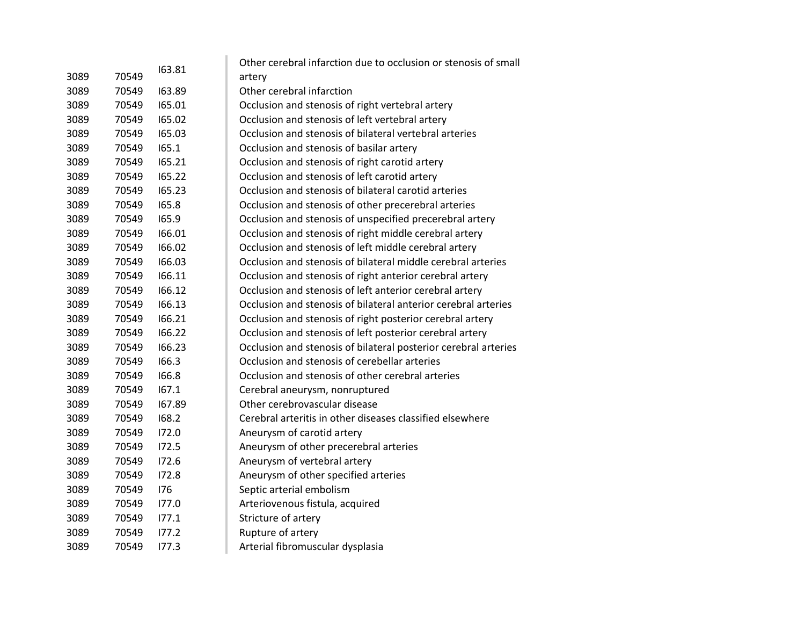|      |       |        | Other cerebral infarction due to occlusion or stenosis of small |
|------|-------|--------|-----------------------------------------------------------------|
| 3089 | 70549 | 163.81 | artery                                                          |
| 3089 | 70549 | 163.89 | Other cerebral infarction                                       |
| 3089 | 70549 | 165.01 | Occlusion and stenosis of right vertebral artery                |
| 3089 | 70549 | 165.02 | Occlusion and stenosis of left vertebral artery                 |
| 3089 | 70549 | 165.03 | Occlusion and stenosis of bilateral vertebral arteries          |
| 3089 | 70549 | 165.1  | Occlusion and stenosis of basilar artery                        |
| 3089 | 70549 | 165.21 | Occlusion and stenosis of right carotid artery                  |
| 3089 | 70549 | 165.22 | Occlusion and stenosis of left carotid artery                   |
| 3089 | 70549 | 165.23 | Occlusion and stenosis of bilateral carotid arteries            |
| 3089 | 70549 | 165.8  | Occlusion and stenosis of other precerebral arteries            |
| 3089 | 70549 | 165.9  | Occlusion and stenosis of unspecified precerebral artery        |
| 3089 | 70549 | 166.01 | Occlusion and stenosis of right middle cerebral artery          |
| 3089 | 70549 | 166.02 | Occlusion and stenosis of left middle cerebral artery           |
| 3089 | 70549 | 166.03 | Occlusion and stenosis of bilateral middle cerebral arteries    |
| 3089 | 70549 | 166.11 | Occlusion and stenosis of right anterior cerebral artery        |
| 3089 | 70549 | 166.12 | Occlusion and stenosis of left anterior cerebral artery         |
| 3089 | 70549 | 166.13 | Occlusion and stenosis of bilateral anterior cerebral arteries  |
| 3089 | 70549 | 166.21 | Occlusion and stenosis of right posterior cerebral artery       |
| 3089 | 70549 | 166.22 | Occlusion and stenosis of left posterior cerebral artery        |
| 3089 | 70549 | 166.23 | Occlusion and stenosis of bilateral posterior cerebral arteries |
| 3089 | 70549 | 166.3  | Occlusion and stenosis of cerebellar arteries                   |
| 3089 | 70549 | 166.8  | Occlusion and stenosis of other cerebral arteries               |
| 3089 | 70549 | 167.1  | Cerebral aneurysm, nonruptured                                  |
| 3089 | 70549 | 167.89 | Other cerebrovascular disease                                   |
| 3089 | 70549 | 168.2  | Cerebral arteritis in other diseases classified elsewhere       |
| 3089 | 70549 | 172.0  | Aneurysm of carotid artery                                      |
| 3089 | 70549 | 172.5  | Aneurysm of other precerebral arteries                          |
| 3089 | 70549 | 172.6  | Aneurysm of vertebral artery                                    |
| 3089 | 70549 | 172.8  | Aneurysm of other specified arteries                            |
| 3089 | 70549 | 176    | Septic arterial embolism                                        |
| 3089 | 70549 | 177.0  | Arteriovenous fistula, acquired                                 |
| 3089 | 70549 | 177.1  | Stricture of artery                                             |
| 3089 | 70549 | 177.2  | Rupture of artery                                               |
| 3089 | 70549 | 177.3  | Arterial fibromuscular dysplasia                                |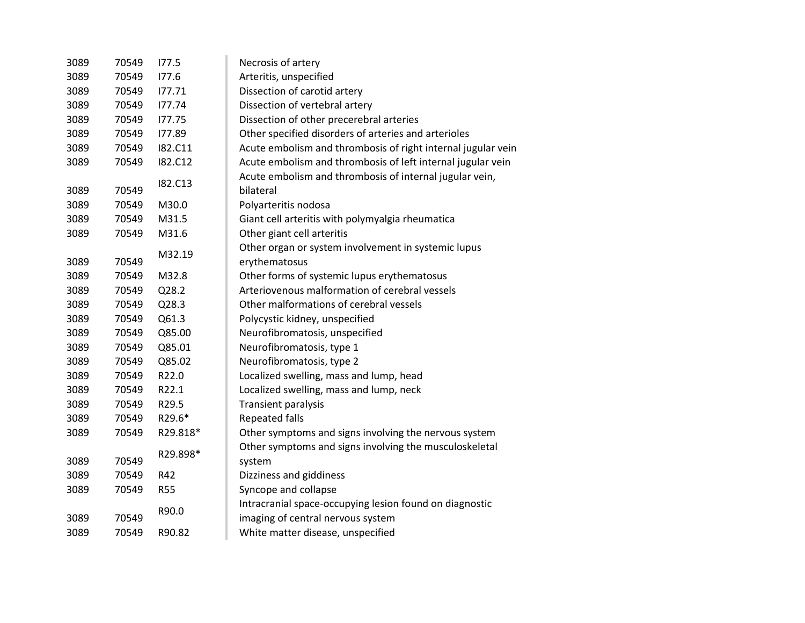| 3089 | 70549 | 177.5          | Necrosis of artery                                                   |
|------|-------|----------------|----------------------------------------------------------------------|
| 3089 | 70549 | 177.6          | Arteritis, unspecified                                               |
| 3089 | 70549 | 177.71         | Dissection of carotid artery                                         |
| 3089 | 70549 | 177.74         | Dissection of vertebral artery                                       |
| 3089 | 70549 | 177.75         | Dissection of other precerebral arteries                             |
| 3089 | 70549 | 177.89         | Other specified disorders of arteries and arterioles                 |
| 3089 | 70549 | I82.C11        | Acute embolism and thrombosis of right internal jugular vein         |
| 3089 | 70549 | <b>182.C12</b> | Acute embolism and thrombosis of left internal jugular vein          |
| 3089 | 70549 | I82.C13        | Acute embolism and thrombosis of internal jugular vein,<br>bilateral |
| 3089 | 70549 | M30.0          | Polyarteritis nodosa                                                 |
| 3089 | 70549 | M31.5          | Giant cell arteritis with polymyalgia rheumatica                     |
| 3089 | 70549 | M31.6          | Other giant cell arteritis                                           |
|      |       |                | Other organ or system involvement in systemic lupus                  |
| 3089 | 70549 | M32.19         | erythematosus                                                        |
| 3089 | 70549 | M32.8          | Other forms of systemic lupus erythematosus                          |
| 3089 | 70549 | Q28.2          | Arteriovenous malformation of cerebral vessels                       |
| 3089 | 70549 | Q28.3          | Other malformations of cerebral vessels                              |
| 3089 | 70549 | Q61.3          | Polycystic kidney, unspecified                                       |
| 3089 | 70549 | Q85.00         | Neurofibromatosis, unspecified                                       |
| 3089 | 70549 | Q85.01         | Neurofibromatosis, type 1                                            |
| 3089 | 70549 | Q85.02         | Neurofibromatosis, type 2                                            |
| 3089 | 70549 | R22.0          | Localized swelling, mass and lump, head                              |
| 3089 | 70549 | R22.1          | Localized swelling, mass and lump, neck                              |
| 3089 | 70549 | R29.5          | <b>Transient paralysis</b>                                           |
| 3089 | 70549 | R29.6*         | <b>Repeated falls</b>                                                |
| 3089 | 70549 | R29.818*       | Other symptoms and signs involving the nervous system                |
|      |       |                | Other symptoms and signs involving the musculoskeletal               |
| 3089 | 70549 | R29.898*       | system                                                               |
| 3089 | 70549 | R42            | Dizziness and giddiness                                              |
| 3089 | 70549 | <b>R55</b>     | Syncope and collapse                                                 |
|      |       | R90.0          | Intracranial space-occupying lesion found on diagnostic              |
| 3089 | 70549 |                | imaging of central nervous system                                    |
| 3089 | 70549 | R90.82         | White matter disease, unspecified                                    |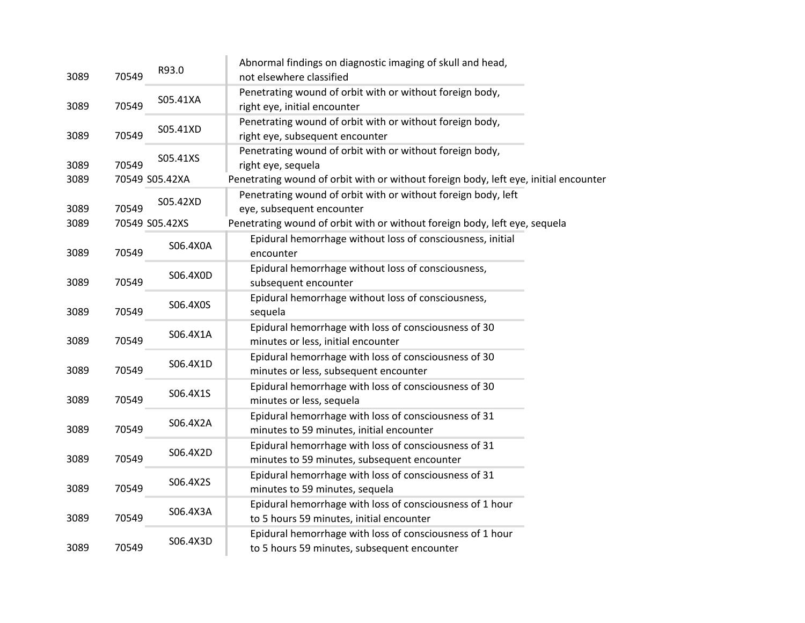| 3089 | 70549 | R93.0          | Abnormal findings on diagnostic imaging of skull and head,<br>not elsewhere classified                  |
|------|-------|----------------|---------------------------------------------------------------------------------------------------------|
| 3089 | 70549 | S05.41XA       | Penetrating wound of orbit with or without foreign body,<br>right eye, initial encounter                |
| 3089 | 70549 | S05.41XD       | Penetrating wound of orbit with or without foreign body,<br>right eye, subsequent encounter             |
| 3089 | 70549 | S05.41XS       | Penetrating wound of orbit with or without foreign body,<br>right eye, sequela                          |
| 3089 |       | 70549 S05.42XA | Penetrating wound of orbit with or without foreign body, left eye, initial encounter                    |
| 3089 | 70549 | S05.42XD       | Penetrating wound of orbit with or without foreign body, left<br>eye, subsequent encounter              |
| 3089 |       | 70549 S05.42XS | Penetrating wound of orbit with or without foreign body, left eye, sequela                              |
| 3089 | 70549 | S06.4X0A       | Epidural hemorrhage without loss of consciousness, initial<br>encounter                                 |
| 3089 | 70549 | S06.4X0D       | Epidural hemorrhage without loss of consciousness,<br>subsequent encounter                              |
| 3089 | 70549 | S06.4X0S       | Epidural hemorrhage without loss of consciousness,<br>sequela                                           |
| 3089 | 70549 | S06.4X1A       | Epidural hemorrhage with loss of consciousness of 30<br>minutes or less, initial encounter              |
| 3089 | 70549 | S06.4X1D       | Epidural hemorrhage with loss of consciousness of 30<br>minutes or less, subsequent encounter           |
| 3089 | 70549 | S06.4X1S       | Epidural hemorrhage with loss of consciousness of 30<br>minutes or less, sequela                        |
| 3089 | 70549 | S06.4X2A       | Epidural hemorrhage with loss of consciousness of 31<br>minutes to 59 minutes, initial encounter        |
| 3089 | 70549 | S06.4X2D       | Epidural hemorrhage with loss of consciousness of 31<br>minutes to 59 minutes, subsequent encounter     |
| 3089 | 70549 | S06.4X2S       | Epidural hemorrhage with loss of consciousness of 31<br>minutes to 59 minutes, sequela                  |
| 3089 | 70549 | S06.4X3A       | Epidural hemorrhage with loss of consciousness of 1 hour<br>to 5 hours 59 minutes, initial encounter    |
| 3089 | 70549 | S06.4X3D       | Epidural hemorrhage with loss of consciousness of 1 hour<br>to 5 hours 59 minutes, subsequent encounter |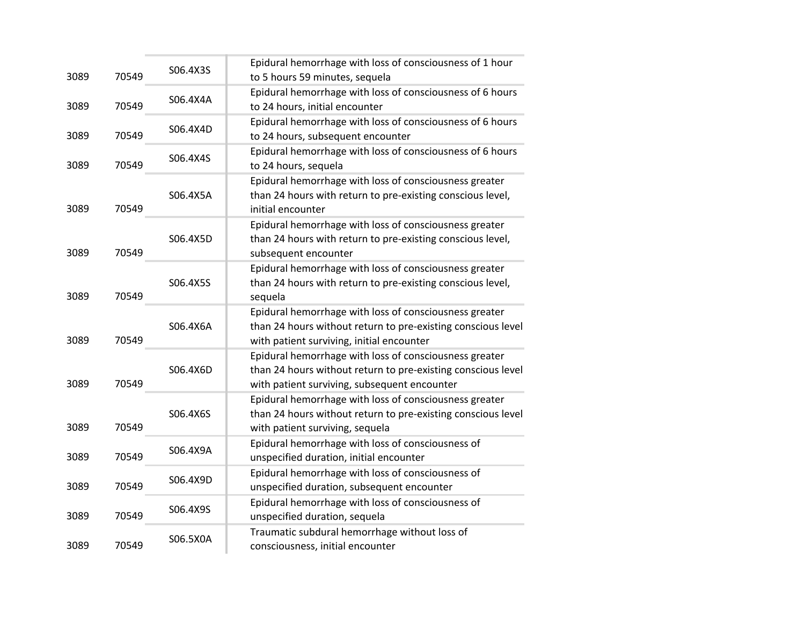| 3089 | 70549 | S06.4X3S | Epidural hemorrhage with loss of consciousness of 1 hour<br>to 5 hours 59 minutes, sequela                                                                             |
|------|-------|----------|------------------------------------------------------------------------------------------------------------------------------------------------------------------------|
| 3089 | 70549 | S06.4X4A | Epidural hemorrhage with loss of consciousness of 6 hours<br>to 24 hours, initial encounter                                                                            |
| 3089 | 70549 | S06.4X4D | Epidural hemorrhage with loss of consciousness of 6 hours<br>to 24 hours, subsequent encounter                                                                         |
| 3089 | 70549 | S06.4X4S | Epidural hemorrhage with loss of consciousness of 6 hours<br>to 24 hours, sequela                                                                                      |
| 3089 | 70549 | S06.4X5A | Epidural hemorrhage with loss of consciousness greater<br>than 24 hours with return to pre-existing conscious level,<br>initial encounter                              |
| 3089 | 70549 | S06.4X5D | Epidural hemorrhage with loss of consciousness greater<br>than 24 hours with return to pre-existing conscious level,<br>subsequent encounter                           |
| 3089 | 70549 | S06.4X5S | Epidural hemorrhage with loss of consciousness greater<br>than 24 hours with return to pre-existing conscious level,<br>sequela                                        |
| 3089 | 70549 | S06.4X6A | Epidural hemorrhage with loss of consciousness greater<br>than 24 hours without return to pre-existing conscious level<br>with patient surviving, initial encounter    |
| 3089 | 70549 | S06.4X6D | Epidural hemorrhage with loss of consciousness greater<br>than 24 hours without return to pre-existing conscious level<br>with patient surviving, subsequent encounter |
| 3089 | 70549 | S06.4X6S | Epidural hemorrhage with loss of consciousness greater<br>than 24 hours without return to pre-existing conscious level<br>with patient surviving, sequela              |
| 3089 | 70549 | S06.4X9A | Epidural hemorrhage with loss of consciousness of<br>unspecified duration, initial encounter                                                                           |
| 3089 | 70549 | S06.4X9D | Epidural hemorrhage with loss of consciousness of<br>unspecified duration, subsequent encounter                                                                        |
| 3089 | 70549 | S06.4X9S | Epidural hemorrhage with loss of consciousness of<br>unspecified duration, sequela                                                                                     |
| 3089 | 70549 | S06.5X0A | Traumatic subdural hemorrhage without loss of<br>consciousness, initial encounter                                                                                      |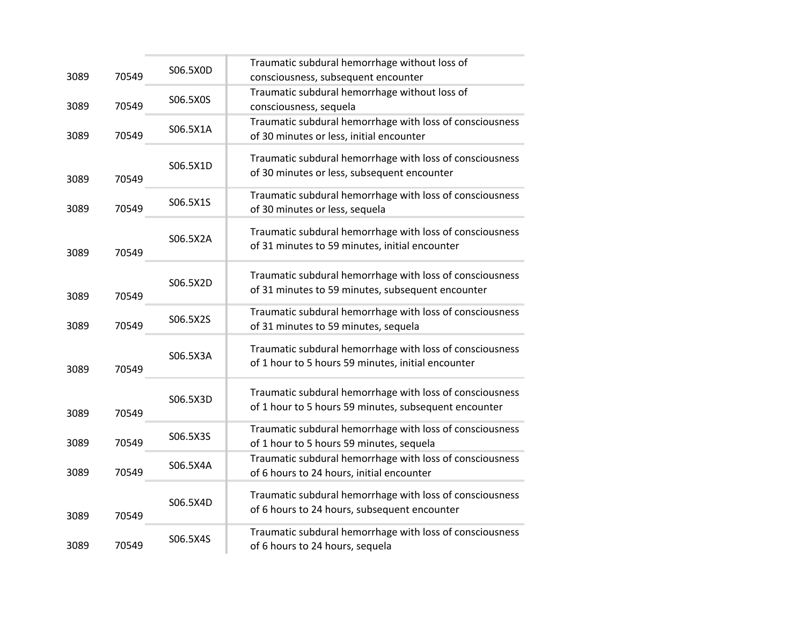| 3089 | 70549 | S06.5X0D | Traumatic subdural hemorrhage without loss of<br>consciousness, subsequent encounter                              |
|------|-------|----------|-------------------------------------------------------------------------------------------------------------------|
| 3089 | 70549 | S06.5X0S | Traumatic subdural hemorrhage without loss of<br>consciousness, sequela                                           |
| 3089 | 70549 | S06.5X1A | Traumatic subdural hemorrhage with loss of consciousness<br>of 30 minutes or less, initial encounter              |
| 3089 | 70549 | S06.5X1D | Traumatic subdural hemorrhage with loss of consciousness<br>of 30 minutes or less, subsequent encounter           |
| 3089 | 70549 | S06.5X1S | Traumatic subdural hemorrhage with loss of consciousness<br>of 30 minutes or less, sequela                        |
| 3089 | 70549 | S06.5X2A | Traumatic subdural hemorrhage with loss of consciousness<br>of 31 minutes to 59 minutes, initial encounter        |
| 3089 | 70549 | S06.5X2D | Traumatic subdural hemorrhage with loss of consciousness<br>of 31 minutes to 59 minutes, subsequent encounter     |
| 3089 | 70549 | S06.5X2S | Traumatic subdural hemorrhage with loss of consciousness<br>of 31 minutes to 59 minutes, sequela                  |
| 3089 | 70549 | S06.5X3A | Traumatic subdural hemorrhage with loss of consciousness<br>of 1 hour to 5 hours 59 minutes, initial encounter    |
| 3089 | 70549 | S06.5X3D | Traumatic subdural hemorrhage with loss of consciousness<br>of 1 hour to 5 hours 59 minutes, subsequent encounter |
| 3089 | 70549 | S06.5X3S | Traumatic subdural hemorrhage with loss of consciousness<br>of 1 hour to 5 hours 59 minutes, sequela              |
| 3089 | 70549 | S06.5X4A | Traumatic subdural hemorrhage with loss of consciousness<br>of 6 hours to 24 hours, initial encounter             |
| 3089 | 70549 | S06.5X4D | Traumatic subdural hemorrhage with loss of consciousness<br>of 6 hours to 24 hours, subsequent encounter          |
| 3089 | 70549 | S06.5X4S | Traumatic subdural hemorrhage with loss of consciousness<br>of 6 hours to 24 hours, sequela                       |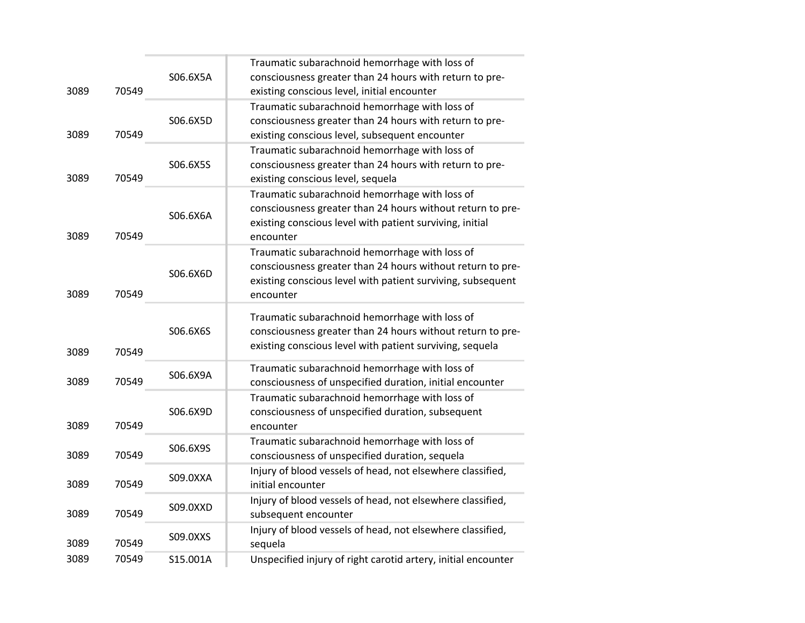|      |       |          | Traumatic subarachnoid hemorrhage with loss of                                                               |
|------|-------|----------|--------------------------------------------------------------------------------------------------------------|
|      |       | S06.6X5A | consciousness greater than 24 hours with return to pre-                                                      |
| 3089 | 70549 |          | existing conscious level, initial encounter                                                                  |
|      |       |          | Traumatic subarachnoid hemorrhage with loss of                                                               |
|      |       | S06.6X5D | consciousness greater than 24 hours with return to pre-                                                      |
| 3089 | 70549 |          | existing conscious level, subsequent encounter                                                               |
|      |       |          | Traumatic subarachnoid hemorrhage with loss of                                                               |
|      |       | S06.6X5S | consciousness greater than 24 hours with return to pre-                                                      |
| 3089 | 70549 |          | existing conscious level, sequela                                                                            |
|      |       |          | Traumatic subarachnoid hemorrhage with loss of                                                               |
|      |       | S06.6X6A | consciousness greater than 24 hours without return to pre-                                                   |
|      |       |          | existing conscious level with patient surviving, initial                                                     |
| 3089 | 70549 |          | encounter                                                                                                    |
|      |       |          | Traumatic subarachnoid hemorrhage with loss of                                                               |
|      |       | S06.6X6D | consciousness greater than 24 hours without return to pre-                                                   |
|      |       |          | existing conscious level with patient surviving, subsequent                                                  |
| 3089 | 70549 |          | encounter                                                                                                    |
|      |       |          | Traumatic subarachnoid hemorrhage with loss of                                                               |
|      |       | S06.6X6S | consciousness greater than 24 hours without return to pre-                                                   |
|      |       |          | existing conscious level with patient surviving, sequela                                                     |
| 3089 | 70549 |          |                                                                                                              |
|      |       | S06.6X9A | Traumatic subarachnoid hemorrhage with loss of                                                               |
| 3089 | 70549 |          | consciousness of unspecified duration, initial encounter                                                     |
|      |       |          | Traumatic subarachnoid hemorrhage with loss of                                                               |
| 3089 | 70549 | S06.6X9D | consciousness of unspecified duration, subsequent                                                            |
|      |       |          | encounter                                                                                                    |
| 3089 | 70549 | S06.6X9S | Traumatic subarachnoid hemorrhage with loss of                                                               |
|      |       |          | consciousness of unspecified duration, sequela<br>Injury of blood vessels of head, not elsewhere classified, |
| 3089 | 70549 | S09.0XXA | initial encounter                                                                                            |
|      |       |          | Injury of blood vessels of head, not elsewhere classified,                                                   |
| 3089 | 70549 | S09.0XXD | subsequent encounter                                                                                         |
|      |       |          | Injury of blood vessels of head, not elsewhere classified,                                                   |
| 3089 | 70549 | S09.0XXS | sequela                                                                                                      |
| 3089 | 70549 | S15.001A | Unspecified injury of right carotid artery, initial encounter                                                |
|      |       |          |                                                                                                              |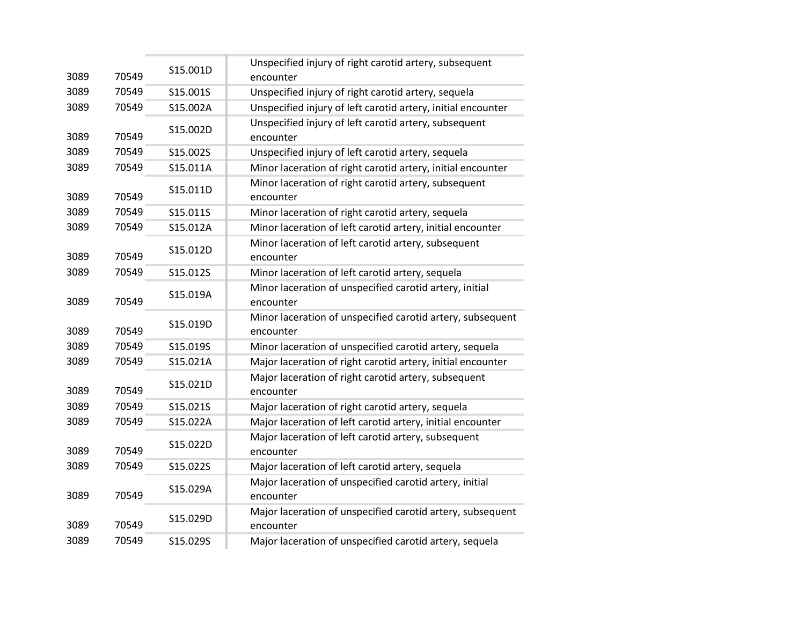| 3089 | 70549 | S15.001D | Unspecified injury of right carotid artery, subsequent<br>encounter     |
|------|-------|----------|-------------------------------------------------------------------------|
| 3089 | 70549 | S15.001S | Unspecified injury of right carotid artery, sequela                     |
| 3089 | 70549 | S15.002A | Unspecified injury of left carotid artery, initial encounter            |
| 3089 | 70549 | S15.002D | Unspecified injury of left carotid artery, subsequent<br>encounter      |
| 3089 | 70549 | S15.002S | Unspecified injury of left carotid artery, sequela                      |
| 3089 | 70549 | S15.011A | Minor laceration of right carotid artery, initial encounter             |
| 3089 | 70549 | S15.011D | Minor laceration of right carotid artery, subsequent<br>encounter       |
| 3089 | 70549 | S15.011S | Minor laceration of right carotid artery, sequela                       |
| 3089 | 70549 | S15.012A | Minor laceration of left carotid artery, initial encounter              |
| 3089 | 70549 | S15.012D | Minor laceration of left carotid artery, subsequent<br>encounter        |
| 3089 | 70549 | S15.012S | Minor laceration of left carotid artery, sequela                        |
| 3089 | 70549 | S15.019A | Minor laceration of unspecified carotid artery, initial<br>encounter    |
| 3089 | 70549 | S15.019D | Minor laceration of unspecified carotid artery, subsequent<br>encounter |
| 3089 | 70549 | S15.019S | Minor laceration of unspecified carotid artery, sequela                 |
| 3089 | 70549 | S15.021A | Major laceration of right carotid artery, initial encounter             |
| 3089 | 70549 | S15.021D | Major laceration of right carotid artery, subsequent<br>encounter       |
| 3089 | 70549 | S15.021S | Major laceration of right carotid artery, sequela                       |
| 3089 | 70549 | S15.022A | Major laceration of left carotid artery, initial encounter              |
| 3089 | 70549 | S15.022D | Major laceration of left carotid artery, subsequent<br>encounter        |
| 3089 | 70549 | S15.022S | Major laceration of left carotid artery, sequela                        |
| 3089 | 70549 | S15.029A | Major laceration of unspecified carotid artery, initial<br>encounter    |
| 3089 | 70549 | S15.029D | Major laceration of unspecified carotid artery, subsequent<br>encounter |
| 3089 | 70549 | S15.029S | Major laceration of unspecified carotid artery, sequela                 |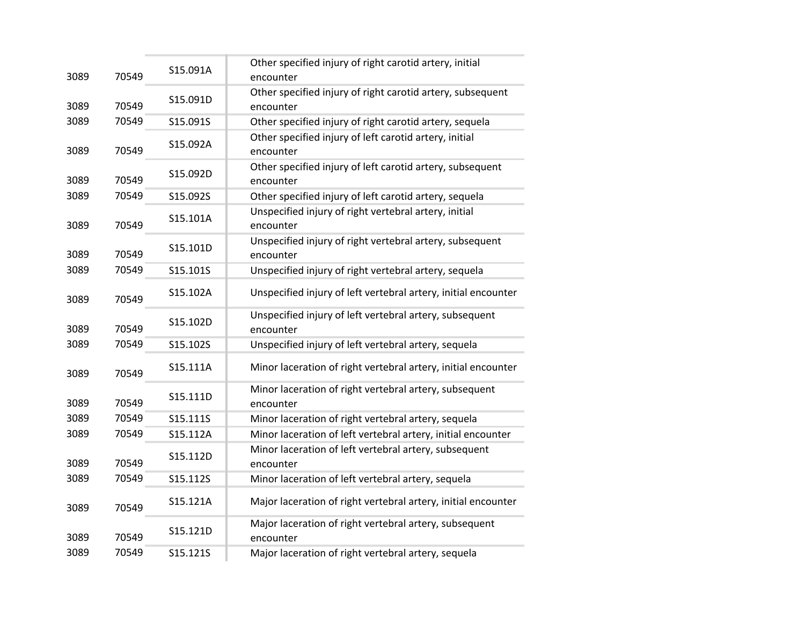| 3089 | 70549 | S15.091A | Other specified injury of right carotid artery, initial<br>encounter    |
|------|-------|----------|-------------------------------------------------------------------------|
| 3089 | 70549 | S15.091D | Other specified injury of right carotid artery, subsequent<br>encounter |
| 3089 | 70549 | S15.091S | Other specified injury of right carotid artery, sequela                 |
| 3089 | 70549 | S15.092A | Other specified injury of left carotid artery, initial<br>encounter     |
| 3089 | 70549 | S15.092D | Other specified injury of left carotid artery, subsequent<br>encounter  |
| 3089 | 70549 | S15.092S | Other specified injury of left carotid artery, sequela                  |
| 3089 | 70549 | S15.101A | Unspecified injury of right vertebral artery, initial<br>encounter      |
| 3089 | 70549 | S15.101D | Unspecified injury of right vertebral artery, subsequent<br>encounter   |
| 3089 | 70549 | S15.101S | Unspecified injury of right vertebral artery, sequela                   |
| 3089 | 70549 | S15.102A | Unspecified injury of left vertebral artery, initial encounter          |
| 3089 | 70549 | S15.102D | Unspecified injury of left vertebral artery, subsequent<br>encounter    |
| 3089 | 70549 | S15.102S | Unspecified injury of left vertebral artery, sequela                    |
| 3089 | 70549 | S15.111A | Minor laceration of right vertebral artery, initial encounter           |
| 3089 | 70549 | S15.111D | Minor laceration of right vertebral artery, subsequent<br>encounter     |
| 3089 | 70549 | S15.111S | Minor laceration of right vertebral artery, sequela                     |
| 3089 | 70549 | S15.112A | Minor laceration of left vertebral artery, initial encounter            |
| 3089 | 70549 | S15.112D | Minor laceration of left vertebral artery, subsequent<br>encounter      |
| 3089 | 70549 | S15.112S | Minor laceration of left vertebral artery, sequela                      |
| 3089 | 70549 | S15.121A | Major laceration of right vertebral artery, initial encounter           |
| 3089 | 70549 | S15.121D | Major laceration of right vertebral artery, subsequent<br>encounter     |
| 3089 | 70549 | S15.121S | Major laceration of right vertebral artery, sequela                     |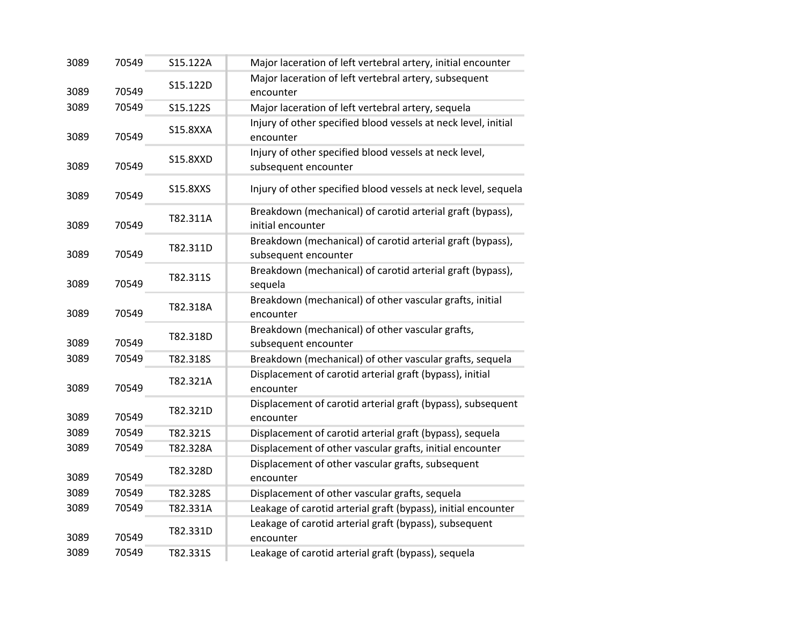| 3089 | 70549 | S15.122A        | Major laceration of left vertebral artery, initial encounter                       |
|------|-------|-----------------|------------------------------------------------------------------------------------|
| 3089 | 70549 | S15.122D        | Major laceration of left vertebral artery, subsequent<br>encounter                 |
| 3089 | 70549 | S15.122S        | Major laceration of left vertebral artery, sequela                                 |
| 3089 | 70549 | <b>S15.8XXA</b> | Injury of other specified blood vessels at neck level, initial<br>encounter        |
| 3089 | 70549 | <b>S15.8XXD</b> | Injury of other specified blood vessels at neck level,<br>subsequent encounter     |
| 3089 | 70549 | S15.8XXS        | Injury of other specified blood vessels at neck level, sequela                     |
| 3089 | 70549 | T82.311A        | Breakdown (mechanical) of carotid arterial graft (bypass),<br>initial encounter    |
| 3089 | 70549 | T82.311D        | Breakdown (mechanical) of carotid arterial graft (bypass),<br>subsequent encounter |
| 3089 | 70549 | T82.311S        | Breakdown (mechanical) of carotid arterial graft (bypass),<br>sequela              |
| 3089 | 70549 | T82.318A        | Breakdown (mechanical) of other vascular grafts, initial<br>encounter              |
| 3089 | 70549 | T82.318D        | Breakdown (mechanical) of other vascular grafts,<br>subsequent encounter           |
| 3089 | 70549 | T82.318S        | Breakdown (mechanical) of other vascular grafts, sequela                           |
| 3089 | 70549 | T82.321A        | Displacement of carotid arterial graft (bypass), initial<br>encounter              |
| 3089 | 70549 | T82.321D        | Displacement of carotid arterial graft (bypass), subsequent<br>encounter           |
| 3089 | 70549 | T82.321S        | Displacement of carotid arterial graft (bypass), sequela                           |
| 3089 | 70549 | T82.328A        | Displacement of other vascular grafts, initial encounter                           |
| 3089 | 70549 | T82.328D        | Displacement of other vascular grafts, subsequent<br>encounter                     |
| 3089 | 70549 | T82.328S        | Displacement of other vascular grafts, sequela                                     |
| 3089 | 70549 | T82.331A        | Leakage of carotid arterial graft (bypass), initial encounter                      |
| 3089 | 70549 | T82.331D        | Leakage of carotid arterial graft (bypass), subsequent<br>encounter                |
| 3089 | 70549 | T82.331S        | Leakage of carotid arterial graft (bypass), sequela                                |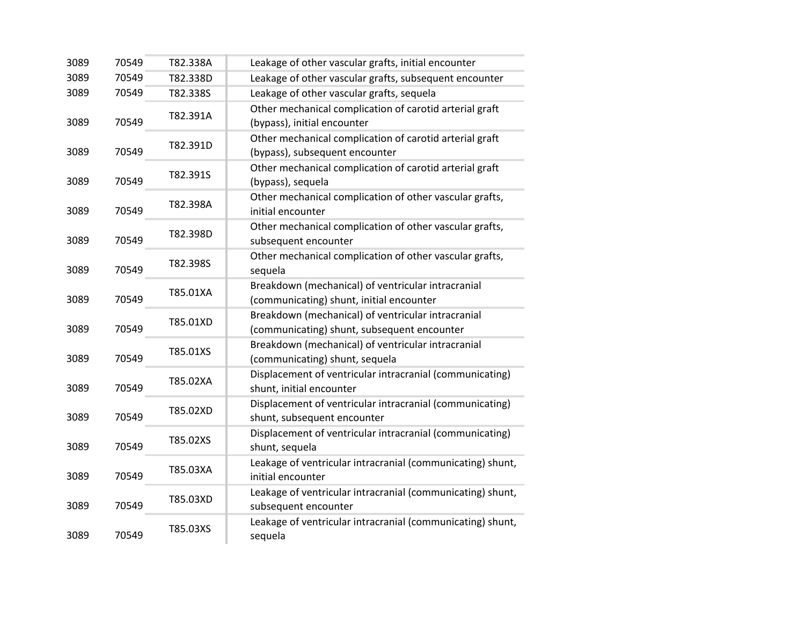| 3089 | 70549 | T82.338A | Leakage of other vascular grafts, initial encounter                                               |
|------|-------|----------|---------------------------------------------------------------------------------------------------|
| 3089 | 70549 | T82.338D | Leakage of other vascular grafts, subsequent encounter                                            |
| 3089 | 70549 | T82.338S | Leakage of other vascular grafts, sequela                                                         |
| 3089 | 70549 | T82.391A | Other mechanical complication of carotid arterial graft<br>(bypass), initial encounter            |
| 3089 | 70549 | T82.391D | Other mechanical complication of carotid arterial graft<br>(bypass), subsequent encounter         |
| 3089 | 70549 | T82.391S | Other mechanical complication of carotid arterial graft<br>(bypass), sequela                      |
| 3089 | 70549 | T82.398A | Other mechanical complication of other vascular grafts,<br>initial encounter                      |
| 3089 | 70549 | T82.398D | Other mechanical complication of other vascular grafts,<br>subsequent encounter                   |
| 3089 | 70549 | T82.398S | Other mechanical complication of other vascular grafts,<br>sequela                                |
| 3089 | 70549 | T85.01XA | Breakdown (mechanical) of ventricular intracranial<br>(communicating) shunt, initial encounter    |
| 3089 | 70549 | T85.01XD | Breakdown (mechanical) of ventricular intracranial<br>(communicating) shunt, subsequent encounter |
| 3089 | 70549 | T85.01XS | Breakdown (mechanical) of ventricular intracranial<br>(communicating) shunt, sequela              |
| 3089 | 70549 | T85.02XA | Displacement of ventricular intracranial (communicating)<br>shunt, initial encounter              |
| 3089 | 70549 | T85.02XD | Displacement of ventricular intracranial (communicating)<br>shunt, subsequent encounter           |
| 3089 | 70549 | T85.02XS | Displacement of ventricular intracranial (communicating)<br>shunt, sequela                        |
| 3089 | 70549 | T85.03XA | Leakage of ventricular intracranial (communicating) shunt,<br>initial encounter                   |
| 3089 | 70549 | T85.03XD | Leakage of ventricular intracranial (communicating) shunt,<br>subsequent encounter                |
| 3089 | 70549 | T85.03XS | Leakage of ventricular intracranial (communicating) shunt,<br>sequela                             |